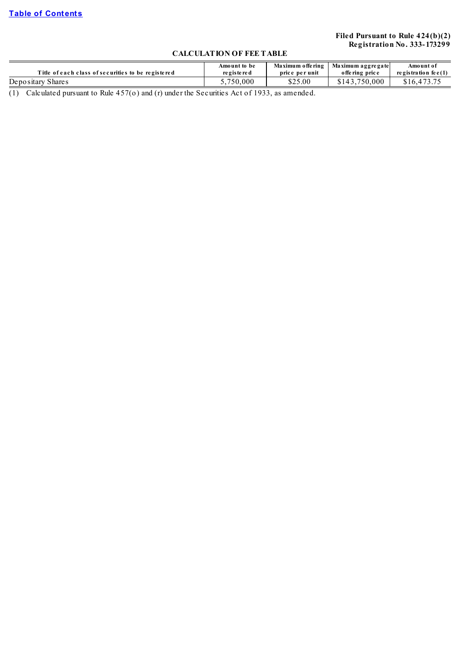# **Filed Pursuant to Rule 424(b)(2) Registration No. 333- 173299**

# **CALCULATION OF FEE TABLE**

|                                                    | Amount to be                | Maximum offering | Maximum aggregate | Amount of              |
|----------------------------------------------------|-----------------------------|------------------|-------------------|------------------------|
| Title of each class of securities to be registered | re g is te re d             | price per unit   | offering price    | registration fee $(1)$ |
| Depositary<br>Share s                              | .750.000                    | \$25.00          | 0.000             |                        |
| $\cdot$ $\cdot$ $\cdot$<br>___                     | $\sim$ $\sim$ $\sim$ $\sim$ |                  |                   |                        |

(1) Calculated pursuant to Rule  $457$ (o) and (r) under the Securities Act of 1933, as amended.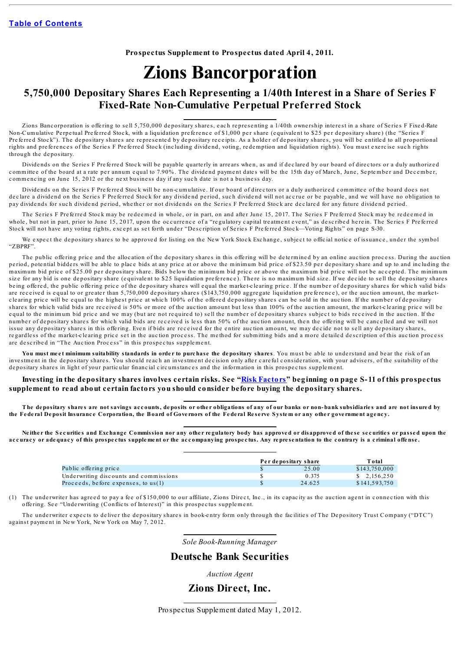**Prospectus Supplement to Prospectus dated April 4, 2011.**

# **Zions Bancorporation**

# **5,750,000 Depositary Shares Each Representing a 1/40th Interest in a Share of Series F Fixed-Rate Non-Cumulative Perpetual Preferred Stock**

Zions Banc orporation is offering to sell 5,750,000 depositary shares, each representing a 1/40th ownership interest in a share of Series F Fixed-Rate Non-Cumulative Perpetual Preferred Stock, with a liquidation preference of \$1,000 per share (equivalent to \$25 per depositary share) (the "Series F Preferred Stock"). The depositary shares are represented by depositary receipts. As a holder of depositary shares, you will be entitled to all proportional rights and preferences of the Series F Preferred Stock (including dividend, voting, redemption and liquidation rights). You must exercise such rights through the de positary.

Dividends on the Series F Preferred Stock will be payable quarterly in arrears when, as and if declared by our board of directors or a duly authorized committee of the board at a rate per annum equal to 7.90%. The dividend payment dates will be the 15th day of March, June, September and December, commencing on June 15, 2012 or the next business day if any such date is not a business day.

Dividends on the Series F Preferred Stock will be non-cumulative. If our board of directors or a duly authorized committee of the board does not declare a dividend on the Series F Preferred Stock for any dividend period, such dividend will not accrue or be payable, and we will have no obligation to pay dividends for such dividend period, whether or not dividends on the Series F Preferred Stock are declared for any future dividend period.

The Series F Preferred Stock may be redeemed in whole, or in part, on and after June 15, 2017. The Series F Preferred Stock may be redeemed in whole, but not in part, prior to June 15, 2017, upon the occurrence of a "regulatory capital treatment event," as described herein. The Series F Preferred Stock will not have any voting rights, except as set forth under "Description of Series F Preferred Stock—Voting Rights" on page S-30.

We expect the depositary shares to be approved for listing on the New York Stock Exchange, subject to official notice of issuance, under the symbol "ZBPRF".

The public offering price and the allocation of the depositary shares in this offering will be determined by an online auction process. During the auction period, potential bidders will be able to place bids at any price at or above the minimum bid price of \$23.50 per depositary share and up to and including the maximum bid price of \$25.00 per depositary share. Bids below the minimum bid price or above the maximum bid price will not be accepted. The minimum size for any bid is one depositary share (equivalent to \$25 liquidation preference). There is no maximum bid size. If we decide to sell the depositary shares being offered, the public offering price of the depositary shares will equal the market-clearing price. If the number of depositary shares for which valid bids are received is equal to or greater than 5.750,000 depositary shares (\$143,750,000 aggregate liquidation preference), or the auction amount, the marketclearing price will be equal to the highest price at which 100% of the offered depositary shares can be sold in the auction. If the number of depositary shares for which valid bids are received is 50% or more of the auction amount but less than 100% of the auction amount, the market-clearing price will be equal to the minimum bid price and we may (but are not required to) sell the number of depositary shares subject to bids received in the auction. If the number of depositary shares for which valid bids are received is less than 50% of the auction amount, then the offering will be cancelled and we will not issue any depositary shares in this offering. Even if bids are received for the entire auction amount, we may decide not to sell any depositary shares, regardless of the market-clearing price set in the auction process. The method for submitting bids and a more detailed description of this auction process are described in "The Auction Process" in this prospectus supplement.

You must meet minimum suitability standards in order to purchase the depositary shares. You must be able to understand and bear the risk of an inve stment in the depositary shares. You should reach an investment decision only after careful consideration, with your advisers, of the suitability of the de positary shares in light of your particular financial circumstances and the information in this prospectus supplement.

#### Investing in the depositary shares involves certain risks. See "Risk [Factors](#page-17-0)" beginning on page S-11 of this prospectus **supplement to read about certain factors you should consider before buying the depositary shares.**

The depositary shares are not savings accounts, deposits or other obligations of any of our banks or non-bank subsidiaries and are not insured by the Federal Deposit Insurance Corporation, the Board of Governors of the Federal Reserve System or any other government agency.

Neither the Securities and Exchange Commission nor any other regulatory body has approved or disapproved of these securities or passed upon the accuracy or adequacy of this prospectus supplement or the accompanying prospectus. Any representation to the contrary is a criminal offense.

|                                        | Per depositary share | Total         |
|----------------------------------------|----------------------|---------------|
| Public offering price                  | 25.00                | \$143,750,000 |
| Underwriting discounts and commissions | 0.375                | \$2.156.250   |
| Proceeds, before expenses, to $us(1)$  | 24.625               | \$141,593,750 |

(1) The underwriter has agreed to pay a fee of \$150,000 to our affiliate, Zions Direct, Inc., in its capacity as the auction agent in connection with this offering. See "Underwriting (Conflicts of Interest)" in this prospectus supplement.

The underwriter expects to deliver the depositary shares in book-entry form only through the facilities of The Depository Trust Company ("DTC") against payment in New York, New York on May 7, 2012.

*Sole Book-Running Manager*

# **Deutsche Bank Securities**

*Auction Agent*

**Zions Direct, Inc.**

Prospectus Supplement dated May 1, 2012.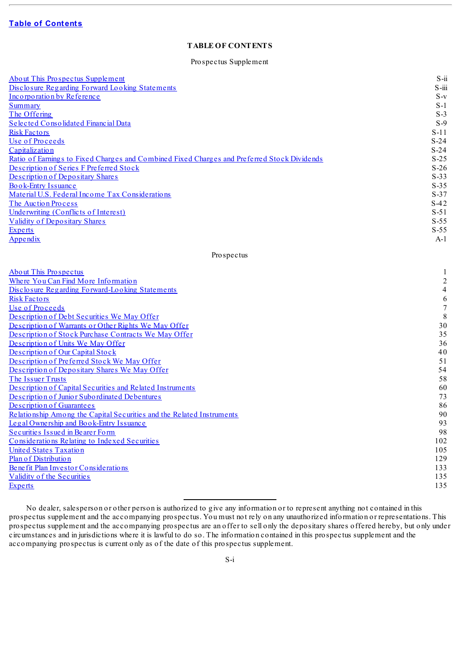# **TABLE OF CONTENTS**

#### Prospectus Supplement

<span id="page-2-0"></span>

| About This Prospectus Supplement                                                            | $S - ii$                 |
|---------------------------------------------------------------------------------------------|--------------------------|
| Disclosure Regarding Forward Looking Statements                                             | S-iii                    |
| Incorporation by Reference                                                                  | $S-v$                    |
| <b>Summary</b>                                                                              | $S-1$                    |
| The Offering                                                                                | $S-3$                    |
| Selected Consolidated Financial Data                                                        | $S-9$                    |
| <b>Risk Factors</b>                                                                         | $S-11$                   |
| Use of Proceeds                                                                             | $S-24$                   |
| Capitalization                                                                              | $S-24$                   |
| Ratio of Earnings to Fixed Charges and Combined Fixed Charges and Preferred Stock Dividends | $S-25$                   |
| Description of Series F Preferred Stock                                                     | $S-26$                   |
| Description of Depositary Shares                                                            | $S-33$                   |
| Book-Entry Issuance                                                                         | $S-35$                   |
| Material U.S. Federal Income Tax Considerations                                             | $S-37$                   |
| The Auction Process                                                                         | $S-42$                   |
| Underwriting (Conflicts of Interest)                                                        | $S-51$                   |
| <b>Validity of Depositary Shares</b>                                                        | $S-55$                   |
|                                                                                             | $S-55$                   |
| <b>Experts</b>                                                                              | $A-1$                    |
| Appendix                                                                                    |                          |
| Prospectus                                                                                  |                          |
| <b>About This Prospectus</b>                                                                | 1                        |
| Where You Can Find More Information                                                         | $\boldsymbol{2}$         |
| Disclosure Regarding Forward-Looking Statements                                             | $\overline{\mathcal{A}}$ |
| <b>Risk Factors</b>                                                                         | 6                        |
| Use of Proceeds                                                                             | $\boldsymbol{7}$         |
| Description of Debt Securities We May Offer                                                 | $\,$ 8 $\,$              |
| Description of Warrants or Other Rights We May Offer                                        | 30                       |
| Description of Stock Purchase Contracts We May Offer                                        | 35                       |
| Description of Units We May Offer                                                           | 36                       |
| Description of Our Capital Stock                                                            | 40                       |
| Description of Preferred Stock We May Offer                                                 | 51                       |
|                                                                                             | 54                       |
| Description of Depositary Shares We May Offer                                               |                          |
| The Issuer Trusts                                                                           | 58                       |
| Description of Capital Securities and Related Instruments                                   | 60                       |
| Description of Junior Subordinated Debentures                                               | 73                       |
| Description of Guarantees                                                                   | 86                       |
| Relationship Among the Capital Securities and the Related Instruments                       | 90                       |
| Legal Ownership and Book-Entry Issuance                                                     | 93                       |
| Securities Issued in Bearer Form                                                            | 98                       |
| Considerations Relating to Indexed Securities                                               | 102                      |
| <b>United States Taxation</b>                                                               | 105                      |
| Plan of Distribution                                                                        | 129                      |
| Benefit Plan Investor Considerations                                                        | 133                      |
| Validity of the Securities                                                                  | 135                      |
| <b>Experts</b>                                                                              | 135                      |
|                                                                                             |                          |

No dealer, salesperson or other person is authorized to give any information or to represent anything not contained in this prospectus supplement and the accompanying prospectus. You must not rely on any unauthorized information or representations. This prospectus supplement and the accompanying prospectus are an offer to sell only the depositary shares offered hereby, but only under circumstances and in jurisdictions where it is lawful to do so. The information contained in this prospectus supplement and the accompanying prospectus is current only as of the date of this prospectus supplement.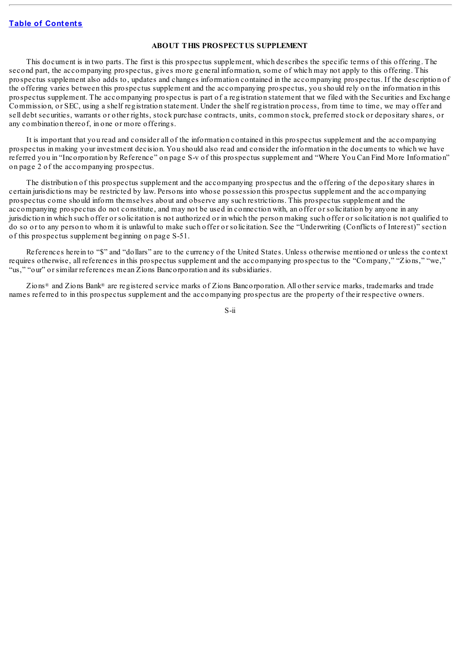#### **ABOUT THIS PROSPECTUS SUPPLEMENT**

<span id="page-3-0"></span>This document is in two parts. The first is this prospectus supplement, which describes the specific terms of this offering. The second part, the accompanying prospectus, gives more general information, some of which may not apply to this offering. This prospectus supplement also adds to, updates and changes information contained in the accompanying prospectus. If the description of the offering varies between this prospectus supplement and the accompanying prospectus, you should rely on the information in this prospectus supplement. The accompanying prospectus is part of a registration statement that we filed with the Securities and Exchange Commission, or SEC, using a shelf registration statement. Under the shelf registration process, from time to time, we may offer and sell debt securities, warrants or other rights, stock purchase contracts, units, common stock, preferred stock or depositary shares, or any combination thereof, in one or more offerings.

It is important that you read and consider all of the information contained in this prospectus supplement and the accompanying prospectus in making your investment decision. You should also read and consider the information in the documents to which we have referred you in "Incorporation by Reference" on page S-v of this prospectus supplement and "Where You Can Find More Information" on page 2 of the accompanying prospectus.

The distribution of this prospectus supplement and the accompanying prospectus and the offering of the depositary shares in certain jurisdictions may be restricted by law. Persons into whose possession this prospectus supplement and the accompanying prospectus come should inform themselves about and observe any such restrictions. This prospectus supplement and the accompanying prospectus do not constitute, and may not be used in connection with, an offer or solicitation by anyone in any jurisdiction in which such offer or solicitation is not authorized or in which the person making such offer or solicitation is not qualified to do so or to any person to whom it is unlawful to make such offer or solicitation. See the "Underwriting (Conflicts of Interest)" section of this prospectus supplement beginning on page S-51.

References herein to "\$" and "dollars" are to the currency of the United States. Unless otherwise mentioned or unless the context requires otherwise, all references in this prospectus supplement and the accompanying prospectus to the "Company," "Zions," "we," "us," "our" or similar references mean Zions Bancorporation and its subsidiaries.

Zions<sup>®</sup> and Zions Bank<sup>®</sup> are registered service marks of Zions Bancorporation. All other service marks, trademarks and trade names referred to in this prospectus supplement and the accompanying prospectus are the property of their respective owners.

S-ii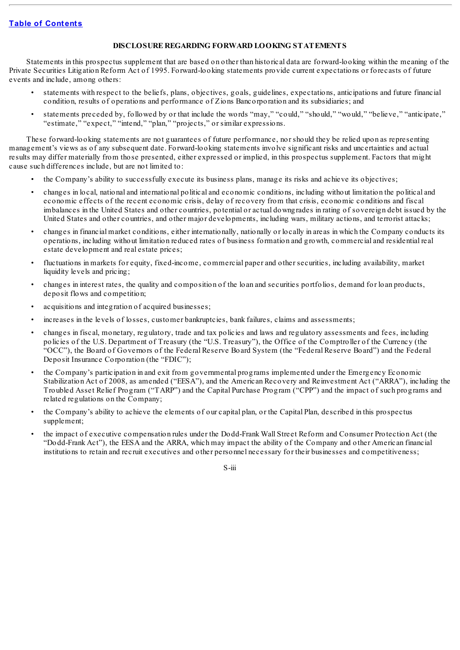# **DISCLOSURE REGARDING FORWARD LOOKING STATEMENTS**

<span id="page-4-0"></span>Statements in this prospectus supplement that are based on other than historical data are forward-looking within the meaning of the Private Securities Litigation Reform Act of 1995. Forward-looking statements provide current expectations or forecasts of future events and include, among others:

- statements with respect to the beliefs, plans, objectives, goals, guidelines, expectations, anticipations and future financial condition, results of operations and performance of Zions Bancorporation and its subsidiaries; and
- statements preceded by, followed by or that include the words "may," "could," "should," "would," "believe," "anticipate," "estimate," "expect," "intend," "plan," "projects," or similar expressions.

These forward-looking statements are not guarantees of future performance, nor should they be relied upon as representing management's views as of any subsequent date. Forward-looking statements involve significant risks and uncertainties and actual results may differ materially from those presented, either expressed or implied, in this prospectus supplement. Factors that might cause such differences include, but are not limited to:

- the Company's ability to successfully execute its business plans, manage its risks and achieve its objectives;
- changes in local, national and international political and economic conditions, including without limitation the political and economic effects of the recent economic crisis, delay of recovery from that crisis, economic conditions and fiscal imbalances in the United States and other countries, potential or actual downgrades in rating of sovereign debt issued by the United States and other countries, and other major developments, including wars, military actions, and terrorist attacks;
- changes in financial market conditions, either internationally, nationally or locally in areas in which the Company conducts its operations, including without limitation reduced rates of business formation and growth, commercial and residential real estate development and real estate prices;
- fluctuations in markets for equity, fixed-income, commercial paper and other securities, including availability, market liquidity levels and pricing;
- changes in interest rates, the quality and composition of the loan and securities portfolios, demand for loan products, deposit flows and competition;
- acquisitions and integration of acquired businesses;
- increases in the levels of losses, customer bankruptcies, bank failures, claims and assessments;
- changes in fiscal, monetary, regulatory, trade and tax policies and laws and regulatory assessments and fees, including policies of the U.S. Department of Treasury (the "U.S. Treasury"), the Office of the Comptroller of the Currency (the "OCC"), the Board of Governors of the Federal Reserve Board System (the "Federal Reserve Board") and the Federal Deposit Insurance Corporation (the "FDIC");
- the Company's participation in and exit from governmental programs implemented under the Emergency Economic Stabilization Act of 2008, as amended ("EESA"), and the American Recovery and Reinvestment Act ("ARRA"), including the Troubled Asset Relief Program ("TARP") and the Capital Purchase Program ("CPP") and the impact of such programs and related regulations on the Company;
- the Company's ability to achieve the elements of our capital plan, or the Capital Plan, described in this prospectus supplement;
- the impact of executive compensation rules under the Dodd-Frank Wall Street Reform and Consumer Protection Act (the "Dodd-Frank Act"), the EESA and the ARRA, which may impact the ability of the Company and other American financial institutions to retain and recruit executives and other personnel necessary for their businesses and competitiveness;

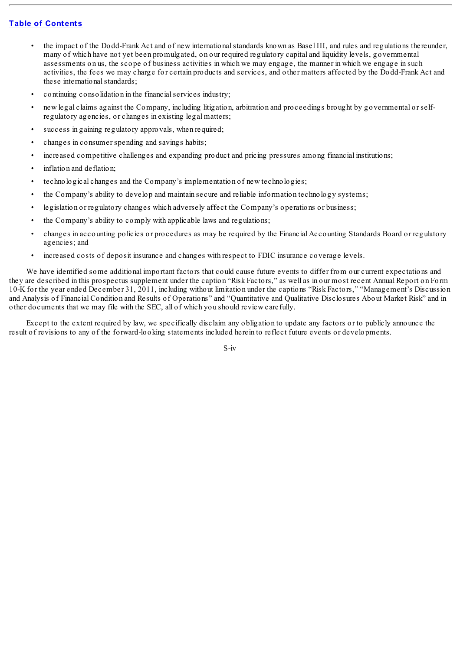- the impact of the Dodd-Frank Act and of new internationalstandards known as Basel III, and rules and regulations thereunder, many of which have not yet been promulgated, on our required regulatory capital and liquidity levels, governmental assessments on us, the scope of business activities in which we may engage, the manner in which we engage in such activities, the fees we may charge for certain products and services, and other matters affected by the Dodd-Frank Act and these international standards;
- continuing consolidation in the financialservices industry;
- new legal claims against the Company, including litigation, arbitration and proceedings brought by governmental or selfregulatory agencies, or changes in existing legal matters;
- success in gaining regulatory approvals, when required;
- changes in consumer spending and savings habits;
- increased competitive challenges and expanding product and pricing pressures among financial institutions;
- inflation and deflation:
- technological changes and the Company's implementation of new technologies;
- the Company's ability to develop and maintain secure and reliable information technology systems;
- legislation or regulatory changes which adversely affect the Company's operations or business;
- the Company's ability to comply with applicable laws and regulations;
- changes in accounting policies or procedures as may be required by the Financial Accounting Standards Board or regulatory agencies; and
- increased costs of deposit insurance and changes with respect to FDIC insurance coverage levels.

We have identified some additional important factors that could cause future events to differ from our current expectations and they are described in this prospectus supplement under the caption "Risk Factors," as well as in our most recent Annual Report on Form 10-K for the year ended December 31, 2011, including without limitation under the captions "Risk Factors," "Management's Discussion and Analysis of Financial Condition and Results of Operations" and "Quantitative and Qualitative Disclosures About Market Risk" and in other documents that we may file with the SEC, all of which you should review carefully.

Except to the extent required by law, we specifically disclaim any obligation to update any factors or to publicly announce the result of revisions to any of the forward-looking statements included herein to reflect future events or developments.

S-iv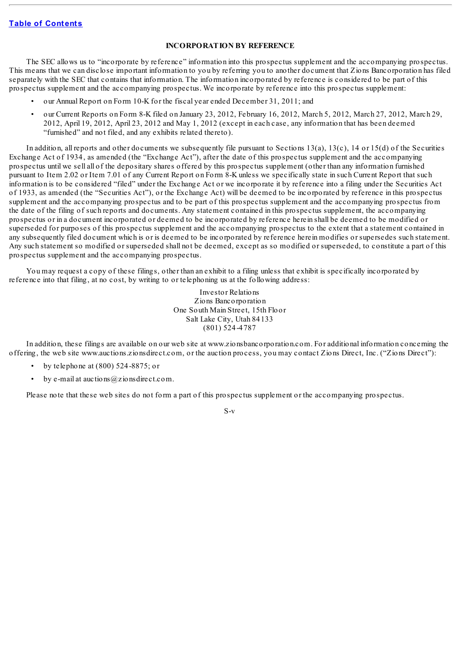### **INCORPORATION BY REFERENCE**

<span id="page-6-0"></span>The SEC allows us to "incorporate by reference" information into this prospectus supplement and the accompanying prospectus. This means that we can disclose important information to you by referring you to another document that Zions Bancorporation has filed separately with the SEC that contains that information. The information incorporated by reference is considered to be part of this prospectus supplement and the accompanying prospectus. We incorporate by reference into this prospectus supplement:

- our Annual Report on Form 10-K for the fiscal year ended December 31, 2011; and
- our Current Reports on Form 8-K filed on January 23, 2012, February 16, 2012, March 5, 2012, March 27, 2012, March 29, 2012, April 19, 2012, April 23, 2012 and May 1, 2012 (except in each case, any information that has been deemed "furnished" and not filed, and any exhibits related thereto).

In addition, all reports and other documents we subsequently file pursuant to Sections  $13(a)$ ,  $13(c)$ ,  $14$  or  $15(d)$  of the Securities Exchange Act of 1934, as amended (the "Exchange Act"), after the date of this prospectus supplement and the accompanying prospectus until we sell all of the depositary shares offered by this prospectus supplement (other than any information furnished pursuant to Item 2.02 or Item 7.01 of any Current Report on Form 8-K unless we specifically state in such Current Report that such information is to be considered "filed" under the Exchange Act or we incorporate it by reference into a filing under the Securities Act of 1933, as amended (the "Securities Act"), or the Exchange Act) will be deemed to be incorporated by reference in this prospectus supplement and the accompanying prospectus and to be part of this prospectus supplement and the accompanying prospectus from the date of the filing of such reports and documents. Any statement contained in this prospectus supplement, the accompanying prospectus or in a document incorporated or deemed to be incorporated by reference herein shall be deemed to be modified or superseded for purposes of this prospectus supplement and the accompanying prospectus to the extent that a statement contained in any subsequently filed document which is or is deemed to be incorporated by reference herein modifies or supersedes such statement. Any such statement so modified or superseded shall not be deemed, except as so modified or superseded, to constitute a part of this prospectus supplement and the accompanying prospectus.

You may request a copy of these filings, other than an exhibit to a filing unless that exhibit is specifically incorporated by reference into that filing, at no cost, by writing to or telephoning us at the following address:

> Investor Relations Zions Bancorporation One South Main Street, 15th Floor Salt Lake City, Utah 84133 (801) 524-4787

In addition, these filings are available on our web site at www.zionsbancorporation.com. For additional information concerning the offering, the web site www.auctions.zionsdirect.com, or the auction process, you may contact Zions Direct, Inc. ("Zions Direct"):

- by telephone at  $(800)$  524-8875; or
- by e-mail at auctions  $(a)$ zionsdirect.com.

Please note that these web sites do not form a part of this prospectus supplement or the accompanying prospectus.

S-v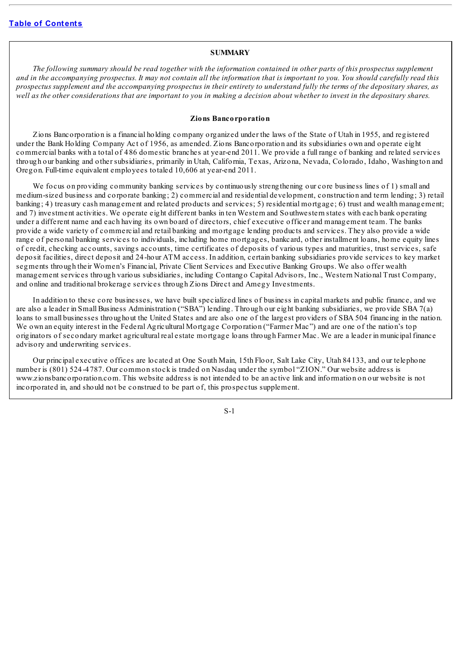#### **SUMMARY**

<span id="page-7-0"></span>The following summary should be read together with the information contained in other parts of this prospectus supplement and in the accompanying prospectus. It may not contain all the information that is important to you. You should carefully read this prospectus supplement and the accompanying prospectus in their entirety to understand fully the terms of the depositary shares, as well as the other considerations that are important to you in making a decision about whether to invest in the depositary shares.

#### **Zions Bancorporation**

Zions Bancorporation is a financial holding company organized under the laws of the State of Utah in 1955, and registered under the Bank Holding Company Act of 1956, as amended. Zions Bancorporation and its subsidiaries own and operate eight commercial banks with a total of 486 domestic branches at year-end 2011. We provide a full range of banking and related services through our banking and other subsidiaries, primarily in Utah, California, Texas, Arizona, Nevada, Colorado, Idaho, Washington and Oregon. Full-time equivalent employees totaled 10,606 at year-end 2011.

We focus on providing community banking services by continuously strengthening our core business lines of 1) small and medium-sized business and corporate banking; 2) commercial and residential development, construction and term lending; 3) retail banking; 4) treasury cash management and related products and services; 5) residential mortgage; 6) trust and wealth management; and 7) investment activities. We operate eight different banks in ten Western and Southwestern states with each bank operating under a different name and each having its own board of directors, chief executive officer and management team. The banks provide a wide variety of commercial and retail banking and mortgage lending products and services. They also provide a wide range of personal banking services to individuals, including home mortgages, bankcard, other installment loans, home equity lines of credit, checking accounts, savings accounts, time certificates of deposits of various types and maturities, trust services, safe deposit facilities, direct deposit and 24-hour ATM access. In addition, certain banking subsidiaries provide services to key market segments through their Women's Financial, Private Client Services and Executive Banking Groups. We also offer wealth management services through various subsidiaries, including Contango Capital Advisors, Inc., Western National Trust Company, and online and traditional brokerage services through Zions Direct and Amegy Investments.

In addition to these core businesses, we have built specialized lines of business in capital markets and public finance, and we are also a leader in Small Business Administration ("SBA") lending. Through our eight banking subsidiaries, we provide SBA 7(a) loans to small businesses throughout the United States and are also one of the largest providers of SBA 504 financing in the nation. We own an equity interest in the Federal Agricultural Mortgage Corporation ("Farmer Mac") and are one of the nation's top originators of secondary market agricultural real estate mortgage loans through Farmer Mac. We are a leader in municipal finance advisory and underwriting services.

Our principal executive offices are located at One South Main, 15th Floor, Salt Lake City, Utah 84133, and our telephone number is (801) 524-4787. Our common stock is traded on Nasdaq under the symbol "ZION." Our website address is www.zionsbancorporation.com. This website address is not intended to be an active link and information on our website is not incorporated in, and should not be construed to be part of, this prospectus supplement.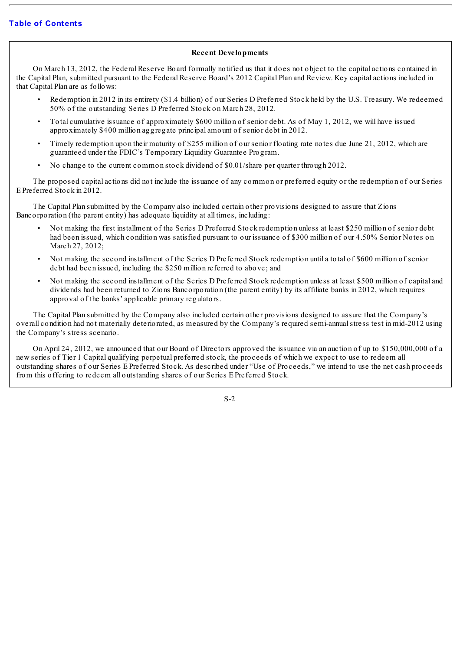# **Recent Developments**

On March 13, 2012, the Federal Reserve Board formally notified us that it does not object to the capital actions contained in the Capital Plan, submitted pursuant to the Federal Reserve Board's 2012 Capital Plan and Review. Key capital actions included in that Capital Plan are as follows:

- Redemption in 2012 in its entirety (\$1.4 billion) of our Series D Preferred Stock held by the U.S. Treasury. We redeemed 50% of the outstanding Series D Preferred Stock on March 28, 2012.
- Total cumulative issuance of approximately \$600 million of senior debt. As of May 1, 2012, we will have issued approximately \$400 million aggregate principal amount of senior debt in 2012.
- Timely redemption upon their maturity of \$255 million of our senior floating rate notes due June 21, 2012, which are guaranteed under the FDIC's Temporary Liquidity Guarantee Program.
- No change to the current common stock dividend of \$0.01/share per quarter through 2012.

The proposed capital actions did not include the issuance of any common or preferred equity or the redemption of our Series E Preferred Stock in 2012.

The Capital Plan submitted by the Company also included certain other provisions designed to assure that Zions Bancorporation (the parent entity) has adequate liquidity at all times, including:

- Not making the first installment of the Series D Preferred Stock redemption unless at least \$250 million of senior debt had been issued, which condition was satisfied pursuant to our issuance of \$300 million of our 4.50% Senior Notes on March 27, 2012;
- Not making the second installment of the Series D Preferred Stock redemption until a total of \$600 million of senior debt had been issued, including the \$250 million referred to above; and
- Not making the second installment of the Series D Preferred Stock redemption unless at least \$500 million of capital and dividends had been returned to Zions Bancorporation (the parent entity) by its affiliate banks in 2012, which requires approval of the banks' applicable primary regulators.

The Capital Plan submitted by the Company also included certain other provisions designed to assure that the Company's overall condition had not materially deteriorated, as measured by the Company's required semi-annualstress test in mid-2012 using the Company's stress scenario.

On April 24, 2012, we announced that our Board of Directors approved the issuance via an auction of up to \$150,000,000 of a new series of Tier 1 Capital qualifying perpetual preferred stock, the proceeds of which we expect to use to redeem all outstanding shares of our Series E Preferred Stock. As described under "Use of Proceeds," we intend to use the net cash proceeds from this offering to redeem all outstanding shares of our Series E Preferred Stock.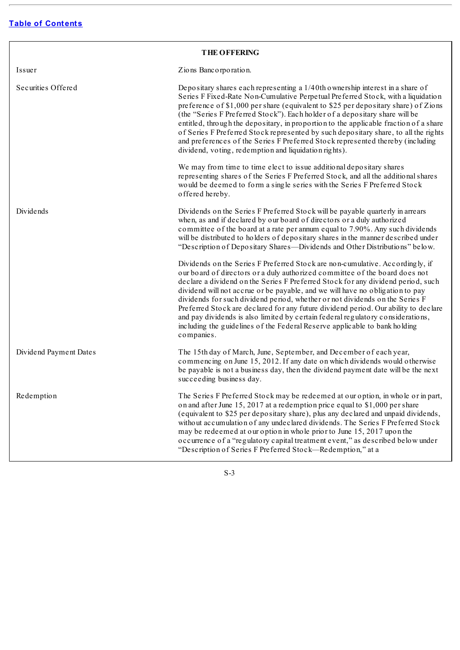<span id="page-9-0"></span>

| <b>THE OFFERING</b>    |                                                                                                                                                                                                                                                                                                                                                                                                                                                                                                                                                                                                                                                                                         |  |  |
|------------------------|-----------------------------------------------------------------------------------------------------------------------------------------------------------------------------------------------------------------------------------------------------------------------------------------------------------------------------------------------------------------------------------------------------------------------------------------------------------------------------------------------------------------------------------------------------------------------------------------------------------------------------------------------------------------------------------------|--|--|
| Issuer                 | Zions Bancorporation.                                                                                                                                                                                                                                                                                                                                                                                                                                                                                                                                                                                                                                                                   |  |  |
| Securities Offered     | Depositary shares each representing a 1/40th ownership interest in a share of<br>Series F Fixed-Rate Non-Cumulative Perpetual Preferred Stock, with a liquidation<br>preference of \$1,000 per share (equivalent to \$25 per depositary share) of Zions<br>(the "Series F Preferred Stock"). Each holder of a depositary share will be<br>entitled, through the depositary, in proportion to the applicable fraction of a share<br>of Series F Preferred Stock represented by such depositary share, to all the rights<br>and preferences of the Series F Preferred Stock represented thereby (including<br>dividend, voting, redemption and liquidation rights).                       |  |  |
|                        | We may from time to time elect to issue additional depositary shares<br>representing shares of the Series F Preferred Stock, and all the additional shares<br>would be deemed to form a single series with the Series F Preferred Stock<br>offered hereby.                                                                                                                                                                                                                                                                                                                                                                                                                              |  |  |
| Dividends              | Dividends on the Series F Preferred Stock will be payable quarterly in arrears<br>when, as and if declared by our board of directors or a duly authorized<br>committee of the board at a rate per annum equal to 7.90%. Any such dividends<br>will be distributed to holders of depositary shares in the manner described under<br>"Description of Depositary Shares—Dividends and Other Distributions" below.                                                                                                                                                                                                                                                                          |  |  |
|                        | Dividends on the Series F Preferred Stock are non-cumulative. Accordingly, if<br>our board of directors or a duly authorized committee of the board does not<br>declare a dividend on the Series F Preferred Stock for any dividend period, such<br>dividend will not accrue or be payable, and we will have no obligation to pay<br>dividends for such dividend period, whether or not dividends on the Series F<br>Preferred Stock are declared for any future dividend period. Our ability to declare<br>and pay dividends is also limited by certain federal regulatory considerations,<br>including the guidelines of the Federal Reserve applicable to bank holding<br>companies. |  |  |
| Dividend Payment Dates | The 15th day of March, June, September, and December of each year,<br>commencing on June 15, 2012. If any date on which dividends would otherwise<br>be payable is not a business day, then the dividend payment date will be the next<br>succeeding business day.                                                                                                                                                                                                                                                                                                                                                                                                                      |  |  |
| Redemption             | The Series F Preferred Stock may be redeemed at our option, in whole or in part,<br>on and after June 15, 2017 at a redemption price equal to \$1,000 per share<br>(equivalent to \$25 per depositary share), plus any declared and unpaid dividends,<br>without accumulation of any undeclared dividends. The Series F Preferred Stock<br>may be redeemed at our option in whole prior to June 15, 2017 upon the<br>occurrence of a "regulatory capital treatment event," as described below under<br>"Description of Series F Preferred Stock-Redemption," at a                                                                                                                       |  |  |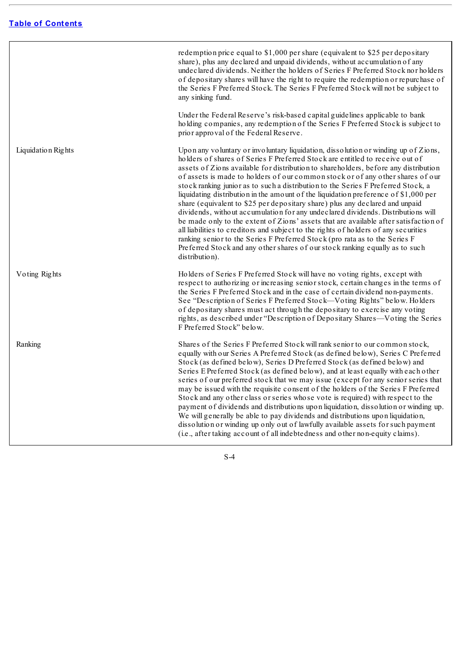|                    | redemption price equal to \$1,000 per share (equivalent to \$25 per depositary<br>share), plus any declared and unpaid dividends, without accumulation of any<br>undeclared dividends. Neither the holders of Series F Preferred Stock nor holders<br>of depositary shares will have the right to require the redemption or repurchase of<br>the Series F Preferred Stock. The Series F Preferred Stock will not be subject to<br>any sinking fund.                                                                                                                                                                                                                                                                                                                                                                                                                                                                                                                                                                                                         |
|--------------------|-------------------------------------------------------------------------------------------------------------------------------------------------------------------------------------------------------------------------------------------------------------------------------------------------------------------------------------------------------------------------------------------------------------------------------------------------------------------------------------------------------------------------------------------------------------------------------------------------------------------------------------------------------------------------------------------------------------------------------------------------------------------------------------------------------------------------------------------------------------------------------------------------------------------------------------------------------------------------------------------------------------------------------------------------------------|
|                    | Under the Federal Reserve's risk-based capital guidelines applicable to bank<br>holding companies, any redemption of the Series F Preferred Stock is subject to<br>prior approval of the Federal Reserve.                                                                                                                                                                                                                                                                                                                                                                                                                                                                                                                                                                                                                                                                                                                                                                                                                                                   |
| Liquidation Rights | Upon any voluntary or involuntary liquidation, dissolution or winding up of Zions,<br>holders of shares of Series F Preferred Stock are entitled to receive out of<br>assets of Zions available for distribution to shareholders, before any distribution<br>of assets is made to holders of our common stock or of any other shares of our<br>stock ranking junior as to such a distribution to the Series F Preferred Stock, a<br>liquidating distribution in the amount of the liquidation preference of \$1,000 per<br>share (equivalent to \$25 per depositary share) plus any declared and unpaid<br>dividends, without accumulation for any undeclared dividends. Distributions will<br>be made only to the extent of Zions' assets that are available after satisfaction of<br>all liabilities to creditors and subject to the rights of holders of any securities<br>ranking senior to the Series F Preferred Stock (pro rata as to the Series F<br>Preferred Stock and any other shares of our stock ranking equally as to such<br>distribution). |
| Voting Rights      | Holders of Series F Preferred Stock will have no voting rights, except with<br>respect to authorizing or increasing senior stock, certain changes in the terms of<br>the Series F Preferred Stock and in the case of certain dividend non-payments.<br>See "Description of Series F Preferred Stock—Voting Rights" below. Holders<br>of depositary shares must act through the depositary to exercise any voting<br>rights, as described under "Description of Depositary Shares-Voting the Series<br>F Preferred Stock" below.                                                                                                                                                                                                                                                                                                                                                                                                                                                                                                                             |
| Ranking            | Shares of the Series F Preferred Stock will rank senior to our common stock,<br>equally with our Series A Preferred Stock (as defined below), Series C Preferred<br>Stock (as defined below), Series D Preferred Stock (as defined below) and<br>Series E Preferred Stock (as defined below), and at least equally with each other<br>series of our preferred stock that we may issue (except for any senior series that<br>may be issued with the requisite consent of the holders of the Series F Preferred<br>Stock and any other class or series whose vote is required) with respect to the<br>payment of dividends and distributions upon liquidation, dissolution or winding up.<br>We will generally be able to pay dividends and distributions upon liquidation,<br>dissolution or winding up only out of lawfully available assets for such payment<br>(i.e., after taking account of all indebtedness and other non-equity claims).                                                                                                              |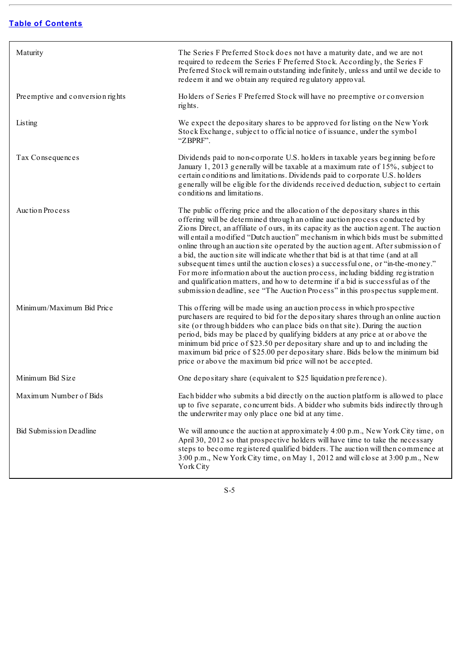| Maturity                         | The Series F Preferred Stock does not have a maturity date, and we are not<br>required to redeem the Series F Preferred Stock. Accordingly, the Series F<br>Preferred Stock will remain outstanding indefinitely, unless and until we decide to<br>redeem it and we obtain any required regulatory approval.                                                                                                                                                                                                                                                                                                                                                                                                                                                                                                                                                  |
|----------------------------------|---------------------------------------------------------------------------------------------------------------------------------------------------------------------------------------------------------------------------------------------------------------------------------------------------------------------------------------------------------------------------------------------------------------------------------------------------------------------------------------------------------------------------------------------------------------------------------------------------------------------------------------------------------------------------------------------------------------------------------------------------------------------------------------------------------------------------------------------------------------|
| Preemptive and conversion rights | Holders of Series F Preferred Stock will have no preemptive or conversion<br>rights.                                                                                                                                                                                                                                                                                                                                                                                                                                                                                                                                                                                                                                                                                                                                                                          |
| Listing                          | We expect the depositary shares to be approved for listing on the New York<br>Stock Exchange, subject to official notice of issuance, under the symbol<br>"ZBPRF".                                                                                                                                                                                                                                                                                                                                                                                                                                                                                                                                                                                                                                                                                            |
| Tax Consequences                 | Dividends paid to non-corporate U.S. holders in taxable years beginning before<br>January 1, 2013 generally will be taxable at a maximum rate of 15%, subject to<br>certain conditions and limitations. Dividends paid to corporate U.S. holders<br>generally will be eligible for the dividends received deduction, subject to certain<br>conditions and limitations.                                                                                                                                                                                                                                                                                                                                                                                                                                                                                        |
| Auction Process                  | The public offering price and the allocation of the depositary shares in this<br>offering will be determined through an online auction process conducted by<br>Zions Direct, an affiliate of ours, in its capacity as the auction agent. The auction<br>will entail a modified "Dutch auction" mechanism in which bids must be submitted<br>online through an auction site operated by the auction agent. After submission of<br>a bid, the auction site will indicate whether that bid is at that time (and at all<br>subsequent times until the auction closes) a successful one, or "in-the-money."<br>For more information about the auction process, including bidding registration<br>and qualification matters, and how to determine if a bid is successful as of the<br>submission deadline, see "The Auction Process" in this prospectus supplement. |
| Minimum/Maximum Bid Price        | This offering will be made using an auction process in which prospective<br>purchasers are required to bid for the depositary shares through an online auction<br>site (or through bidders who can place bids on that site). During the auction<br>period, bids may be placed by qualifying bidders at any price at or above the<br>minimum bid price of \$23.50 per depositary share and up to and including the<br>maximum bid price of \$25.00 per depositary share. Bids below the minimum bid<br>price or above the maximum bid price will not be accepted.                                                                                                                                                                                                                                                                                              |
| Minimum Bid Size                 | One depositary share (equivalent to \$25 liquidation preference).                                                                                                                                                                                                                                                                                                                                                                                                                                                                                                                                                                                                                                                                                                                                                                                             |
| Maximum Number of Bids           | Each bidder who submits a bid directly on the auction platform is allowed to place<br>up to five separate, concurrent bids. A bidder who submits bids indirectly through<br>the underwriter may only place one bid at any time.                                                                                                                                                                                                                                                                                                                                                                                                                                                                                                                                                                                                                               |
| Bid Submission Deadline          | We will announce the auction at approximately 4:00 p.m., New York City time, on<br>April 30, 2012 so that prospective holders will have time to take the necessary<br>steps to become registered qualified bidders. The auction will then commence at<br>3:00 p.m., New York City time, on May 1, 2012 and will close at 3:00 p.m., New<br>York City                                                                                                                                                                                                                                                                                                                                                                                                                                                                                                          |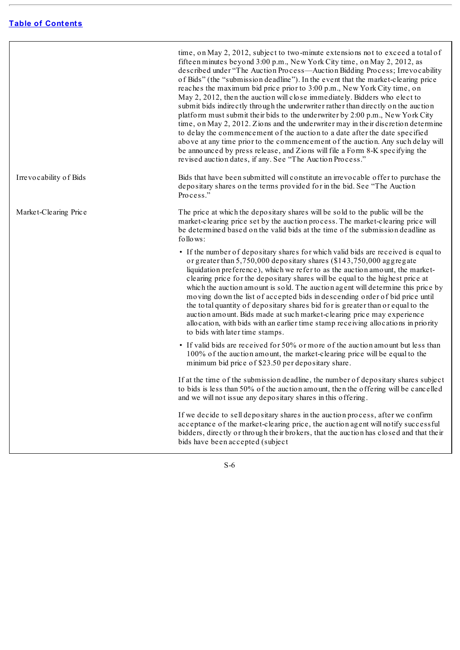time, on May 2, 2012, subject to two-minute extensions not to exceed a total of fifteen minutes beyond 3:00 p.m., New York City time, on May 2, 2012, as described under "The Auction Process—Auction Bidding Process; Irrevocability of Bids" (the "submission deadline"). In the event that the market-clearing price reaches the maximum bid price prior to 3:00 p.m., New York City time, on May 2, 2012, then the auction will close immediately. Bidders who elect to submit bids indirectly through the underwriter rather than directly on the auction platform must submit their bids to the underwriter by 2:00 p.m., New York City time, on May 2, 2012. Zions and the underwriter may in their discretion determine to delay the commencement of the auction to a date after the date specified above at any time prior to the commencement of the auction. Any such delay will be announced by press release, and Zions will file a Form 8-K specifying the revised auction dates, if any. See "The Auction Process."

Irrevocability of Bids **Bids** Bids that have been submitted will constitute an irrevocable offer to purchase the depositary shares on the terms provided for in the bid. See "The Auction Process."

Market-Clearing Price The price at which the depositary shares will be sold to the public will be the market-clearing price set by the auction process. The market-clearing price will be determined based on the valid bids at the time of the submission deadline as follows:

- If the number of depositary shares for which valid bids are received is equal to or greater than 5,750,000 depositary shares (\$143,750,000 aggregate liquidation preference), which we refer to as the auction amount, the marketclearing price for the depositary shares will be equal to the highest price at which the auction amount is sold. The auction agent will determine this price by moving down the list of accepted bids in descending order of bid price until the total quantity of depositary shares bid for is greater than or equal to the auction amount. Bids made at such market-clearing price may experience allocation, with bids with an earlier time stamp receiving allocations in priority to bids with later time stamps.
- If valid bids are received for 50% or more of the auction amount but less than 100% of the auction amount, the market-clearing price will be equal to the minimum bid price of \$23.50 per depositary share.

If at the time of the submission deadline, the number of depositary shares subject to bids is less than 50% of the auction amount, then the offering will be cancelled and we will not issue any depositary shares in this offering.

If we decide to sell depositary shares in the auction process, after we confirm acceptance of the market-clearing price, the auction agent will notify successful bidders, directly or through their brokers, that the auction has closed and that their bids have been accepted (subject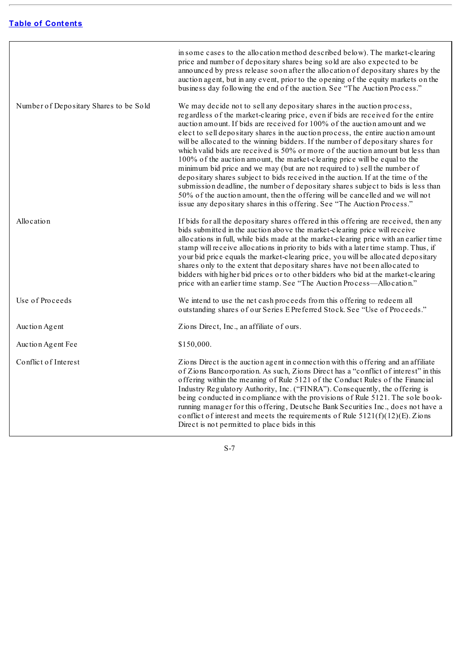|                                        | in some cases to the allocation method described below). The market-clearing<br>price and number of depositary shares being sold are also expected to be<br>announced by press release soon after the allocation of depositary shares by the<br>auction agent, but in any event, prior to the opening of the equity markets on the<br>business day following the end of the auction. See "The Auction Process."                                                                                                                                                                                                                                                                                                                                                                                                                                                                                                                                                                                           |
|----------------------------------------|-----------------------------------------------------------------------------------------------------------------------------------------------------------------------------------------------------------------------------------------------------------------------------------------------------------------------------------------------------------------------------------------------------------------------------------------------------------------------------------------------------------------------------------------------------------------------------------------------------------------------------------------------------------------------------------------------------------------------------------------------------------------------------------------------------------------------------------------------------------------------------------------------------------------------------------------------------------------------------------------------------------|
| Number of Depositary Shares to be Sold | We may decide not to sell any depositary shares in the auction process,<br>regardless of the market-clearing price, even if bids are received for the entire<br>auction amount. If bids are received for 100% of the auction amount and we<br>elect to sell depositary shares in the auction process, the entire auction amount<br>will be allocated to the winning bidders. If the number of depositary shares for<br>which valid bids are received is 50% or more of the auction amount but less than<br>100% of the auction amount, the market-clearing price will be equal to the<br>minimum bid price and we may (but are not required to) sell the number of<br>depositary shares subject to bids received in the auction. If at the time of the<br>submission deadline, the number of depositary shares subject to bids is less than<br>50% of the auction amount, then the offering will be cancelled and we will not<br>issue any depositary shares in this offering. See "The Auction Process." |
| Allocation                             | If bids for all the depositary shares offered in this offering are received, then any<br>bids submitted in the auction above the market-clearing price will receive<br>allocations in full, while bids made at the market-clearing price with an earlier time<br>stamp will receive allocations in priority to bids with a later time stamp. Thus, if<br>your bid price equals the market-clearing price, you will be allocated depositary<br>shares only to the extent that depositary shares have not been allocated to<br>bidders with higher bid prices or to other bidders who bid at the market-clearing<br>price with an earlier time stamp. See "The Auction Process-Allocation."                                                                                                                                                                                                                                                                                                                 |
| Use of Proceeds                        | We intend to use the net cash proceeds from this offering to redeem all<br>outstanding shares of our Series E Preferred Stock. See "Use of Proceeds."                                                                                                                                                                                                                                                                                                                                                                                                                                                                                                                                                                                                                                                                                                                                                                                                                                                     |
| Auction Agent                          | Zions Direct, Inc., an affiliate of ours.                                                                                                                                                                                                                                                                                                                                                                                                                                                                                                                                                                                                                                                                                                                                                                                                                                                                                                                                                                 |
| Auction Agent Fee                      | \$150,000.                                                                                                                                                                                                                                                                                                                                                                                                                                                                                                                                                                                                                                                                                                                                                                                                                                                                                                                                                                                                |
| Conflict of Interest                   | Zions Direct is the auction agent in connection with this offering and an affiliate<br>of Zions Bancorporation. As such, Zions Direct has a "conflict of interest" in this<br>offering within the meaning of Rule 5121 of the Conduct Rules of the Financial<br>Industry Regulatory Authority, Inc. ("FINRA"). Consequently, the offering is<br>being conducted in compliance with the provisions of Rule 5121. The sole book-<br>running manager for this offering, Deutsche Bank Securities Inc., does not have a<br>conflict of interest and meets the requirements of Rule $5121(f)(12)(E)$ . Zions<br>Direct is not permitted to place bids in this                                                                                                                                                                                                                                                                                                                                                  |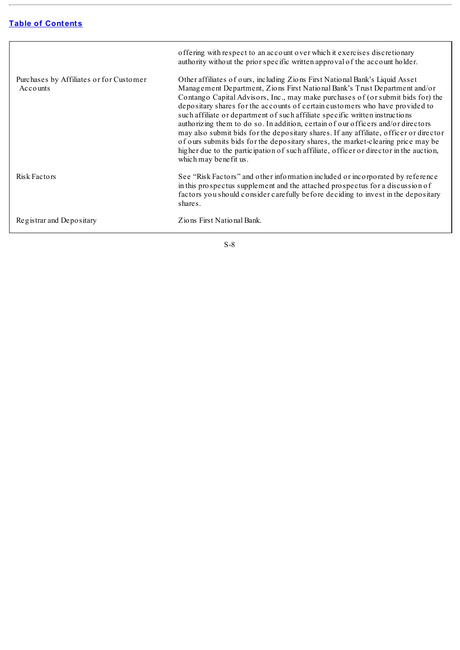|                                                     | offering with respect to an account over which it exercises discretionary<br>authority without the prior specific written approval of the account holder.                                                                                                                                                                                                                                                                                                                                                                                                                                                                                                                                                                                                                                          |
|-----------------------------------------------------|----------------------------------------------------------------------------------------------------------------------------------------------------------------------------------------------------------------------------------------------------------------------------------------------------------------------------------------------------------------------------------------------------------------------------------------------------------------------------------------------------------------------------------------------------------------------------------------------------------------------------------------------------------------------------------------------------------------------------------------------------------------------------------------------------|
| Purchases by Affiliates or for Customer<br>Accounts | Other affiliates of ours, including Zions First National Bank's Liquid Asset<br>Management Department, Zions First National Bank's Trust Department and/or<br>Contango Capital Advisors, Inc., may make purchases of (or submit bids for) the<br>depositary shares for the accounts of certain customers who have provided to<br>such affiliate or department of such affiliate specific written instructions<br>authorizing them to do so. In addition, certain of our officers and/or directors<br>may also submit bids for the depositary shares. If any affiliate, officer or director<br>of ours submits bids for the depositary shares, the market-clearing price may be<br>higher due to the participation of such affiliate, officer or director in the auction,<br>which may be nefit us. |
| Risk Factors                                        | See "Risk Factors" and other information included or incorporated by reference<br>in this prospectus supplement and the attached prospectus for a discussion of<br>factors you should consider carefully before deciding to invest in the depositary<br>shares.                                                                                                                                                                                                                                                                                                                                                                                                                                                                                                                                    |
| Registrar and Depositary                            | Zions First National Bank.                                                                                                                                                                                                                                                                                                                                                                                                                                                                                                                                                                                                                                                                                                                                                                         |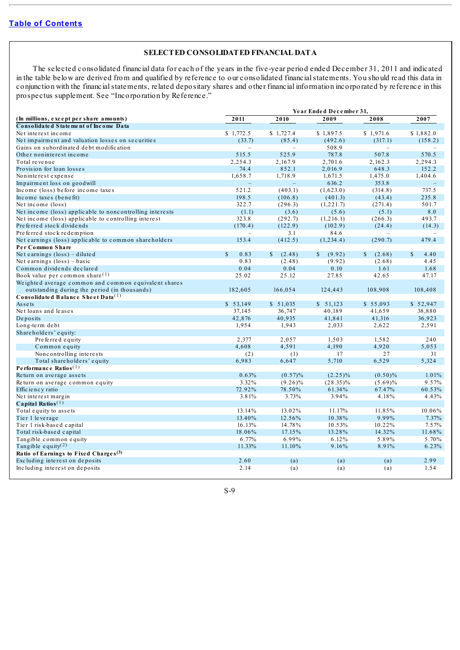# **SELECTED CONSOLIDATED FINANCIAL DATA**

<span id="page-15-0"></span>The selected consolidated financial data for each of the years in the five-year period ended December 31, 2011 and indicated in the table below are derived from and qualified by reference to our consolidated financialstatements. You should read this data in conjunction with the financialstatements, related depositary shares and other financial information incorporated by reference in this prospectus supplement. See "Incorporation by Reference."

|                                                          | Year Ended December 31. |                          |             |             |           |
|----------------------------------------------------------|-------------------------|--------------------------|-------------|-------------|-----------|
| (In millions, except per share amounts)                  | 2011                    | 2010                     | 2009        | 2008        | 2007      |
| Consolidated Statement of Income Data                    |                         |                          |             |             |           |
| Net interest income                                      | \$1,772.5               | \$1.727.4                | \$1,897.5   | \$1,971.6   | \$1.882.0 |
| Net impairment and valuation losses on securities        | (33.7)                  | (85.4)                   | (492.6)     | (317.1)     | (158.2)   |
| Gains on subordinated debt modification                  | $\sim$                  | $\overline{\phantom{0}}$ | 508.9       | $\sim$      |           |
| Other noninterest income                                 | 515.5                   | 525.9                    | 787.8       | 507.8       | 570.5     |
| Total revenue                                            | 2,254.3                 | 2,167.9                  | 2,701.6     | 2,162.3     | 2,294.3   |
| Provision for loan losses                                | 74.4                    | 852.1                    | 2,016.9     | 648.3       | 152.2     |
| Noninterest expense                                      | 1,658.7                 | 1,718.9                  | 1,671.5     | 1,475.0     | 1,404.6   |
| Impairment loss on goodwill                              |                         | $\equiv$                 | 636.2       | 353.8       |           |
| Income (loss) before income taxes                        | 521.2                   | (403.1)                  | (1,623.0)   | (314.8)     | 737.5     |
| Income taxes (benefit)                                   | 198.5                   | (106.8)                  | (401.3)     | (43.4)      | 235.8     |
| Net income (loss)                                        | 322.7                   | (296.3)                  | (1,221.7)   | (271.4)     | 501.7     |
| Net income (loss) applicable to noncontrolling interests | (1.1)                   | (3.6)                    | (5.6)       | (5.1)       | 8.0       |
| Net income (loss) applicable to controlling interest     | 323.8                   | (292.7)                  | (1, 216.1)  | (266.3)     | 493.7     |
| Preferred stock dividends                                | (170.4)                 | (122.9)                  | (102.9)     | (24.4)      | (14.3)    |
| Preferred stock redemption                               |                         | 3.1                      | 84.6        |             |           |
| Net earnings (loss) applicable to common shareholders    | 153.4                   | (412.5)                  | (1,234.4)   | (290.7)     | 479.4     |
| Per Common Share                                         |                         |                          |             |             |           |
| Net earnings $(\text{loss}) - \text{dilute}$             | $\mathbb{S}$<br>0.83    | $\mathbb{S}$<br>(2.48)   | S<br>(9.92) | S<br>(2.68) | S<br>4.40 |
| Net earnings $(\text{loss}) - \text{basic}$              | 0.83                    | (2.48)                   | (9.92)      | (2.68)      | 4.45      |
| Common dividends declared                                | 0.04                    | 0.04                     | 0.10        | 1.61        | 1.68      |
| Book value per common share $(1)$                        | 25.02                   | 25.12                    | 27.85       | 42.65       | 47.17     |
| Weighted average common and common equivalent shares     |                         |                          |             |             |           |
| outstanding during the period (in thousands)             | 182,605                 | 166,054                  | 124,443     | 108,908     | 108,408   |
| Consolidated Balance Sheet Data <sup>(1)</sup>           |                         |                          |             |             |           |
| Assets                                                   | \$53,149                | \$51,035                 | \$51,123    | \$55,093    | \$52,947  |
| Net loans and leases                                     | 37,145                  | 36,747                   | 40,189      | 41,659      | 38,880    |
| Deposits                                                 | 42,876                  | 40,935                   | 41,841      | 41,316      | 36,923    |
| Long-term debt                                           | 1,954                   | 1,943                    | 2,033       | 2,622       | 2,591     |
| Shareholders' equity:                                    |                         |                          |             |             |           |
| Preferred equity                                         | 2,377                   | 2,057                    | 1,503       | 1,582       | 240       |
| Common equity                                            | 4.608                   | 4,591                    | 4.190       | 4,920       | 5,053     |
| Noncontrolling interests                                 | (2)                     | (1)                      | 17          | 27          | 31        |
| Total shareholders' equity                               | 6,983                   | 6,647                    | 5,710       | 6,529       | 5,324     |
| Performance Ratios $(1)$                                 |                         |                          |             |             |           |
| Return on average assets                                 | 0.63%                   | $(0.57)\%$               | $(2.25)\%$  | $(0.50)\%$  | 1.01%     |
| Return on average common equity                          | 3.32%                   | $(9.26)\%$               | $(28.35)\%$ | $(5.69)\%$  | 9.57%     |
| Effic ie nc y ratio                                      | 72.92%                  | 78.50%                   | 61.34%      | 67.47%      | 60.53%    |
| Net interest margin                                      | 3.81%                   | 3.73%                    | 3.94%       | 4.18%       | 4.43%     |
| Capital Ratios $(1)$                                     |                         |                          |             |             |           |
| Total equity to assets                                   | 13.14%                  | 13.02%                   | 11.17%      | 11.85%      | 10.06%    |
| Tier 1 leverage                                          | 13.40%                  | 12.56%                   | 10.38%      | 9.99%       | 7.37%     |
| Tier 1 risk-based capital                                | 16.13%                  | 14.78%                   | 10.53%      | 10.22%      | 7.57%     |
| Total risk-based capital                                 | 18.06%                  | 17.15%                   | 13.28%      | 14.32%      | 11.68%    |
| Tangible common equity                                   | 6.77%                   | 6.99%                    | 6.12%       | 5.89%       | 5.70%     |
| Tangible equity <sup>(2)</sup>                           | 11.33%                  | 11.10%                   | 9.16%       | 8.91%       | 6.23%     |
| Ratio of Earnings to Fixed Charges <sup>(3)</sup>        |                         |                          |             |             |           |
| Excluding interest on deposits                           | 2.60                    | (a)                      | (a)         | (a)         | 2.99      |
| Including interest on deposits                           | 2.14                    | (a)                      | (a)         | (a)         | 1.54      |
|                                                          |                         |                          |             |             |           |

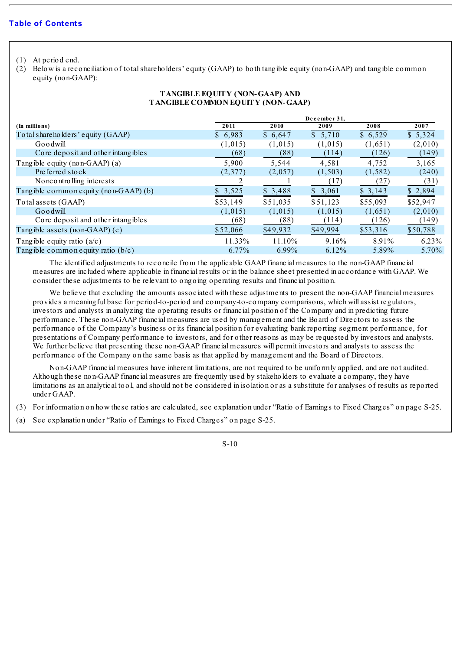(1) At period end.

(2) Below is a reconciliation of totalshareholders' equity (GAAP) to both tangible equity (non-GAAP) and tangible common equity (non-GAAP):

# **TANGIBLE EQUITY (NON-GAAP) AND TANGIBLE COMMON EQUITY (NON-GAAP)**

|                                       |          |          | December 31, |          |          |
|---------------------------------------|----------|----------|--------------|----------|----------|
| (In millions)                         | 2011     | 2010     | 2009         | 2008     | 2007     |
| Total shareholders' equity (GAAP)     | \$6,983  | \$6,647  | \$5,710      | \$6,529  | \$5,324  |
| Goodwill                              | (1,015)  | (1,015)  | (1,015)      | (1,651)  | (2,010)  |
| Core deposit and other intangibles    | (68)     | (88)     | (114)        | (126)    | (149)    |
| Tangible equity (non-GAAP) $(a)$      | 5,900    | 5,544    | 4,581        | 4,752    | 3,165    |
| Preferred stock                       | (2,377)  | (2,057)  | (1, 503)     | (1, 582) | (240)    |
| No nc ontrolling interests            |          |          | (17)         | (27)     | (31)     |
| Tangible common equity (non-GAAP) (b) | \$3,525  | \$3,488  | \$3,061      | \$3,143  | \$2,894  |
| Total assets (GAAP)                   | \$53,149 | \$51,035 | \$51,123     | \$55,093 | \$52,947 |
| Goodwill                              | (1,015)  | (1,015)  | (1,015)      | (1,651)  | (2,010)  |
| Core deposit and other intangibles    | (68)     | (88)     | (114)        | (126)    | (149)    |
| Tangible assets (non-GAAP) $(c)$      | \$52,066 | \$49,932 | \$49,994     | \$53,316 | \$50,788 |
| Tangible equity ratio $(a/c)$         | 11.33%   | 11.10%   | 9.16%        | 8.91%    | 6.23%    |
| Tangible common equity ratio $(b/c)$  | 6.77%    | 6.99%    | 6.12%        | 5.89%    | 5.70%    |

The identified adjustments to reconcile from the applicable GAAP financial measures to the non-GAAP financial measures are included where applicable in financial results or in the balance sheet presented in accordance with GAAP. We consider these adjustments to be relevant to ongoing operating results and financial position.

We believe that excluding the amounts associated with these adjustments to present the non-GAAP financial measures provides a meaningful base for period-to-period and company-to-company comparisons, which will assist regulators, investors and analysts in analyzing the operating results or financial position of the Company and in predicting future performance. These non-GAAP financial measures are used by management and the Board of Directors to assess the performance of the Company's business or its financial position for evaluating bank reporting segment performance, for presentations of Company performance to investors, and for other reasons as may be requested by investors and analysts. We further believe that presenting these non-GAAP financial measures will permit investors and analysts to assess the performance of the Company on the same basis as that applied by management and the Board of Directors.

Non-GAAP financial measures have inherent limitations, are not required to be uniformly applied, and are not audited. Although these non-GAAP financial measures are frequently used by stakeholders to evaluate a company, they have limitations as an analytical tool, and should not be considered in isolation or as a substitute for analyses of results as reported under GAAP.

- (3) For information on how these ratios are calculated, see explanation under "Ratio of Earnings to Fixed Charges" on page S-25.
- (a) See explanation under "Ratio of Earnings to Fixed Charges" on page S-25.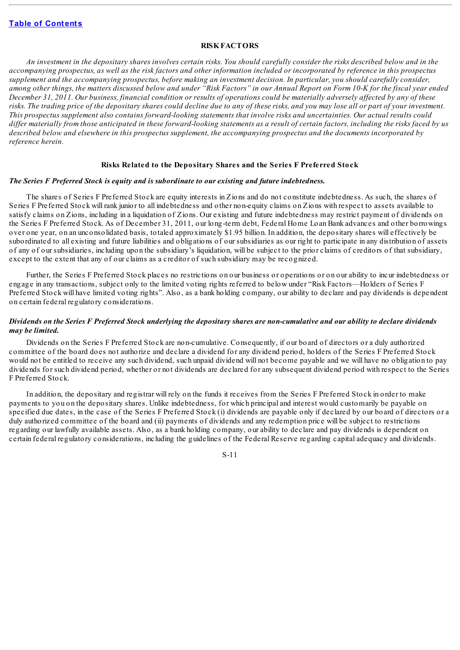# **RISKFACTORS**

<span id="page-17-0"></span>An investment in the depositary shares involves certain risks. You should carefully consider the risks described below and in the accompanying prospectus, as well as the risk factors and other information included or incorporated by reference in this prospectus supplement and the accompanying prospectus, before making an investment decision. In particular, you should carefully consider, among other things, the matters discussed below and under "Risk Factors" in our Annual Report on Form 10-K for the fiscal year ended December 31, 2011. Our business, financial condition or results of operations could be materially adversely affected by any of these risks. The trading price of the depositary shares could decline due to any of these risks, and you may lose all or part of your investment. This prospectus supplement also contains forward-looking statements that involve risks and uncertainties. Our actual results could differ materially from those anticipated in these forward-looking statements as a result of certain factors, including the risks faced by us described below and elsewhere in this prospectus supplement, the accompanying prospectus and the documents incorporated by *reference herein.*

### **Risks Related to the Depositary Shares and the Series F Preferred Stock**

# *The Series F Preferred Stock is equity and is subordinate to our existing and future indebtedness.*

The shares of Series F Preferred Stock are equity interests in Zions and do not constitute indebtedness. As such, the shares of Series F Preferred Stock will rank junior to all indebtedness and other non-equity claims on Zions with respect to assets available to satisfy claims on Zions, including in a liquidation of Zions. Our existing and future indebtedness may restrict payment of dividends on the Series F Preferred Stock. As of December 31, 2011, our long-term debt, Federal Home Loan Bank advances and other borrowings over one year, on an unconsolidated basis, totaled approximately \$1.95 billion. In addition, the depositary shares will effectively be subordinated to all existing and future liabilities and obligations of our subsidiaries as our right to participate in any distribution of assets of any of our subsidiaries, including upon the subsidiary's liquidation, will be subject to the prior claims of creditors of that subsidiary, except to the extent that any of our claims as a creditor of such subsidiary may be recognized.

Further, the Series F Preferred Stock places no restrictions on our business or operations or on our ability to incur indebtedness or engage in any transactions, subject only to the limited voting rights referred to below under "Risk Factors—Holders of Series F Preferred Stock will have limited voting rights". Also, as a bank holding company, our ability to declare and pay dividends is dependent on certain federal regulatory considerations.

#### Dividends on the Series F Preferred Stock underlying the depositary shares are non-cumulative and our ability to declare dividends *may be limited.*

Dividends on the Series F Preferred Stock are non-cumulative. Consequently, if our board of directors or a duly authorized committee of the board does not authorize and declare a dividend for any dividend period, holders of the Series F Preferred Stock would not be entitled to receive any such dividend, such unpaid dividend will not become payable and we will have no obligation to pay dividends for such dividend period, whether or not dividends are declared for any subsequent dividend period with respect to the Series F Preferred Stock.

In addition, the depositary and registrar will rely on the funds it receives from the Series F Preferred Stock in order to make payments to you on the depositary shares. Unlike indebtedness, for which principal and interest would customarily be payable on specified due dates, in the case of the Series F Preferred Stock (i) dividends are payable only if declared by our board of directors or a duly authorized committee of the board and (ii) payments of dividends and any redemption price will be subject to restrictions regarding our lawfully available assets. Also, as a bank holding company, our ability to declare and pay dividends is dependent on certain federal regulatory considerations, including the guidelines of the Federal Reserve regarding capital adequacy and dividends.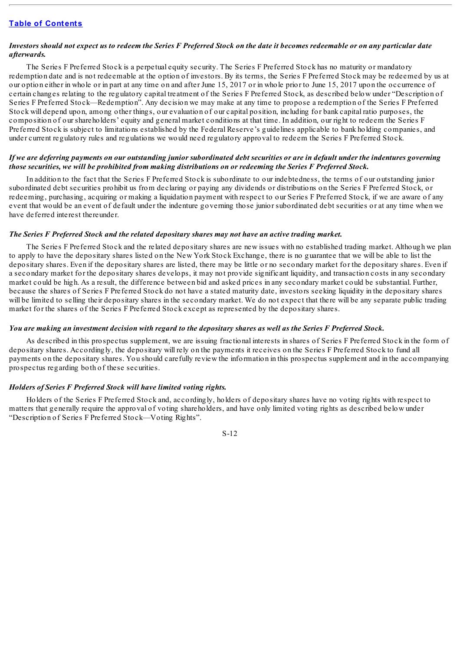# Investors should not expect us to redeem the Series F Preferred Stock on the date it becomes redeemable or on any particular date *afterwards.*

The Series F Preferred Stock is a perpetual equity security. The Series F Preferred Stock has no maturity or mandatory redemption date and is not redeemable at the option of investors. By its terms, the Series F Preferred Stock may be redeemed by us at our option either in whole or in part at any time on and after June 15, 2017 or in whole prior to June 15, 2017 upon the occurrence of certain changes relating to the regulatory capital treatment of the Series F Preferred Stock, as described below under "Description of Series F Preferred Stock—Redemption". Any decision we may make at any time to propose a redemption of the Series F Preferred Stock will depend upon, among other things, our evaluation of our capital position, including for bank capital ratio purposes, the composition of our shareholders' equity and general market conditions at that time. In addition, our right to redeem the Series F Preferred Stock is subject to limitations established by the Federal Reserve's guidelines applicable to bank holding companies, and under current regulatory rules and regulations we would need regulatory approval to redeem the Series F Preferred Stock.

# If we are deferring payments on our outstanding junior subordinated debt securities or are in default under the indentures governing those securities, we will be prohibited from making distributions on or redeeming the Series F Preferred Stock,

In addition to the fact that the Series F Preferred Stock is subordinate to our indebtedness, the terms of our outstanding junior subordinated debt securities prohibit us from declaring or paying any dividends or distributions on the Series F Preferred Stock, or redeeming, purchasing, acquiring or making a liquidation payment with respect to our Series F Preferred Stock, if we are aware of any event that would be an event of default under the indenture governing those junior subordinated debt securities or at any time when we have deferred interest thereunder.

# *The Series F Preferred Stock and the related depositary shares may not have an active trading market.*

The Series F Preferred Stock and the related depositary shares are new issues with no established trading market. Although we plan to apply to have the depositary shares listed on the New York Stock Exchange, there is no guarantee that we will be able to list the depositary shares. Even if the depositary shares are listed, there may be little or no secondary market for the depositary shares. Even if a secondary market for the depositary shares develops, it may not provide significant liquidity, and transaction costs in any secondary market could be high. As a result, the difference between bid and asked prices in any secondary market could be substantial. Further, because the shares of Series F Preferred Stock do not have a stated maturity date, investors seeking liquidity in the depositary shares will be limited to selling their depositary shares in the secondary market. We do not expect that there will be any separate public trading market for the shares of the Series F Preferred Stock except as represented by the depositary shares.

#### You are making an investment decision with regard to the depositary shares as well as the Series F Preferred Stock.

As described in this prospectus supplement, we are issuing fractional interests in shares of Series F Preferred Stock in the form of depositary shares. Accordingly, the depositary will rely on the payments it receives on the Series F Preferred Stock to fund all payments on the depositary shares. You should carefully review the information in this prospectus supplement and in the accompanying prospectus regarding both of these securities.

# *Holders of Series F Preferred Stock will have limited voting rights.*

Holders of the Series F Preferred Stock and, accordingly, holders of depositary shares have no voting rights with respect to matters that generally require the approval of voting shareholders, and have only limited voting rights as described below under "Description of Series F Preferred Stock—Voting Rights".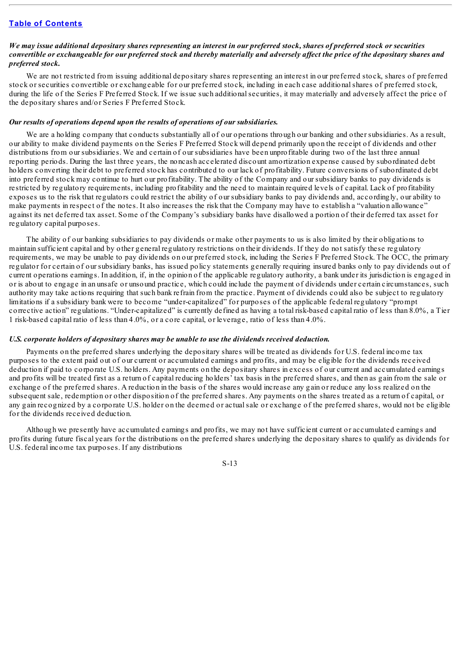# We may issue additional depositary shares representing an interest in our preferred stock, shares of preferred stock or securities convertible or exchangeable for our preferred stock and thereby materially and adversely affect the price of the depositary shares and *preferred stock.*

We are not restricted from issuing additional depositary shares representing an interest in our preferred stock, shares of preferred stock or securities convertible or exchangeable for our preferred stock, including in each case additionalshares of preferred stock, during the life of the Series F Preferred Stock. If we issue such additional securities, it may materially and adversely affect the price of the depositary shares and/or Series F Preferred Stock.

## *Our results of operations depend upon the results of operations of our subsidiaries.*

We are a holding company that conducts substantially all of our operations through our banking and other subsidiaries. As a result, our ability to make dividend payments on the Series F Preferred Stock will depend primarily upon the receipt of dividends and other distributions from our subsidiaries. We and certain of our subsidiaries have been unprofitable during two of the last three annual reporting periods. During the last three years, the noncash accelerated discount amortization expense caused by subordinated debt holders converting their debt to preferred stock has contributed to our lack of profitability. Future conversions of subordinated debt into preferred stock may continue to hurt our profitability. The ability of the Company and our subsidiary banks to pay dividends is restricted by regulatory requirements, including profitability and the need to maintain required levels of capital. Lack of profitability exposes us to the risk that regulators could restrict the ability of our subsidiary banks to pay dividends and, accordingly, our ability to make payments in respect of the notes. It also increases the risk that the Company may have to establish a "valuation allowance" against its net deferred tax asset. Some of the Company's subsidiary banks have disallowed a portion of their deferred tax asset for regulatory capital purposes.

The ability of our banking subsidiaries to pay dividends or make other payments to us is also limited by their obligations to maintain sufficient capital and by other general regulatory restrictions on their dividends. If they do not satisfy these regulatory requirements, we may be unable to pay dividends on our preferred stock, including the Series F Preferred Stock. The OCC, the primary regulator for certain of our subsidiary banks, has issued policy statements generally requiring insured banks only to pay dividends out of current operations earnings. In addition, if, in the opinion of the applicable regulatory authority, a bank under its jurisdiction is engaged in or is about to engage in an unsafe or unsound practice, which could include the payment of dividends under certain circumstances, such authority may take actions requiring that such bank refrain from the practice. Payment of dividends could also be subject to regulatory limitations if a subsidiary bank were to become "under-capitalized" for purposes of the applicable federal regulatory "prompt corrective action" regulations. "Under-capitalized" is currently defined as having a total risk-based capital ratio of less than 8.0%, a Tier 1 risk-based capital ratio of less than 4.0%, or a core capital, or leverage, ratio of less than 4.0%.

#### *U.S. corporate holders of depositary shares may be unable to use the dividends received deduction.*

Payments on the preferred shares underlying the depositary shares will be treated as dividends for U.S. federal income tax purposes to the extent paid out of our current or accumulated earnings and profits, and may be eligible for the dividends received deduction if paid to corporate U.S. holders. Any payments on the depositary shares in excess of our current and accumulated earnings and profits will be treated first as a return of capital reducing holders' tax basis in the preferred shares, and then as gain from the sale or exchange of the preferred shares. A reduction in the basis of the shares would increase any gain or reduce any loss realized on the subsequent sale, redemption or other disposition of the preferred shares. Any payments on the shares treated as a return of capital, or any gain recognized by a corporate U.S. holder on the deemed or actualsale or exchange of the preferred shares, would not be eligible for the dividends received deduction.

Although we presently have accumulated earnings and profits, we may not have sufficient current or accumulated earnings and profits during future fiscal years for the distributions on the preferred shares underlying the depositary shares to qualify as dividends for U.S. federal income tax purposes. If any distributions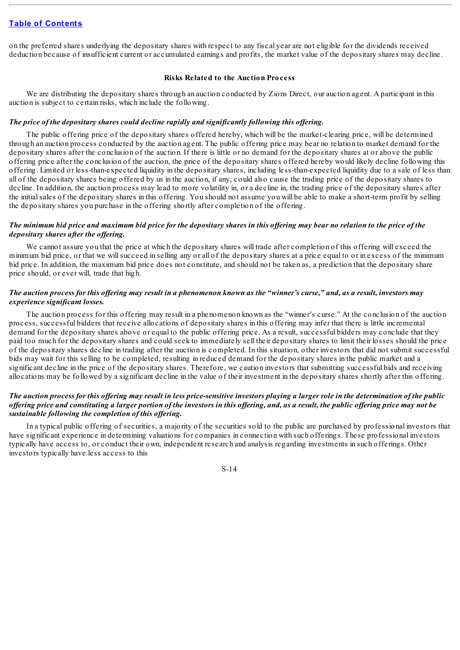on the preferred shares underlying the depositary shares with respect to any fiscal year are not eligible for the dividends received deduction because of insufficient current or accumulated earnings and profits, the market value of the depositary shares may decline.

#### **Risks Related to the Auction Process**

We are distributing the depositary shares through an auction conducted by Zions Direct, our auction agent. A participant in this auction is subject to certain risks, which include the following.

#### *The price of the depositary shares could decline rapidly and significantly following this of ering.*

The public offering price of the depositary shares offered hereby, which will be the market-clearing price, will be determined through an auction process conducted by the auction agent. The public offering price may bear no relation to market demand for the depositary shares after the conclusion of the auction. If there is little or no demand for the depositary shares at or above the public offering price after the conclusion of the auction, the price of the depositary shares offered hereby would likely decline following this offering. Limited or less-than-expected liquidity in the depositary shares, including less-than-expected liquidity due to a sale of less than all of the depositary shares being offered by us in the auction, if any, could also cause the trading price of the depositary shares to decline. In addition, the auction process may lead to more volatility in, or a decline in, the trading price of the depositary shares after the initialsales of the depositary shares in this offering. You should not assume you will be able to make a short-term profit by selling the depositary shares you purchase in the offering shortly after completion of the offering.

### The minimum bid price and maximum bid price for the depositary shares in this offering may bear no relation to the price of the *depositary shares after the of ering.*

We cannot assure you that the price at which the depositary shares will trade after completion of this offering will exceed the minimum bid price, or that we willsucceed in selling any or all of the depositary shares at a price equal to or in excess of the minimum bid price. In addition, the maximum bid price does not constitute, and should not be taken as, a prediction that the depositary share price should, or ever will, trade that high.

# The auction process for this offering may result in a phenomenon known as the "winner's curse," and, as a result, investors may *experience significant losses.*

The auction process for this offering may result in a phenomenon known as the "winner's curse." At the conclusion of the auction process, successful bidders that receive allocations of depositary shares in this offering may infer that there is little incremental demand for the depositary shares above or equal to the public offering price. As a result, successful bidders may conclude that they paid too much for the depositary shares and could seek to immediately sell their depositary shares to limit their losses should the price of the depositary shares decline in trading after the auction is completed. In this situation, other investors that did not submit successful bids may wait for this selling to be completed, resulting in reduced demand for the depositary shares in the public market and a significant decline in the price of the depositary shares. Therefore, we caution investors that submitting successful bids and receiving allocations may be followed by a significant decline in the value of their investment in the depositary shares shortly after this offering.

# The auction process for this offering may result in less price-sensitive investors playing a larger role in the determination of the public offering price and constituting a larger portion of the investors in this offering, and, as a result, the public offering price may not be *sustainable following the completion of this of ering.*

In a typical public offering of securities, a majority of the securities sold to the public are purchased by professional investors that have significant experience in determining valuations for companies in connection with such offerings. These professional investors typically have access to, or conduct their own, independent research and analysis regarding investments in such offerings. Other investors typically have less access to this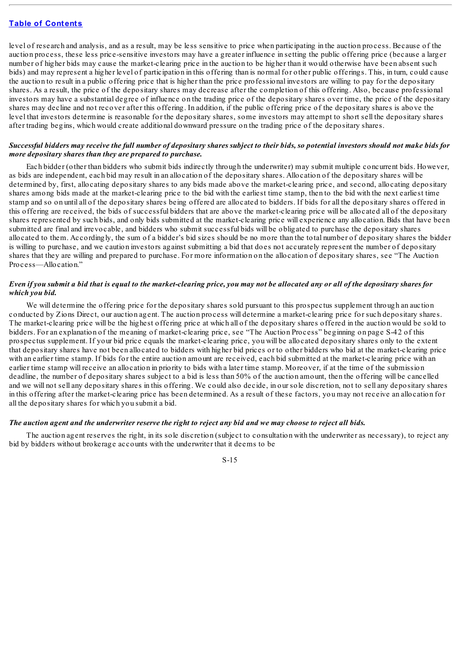level of research and analysis, and as a result, may be less sensitive to price when participating in the auction process. Because of the auction process, these less price-sensitive investors may have a greater influence in setting the public offering price (because a larger number of higher bids may cause the market-clearing price in the auction to be higher than it would otherwise have been absent such bids) and may represent a higher level of participation in this offering than is normal for other public offerings. This, in turn, could cause the auction to result in a public offering price that is higher than the price professional investors are willing to pay for the depositary shares. As a result, the price of the depositary shares may decrease after the completion of this offering. Also, because professional investors may have a substantial degree of influence on the trading price of the depositary shares over time, the price of the depositary shares may decline and not recover after this offering. In addition, if the public offering price of the depositary shares is above the level that investors determine is reasonable for the depositary shares, some investors may attempt to short sell the depositary shares after trading begins, which would create additional downward pressure on the trading price of the depositary shares.

# Successful bidders may receive the full number of depositary shares subject to their bids, so potential investors should not make bids for *more depositary shares than they are prepared to purchase.*

Each bidder (other than bidders who submit bids indirectly through the underwriter) may submit multiple concurrent bids. However, as bids are independent, each bid may result in an allocation of the depositary shares. Allocation of the depositary shares will be determined by, first, allocating depositary shares to any bids made above the market-clearing price, and second, allocating depositary shares among bids made at the market-clearing price to the bid with the earliest time stamp, then to the bid with the next earliest time stamp and so on until all of the depositary shares being offered are allocated to bidders. If bids for all the depositary shares offered in this offering are received, the bids of successful bidders that are above the market-clearing price will be allocated all of the depositary shares represented by such bids, and only bids submitted at the market-clearing price will experience any allocation. Bids that have been submitted are final and irrevocable, and bidders who submit successful bids will be obligated to purchase the depositary shares allocated to them. Accordingly, the sum of a bidder's bid sizes should be no more than the total number of depositary shares the bidder is willing to purchase, and we caution investors against submitting a bid that does not accurately represent the number of depositary shares that they are willing and prepared to purchase. For more information on the allocation of depositary shares, see "The Auction Process—Allocation."

# Even if you submit a bid that is equal to the market-clearing price, you may not be allocated any or all of the depositary shares for *which you bid.*

We will determine the offering price for the depositary shares sold pursuant to this prospectus supplement through an auction conducted by Zions Direct, our auction agent. The auction process will determine a market-clearing price for such depositary shares. The market-clearing price will be the highest offering price at which all of the depositary shares offered in the auction would be sold to bidders. For an explanation of the meaning of market-clearing price, see "The Auction Process" beginning on page S-42 of this prospectus supplement. If your bid price equals the market-clearing price, you will be allocated depositary shares only to the extent that depositary shares have not been allocated to bidders with higher bid prices or to other bidders who bid at the market-clearing price with an earlier time stamp. If bids for the entire auction amount are received, each bid submitted at the market-clearing price with an earlier time stamp will receive an allocation in priority to bids with a later time stamp. Moreover, if at the time of the submission deadline, the number of depositary shares subject to a bid is less than 50% of the auction amount, then the offering will be cancelled and we will not sell any depositary shares in this offering. We could also decide, in our sole discretion, not to sell any depositary shares in this offering after the market-clearing price has been determined. As a result of these factors, you may not receive an allocation for all the depositary shares for which you submit a bid.

#### The auction agent and the underwriter reserve the right to reject any bid and we may choose to reject all bids.

The auction agent reserves the right, in its sole discretion (subject to consultation with the underwriter as necessary), to reject any bid by bidders without brokerage accounts with the underwriter that it deems to be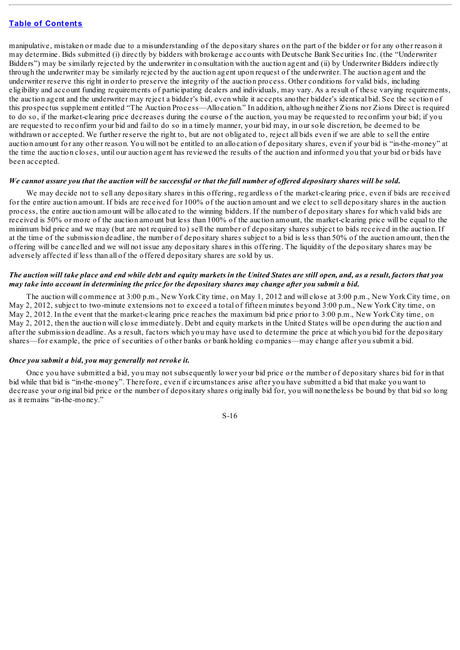manipulative, mistaken or made due to a misunderstanding of the depositary shares on the part of the bidder or for any other reason it may determine. Bids submitted (i) directly by bidders with brokerage accounts with Deutsche Bank Securities Inc. (the "Underwriter Bidders") may be similarly rejected by the underwriter in consultation with the auction agent and (ii) by Underwriter Bidders indirectly through the underwriter may be similarly rejected by the auction agent upon request of the underwriter. The auction agent and the underwriter reserve this right in order to preserve the integrity of the auction process. Other conditions for valid bids, including eligibility and account funding requirements of participating dealers and individuals, may vary. As a result of these varying requirements, the auction agent and the underwriter may reject a bidder's bid, even while it accepts another bidder's identical bid. See the section of this prospectus supplement entitled "The Auction Process—Allocation." In addition, although neither Zions nor Zions Direct is required to do so, if the market-clearing price decreases during the course of the auction, you may be requested to reconfirm your bid; if you are requested to reconfirm your bid and fail to do so in a timely manner, your bid may, in our sole discretion, be deemed to be withdrawn or accepted. We further reserve the right to, but are not obligated to, reject all bids even if we are able to sell the entire auction amount for any other reason. You will not be entitled to an allocation of depositary shares, even if your bid is "in-the-money" at the time the auction closes, until our auction agent has reviewed the results of the auction and informed you that your bid or bids have been accepted.

# We cannot assure you that the auction will be successful or that the full number of offered depositary shares will be sold.

We may decide not to sell any depositary shares in this offering, regardless of the market-clearing price, even if bids are received for the entire auction amount. If bids are received for 100% of the auction amount and we elect to sell depositary shares in the auction process, the entire auction amount will be allocated to the winning bidders. If the number of depositary shares for which valid bids are received is 50% or more of the auction amount but less than 100% of the auction amount, the market-clearing price will be equal to the minimum bid price and we may (but are not required to) sell the number of depositary shares subject to bids received in the auction. If at the time of the submission deadline, the number of depositary shares subject to a bid is less than 50% of the auction amount, then the offering will be cancelled and we will not issue any depositary shares in this offering. The liquidity of the depositary shares may be adversely affected if less than all of the offered depositary shares are sold by us.

# The auction will take place and end while debt and equity markets in the United States are still open, and, as a result, factors that you may take into account in determining the price for the depositary shares may change after you submit a bid.

The auction will commence at 3:00 p.m., New York City time, on May 1, 2012 and will close at 3:00 p.m., New York City time, on May 2, 2012, subject to two-minute extensions not to exceed a total of fifteen minutes beyond 3:00 p.m., New York City time, on May 2, 2012. In the event that the market-clearing price reaches the maximum bid price prior to 3:00 p.m., New York City time, on May 2, 2012, then the auction will close immediately. Debt and equity markets in the United States will be open during the auction and after the submission deadline. As a result, factors which you may have used to determine the price at which you bid for the depositary shares—for example, the price of securities of other banks or bank holding companies—may change after you submit a bid.

# *Once you submit a bid, you may generally not revoke it.*

Once you have submitted a bid, you may not subsequently lower your bid price or the number of depositary shares bid for in that bid while that bid is "in-the-money". Therefore, even if circumstances arise after you have submitted a bid that make you want to decrease your original bid price or the number of depositary shares originally bid for, you will nonetheless be bound by that bid so long as it remains "in-the-money."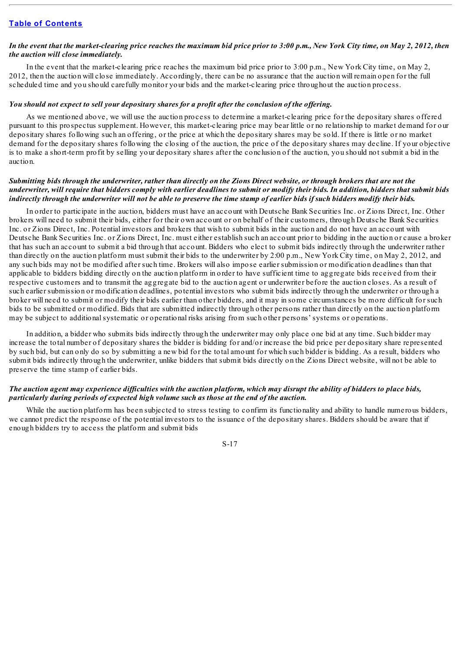# In the event that the market-clearing price reaches the maximum bid price prior to  $3:00$  p.m., New York City time, on May 2, 2012, then *the auction will close immediately.*

In the event that the market-clearing price reaches the maximum bid price prior to 3:00 p.m., New York City time, on May 2, 2012, then the auction will close immediately. Accordingly, there can be no assurance that the auction will remain open for the full scheduled time and you should carefully monitor your bids and the market-clearing price throughout the auction process.

#### You should not expect to sell your depositary shares for a profit after the conclusion of the offering.

As we mentioned above, we will use the auction process to determine a market-clearing price for the depositary shares offered pursuant to this prospectus supplement. However, this market-clearing price may bear little or no relationship to market demand for our depositary shares following such an offering, or the price at which the depositary shares may be sold. If there is little or no market demand for the depositary shares following the closing of the auction, the price of the depositary shares may decline. If your objective is to make a short-term profit by selling your depositary shares after the conclusion of the auction, you should not submit a bid in the auction.

# Submitting bids through the underwriter, rather than directly on the Zions Direct website, or through brokers that are not the underwriter, will require that bidders comply with earlier deadlines to submit or modify their bids. In addition, bidders that submit bids indirectly through the underwriter will not be able to preserve the time stamp of earlier bids if such bidders modify their bids.

In order to participate in the auction, bidders must have an account with Deutsche Bank Securities Inc. or Zions Direct, Inc. Other brokers will need to submit their bids, either for their own account or on behalf of their customers, through Deutsche Bank Securities Inc. or Zions Direct, Inc. Potential investors and brokers that wish to submit bids in the auction and do not have an account with Deutsche Bank Securities Inc. or Zions Direct, Inc. must either establish such an account prior to bidding in the auction or cause a broker that has such an account to submit a bid through that account. Bidders who elect to submit bids indirectly through the underwriter rather than directly on the auction platform must submit their bids to the underwriter by 2:00 p.m., New York City time, on May 2, 2012, and any such bids may not be modified after such time. Brokers will also impose earlier submission or modification deadlines than that applicable to bidders bidding directly on the auction platform in order to have sufficient time to aggregate bids received from their respective customers and to transmit the aggregate bid to the auction agent or underwriter before the auction closes. As a result of such earlier submission or modification deadlines, potential investors who submit bids indirectly through the underwriter or through a broker will need to submit or modify their bids earlier than other bidders, and it may in some circumstances be more difficult for such bids to be submitted or modified. Bids that are submitted indirectly through other persons rather than directly on the auction platform may be subject to additionalsystematic or operational risks arising from such other persons' systems or operations.

In addition, a bidder who submits bids indirectly through the underwriter may only place one bid at any time. Such bidder may increase the total number of depositary shares the bidder is bidding for and/or increase the bid price per depositary share represented by such bid, but can only do so by submitting a new bid for the total amount for which such bidder is bidding. As a result, bidders who submit bids indirectly through the underwriter, unlike bidders that submit bids directly on the Zions Direct website, will not be able to preserve the time stamp of earlier bids.

# The auction agent may experience difficulties with the auction platform, which may disrupt the ability of bidders to place bids, *particularly during periods of expected high volume such as those at the end of the auction.*

While the auction platform has been subjected to stress testing to confirm its functionality and ability to handle numerous bidders, we cannot predict the response of the potential investors to the issuance of the depositary shares. Bidders should be aware that if enough bidders try to access the platform and submit bids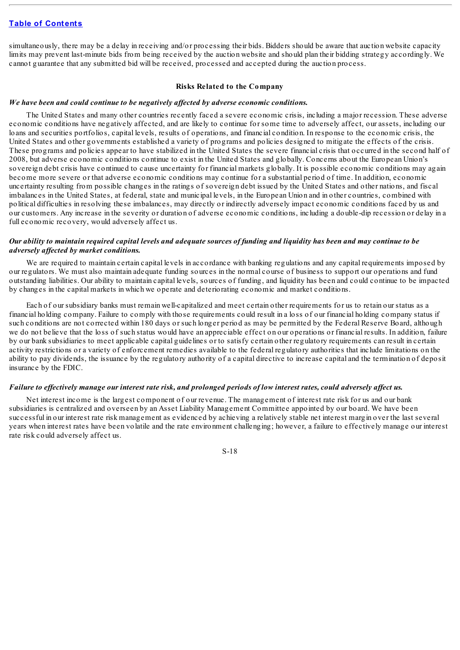simultaneously, there may be a delay in receiving and/or processing their bids. Bidders should be aware that auction website capacity limits may prevent last-minute bids from being received by the auction website and should plan their bidding strategy accordingly. We cannot guarantee that any submitted bid will be received, processed and accepted during the auction process.

#### **Risks Related to the Company**

# *We have been and could continue to be negatively af ected by adverse economic conditions.*

The United States and many other countries recently faced a severe economic crisis, including a major recession. These adverse economic conditions have negatively affected, and are likely to continue for some time to adversely affect, our assets, including our loans and securities portfolios, capital levels, results of operations, and financial condition. In response to the economic crisis, the United States and other governments established a variety of programs and policies designed to mitigate the effects of the crisis. These programs and policies appear to have stabilized in the United States the severe financial crisis that occurred in the second half of 2008, but adverse economic conditions continue to exist in the United States and globally. Concerns about the European Union's sovereign debt crisis have continued to cause uncertainty for financial markets globally. It is possible economic conditions may again become more severe or that adverse economic conditions may continue for a substantial period of time. In addition, economic uncertainty resulting from possible changes in the ratings of sovereign debt issued by the United States and other nations, and fiscal imbalances in the United States, at federal, state and municipal levels, in the European Union and in other countries, combined with political difficulties in resolving these imbalances, may directly or indirectly adversely impact economic conditions faced by us and our customers. Any increase in the severity or duration of adverse economic conditions, including a double-dip recession or delay in a full economic recovery, would adversely affect us.

# Our ability to maintain reauired capital levels and adeauate sources of funding and liauidity has been and may continue to be *adversely af ected by market conditions.*

We are required to maintain certain capital levels in accordance with banking regulations and any capital requirements imposed by our regulators. We must also maintain adequate funding sources in the normal course of business to support our operations and fund outstanding liabilities. Our ability to maintain capital levels, sources of funding, and liquidity has been and could continue to be impacted by changes in the capital markets in which we operate and deteriorating economic and market conditions.

Each of our subsidiary banks must remain well-capitalized and meet certain other requirements for us to retain our status as a financial holding company. Failure to comply with those requirements could result in a loss of our financial holding company status if such conditions are not corrected within 180 days or such longer period as may be permitted by the Federal Reserve Board, although we do not believe that the loss of such status would have an appreciable effect on our operations or financial results. In addition, failure by our bank subsidiaries to meet applicable capital guidelines or to satisfy certain other regulatory requirements can result in certain activity restrictions or a variety of enforcement remedies available to the federal regulatory authorities that include limitations on the ability to pay dividends, the issuance by the regulatory authority of a capital directive to increase capital and the termination of deposit insurance by the FDIC.

# Failure to effectively manage our interest rate risk, and prolonged periods of low interest rates, could adversely affect us.

Net interest income is the largest component of our revenue. The management of interest rate risk for us and our bank subsidiaries is centralized and overseen by an Asset Liability Management Committee appointed by our board. We have been successful in our interest rate risk management as evidenced by achieving a relatively stable net interest margin over the last several years when interest rates have been volatile and the rate environment challenging; however, a failure to effectively manage our interest rate risk could adversely affect us.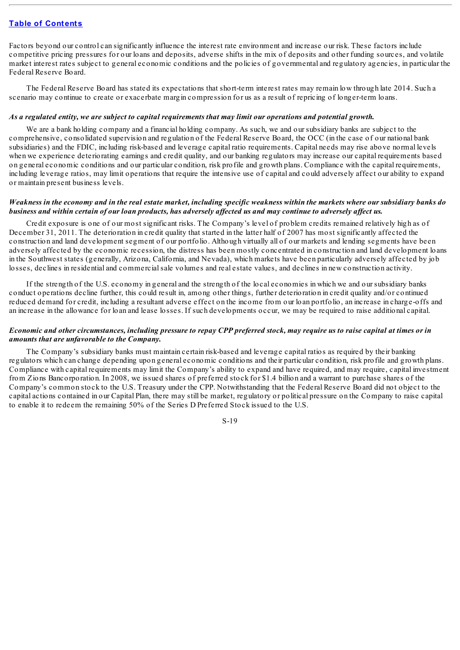Factors beyond our control can significantly influence the interest rate environment and increase our risk. These factors include competitive pricing pressures for our loans and deposits, adverse shifts in the mix of deposits and other funding sources, and volatile market interest rates subject to general economic conditions and the policies of governmental and regulatory agencies, in particular the Federal Reserve Board.

The Federal Reserve Board has stated its expectations that short-term interest rates may remain low through late 2014. Such a scenario may continue to create or exacerbate margin compression for us as a result of repricing of longer-term loans.

#### As a regulated entity, we are subject to capital requirements that may limit our operations and potential growth.

We are a bank holding company and a financial holding company. As such, we and our subsidiary banks are subject to the comprehensive, consolidated supervision and regulation of the Federal Reserve Board, the OCC (in the case of our national bank subsidiaries) and the FDIC, including risk-based and leverage capital ratio requirements. Capital needs may rise above normal levels when we experience deteriorating earnings and credit quality, and our banking regulators may increase our capital requirements based on general economic conditions and our particular condition, risk profile and growth plans. Compliance with the capital requirements, including leverage ratios, may limit operations that require the intensive use of capital and could adversely affect our ability to expand or maintain present business levels.

### Weakness in the economy and in the real estate market, including specific weakness within the markets where our subsidiary banks do business and within certain of our loan products, has adversely affected us and may continue to adversely affect us.

Credit exposure is one of our most significant risks. The Company's level of problem credits remained relatively high as of December 31, 2011. The deterioration in credit quality that started in the latter half of 2007 has most significantly affected the construction and land development segment of our portfolio. Although virtually all of our markets and lending segments have been adversely affected by the economic recession, the distress has been mostly concentrated in construction and land development loans in the Southwest states (generally, Arizona, California, and Nevada), which markets have been particularly adversely affected by job losses, declines in residential and commercialsale volumes and real estate values, and declines in new construction activity.

If the strength of the U.S. economy in general and the strength of the local economies in which we and our subsidiary banks conduct operations decline further, this could result in, among other things, further deterioration in credit quality and/or continued reduced demand for credit, including a resultant adverse effect on the income from our loan portfolio, an increase in charge-offs and an increase in the allowance for loan and lease losses. If such developments occur, we may be required to raise additional capital.

# Economic and other circumstances, including pressure to repay CPP preferred stock, may require us to raise capital at times or in *amounts that are unfavorable to the Company.*

The Company's subsidiary banks must maintain certain risk-based and leverage capital ratios as required by their banking regulators which can change depending upon general economic conditions and their particular condition, risk profile and growth plans. Compliance with capital requirements may limit the Company's ability to expand and have required, and may require, capital investment from Zions Bancorporation. In 2008, we issued shares of preferred stock for \$1.4 billion and a warrant to purchase shares of the Company's common stock to the U.S. Treasury under the CPP. Notwithstanding that the Federal Reserve Board did not object to the capital actions contained in our Capital Plan, there may still be market, regulatory or political pressure on the Company to raise capital to enable it to redeem the remaining 50% of the Series D Preferred Stock issued to the U.S.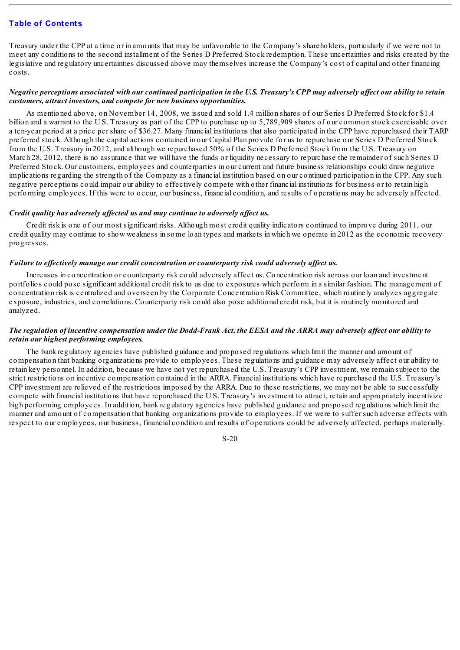Treasury under the CPP at a time or in amounts that may be unfavorable to the Company's shareholders, particularly if we were not to meet any conditions to the second installment of the Series D Preferred Stock redemption. These uncertainties and risks created by the legislative and regulatory uncertainties discussed above may themselves increase the Company's cost of capital and other financing costs.

# Negative perceptions associated with our continued participation in the U.S. Treasury's CPP may adversely affect our ability to retain *customers, attract investors, and compete for new business opportunities.*

As mentioned above, on November 14, 2008, we issued and sold 1.4 million shares of our Series D Preferred Stock for \$1.4 billion and a warrant to the U.S. Treasury as part of the CPP to purchase up to 5,789,909 shares of our common stock exercisable over a ten-year period at a price per share of \$36.27. Many financial institutions that also participated in the CPP have repurchased their TARP preferred stock. Although the capital actions contained in our Capital Plan provide for us to repurchase our Series D Preferred Stock from the U.S. Treasury in 2012, and although we repurchased 50% of the Series D Preferred Stock from the U.S. Treasury on March 28, 2012, there is no assurance that we will have the funds or liquidity necessary to repurchase the remainder of such Series D Preferred Stock. Our customers, employees and counterparties in our current and future business relationships could draw negative implications regarding the strength of the Company as a financial institution based on our continued participation in the CPP. Any such negative perceptions could impair our ability to effectively compete with other financial institutions for business or to retain high performing employees. If this were to occur, our business, financial condition, and results of operations may be adversely affected.

#### *Credit quality has adversely af ected us and may continue to adversely af ect us.*

Credit risk is one of our most significant risks. Although most credit quality indicators continued to improve during 2011, our credit quality may continue to show weakness in some loan types and markets in which we operate in 2012 as the economic recovery progresses.

#### *Failure to ef ectively manage our credit concentration or counterparty risk could adversely af ect us.*

Increases in concentration or counterparty risk could adversely affect us. Concentration risk across our loan and investment portfolios could pose significant additional credit risk to us due to exposures which perform in a similar fashion. The management of concentration risk is centralized and overseen by the Corporate Concentration Risk Committee, which routinely analyzes aggregate exposure, industries, and correlations. Counterparty risk could also pose additional credit risk, but it is routinely monitored and analyzed.

# The regulation of incentive compensation under the Dodd-Frank Act, the EESA and the ARRA may adversely affect our ability to *retain our highest performing employees.*

The bank regulatory agencies have published guidance and proposed regulations which limit the manner and amount of compensation that banking organizations provide to employees. These regulations and guidance may adversely affect our ability to retain key personnel. In addition, because we have not yet repurchased the U.S. Treasury's CPP investment, we remain subject to the strict restrictions on incentive compensation contained in the ARRA. Financial institutions which have repurchased the U.S. Treasury's CPP investment are relieved of the restrictions imposed by the ARRA. Due to these restrictions, we may not be able to successfully compete with financial institutions that have repurchased the U.S. Treasury's investment to attract, retain and appropriately incentivize high performing employees. In addition, bank regulatory agencies have published guidance and proposed regulations which limit the manner and amount of compensation that banking organizations provide to employees. If we were to suffer such adverse effects with respect to our employees, our business, financial condition and results of operations could be adversely affected, perhaps materially.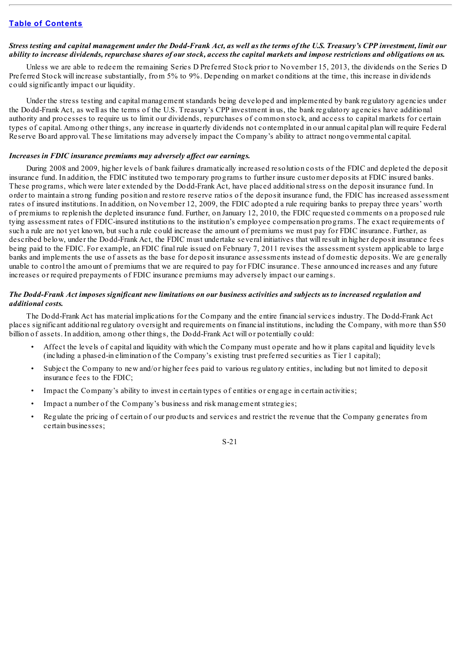# Stress testing and capital management under the Dodd-Frank Act, as well as the terms of the U.S. Treasury's CPP investment, limit our ability to increase dividends, repurchase shares of our stock, access the capital markets and impose restrictions and obligations on us.

Unless we are able to redeem the remaining Series D Preferred Stock prior to November 15, 2013, the dividends on the Series D Preferred Stock will increase substantially, from 5% to 9%. Depending on market conditions at the time, this increase in dividends could significantly impact our liquidity.

Under the stress testing and capital management standards being developed and implemented by bank regulatory agencies under the Dodd-Frank Act, as well as the terms of the U.S. Treasury's CPP investment in us, the bank regulatory agencies have additional authority and processes to require us to limit our dividends, repurchases of common stock, and access to capital markets for certain types of capital. Among other things, any increase in quarterly dividends not contemplated in our annual capital plan will require Federal Reserve Board approval. These limitations may adversely impact the Company's ability to attract nongovernmental capital.

# *Increases in FDIC insurance premiums may adversely af ect our earnings.*

During 2008 and 2009, higher levels of bank failures dramatically increased resolution costs of the FDIC and depleted the deposit insurance fund. In addition, the FDIC instituted two temporary programs to further insure customer deposits at FDIC insured banks. These programs, which were later extended by the Dodd-Frank Act, have placed additionalstress on the deposit insurance fund. In order to maintain a strong funding position and restore reserve ratios of the deposit insurance fund, the FDIC has increased assessment rates of insured institutions. In addition, on November 12, 2009, the FDIC adopted a rule requiring banks to prepay three years' worth of premiums to replenish the depleted insurance fund. Further, on January 12, 2010, the FDIC requested comments on a proposed rule tying assessment rates of FDIC-insured institutions to the institution's employee compensation programs. The exact requirements of such a rule are not yet known, but such a rule could increase the amount of premiums we must pay for FDIC insurance. Further, as described below, under the Dodd-Frank Act, the FDIC must undertake several initiatives that will result in higher deposit insurance fees being paid to the FDIC. For example, an FDIC final rule issued on February 7, 2011 revises the assessment system applicable to large banks and implements the use of assets as the base for deposit insurance assessments instead of domestic deposits. We are generally unable to control the amount of premiums that we are required to pay for FDIC insurance. These announced increases and any future increases or required prepayments of FDIC insurance premiums may adversely impact our earnings.

# The Dodd-Frank Act imposes significant new limitations on our business activities and subjects us to increased regulation and *additional costs.*

The Dodd-Frank Act has material implications for the Company and the entire financialservices industry. The Dodd-Frank Act places significant additional regulatory oversight and requirements on financial institutions, including the Company, with more than \$50 billion of assets. In addition, among other things, the Dodd-Frank Act will or potentially could:

- Affect the levels of capital and liquidity with which the Company must operate and how it plans capital and liquidity levels (including a phased-in elimination of the Company's existing trust preferred securities as Tier 1 capital);
- Subject the Company to new and/or higher fees paid to various regulatory entities, including but not limited to deposit insurance fees to the FDIC;
- Impact the Company's ability to invest in certain types of entities or engage in certain activities;
- Impact a number of the Company's business and risk management strategies;
- Regulate the pricing of certain of our products and services and restrict the revenue that the Company generates from certain businesses;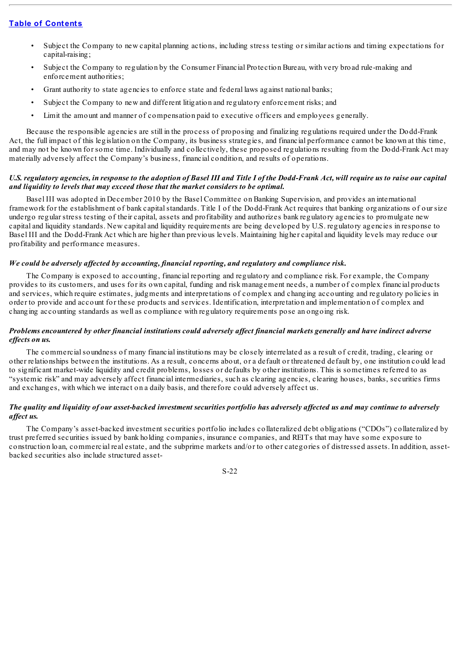- Subject the Company to new capital planning actions, including stress testing or similar actions and timing expectations for capital-raising;
- Subject the Company to regulation by the Consumer Financial Protection Bureau, with very broad rule-making and enforcement authorities;
- Grant authority to state agencies to enforce state and federal laws against national banks;
- Subject the Company to new and different litigation and regulatory enforcement risks; and
- Limit the amount and manner of compensation paid to executive officers and employees generally.

Because the responsible agencies are still in the process of proposing and finalizing regulations required under the Dodd-Frank Act, the full impact of this legislation on the Company, its business strategies, and financial performance cannot be known at this time, and may not be known for some time. Individually and collectively, these proposed regulations resulting from the Dodd-Frank Act may materially adversely affect the Company's business, financial condition, and results of operations.

# U.S. regulatory agencies, in response to the adoption of Basel III and Title I of the Dodd-Frank Act, will require us to raise our capital *and liquidity to levels that may exceed those that the market considers to be optimal.*

Basel III was adopted in December 2010 by the Basel Committee on Banking Supervision, and provides an international framework for the establishment of bank capital standards. Title I of the Dodd-Frank Act requires that banking organizations of our size undergo regular stress testing of their capital, assets and profitability and authorizes bank regulatory agencies to promulgate new capital and liquidity standards. New capital and liquidity requirements are being developed by U.S. regulatory agencies in response to Basel III and the Dodd-Frank Act which are higher than previous levels. Maintaining higher capital and liquidity levels may reduce our profitability and performance measures.

# *We could be adversely af ected by accounting, financial reporting, and regulatory and compliance risk.*

The Company is exposed to accounting, financial reporting and regulatory and compliance risk. For example, the Company provides to its customers, and uses for its own capital, funding and risk management needs, a number of complex financial products and services, which require estimates, judgments and interpretations of complex and changing accounting and regulatory policies in order to provide and account for these products and services. Identification, interpretation and implementation of complex and changing accounting standards as well as compliance with regulatory requirements pose an ongoing risk.

### Problems encountered by other financial institutions could adversely affect financial markets generally and have indirect adverse *ef ects on us.*

The commercialsoundness of many financial institutions may be closely interrelated as a result of credit, trading, clearing or other relationships between the institutions. As a result, concerns about, or a default or threatened default by, one institution could lead to significant market-wide liquidity and credit problems, losses or defaults by other institutions. This is sometimes referred to as "systemic risk" and may adversely affect financial intermediaries, such as clearing agencies, clearing houses, banks, securities firms and exchanges, with which we interact on a daily basis, and therefore could adversely affect us.

# The quality and liquidity of our asset-backed investment securities portfolio has adversely affected us and may continue to adversely *af ect us.*

The Company's asset-backed investment securities portfolio includes collateralized debt obligations ("CDOs") collateralized by trust preferred securities issued by bank holding companies, insurance companies, and REITs that may have some exposure to construction loan, commercial real estate, and the subprime markets and/or to other categories of distressed assets. In addition, assetbacked securities also include structured asset-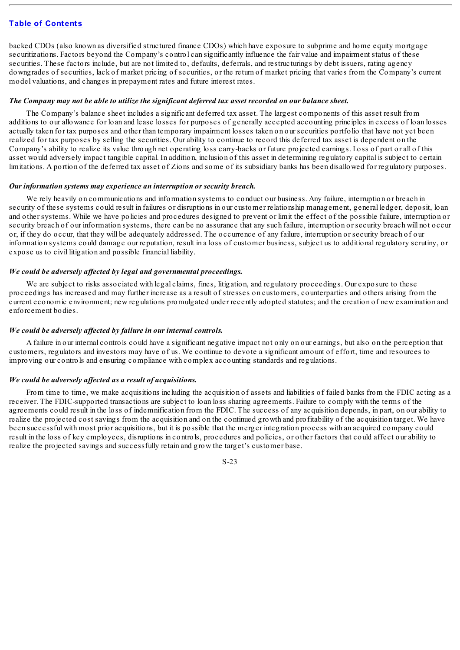backed CDOs (also known as diversified structured finance CDOs) which have exposure to subprime and home equity mortgage securitizations. Factors beyond the Company's control can significantly influence the fair value and impairment status of these securities. These factors include, but are not limited to, defaults, deferrals, and restructurings by debt issuers, rating agency downgrades of securities, lack of market pricing of securities, or the return of market pricing that varies from the Company's current model valuations, and changes in prepayment rates and future interest rates.

#### The Company may not be able to utilize the significant deferred tax asset recorded on our balance sheet.

The Company's balance sheet includes a significant deferred tax asset. The largest components of this asset result from additions to our allowance for loan and lease losses for purposes of generally accepted accounting principles in excess of loan losses actually taken for tax purposes and other than temporary impairment losses taken on our securities portfolio that have not yet been realized for tax purposes by selling the securities. Our ability to continue to record this deferred tax asset is dependent on the Company's ability to realize its value through net operating loss carry-backs or future projected earnings. Loss of part or all of this asset would adversely impact tangible capital. In addition, inclusion of this asset in determining regulatory capital is subject to certain limitations. A portion of the deferred tax asset of Zions and some of its subsidiary banks has been disallowed for regulatory purposes.

#### *Our information systems may experience an interruption or security breach.*

We rely heavily on communications and information systems to conduct our business. Any failure, interruption or breach in security of these systems could result in failures or disruptions in our customer relationship management, general ledger, deposit, loan and other systems. While we have policies and procedures designed to prevent or limit the effect of the possible failure, interruption or security breach of our information systems, there can be no assurance that any such failure, interruption or security breach will not occur or, if they do occur, that they will be adequately addressed. The occurrence of any failure, interruption or security breach of our information systems could damage our reputation, result in a loss of customer business, subject us to additional regulatory scrutiny, or expose us to civil litigation and possible financial liability.

#### *We could be adversely af ected by legal and governmental proceedings.*

We are subject to risks associated with legal claims, fines, litigation, and regulatory proceedings. Our exposure to these proceedings has increased and may further increase as a result of stresses on customers, counterparties and others arising from the current economic environment; new regulations promulgated under recently adopted statutes; and the creation of new examination and enforcement bodies.

#### *We could be adversely af ected by failure in our internal controls.*

A failure in our internal controls could have a significant negative impact not only on our earnings, but also on the perception that customers, regulators and investors may have of us. We continue to devote a significant amount of effort, time and resources to improving our controls and ensuring compliance with complex accounting standards and regulations.

# *We could be adversely af ected as a result of acquisitions.*

From time to time, we make acquisitions including the acquisition of assets and liabilities of failed banks from the FDIC acting as a receiver. The FDIC-supported transactions are subject to loan loss sharing agreements. Failure to comply with the terms of the agreements could result in the loss of indemnification from the FDIC. The success of any acquisition depends, in part, on our ability to realize the projected cost savings from the acquisition and on the continued growth and profitability of the acquisition target. We have been successful with most prior acquisitions, but it is possible that the merger integration process with an acquired company could result in the loss of key employees, disruptions in controls, procedures and policies, or other factors that could affect our ability to realize the projected savings and successfully retain and grow the target's customer base.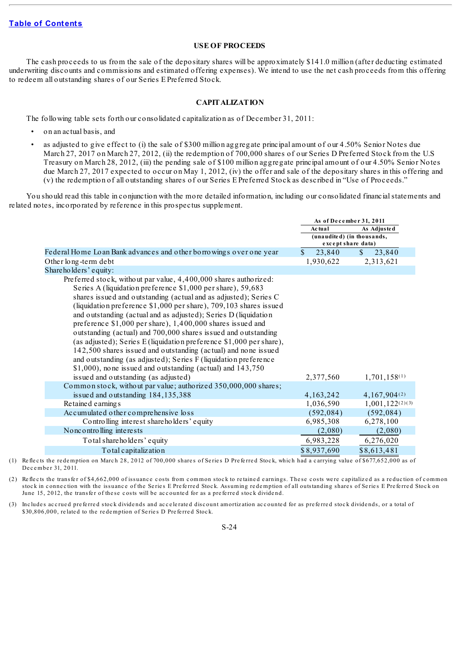# **USE OF PROCEEDS**

<span id="page-30-0"></span>The cash proceeds to us from the sale of the depositary shares will be approximately \$141.0 million (after deducting estimated underwriting discounts and commissions and estimated offering expenses). We intend to use the net cash proceeds from this offering to redeem all outstanding shares of our Series E Preferred Stock.

# **CAPITALIZATION**

<span id="page-30-1"></span>The following table sets forth our consolidated capitalization as of December 31, 2011:

- on an actual basis, and
- as adjusted to give effect to (i) the sale of \$300 million aggregate principal amount of our 4.50% Senior Notes due March 27, 2017 on March 27, 2012, (ii) the redemption of 700,000 shares of our Series D Preferred Stock from the U.S Treasury on March 28, 2012, (iii) the pending sale of \$100 million aggregate principal amount of our 4.50% Senior Notes due March 27, 2017 expected to occur on May 1, 2012, (iv) the offer and sale of the depositary shares in this offering and (v) the redemption of all outstanding shares of our Series E Preferred Stock as described in "Use of Proceeds."

You should read this table in conjunction with the more detailed information, including our consolidated financialstatements and related notes, incorporated by reference in this prospectus supplement.

|                                                                     | As of December 31, 2011      |                        |  |
|---------------------------------------------------------------------|------------------------------|------------------------|--|
|                                                                     | As Adjusted<br><b>Actual</b> |                        |  |
|                                                                     | (unaudited) (in thousands,   |                        |  |
|                                                                     | except share data)           |                        |  |
| Federal Home Loan Bank advances and other borrowings over one year  | \$<br>23,840                 | $\mathbb{S}$<br>23,840 |  |
| Other long-term debt                                                | 1,930,622                    | 2,313,621              |  |
| Shareholders' equity:                                               |                              |                        |  |
| Preferred stock, without par value, 4,400,000 shares authorized:    |                              |                        |  |
| Series A (liquidation preference \$1,000 per share), 59,683         |                              |                        |  |
| shares issued and outstanding (actual and as adjusted); Series C    |                              |                        |  |
| (liquidation preference \$1,000 per share), 709,103 shares issued   |                              |                        |  |
| and outstanding (actual and as adjusted); Series D (liquidation     |                              |                        |  |
| preference \$1,000 per share), 1,400,000 shares issued and          |                              |                        |  |
| outstanding (actual) and 700,000 shares issued and outstanding      |                              |                        |  |
| (as adjusted); Series E (liquidation preference \$1,000 per share), |                              |                        |  |
| 142,500 shares issued and outstanding (actual) and none issued      |                              |                        |  |
| and outstanding (as adjusted); Series F (liquidation preference     |                              |                        |  |
| $$1,000$ , none issued and outstanding (actual) and $143,750$       |                              |                        |  |
| issued and outstanding (as adjusted)                                | 2,377,560                    | $1,701,158^{(1)}$      |  |
| Common stock, without par value; authorized 350,000,000 shares;     |                              |                        |  |
| issued and outstanding 184,135,388                                  | 4,163,242                    | 4,167,904(2)           |  |
| Retained earnings                                                   | 1,036,590                    | $1,001,122^{(2)(3)}$   |  |
| Accumulated other comprehensive loss                                | (592, 084)                   | (592, 084)             |  |
| Controlling interest shareholders' equity                           | 6,985,308                    | 6,278,100              |  |
| No nc o ntro lling interests                                        | (2,080)                      | (2,080)                |  |
| Total shareholders' equity                                          | 6,983,228                    | 6,276,020              |  |
| Total capitalization                                                | \$8,937,690                  | \$8,613,481            |  |

(1) Reflects the redemption on March 28, 2012 of 700,000 shares of Series D Preferred Stock, which had a carrying value of \$677,652,000 as of December 31, 2011.

(2) Reflects the transfer of \$4,662,000 of issuance costs from common stock to retained earnings. These costs were capitalized as a reduction of common stock in connection with the issuance of the Series E Preferred Stock. Assuming redemption of all outstanding shares of Series E Preferred Stock on June 15, 2012, the transfer of these costs will be accounted for as a preferred stock dividend.

(3) Includes accrued preferred stock dividends and accelerated discount amortization accounted for as preferred stock dividends, or a total of \$30,806,000, related to the redemption of Series D Preferred Stock.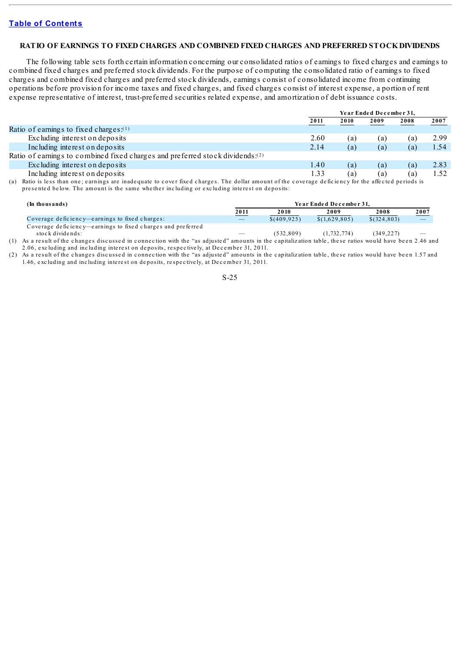#### <span id="page-31-0"></span>**RATIO OF EARNINGS TO FIXED CHARGES AND COMBINED FIXED CHARGES AND PREFERRED STOCKDIVIDENDS**

The following table sets forth certain information concerning our consolidated ratios of earnings to fixed charges and earnings to combined fixed charges and preferred stock dividends. For the purpose of computing the consolidated ratio of earnings to fixed charges and combined fixed charges and preferred stock dividends, earnings consist of consolidated income from continuing operations before provision for income taxes and fixed charges, and fixed charges consist of interest expense, a portion of rent expense representative of interest, trust-preferred securities related expense, and amortization of debt issuance costs.

|                                                                                           | Year Ended December 31, |      |      |      |      |
|-------------------------------------------------------------------------------------------|-------------------------|------|------|------|------|
|                                                                                           | 2011                    | 2010 | 2009 | 2008 | 2007 |
| Ratio of earnings to fixed charges: $(1)$                                                 |                         |      |      |      |      |
| Excluding interest on deposits                                                            | 2.60                    | (a)  | (a)  | (a)  | 2.99 |
| Including interest on deposits                                                            | 2.14                    | (a)  | (a)  | (a)  | 1.54 |
| Ratio of earnings to combined fixed charges and preferred stock dividends: <sup>(2)</sup> |                         |      |      |      |      |
| Excluding interest on deposits                                                            | 1.40                    | (a)  | (a)  | (a)  | 2.83 |
| Including interest on deposits                                                            | 1.33                    | (a)  | (a)  | (a)  | 1.52 |

(a) Ratio is less than one; earnings are inadequate to cover fixed charges. The dollar amount of the coverage deficiency for the affected periods is presented below. The amount is the same whether including or excluding interest on deposits:

| (In thousands)                                              | Year Ended December 31.         |             |               |              |                          |
|-------------------------------------------------------------|---------------------------------|-------------|---------------|--------------|--------------------------|
|                                                             | 2011                            | 2010        | 2009          | 2008         | 2007                     |
| Coverage deficiency—earnings to fixed charges:              | $\hspace{0.1mm}-\hspace{0.1mm}$ | \$(409.925) | \$(1,629,805) | \$(324, 803) | $\overline{\phantom{m}}$ |
| Coverage deficiency—earnings to fixed charges and preferred |                                 |             |               |              |                          |
| stock dividends:                                            | $\overline{\phantom{a}}$        | (532, 809)  | (1, 732, 774) | (349,227)    |                          |

(1) As a result of the changes discussed in connection with the "as adjusted" amounts in the capitalization table, these ratios would have been 2.46 and 2.06, excluding and including interest on deposits, respectively, at December 31, 2011.

(2) As a result of the changes discussed in connection with the "as adjusted" amounts in the capitalization table, these ratios would have been 1.57 and 1.46, excluding and including interest on deposits, respectively, at December 31, 2011.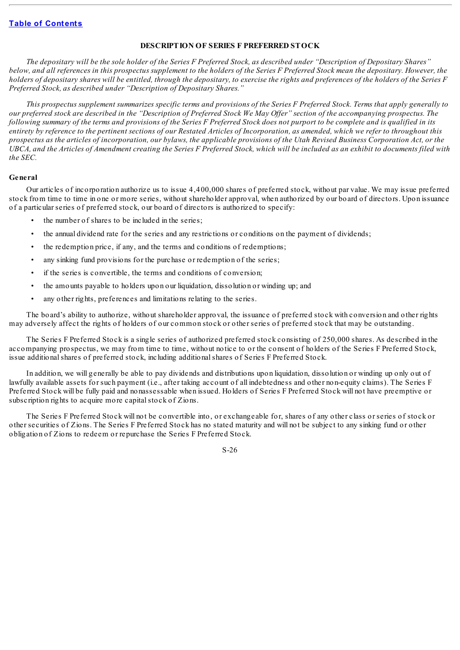### **DESCRIPTION OF SERIES F PREFERRED STOCK**

<span id="page-32-0"></span>The depositary will be the sole holder of the Series F Preferred Stock, as described under "Description of Depositary Shares" below, and all references in this prospectus supplement to the holders of the Series F Preferred Stock mean the depositary. However, the holders of depositary shares will be entitled, through the depositary, to exercise the rights and preferences of the holders of the Series F *Preferred Stock, as described under "Description of Depositary Shares."*

This prospectus supplement summarizes specific terms and provisions of the Series F Preferred Stock. Terms that apply generally to our preferred stock are described in the "Description of Preferred Stock We May Offer" section of the accompanying prospectus. The following summary of the terms and provisions of the Series F Preferred Stock does not purport to be complete and is qualified in its entirety by reference to the pertinent sections of our Restated Articles of Incorporation, as amended, which we refer to throughout this prospectus as the articles of incorporation, our bylaws, the applicable provisions of the Utah Revised Business Corporation Act, or the UBCA, and the Articles of Amendment creating the Series F Preferred Stock, which will be included as an exhibit to documents filed with *the SEC.*

#### **General**

Our articles of incorporation authorize us to issue 4,400,000 shares of preferred stock, without par value. We may issue preferred stock from time to time in one or more series, without shareholder approval, when authorized by our board of directors. Upon issuance of a particular series of preferred stock, our board of directors is authorized to specify:

- the number of shares to be included in the series;
- the annual dividend rate for the series and any restrictions or conditions on the payment of dividends;
- the redemption price, if any, and the terms and conditions of redemptions;
- any sinking fund provisions for the purchase or redemption of the series;
- if the series is convertible, the terms and conditions of conversion;
- the amounts payable to holders upon our liquidation, dissolution or winding up; and
- any other rights, preferences and limitations relating to the series.

The board's ability to authorize, without shareholder approval, the issuance of preferred stock with conversion and other rights may adversely affect the rights of holders of our common stock or other series of preferred stock that may be outstanding.

The Series F Preferred Stock is a single series of authorized preferred stock consisting of 250,000 shares. As described in the accompanying prospectus, we may from time to time, without notice to or the consent of holders of the Series F Preferred Stock, issue additionalshares of preferred stock, including additionalshares of Series F Preferred Stock.

In addition, we will generally be able to pay dividends and distributions upon liquidation, dissolution or winding up only out of lawfully available assets for such payment (i.e., after taking account of all indebtedness and other non-equity claims). The Series F Preferred Stock will be fully paid and nonassessable when issued. Holders of Series F Preferred Stock will not have preemptive or subscription rights to acquire more capital stock of Zions.

The Series F Preferred Stock will not be convertible into, or exchangeable for, shares of any other class or series of stock or other securities of Zions. The Series F Preferred Stock has no stated maturity and will not be subject to any sinking fund or other obligation of Zions to redeem or repurchase the Series F Preferred Stock.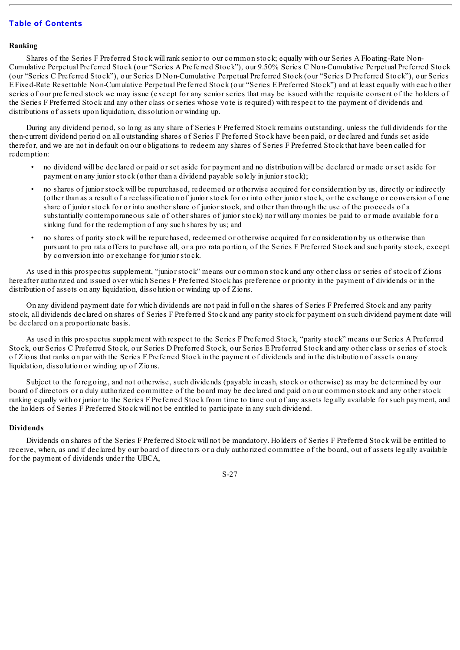#### **Ranking**

Shares of the Series F Preferred Stock will rank senior to our common stock; equally with our Series A Floating-Rate Non-Cumulative Perpetual Preferred Stock (our "Series A Preferred Stock"), our 9.50% Series C Non-Cumulative Perpetual Preferred Stock (our "Series C Preferred Stock"), our Series D Non-Cumulative Perpetual Preferred Stock (our "Series D Preferred Stock"), our Series E Fixed-Rate Resettable Non-Cumulative Perpetual Preferred Stock (our "Series E Preferred Stock") and at least equally with each other series of our preferred stock we may issue (except for any senior series that may be issued with the requisite consent of the holders of the Series F Preferred Stock and any other class or series whose vote is required) with respect to the payment of dividends and distributions of assets upon liquidation, dissolution or winding up.

During any dividend period, so long as any share of Series F Preferred Stock remains outstanding, unless the full dividends for the then-current dividend period on all outstanding shares of Series F Preferred Stock have been paid, or declared and funds set aside therefor, and we are not in default on our obligations to redeem any shares of Series F Preferred Stock that have been called for redemption:

- no dividend will be declared or paid or set aside for payment and no distribution will be declared or made or set aside for payment on any junior stock (other than a dividend payable solely in junior stock);
- no shares of junior stock will be repurchased, redeemed or otherwise acquired for consideration by us, directly or indirectly (other than as a result of a reclassification of junior stock for or into other junior stock, or the exchange or conversion of one share of junior stock for or into another share of junior stock, and other than through the use of the proceeds of a substantially contemporaneous sale of other shares of junior stock) nor will any monies be paid to or made available for a sinking fund for the redemption of any such shares by us; and
- no shares of parity stock will be repurchased, redeemed or otherwise acquired for consideration by us otherwise than pursuant to pro rata offers to purchase all, or a pro rata portion, of the Series F Preferred Stock and such parity stock, except by conversion into or exchange for junior stock.

As used in this prospectus supplement, "junior stock" means our common stock and any other class or series of stock of Zions hereafter authorized and issued over which Series F Preferred Stock has preference or priority in the payment of dividends or in the distribution of assets on any liquidation, dissolution or winding up of Zions.

On any dividend payment date for which dividends are not paid in full on the shares of Series F Preferred Stock and any parity stock, all dividends declared on shares of Series F Preferred Stock and any parity stock for payment on such dividend payment date will be declared on a proportionate basis.

As used in this prospectus supplement with respect to the Series F Preferred Stock, "parity stock" means our Series A Preferred Stock, our Series C Preferred Stock, our Series D Preferred Stock, our Series E Preferred Stock and any other class or series of stock of Zions that ranks on par with the Series F Preferred Stock in the payment of dividends and in the distribution of assets on any liquidation, dissolution or winding up of Zions.

Subject to the foregoing, and not otherwise, such dividends (payable in cash, stock or otherwise) as may be determined by our board of directors or a duly authorized committee of the board may be declared and paid on our common stock and any other stock ranking equally with or junior to the Series F Preferred Stock from time to time out of any assets legally available for such payment, and the holders of Series F Preferred Stock will not be entitled to participate in any such dividend.

# **Dividends**

Dividends on shares of the Series F Preferred Stock will not be mandatory. Holders of Series F Preferred Stock will be entitled to receive, when, as and if declared by our board of directors or a duly authorized committee of the board, out of assets legally available for the payment of dividends under the UBCA,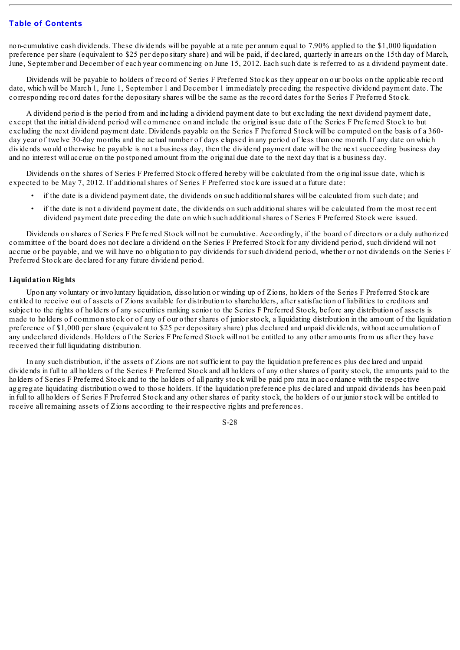non-cumulative cash dividends. These dividends will be payable at a rate per annum equal to 7.90% applied to the \$1,000 liquidation preference per share (equivalent to \$25 per depositary share) and will be paid, if declared, quarterly in arrears on the 15th day of March, June, September and December of each year commencing on June 15, 2012. Each such date is referred to as a dividend payment date.

Dividends will be payable to holders of record of Series F Preferred Stock as they appear on our books on the applicable record date, which will be March 1, June 1, September 1 and December 1 immediately preceding the respective dividend payment date. The corresponding record dates for the depositary shares will be the same as the record dates for the Series F Preferred Stock.

A dividend period is the period from and including a dividend payment date to but excluding the next dividend payment date, except that the initial dividend period will commence on and include the original issue date of the Series F Preferred Stock to but excluding the next dividend payment date. Dividends payable on the Series F Preferred Stock will be computed on the basis of a 360 day year of twelve 30-day months and the actual number of days elapsed in any period of less than one month. If any date on which dividends would otherwise be payable is not a business day, then the dividend payment date will be the next succeeding business day and no interest will accrue on the postponed amount from the original due date to the next day that is a business day.

Dividends on the shares of Series F Preferred Stock offered hereby will be calculated from the original issue date, which is expected to be May 7, 2012. If additionalshares of Series F Preferred stock are issued at a future date:

- if the date is a dividend payment date, the dividends on such additionalshares will be calculated from such date; and
- if the date is not a dividend payment date, the dividends on such additionalshares will be calculated from the most recent dividend payment date preceding the date on which such additionalshares of Series F Preferred Stock were issued.

Dividends on shares of Series F Preferred Stock will not be cumulative. Accordingly, if the board of directors or a duly authorized committee of the board does not declare a dividend on the Series F Preferred Stock for any dividend period, such dividend will not accrue or be payable, and we will have no obligation to pay dividends for such dividend period, whether or not dividends on the Series F Preferred Stock are declared for any future dividend period.

# **Liquidation Rights**

Upon any voluntary or involuntary liquidation, dissolution or winding up of Zions, holders of the Series F Preferred Stock are entitled to receive out of assets of Zions available for distribution to shareholders, after satisfaction of liabilities to creditors and subject to the rights of holders of any securities ranking senior to the Series F Preferred Stock, before any distribution of assets is made to holders of common stock or of any of our other shares of junior stock, a liquidating distribution in the amount of the liquidation preference of \$1,000 per share (equivalent to \$25 per depositary share) plus declared and unpaid dividends, without accumulation of any undeclared dividends. Holders of the Series F Preferred Stock will not be entitled to any other amounts from us after they have received their full liquidating distribution.

In any such distribution, if the assets of Zions are not sufficient to pay the liquidation preferences plus declared and unpaid dividends in full to all holders of the Series F Preferred Stock and all holders of any other shares of parity stock, the amounts paid to the holders of Series F Preferred Stock and to the holders of all parity stock will be paid pro rata in accordance with the respective aggregate liquidating distribution owed to those holders. If the liquidation preference plus declared and unpaid dividends has been paid in full to all holders of Series F Preferred Stock and any other shares of parity stock, the holders of our junior stock will be entitled to receive all remaining assets of Zions according to their respective rights and preferences.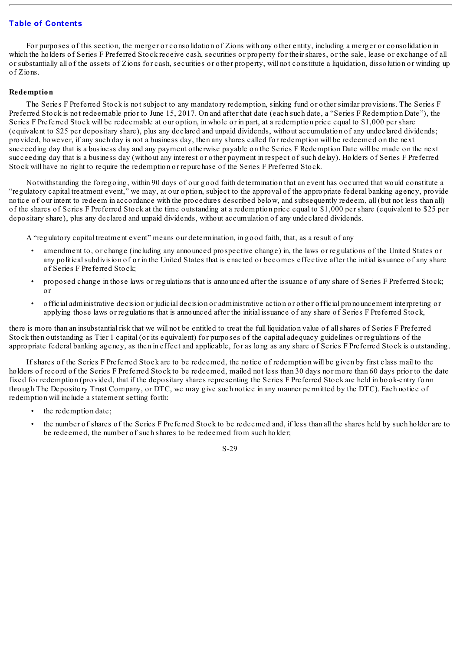For purposes of this section, the merger or consolidation of Zions with any other entity, including a merger or consolidation in which the holders of Series F Preferred Stock receive cash, securities or property for their shares, or the sale, lease or exchange of all or substantially all of the assets of Zions for cash, securities or other property, will not constitute a liquidation, dissolution or winding up of Zions.

# **Redemption**

The Series F Preferred Stock is not subject to any mandatory redemption, sinking fund or other similar provisions. The Series F Preferred Stock is not redeemable prior to June 15, 2017. On and after that date (each such date, a "Series F Redemption Date"), the Series F Preferred Stock will be redeemable at our option, in whole or in part, at a redemption price equal to \$1,000 per share (equivalent to \$25 per depositary share), plus any declared and unpaid dividends, without accumulation of any undeclared dividends; provided, however, if any such day is not a business day, then any shares called for redemption will be redeemed on the next succeeding day that is a business day and any payment otherwise payable on the Series F Redemption Date will be made on the next succeeding day that is a business day (without any interest or other payment in respect of such delay). Holders of Series F Preferred Stock will have no right to require the redemption or repurchase of the Series F Preferred Stock.

Notwithstanding the foregoing, within 90 days of our good faith determination that an event has occurred that would constitute a "regulatory capital treatment event," we may, at our option, subject to the approval of the appropriate federal banking agency, provide notice of our intent to redeem in accordance with the procedures described below, and subsequently redeem, all (but not less than all) of the shares of Series F Preferred Stock at the time outstanding at a redemption price equal to \$1,000 per share (equivalent to \$25 per depositary share), plus any declared and unpaid dividends, without accumulation of any undeclared dividends.

A "regulatory capital treatment event" means our determination, in good faith, that, as a result of any

- amendment to, or change (including any announced prospective change) in, the laws or regulations of the United States or any politicalsubdivision of or in the United States that is enacted or becomes effective after the initial issuance of any share of Series F Preferred Stock;
- proposed change in those laws or regulations that is announced after the issuance of any share of Series F Preferred Stock; or
- official administrative decision or judicial decision or administrative action or other official pronouncement interpreting or applying those laws or regulations that is announced after the initial issuance of any share of Series F Preferred Stock,

there is more than an insubstantial risk that we will not be entitled to treat the full liquidation value of allshares of Series F Preferred Stock then outstanding as Tier 1 capital (or its equivalent) for purposes of the capital adequacy guidelines or regulations of the appropriate federal banking agency, as then in effect and applicable, for as long as any share of Series F Preferred Stock is outstanding.

If shares of the Series F Preferred Stock are to be redeemed, the notice of redemption will be given by first class mail to the holders of record of the Series F Preferred Stock to be redeemed, mailed not less than 30 days nor more than 60 days prior to the date fixed for redemption (provided, that if the depositary shares representing the Series F Preferred Stock are held in book-entry form through The Depository Trust Company, or DTC, we may give such notice in any manner permitted by the DTC). Each notice of redemption will include a statement setting forth:

- the redemption date:
- the number of shares of the Series F Preferred Stock to be redeemed and, if less than all the shares held by such holder are to be redeemed, the number of such shares to be redeemed from such holder;

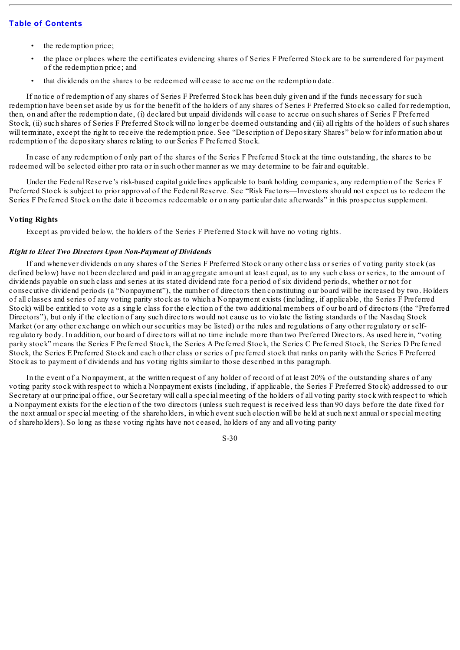- the redemption price;
- the place or places where the certificates evidencing shares of Series F Preferred Stock are to be surrendered for payment of the redemption price; and
- that dividends on the shares to be redeemed will cease to accrue on the redemption date.

If notice of redemption of any shares of Series F Preferred Stock has been duly given and if the funds necessary for such redemption have been set aside by us for the benefit of the holders of any shares of Series F Preferred Stock so called for redemption, then, on and after the redemption date, (i) declared but unpaid dividends will cease to accrue on such shares of Series F Preferred Stock, (ii) such shares of Series F Preferred Stock will no longer be deemed outstanding and (iii) all rights of the holders of such shares will terminate, except the right to receive the redemption price. See "Description of Depositary Shares" below for information about redemption of the depositary shares relating to our Series F Preferred Stock.

In case of any redemption of only part of the shares of the Series F Preferred Stock at the time outstanding, the shares to be redeemed will be selected either pro rata or in such other manner as we may determine to be fair and equitable.

Under the Federal Reserve's risk-based capital guidelines applicable to bank holding companies, any redemption of the Series F Preferred Stock is subject to prior approval of the Federal Reserve. See "Risk Factors—Investors should not expect us to redeem the Series F Preferred Stock on the date it becomes redeemable or on any particular date afterwards" in this prospectus supplement.

## **Voting Rights**

Except as provided below, the holders of the Series F Preferred Stock will have no voting rights.

#### *Right to Elect Two Directors Upon Non-Payment of Dividends*

If and whenever dividends on any shares of the Series F Preferred Stock or any other class or series of voting parity stock (as defined below) have not been declared and paid in an aggregate amount at least equal, as to any such class or series, to the amount of dividends payable on such class and series at its stated dividend rate for a period of six dividend periods, whether or not for consecutive dividend periods (a "Nonpayment"), the number of directors then constituting our board will be increased by two. Holders of all classes and series of any voting parity stock as to which a Nonpayment exists (including, if applicable, the Series F Preferred Stock) will be entitled to vote as a single class for the election of the two additional members of our board of directors (the "Preferred Directors"), but only if the election of any such directors would not cause us to violate the listing standards of the Nasdaq Stock Market (or any other exchange on which our securities may be listed) or the rules and regulations of any other regulatory or selfregulatory body. In addition, our board of directors will at no time include more than two Preferred Directors. As used herein, "voting parity stock" means the Series F Preferred Stock, the Series A Preferred Stock, the Series C Preferred Stock, the Series D Preferred Stock, the Series E Preferred Stock and each other class or series of preferred stock that ranks on parity with the Series F Preferred Stock as to payment of dividends and has voting rights similar to those described in this paragraph.

In the event of a Nonpayment, at the written request of any holder of record of at least 20% of the outstanding shares of any voting parity stock with respect to which a Nonpayment exists (including, if applicable, the Series F Preferred Stock) addressed to our Secretary at our principal office, our Secretary will call a special meeting of the holders of all voting parity stock with respect to which a Nonpayment exists for the election of the two directors (unless such request is received less than 90 days before the date fixed for the next annual or special meeting of the shareholders, in which event such election will be held at such next annual or special meeting of shareholders). So long as these voting rights have not ceased, holders of any and all voting parity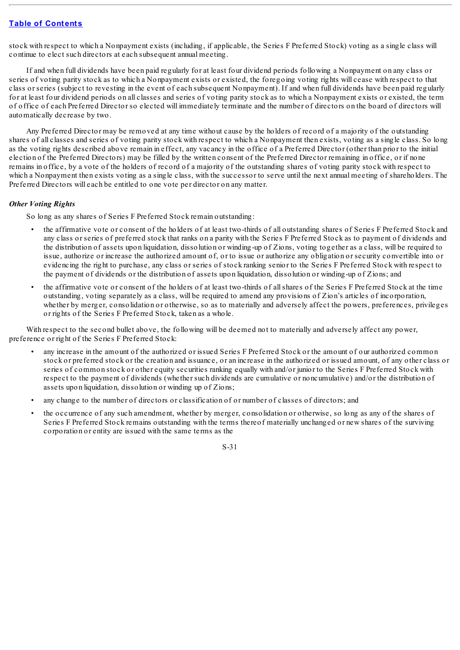stock with respect to which a Nonpayment exists (including, if applicable, the Series F Preferred Stock) voting as a single class will continue to elect such directors at each subsequent annual meeting.

If and when full dividends have been paid regularly for at least four dividend periods following a Nonpayment on any class or series of voting parity stock as to which a Nonpayment exists or existed, the foregoing voting rights will cease with respect to that class or series (subject to revesting in the event of each subsequent Nonpayment). If and when full dividends have been paid regularly for at least four dividend periods on all classes and series of voting parity stock as to which a Nonpayment exists or existed, the term of office of each Preferred Director so elected will immediately terminate and the number of directors on the board of directors will automatically decrease by two.

Any Preferred Director may be removed at any time without cause by the holders of record of a majority of the outstanding shares of all classes and series of voting parity stock with respect to which a Nonpayment then exists, voting as a single class. So long as the voting rights described above remain in effect, any vacancy in the office of a Preferred Director (other than prior to the initial election of the Preferred Directors) may be filled by the written consent of the Preferred Director remaining in office, or if none remains in office, by a vote of the holders of record of a majority of the outstanding shares of voting parity stock with respect to which a Nonpayment then exists voting as a single class, with the successor to serve until the next annual meeting of shareholders. The Preferred Directors will each be entitled to one vote per director on any matter.

#### *Other Voting Rights*

So long as any shares of Series F Preferred Stock remain outstanding:

- the affirmative vote or consent of the holders of at least two-thirds of all outstanding shares of Series F Preferred Stock and any class or series of preferred stock that ranks on a parity with the Series F Preferred Stock as to payment of dividends and the distribution of assets upon liquidation, dissolution or winding-up of Zions, voting together as a class, will be required to issue, authorize or increase the authorized amount of, or to issue or authorize any obligation or security convertible into or evidencing the right to purchase, any class or series of stock ranking senior to the Series F Preferred Stock with respect to the payment of dividends or the distribution of assets upon liquidation, dissolution or winding-up of Zions; and
- the affirmative vote or consent of the holders of at least two-thirds of allshares of the Series F Preferred Stock at the time outstanding, voting separately as a class, will be required to amend any provisions of Zion's articles of incorporation, whether by merger, consolidation or otherwise, so as to materially and adversely affect the powers, preferences, privileges or rights of the Series F Preferred Stock, taken as a whole.

With respect to the second bullet above, the following will be deemed not to materially and adversely affect any power, preference or right of the Series F Preferred Stock:

- any increase in the amount of the authorized or issued Series F Preferred Stock or the amount of our authorized common stock or preferred stock or the creation and issuance, or an increase in the authorized or issued amount, of any other class or series of common stock or other equity securities ranking equally with and/or junior to the Series F Preferred Stock with respect to the payment of dividends (whether such dividends are cumulative or noncumulative) and/or the distribution of assets upon liquidation, dissolution or winding up of Zions;
- any change to the number of directors or classification of or number of classes of directors; and
- the occurrence of any such amendment, whether by merger, consolidation or otherwise, so long as any of the shares of Series F Preferred Stock remains outstanding with the terms thereof materially unchanged or new shares of the surviving corporation or entity are issued with the same terms as the

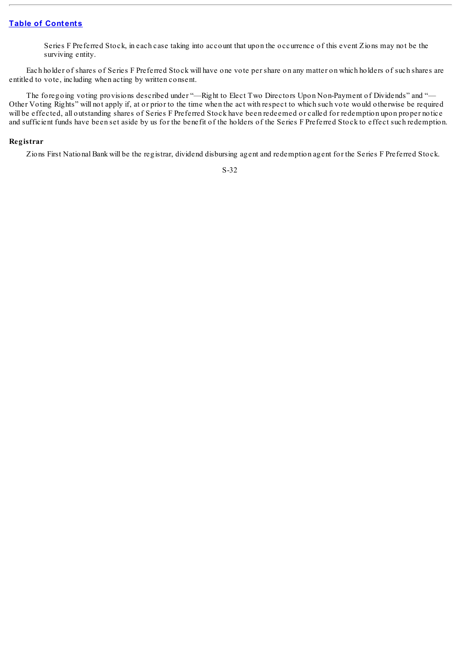Series F Preferred Stock, in each case taking into account that upon the occurrence of this event Zions may not be the surviving entity.

Each holder of shares of Series F Preferred Stock will have one vote per share on any matter on which holders of such shares are entitled to vote, including when acting by written consent.

The foregoing voting provisions described under "—Right to Elect Two Directors Upon Non-Payment of Dividends" and "— Other Voting Rights" will not apply if, at or prior to the time when the act with respect to which such vote would otherwise be required will be effected, all outstanding shares of Series F Preferred Stock have been redeemed or called for redemption upon proper notice and sufficient funds have been set aside by us for the benefit of the holders of the Series F Preferred Stock to effect such redemption.

#### **Registrar**

Zions First National Bank will be the registrar, dividend disbursing agent and redemption agent for the Series F Preferred Stock.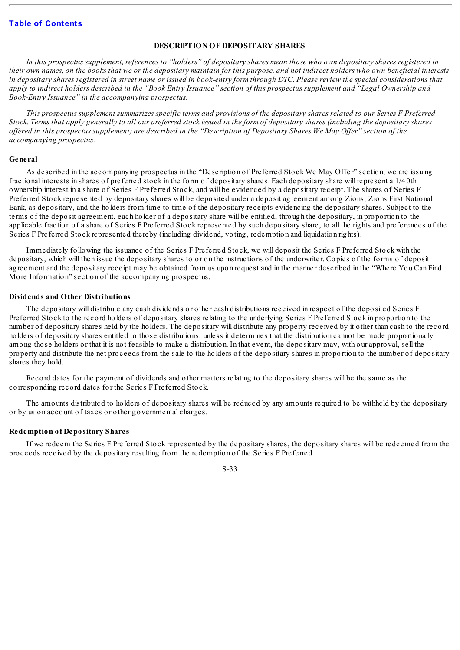#### **DESCRIPTION OF DEPOSITARY SHARES**

In this prospectus supplement, references to "holders" of depositary shares mean those who own depositary shares registered in their own names, on the books that we or the depositary maintain for this purpose, and not indirect holders who own beneficial interests in depositary shares registered in street name or issued in book-entry form through DTC. Please review the special considerations that apply to indirect holders described in the "Book Entry Issuance" section of this prospectus supplement and "Legal Ownership and *Book-Entry Issuance" in the accompanying prospectus.*

This prospectus supplement summarizes specific terms and provisions of the depositary shares related to our Series F Preferred Stock. Terms that apply generally to all our preferred stock issued in the form of depositary shares (including the depositary shares offered in this prospectus supplement) are described in the "Description of Depositary Shares We May Offer" section of the *accompanying prospectus.*

#### **General**

As described in the accompanying prospectus in the "Description of Preferred Stock We May Offer" section, we are issuing fractional interests in shares of preferred stock in the form of depositary shares. Each depositary share will represent a 1/40th ownership interest in a share of Series F Preferred Stock, and will be evidenced by a depositary receipt. The shares of Series F Preferred Stock represented by depositary shares will be deposited under a deposit agreement among Zions, Zions First National Bank, as depositary, and the holders from time to time of the depositary receipts evidencing the depositary shares. Subject to the terms of the deposit agreement, each holder of a depositary share will be entitled, through the depositary, in proportion to the applicable fraction of a share of Series F Preferred Stock represented by such depositary share, to all the rights and preferences of the Series F Preferred Stock represented thereby (including dividend, voting, redemption and liquidation rights).

Immediately following the issuance of the Series F Preferred Stock, we will deposit the Series F Preferred Stock with the depositary, which will then issue the depositary shares to or on the instructions of the underwriter. Copies of the forms of deposit agreement and the depositary receipt may be obtained from us upon request and in the manner described in the "Where You Can Find More Information" section of the accompanying prospectus.

#### **Dividends and Other Distributions**

The depositary will distribute any cash dividends or other cash distributions received in respect of the deposited Series F Preferred Stock to the record holders of depositary shares relating to the underlying Series F Preferred Stock in proportion to the number of depositary shares held by the holders. The depositary will distribute any property received by it other than cash to the record holders of depositary shares entitled to those distributions, unless it determines that the distribution cannot be made proportionally among those holders or that it is not feasible to make a distribution. In that event, the depositary may, with our approval, sell the property and distribute the net proceeds from the sale to the holders of the depositary shares in proportion to the number of depositary shares they hold.

Record dates for the payment of dividends and other matters relating to the depositary shares will be the same as the corresponding record dates for the Series F Preferred Stock.

The amounts distributed to holders of depositary shares will be reduced by any amounts required to be withheld by the depositary or by us on account of taxes or other governmental charges.

#### **Redemption of Depositary Shares**

If we redeem the Series F Preferred Stock represented by the depositary shares, the depositary shares will be redeemed from the proceeds received by the depositary resulting from the redemption of the Series F Preferred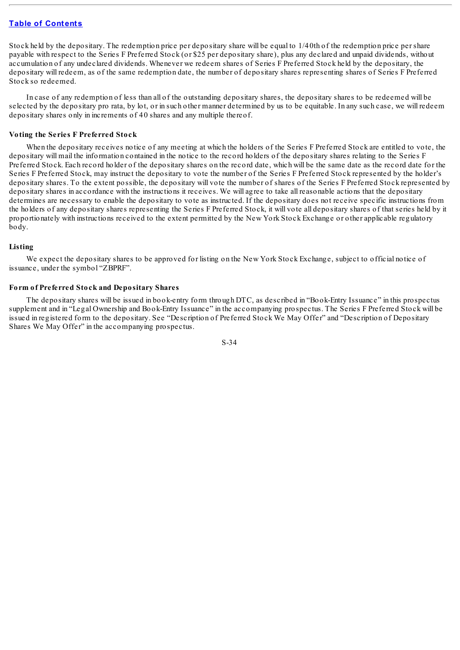Stock held by the depositary. The redemption price per depositary share will be equal to 1/40th of the redemption price per share payable with respect to the Series F Preferred Stock (or \$25 per depositary share), plus any declared and unpaid dividends, without accumulation of any undeclared dividends. Whenever we redeem shares of Series F Preferred Stock held by the depositary, the depositary will redeem, as of the same redemption date, the number of depositary shares representing shares of Series F Preferred Stock so redeemed.

In case of any redemption of less than all of the outstanding depositary shares, the depositary shares to be redeemed will be selected by the depositary pro rata, by lot, or in such other manner determined by us to be equitable. In any such case, we will redeem depositary shares only in increments of 40 shares and any multiple thereof.

#### **Voting the Series F Preferred Stock**

When the depositary receives notice of any meeting at which the holders of the Series F Preferred Stock are entitled to vote, the depositary will mail the information contained in the notice to the record holders of the depositary shares relating to the Series F Preferred Stock. Each record holder of the depositary shares on the record date, which will be the same date as the record date for the Series F Preferred Stock, may instruct the depositary to vote the number of the Series F Preferred Stock represented by the holder's depositary shares. To the extent possible, the depositary will vote the number of shares of the Series F Preferred Stock represented by depositary shares in accordance with the instructions it receives. We will agree to take all reasonable actions that the depositary determines are necessary to enable the depositary to vote as instructed. If the depositary does not receive specific instructions from the holders of any depositary shares representing the Series F Preferred Stock, it will vote all depositary shares of that series held by it proportionately with instructions received to the extent permitted by the New York Stock Exchange or other applicable regulatory body.

#### **Listing**

We expect the depositary shares to be approved for listing on the New York Stock Exchange, subject to official notice of issuance, under the symbol "ZBPRF".

#### **Form of Preferred Stock and Depositary Shares**

The depositary shares will be issued in book-entry form through DTC, as described in "Book-Entry Issuance" in this prospectus supplement and in "Legal Ownership and Book-Entry Issuance" in the accompanying prospectus. The Series F Preferred Stock will be issued in registered form to the depositary. See "Description of Preferred Stock We May Offer" and "Description of Depositary Shares We May Offer" in the accompanying prospectus.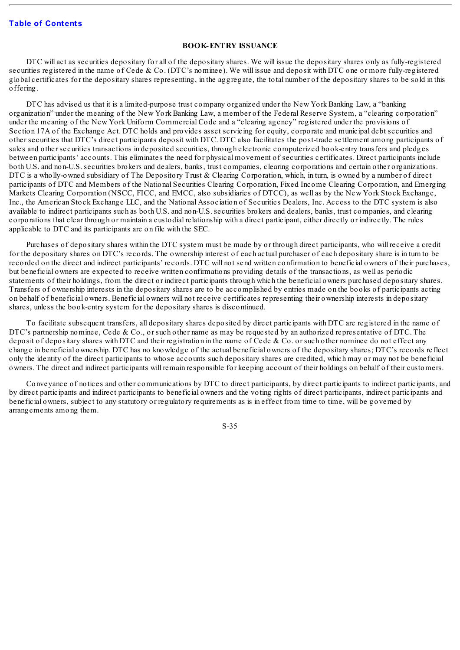#### **BOOK-ENTRY ISSUANCE**

DTC will act as securities depositary for all of the depositary shares. We will issue the depositary shares only as fully-registered securities registered in the name of Cede & Co. (DTC's nominee). We will issue and deposit with DTC one or more fully-registered global certificates for the depositary shares representing, in the aggregate, the total number of the depositary shares to be sold in this offering.

DTC has advised us that it is a limited-purpose trust company organized under the New York Banking Law, a "banking organization" under the meaning of the New York Banking Law, a member of the Federal Reserve System, a "clearing corporation" under the meaning of the New York Uniform Commercial Code and a "clearing agency" registered under the provisions of Section 17A of the Exchange Act. DTC holds and provides asset servicing for equity, corporate and municipal debt securities and other securities that DTC's direct participants deposit with DTC. DTC also facilitates the post-trade settlement among participants of sales and other securities transactions in deposited securities, through electronic computerized book-entry transfers and pledges between participants' accounts. This eliminates the need for physical movement of securities certificates. Direct participants include both U.S. and non-U.S. securities brokers and dealers, banks, trust companies, clearing corporations and certain other organizations. DTC is a wholly-owned subsidiary of The Depository Trust & Clearing Corporation, which, in turn, is owned by a number of direct participants of DTC and Members of the National Securities Clearing Corporation, Fixed Income Clearing Corporation, and Emerging Markets Clearing Corporation (NSCC, FICC, and EMCC, also subsidiaries of DTCC), as well as by the New York Stock Exchange, Inc., the American Stock Exchange LLC, and the National Association of Securities Dealers, Inc. Access to the DTC system is also available to indirect participants such as both U.S. and non-U.S. securities brokers and dealers, banks, trust companies, and clearing corporations that clear through or maintain a custodial relationship with a direct participant, either directly or indirectly. The rules applicable to DTC and its participants are on file with the SEC.

Purchases of depositary shares within the DTC system must be made by or through direct participants, who will receive a credit for the depositary shares on DTC's records. The ownership interest of each actual purchaser of each depositary share is in turn to be recorded on the direct and indirect participants' records. DTC will not send written confirmation to beneficial owners of their purchases, but beneficial owners are expected to receive written confirmations providing details of the transactions, as well as periodic statements of their holdings, from the direct or indirect participants through which the beneficial owners purchased depositary shares. Transfers of ownership interests in the depositary shares are to be accomplished by entries made on the books of participants acting on behalf of beneficial owners. Beneficial owners will not receive certificates representing their ownership interests in depositary shares, unless the book-entry system for the depositary shares is discontinued.

To facilitate subsequent transfers, all depositary shares deposited by direct participants with DTC are registered in the name of DTC's partnership nominee, Cede & Co., or such other name as may be requested by an authorized representative of DTC. The deposit of depositary shares with DTC and their registration in the name of Cede  $&$  Co. or such other nominee do not effect any change in beneficial ownership. DTC has no knowledge of the actual beneficial owners of the depositary shares; DTC's records reflect only the identity of the direct participants to whose accounts such depositary shares are credited, which may or may not be beneficial owners. The direct and indirect participants will remain responsible for keeping account of their holdings on behalf of their customers.

Conveyance of notices and other communications by DTC to direct participants, by direct participants to indirect participants, and by direct participants and indirect participants to beneficial owners and the voting rights of direct participants, indirect participants and beneficial owners, subject to any statutory or regulatory requirements as is in effect from time to time, will be governed by arrangements among them.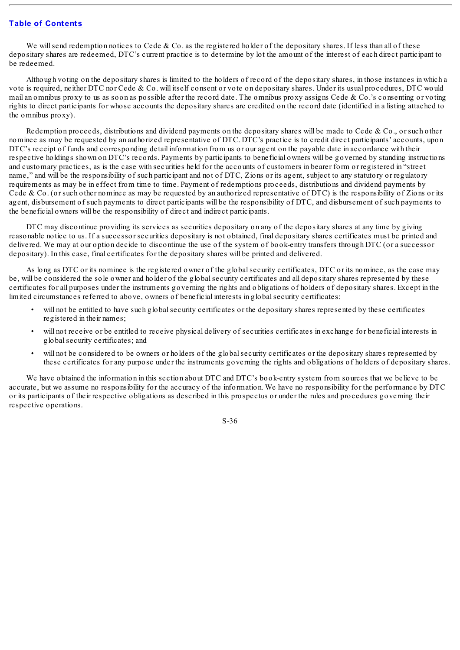We will send redemption notices to Cede & Co. as the registered holder of the depositary shares. If less than all of these depositary shares are redeemed, DTC's current practice is to determine by lot the amount of the interest of each direct participant to be redeemed.

Although voting on the depositary shares is limited to the holders of record of the depositary shares, in those instances in which a vote is required, neither DTC nor Cede & Co. will itself consent or vote on depositary shares. Under its usual procedures, DTC would mail an omnibus proxy to us as soon as possible after the record date. The omnibus proxy assigns Cede & Co.'s consenting or voting rights to direct participants for whose accounts the depositary shares are credited on the record date (identified in a listing attached to the omnibus proxy).

Redemption proceeds, distributions and dividend payments on the depositary shares will be made to Cede & Co., or such other nominee as may be requested by an authorized representative of DTC. DTC's practice is to credit direct participants' accounts, upon DTC's receipt of funds and corresponding detail information from us or our agent on the payable date in accordance with their respective holdings shown on DTC's records. Payments by participants to beneficial owners will be governed by standing instructions and customary practices, as is the case with securities held for the accounts of customers in bearer form or registered in "street name," and will be the responsibility of such participant and not of DTC, Zions or its agent, subject to any statutory or regulatory requirements as may be in effect from time to time. Payment of redemptions proceeds, distributions and dividend payments by Cede & Co. (or such other nominee as may be requested by an authorized representative of DTC) is the responsibility of Zions or its agent, disbursement of such payments to direct participants will be the responsibility of DTC, and disbursement of such payments to the beneficial owners will be the responsibility of direct and indirect participants.

DTC may discontinue providing its services as securities depositary on any of the depositary shares at any time by giving reasonable notice to us. If a successor securities depositary is not obtained, final depositary shares certificates must be printed and delivered. We may at our option decide to discontinue the use of the system of book-entry transfers through DTC (or a successor depositary). In this case, final certificates for the depositary shares will be printed and delivered.

As long as DTC or its nominee is the registered owner of the globalsecurity certificates, DTC or its nominee, as the case may be, will be considered the sole owner and holder of the globalsecurity certificates and all depositary shares represented by these certificates for all purposes under the instruments governing the rights and obligations of holders of depositary shares. Except in the limited circumstances referred to above, owners of beneficial interests in globalsecurity certificates:

- will not be entitled to have such global security certificates or the depositary shares represented by these certificates registered in their names;
- will not receive or be entitled to receive physical delivery of securities certificates in exchange for beneficial interests in globalsecurity certificates; and
- will not be considered to be owners or holders of the global security certificates or the depositary shares represented by these certificates for any purpose under the instruments governing the rights and obligations of holders of depositary shares.

We have obtained the information in this section about DTC and DTC's book-entry system from sources that we believe to be accurate, but we assume no responsibility for the accuracy of the information. We have no responsibility for the performance by DTC or its participants of their respective obligations as described in this prospectus or under the rules and procedures governing their respective operations.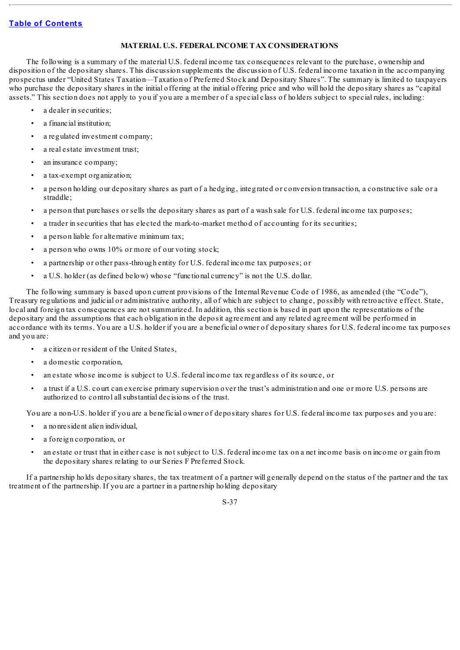#### **MATERIAL U.S. FEDERAL INCOME TAX CONSIDERATIONS**

The following is a summary of the material U.S. federal income tax consequences relevant to the purchase, ownership and disposition of the depositary shares. This discussion supplements the discussion of U.S. federal income taxation in the accompanying prospectus under "United States Taxation—Taxation of Preferred Stock and Depositary Shares". The summary is limited to taxpayers who purchase the depositary shares in the initial offering at the initial offering price and who will hold the depositary shares as "capital assets." This section does not apply to you if you are a member of a special class of holders subject to special rules, including:

- a dealer in securities;
- a financial institution;
- a regulated investment company;
- a real estate investment trust;
- an insurance company;
- a tax-exempt organization;
- a person holding our depositary shares as part of a hedging, integrated or conversion transaction, a constructive sale or a straddle;
- a person that purchases or sells the depositary shares as part of a wash sale for U.S. federal income tax purposes;
- a trader in securities that has elected the mark-to-market method of accounting for its securities;
- a person liable for alternative minimum tax;
- a person who owns 10% or more of our voting stock;
- a partnership or other pass-through entity for U.S. federal income tax purposes; or
- a U.S. holder (as defined below) whose "functional currency" is not the U.S. dollar.

The following summary is based upon current provisions of the Internal Revenue Code of 1986, as amended (the "Code"), Treasury regulations and judicial or administrative authority, all of which are subject to change, possibly with retroactive effect. State, local and foreign tax consequences are not summarized. In addition, this section is based in part upon the representations of the depositary and the assumptions that each obligation in the deposit agreement and any related agreement will be performed in accordance with its terms. You are a U.S. holder if you are a beneficial owner of depositary shares for U.S. federal income tax purposes and you are:

- a citizen or resident of the United States,
- a domestic corporation.
- an estate whose income is subject to U.S. federal income tax regardless of its source, or
- a trust if a U.S. court can exercise primary supervision over the trust's administration and one or more U.S. persons are authorized to control allsubstantial decisions of the trust.

You are a non-U.S. holder if you are a beneficial owner of depositary shares for U.S. federal income tax purposes and you are:

- a nonresident alien individual,
- a foreign corporation, or
- an estate or trust that in either case is not subject to U.S. federal income tax on a net income basis on income or gain from the depositary shares relating to our Series F Preferred Stock.

If a partnership holds depositary shares, the tax treatment of a partner will generally depend on the status of the partner and the tax treatment of the partnership. If you are a partner in a partnership holding depositary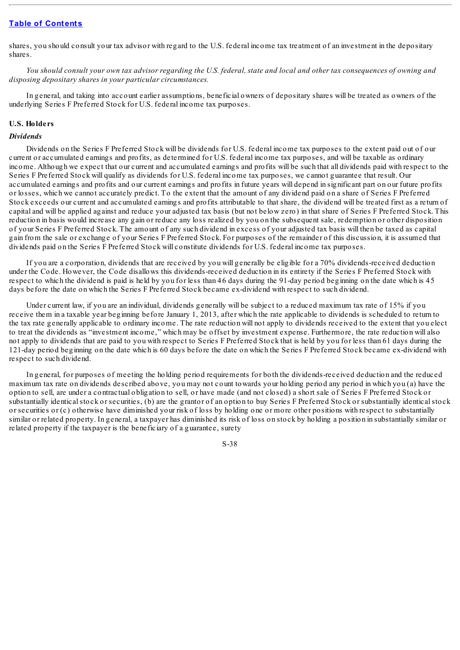shares, you should consult your tax advisor with regard to the U.S. federal income tax treatment of an investment in the depositary shares.

You should consult your own tax advisor regarding the U.S. federal, state and local and other tax consequences of owning and *disposing depositary shares in your particular circumstances.*

In general, and taking into account earlier assumptions, beneficial owners of depositary shares will be treated as owners of the underlying Series F Preferred Stock for U.S. federal income tax purposes.

#### **U.S. Holders**

#### *Dividends*

Dividends on the Series F Preferred Stock will be dividends for U.S. federal income tax purposes to the extent paid out of our current or accumulated earnings and profits, as determined for U.S. federal income tax purposes, and will be taxable as ordinary income. Although we expect that our current and accumulated earnings and profits will be such that all dividends paid with respect to the Series F Preferred Stock will qualify as dividends for U.S. federal income tax purposes, we cannot guarantee that result. Our accumulated earnings and profits and our current earnings and profits in future years will depend in significant part on our future profits or losses, which we cannot accurately predict. To the extent that the amount of any dividend paid on a share of Series F Preferred Stock exceeds our current and accumulated earnings and profits attributable to that share, the dividend will be treated first as a return of capital and will be applied against and reduce your adjusted tax basis (but not below zero) in that share of Series F Preferred Stock. This reduction in basis would increase any gain or reduce any loss realized by you on the subsequent sale, redemption or other disposition of your Series F Preferred Stock. The amount of any such dividend in excess of your adjusted tax basis will then be taxed as capital gain from the sale or exchange of your Series F Preferred Stock. For purposes of the remainder of this discussion, it is assumed that dividends paid on the Series F Preferred Stock will constitute dividends for U.S. federal income tax purposes.

If you are a corporation, dividends that are received by you will generally be eligible for a 70% dividends-received deduction under the Code. However, the Code disallows this dividends-received deduction in its entirety if the Series F Preferred Stock with respect to which the dividend is paid is held by you for less than 46 days during the 91-day period beginning on the date which is 45 days before the date on which the Series F Preferred Stock became ex-dividend with respect to such dividend.

Under current law, if you are an individual, dividends generally will be subject to a reduced maximum tax rate of 15% if you receive them in a taxable year beginning before January 1, 2013, after which the rate applicable to dividends is scheduled to return to the tax rate generally applicable to ordinary income. The rate reduction will not apply to dividends received to the extent that you elect to treat the dividends as "investment income," which may be offset by investment expense. Furthermore, the rate reduction will also not apply to dividends that are paid to you with respect to Series F Preferred Stock that is held by you for less than 61 days during the 121-day period beginning on the date which is 60 days before the date on which the Series F Preferred Stock became ex-dividend with respect to such dividend.

In general, for purposes of meeting the holding period requirements for both the dividends-received deduction and the reduced maximum tax rate on dividends described above, you may not count towards your holding period any period in which you (a) have the option to sell, are under a contractual obligation to sell, or have made (and not closed) a short sale of Series F Preferred Stock or substantially identical stock or securities, (b) are the grantor of an option to buy Series F Preferred Stock or substantially identical stock or securities or (c) otherwise have diminished your risk of loss by holding one or more other positions with respect to substantially similar or related property. In general, a taxpayer has diminished its risk of loss on stock by holding a position in substantially similar or related property if the taxpayer is the beneficiary of a guarantee, surety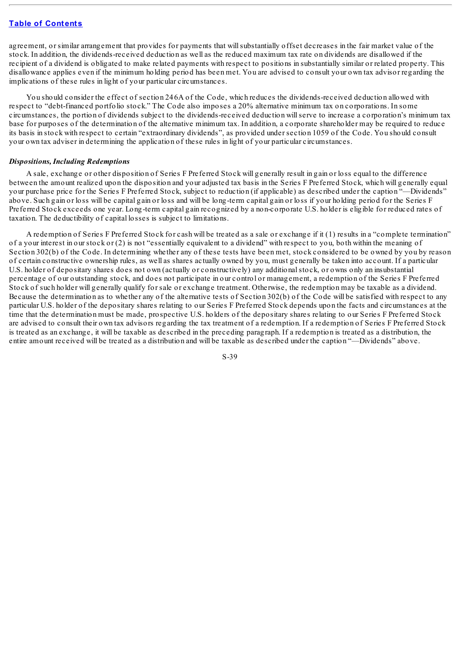agreement, or similar arrangement that provides for payments that willsubstantially offset decreases in the fair market value of the stock. In addition, the dividends-received deduction as well as the reduced maximum tax rate on dividends are disallowed if the recipient of a dividend is obligated to make related payments with respect to positions in substantially similar or related property. This disallowance applies even if the minimum holding period has been met. You are advised to consult your own tax advisor regarding the implications of these rules in light of your particular circumstances.

You should consider the effect of section 246A of the Code, which reduces the dividends-received deduction allowed with respect to "debt-financed portfolio stock." The Code also imposes a 20% alternative minimum tax on corporations. In some circumstances, the portion of dividends subject to the dividends-received deduction willserve to increase a corporation's minimum tax base for purposes of the determination of the alternative minimum tax. In addition, a corporate shareholder may be required to reduce its basis in stock with respect to certain "extraordinary dividends", as provided under section 1059 of the Code. You should consult your own tax adviser in determining the application of these rules in light of your particular circumstances.

#### *Dispositions, Including Redemptions*

A sale, exchange or other disposition of Series F Preferred Stock will generally result in gain or loss equal to the difference between the amount realized upon the disposition and your adjusted tax basis in the Series F Preferred Stock, which will generally equal your purchase price for the Series F Preferred Stock, subject to reduction (if applicable) as described under the caption "—Dividends" above. Such gain or loss will be capital gain or loss and will be long-term capital gain or loss if your holding period for the Series F Preferred Stock exceeds one year. Long-term capital gain recognized by a non-corporate U.S. holder is eligible for reduced rates of taxation. The deductibility of capital losses is subject to limitations.

A redemption of Series F Preferred Stock for cash will be treated as a sale or exchange if it (1) results in a "complete termination" of a your interest in our stock or (2) is not "essentially equivalent to a dividend" with respect to you, both within the meaning of Section 302(b) of the Code. In determining whether any of these tests have been met, stock considered to be owned by you by reason of certain constructive ownership rules, as well as shares actually owned by you, must generally be taken into account. If a particular U.S. holder of depositary shares does not own (actually or constructively) any additionalstock, or owns only an insubstantial percentage of our outstanding stock, and does not participate in our control or management, a redemption of the Series F Preferred Stock of such holder will generally qualify for sale or exchange treatment. Otherwise, the redemption may be taxable as a dividend. Because the determination as to whether any of the alternative tests of Section 302(b) of the Code will be satisfied with respect to any particular U.S. holder of the depositary shares relating to our Series F Preferred Stock depends upon the facts and circumstances at the time that the determination must be made, prospective U.S. holders of the depositary shares relating to our Series F Preferred Stock are advised to consult their own tax advisors regarding the tax treatment of a redemption. If a redemption of Series F Preferred Stock is treated as an exchange, it will be taxable as described in the preceding paragraph. If a redemption is treated as a distribution, the entire amount received will be treated as a distribution and will be taxable as described under the caption "—Dividends" above.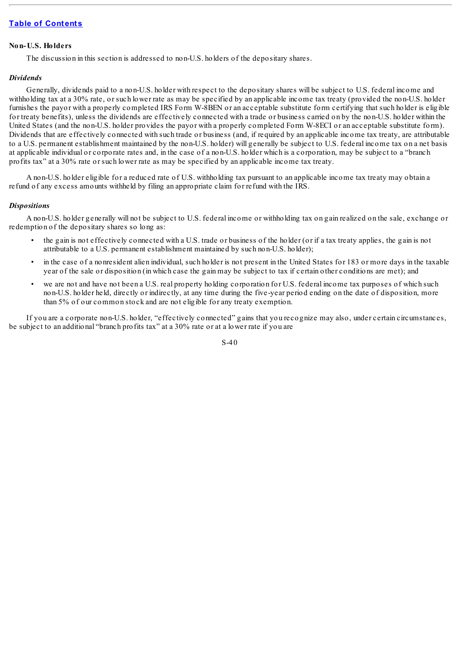#### **Non-U.S. Holders**

The discussion in this section is addressed to non-U.S. holders of the depositary shares.

#### *Dividends*

Generally, dividends paid to a non-U.S. holder with respect to the depositary shares will be subject to U.S. federal income and withholding tax at a 30% rate, or such lower rate as may be specified by an applicable income tax treaty (provided the non-U.S. holder furnishes the payor with a properly completed IRS Form W-8BEN or an acceptable substitute form certifying that such holder is eligible for treaty benefits), unless the dividends are effectively connected with a trade or business carried on by the non-U.S. holder within the United States (and the non-U.S. holder provides the payor with a properly completed Form W-8ECI or an acceptable substitute form). Dividends that are effectively connected with such trade or business (and, if required by an applicable income tax treaty, are attributable to a U.S. permanent establishment maintained by the non-U.S. holder) will generally be subject to U.S. federal income tax on a net basis at applicable individual or corporate rates and, in the case of a non-U.S. holder which is a corporation, may be subject to a "branch profits tax" at a 30% rate or such lower rate as may be specified by an applicable income tax treaty.

A non-U.S. holder eligible for a reduced rate of U.S. withholding tax pursuant to an applicable income tax treaty may obtain a refund of any excess amounts withheld by filing an appropriate claim for refund with the IRS.

#### *Dispositions*

A non-U.S. holder generally will not be subject to U.S. federal income or withholding tax on gain realized on the sale, exchange or redemption of the depositary shares so long as:

- the gain is not effectively connected with a U.S. trade or business of the holder (or if a tax treaty applies, the gain is not attributable to a U.S. permanent establishment maintained by such non-U.S. holder);
- in the case of a nonresident alien individual, such holder is not present in the United States for 183 or more days in the taxable year of the sale or disposition (in which case the gain may be subject to tax if certain other conditions are met); and
- we are not and have not been a U.S. real property holding corporation for U.S. federal income tax purposes of which such non-U.S. holder held, directly or indirectly, at any time during the five-year period ending on the date of disposition, more than 5% of our common stock and are not eligible for any treaty exemption.

If you are a corporate non-U.S. holder, "effectively connected" gains that you recognize may also, under certain circumstances, be subject to an additional "branch profits tax" at a 30% rate or at a lower rate if you are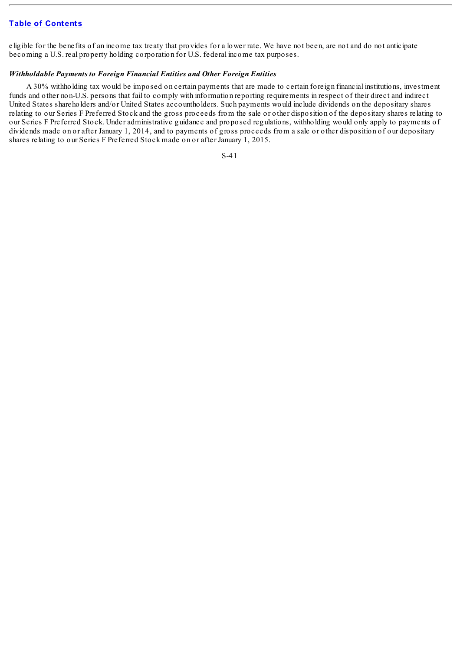eligible for the benefits of an income tax treaty that provides for a lower rate. We have not been, are not and do not anticipate becoming a U.S. real property holding corporation for U.S. federal income tax purposes.

#### *Withholdable Payments to Foreign Financial Entities and Other Foreign Entities*

A 30% withholding tax would be imposed on certain payments that are made to certain foreign financial institutions, investment funds and other non-U.S. persons that fail to comply with information reporting requirements in respect of their direct and indirect United States shareholders and/or United States accountholders. Such payments would include dividends on the depositary shares relating to our Series F Preferred Stock and the gross proceeds from the sale or other disposition of the depositary shares relating to our Series F Preferred Stock. Under administrative guidance and proposed regulations, withholding would only apply to payments of dividends made on or after January 1, 2014, and to payments of gross proceeds from a sale or other disposition of our depositary shares relating to our Series F Preferred Stock made on or after January 1, 2015.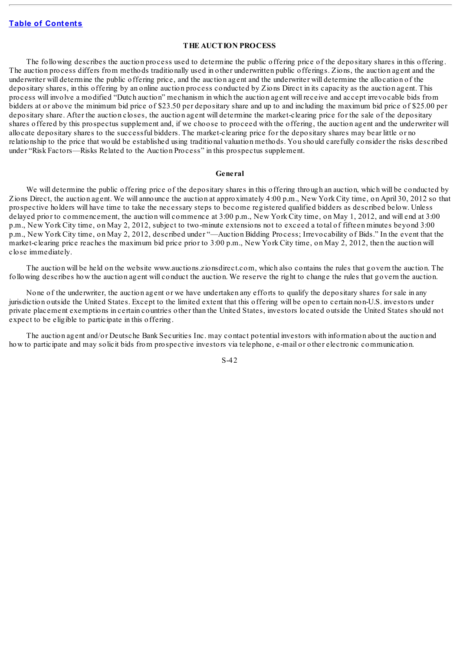#### **THE AUCTION PROCESS**

The following describes the auction process used to determine the public offering price of the depositary shares in this offering. The auction process differs from methods traditionally used in other underwritten public offerings. Zions, the auction agent and the underwriter will determine the public offering price, and the auction agent and the underwriter will determine the allocation of the depositary shares, in this offering by an online auction process conducted by Zions Direct in its capacity as the auction agent. This process will involve a modified "Dutch auction" mechanism in which the auction agent will receive and accept irrevocable bids from bidders at or above the minimum bid price of \$23.50 per depositary share and up to and including the maximum bid price of \$25.00 per depositary share. After the auction closes, the auction agent will determine the market-clearing price for the sale of the depositary shares offered by this prospectus supplement and, if we choose to proceed with the offering, the auction agent and the underwriter will allocate depositary shares to the successful bidders. The market-clearing price for the depositary shares may bear little or no relationship to the price that would be established using traditional valuation methods. You should carefully consider the risks described under "Risk Factors—Risks Related to the Auction Process" in this prospectus supplement.

#### **General**

We will determine the public offering price of the depositary shares in this offering through an auction, which will be conducted by Zions Direct, the auction agent. We will announce the auction at approximately 4:00 p.m., New York City time, on April 30, 2012 so that prospective holders will have time to take the necessary steps to become registered qualified bidders as described below. Unless delayed prior to commencement, the auction will commence at 3:00 p.m., New York City time, on May 1, 2012, and will end at 3:00 p.m., New York City time, on May 2, 2012, subject to two-minute extensions not to exceed a total of fifteen minutes beyond 3:00 p.m., New York City time, on May 2, 2012, described under "—Auction Bidding Process; Irrevocability of Bids." In the event that the market-clearing price reaches the maximum bid price prior to 3:00 p.m., New York City time, on May 2, 2012, then the auction will close immediately.

The auction will be held on the website www.auctions.zionsdirect.com, which also contains the rules that govern the auction. The following describes how the auction agent will conduct the auction. We reserve the right to change the rules that govern the auction.

None of the underwriter, the auction agent or we have undertaken any efforts to qualify the depositary shares for sale in any jurisdiction outside the United States. Except to the limited extent that this offering will be open to certain non-U.S. investors under private placement exemptions in certain countries other than the United States, investors located outside the United States should not expect to be eligible to participate in this offering.

The auction agent and/or Deutsche Bank Securities Inc. may contact potential investors with information about the auction and how to participate and may solicit bids from prospective investors via telephone, e-mail or other electronic communication.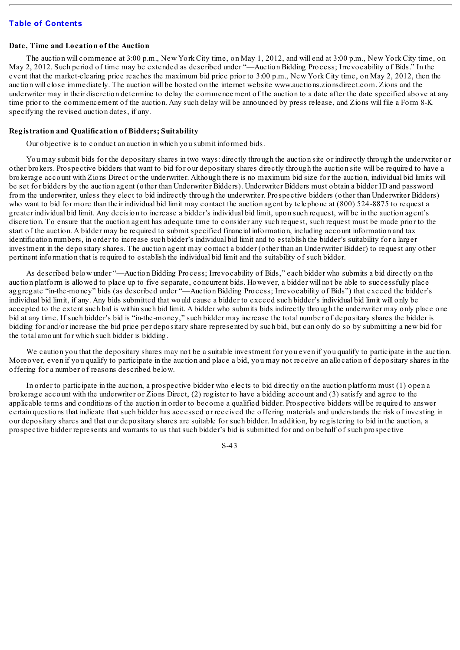#### **Date, Time and Location of the Auction**

The auction will commence at 3:00 p.m., New York City time, on May 1, 2012, and will end at 3:00 p.m., New York City time, on May 2, 2012. Such period of time may be extended as described under "—Auction Bidding Process; Irrevocability of Bids." In the event that the market-clearing price reaches the maximum bid price prior to 3:00 p.m., New York City time, on May 2, 2012, then the auction will close immediately. The auction will be hosted on the internet website www.auctions.zionsdirect.com. Zions and the underwriter may in their discretion determine to delay the commencement of the auction to a date after the date specified above at any time prior to the commencement of the auction. Any such delay will be announced by press release, and Zions will file a Form 8-K specifying the revised auction dates, if any.

#### **Registration and Qualification of Bidders; Suitability**

Our objective is to conduct an auction in which you submit informed bids.

You may submit bids for the depositary shares in two ways: directly through the auction site or indirectly through the underwriter or other brokers. Prospective bidders that want to bid for our depositary shares directly through the auction site will be required to have a brokerage account with Zions Direct or the underwriter. Although there is no maximum bid size for the auction, individual bid limits will be set for bidders by the auction agent (other than Underwriter Bidders). Underwriter Bidders must obtain a bidder ID and password from the underwriter, unless they elect to bid indirectly through the underwriter. Prospective bidders (other than Underwriter Bidders) who want to bid for more than their individual bid limit may contact the auction agent by telephone at (800) 524-8875 to request a greater individual bid limit. Any decision to increase a bidder's individual bid limit, upon such request, will be in the auction agent's discretion. To ensure that the auction agent has adequate time to consider any such request, such request must be made prior to the start of the auction. A bidder may be required to submit specified financial information, including account information and tax identification numbers, in order to increase such bidder's individual bid limit and to establish the bidder's suitability for a larger investment in the depositary shares. The auction agent may contact a bidder (other than an Underwriter Bidder) to request any other pertinent information that is required to establish the individual bid limit and the suitability of such bidder.

As described below under "—Auction Bidding Process; Irrevocability of Bids," each bidder who submits a bid directly on the auction platform is allowed to place up to five separate, concurrent bids. However, a bidder will not be able to successfully place aggregate "in-the-money" bids (as described under "—Auction Bidding Process; Irrevocability of Bids") that exceed the bidder's individual bid limit, if any. Any bids submitted that would cause a bidder to exceed such bidder's individual bid limit will only be accepted to the extent such bid is within such bid limit. A bidder who submits bids indirectly through the underwriter may only place one bid at any time. If such bidder's bid is "in-the-money," such bidder may increase the total number of depositary shares the bidder is bidding for and/or increase the bid price per depositary share represented by such bid, but can only do so by submitting a new bid for the total amount for which such bidder is bidding.

We caution you that the depositary shares may not be a suitable investment for you even if you qualify to participate in the auction. Moreover, even if you qualify to participate in the auction and place a bid, you may not receive an allocation of depositary shares in the offering for a number of reasons described below.

In order to participate in the auction, a prospective bidder who elects to bid directly on the auction platform must (1) open a brokerage account with the underwriter or Zions Direct, (2) register to have a bidding account and (3) satisfy and agree to the applicable terms and conditions of the auction in order to become a qualified bidder. Prospective bidders will be required to answer certain questions that indicate that such bidder has accessed or received the offering materials and understands the risk of investing in our depositary shares and that our depositary shares are suitable for such bidder. In addition, by registering to bid in the auction, a prospective bidder represents and warrants to us that such bidder's bid is submitted for and on behalf of such prospective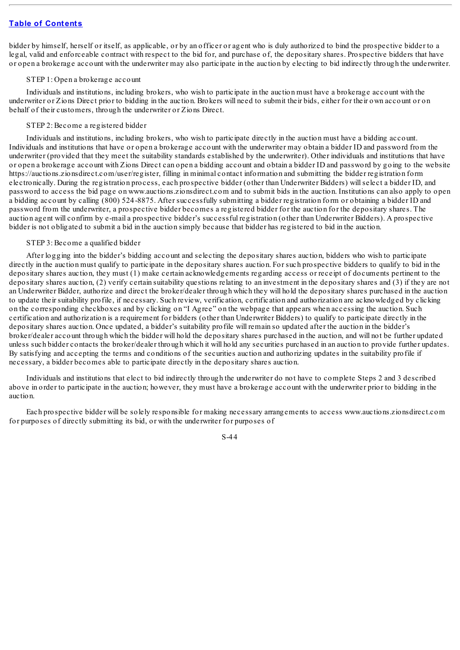bidder by himself, herself or itself, as applicable, or by an officer or agent who is duly authorized to bind the prospective bidder to a legal, valid and enforceable contract with respect to the bid for, and purchase of, the depositary shares. Prospective bidders that have or open a brokerage account with the underwriter may also participate in the auction by electing to bid indirectly through the underwriter.

#### STEP 1: Open a brokerage account

Individuals and institutions, including brokers, who wish to participate in the auction must have a brokerage account with the underwriter or Zions Direct prior to bidding in the auction. Brokers will need to submit their bids, either for their own account or on behalf of their customers, through the underwriter or Zions Direct.

#### STEP 2: Become a registered bidder

Individuals and institutions, including brokers, who wish to participate directly in the auction must have a bidding account. Individuals and institutions that have or open a brokerage account with the underwriter may obtain a bidder ID and password from the underwriter (provided that they meet the suitability standards established by the underwriter). Other individuals and institutions that have or open a brokerage account with Zions Direct can open a bidding account and obtain a bidder ID and password by going to the website https://auctions.zionsdirect.com/user/register, filling in minimal contact information and submitting the bidder registration form electronically. During the registration process, each prospective bidder (other than Underwriter Bidders) willselect a bidder ID, and password to access the bid page on www.auctions.zionsdirect.com and to submit bids in the auction. Institutions can also apply to open a bidding account by calling (800) 524-8875. After successfully submitting a bidder registration form or obtaining a bidder ID and password from the underwriter, a prospective bidder becomes a registered bidder for the auction for the depositary shares. The auction agent will confirm by e-mail a prospective bidder's successful registration (other than Underwriter Bidders). A prospective bidder is not obligated to submit a bid in the auction simply because that bidder has registered to bid in the auction.

#### STEP 3: Become a qualified bidder

After logging into the bidder's bidding account and selecting the depositary shares auction, bidders who wish to participate directly in the auction must qualify to participate in the depositary shares auction. For such prospective bidders to qualify to bid in the depositary shares auction, they must (1) make certain acknowledgements regarding access or receipt of documents pertinent to the depositary shares auction, (2) verify certain suitability questions relating to an investment in the depositary shares and (3) if they are not an Underwriter Bidder, authorize and direct the broker/dealer through which they will hold the depositary shares purchased in the auction to update their suitability profile, if necessary. Such review, verification, certification and authorization are acknowledged by clicking on the corresponding checkboxes and by clicking on "I Agree" on the webpage that appears when accessing the auction. Such certification and authorization is a requirement for bidders (other than Underwriter Bidders) to qualify to participate directly in the depositary shares auction. Once updated, a bidder's suitability profile will remain so updated after the auction in the bidder's broker/dealer account through which the bidder will hold the depositary shares purchased in the auction, and will not be further updated unless such bidder contacts the broker/dealer through which it will hold any securities purchased in an auction to provide further updates. By satisfying and accepting the terms and conditions of the securities auction and authorizing updates in the suitability profile if necessary, a bidder becomes able to participate directly in the depositary shares auction.

Individuals and institutions that elect to bid indirectly through the underwriter do not have to complete Steps 2 and 3 described above in order to participate in the auction; however, they must have a brokerage account with the underwriter prior to bidding in the auction.

Each prospective bidder will be solely responsible for making necessary arrangements to access www.auctions.zionsdirect.com for purposes of directly submitting its bid, or with the underwriter for purposes of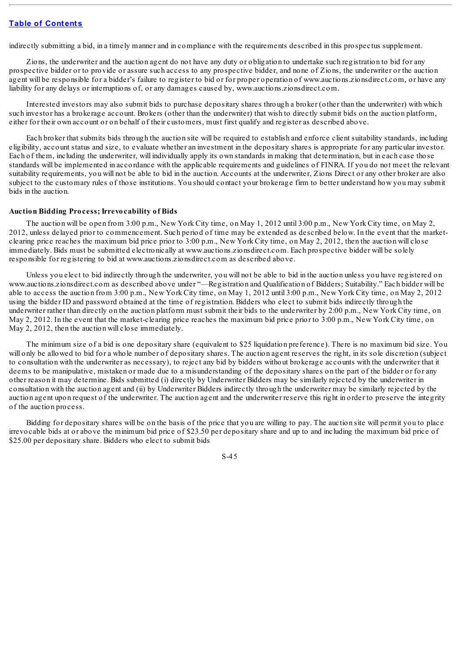indirectly submitting a bid, in a timely manner and in compliance with the requirements described in this prospectus supplement.

Zions, the underwriter and the auction agent do not have any duty or obligation to undertake such registration to bid for any prospective bidder or to provide or assure such access to any prospective bidder, and none of Zions, the underwriter or the auction agent will be responsible for a bidder's failure to register to bid or for proper operation of www.auctions.zionsdirect.com, or have any liability for any delays or interruptions of, or any damages caused by, www.auctions.zionsdirect.com.

Interested investors may also submit bids to purchase depositary shares through a broker (other than the underwriter) with which such investor has a brokerage account. Brokers (other than the underwriter) that wish to directly submit bids on the auction platform, either for their own account or on behalf of their customers, must first qualify and register as described above.

Each broker that submits bids through the auction site will be required to establish and enforce client suitability standards, including eligibility, account status and size, to evaluate whether an investment in the depositary shares is appropriate for any particular investor. Each of them, including the underwriter, will individually apply its own standards in making that determination, but in each case those standards will be implemented in accordance with the applicable requirements and guidelines of FINRA. If you do not meet the relevant suitability requirements, you will not be able to bid in the auction. Accounts at the underwriter, Zions Direct or any other broker are also subject to the customary rules of those institutions. You should contact your brokerage firm to better understand how you may submit bids in the auction.

#### **Auction Bidding Process; Irrevocability of Bids**

The auction will be open from 3:00 p.m., New York City time, on May 1, 2012 until 3:00 p.m., New York City time, on May 2, 2012, unless delayed prior to commencement. Such period of time may be extended as described below. In the event that the marketclearing price reaches the maximum bid price prior to 3:00 p.m., New York City time, on May 2, 2012, then the auction will close immediately. Bids must be submitted electronically at www.auctions.zionsdirect.com. Each prospective bidder will be solely responsible for registering to bid at www.auctions.zionsdirect.com as described above.

Unless you elect to bid indirectly through the underwriter, you will not be able to bid in the auction unless you have registered on www.auctions.zionsdirect.com as described above under "—Registration and Qualification of Bidders; Suitability." Each bidder will be able to access the auction from 3:00 p.m., New York City time, on May 1, 2012 until 3:00 p.m., New York City time, on May 2, 2012 using the bidder ID and password obtained at the time of registration. Bidders who elect to submit bids indirectly through the underwriter rather than directly on the auction platform must submit their bids to the underwriter by 2:00 p.m., New York City time, on May 2, 2012. In the event that the market-clearing price reaches the maximum bid price prior to 3:00 p.m., New York City time, on May 2, 2012, then the auction will close immediately.

The minimum size of a bid is one depositary share (equivalent to \$25 liquidation preference). There is no maximum bid size. You will only be allowed to bid for a whole number of depositary shares. The auction agent reserves the right, in its sole discretion (subject to consultation with the underwriter as necessary), to reject any bid by bidders without brokerage accounts with the underwriter that it deems to be manipulative, mistaken or made due to a misunderstanding of the depositary shares on the part of the bidder or for any other reason it may determine. Bids submitted (i) directly by Underwriter Bidders may be similarly rejected by the underwriter in consultation with the auction agent and (ii) by Underwriter Bidders indirectly through the underwriter may be similarly rejected by the auction agent upon request of the underwriter. The auction agent and the underwriter reserve this right in order to preserve the integrity of the auction process.

Bidding for depositary shares will be on the basis of the price that you are willing to pay. The auction site will permit you to place irrevocable bids at or above the minimum bid price of \$23.50 per depositary share and up to and including the maximum bid price of \$25.00 per depositary share. Bidders who elect to submit bids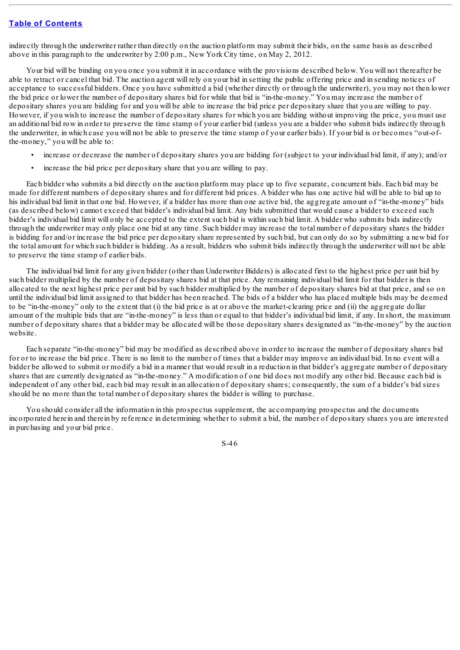indirectly through the underwriter rather than directly on the auction platform may submit their bids, on the same basis as described above in this paragraph to the underwriter by 2:00 p.m., New York City time, on May 2, 2012.

Your bid will be binding on you once you submit it in accordance with the provisions described below. You will not thereafter be able to retract or cancel that bid. The auction agent will rely on your bid in setting the public offering price and in sending notices of acceptance to successful bidders. Once you have submitted a bid (whether directly or through the underwriter), you may not then lower the bid price or lower the number of depositary shares bid for while that bid is "in-the-money." You may increase the number of depositary shares you are bidding for and you will be able to increase the bid price per depositary share that you are willing to pay. However, if you wish to increase the number of depositary shares for which you are bidding without improving the price, you must use an additional bid row in order to preserve the time stamp of your earlier bid (unless you are a bidder who submit bids indirectly through the underwriter, in which case you will not be able to preserve the time stamp of your earlier bids). If your bid is or becomes "out-ofthe-money," you will be able to:

- increase or decrease the number of depositary shares you are bidding for (subject to your individual bid limit, if any); and/or
- increase the bid price per depositary share that you are willing to pay.

Each bidder who submits a bid directly on the auction platform may place up to five separate, concurrent bids. Each bid may be made for different numbers of depositary shares and for different bid prices. A bidder who has one active bid will be able to bid up to his individual bid limit in that one bid. However, if a bidder has more than one active bid, the aggregate amount of "in-the-money" bids (as described below) cannot exceed that bidder's individual bid limit. Any bids submitted that would cause a bidder to exceed such bidder's individual bid limit will only be accepted to the extent such bid is within such bid limit. A bidder who submits bids indirectly through the underwriter may only place one bid at any time. Such bidder may increase the total number of depositary shares the bidder is bidding for and/or increase the bid price per depositary share represented by such bid, but can only do so by submitting a new bid for the total amount for which such bidder is bidding. As a result, bidders who submit bids indirectly through the underwriter will not be able to preserve the time stamp of earlier bids.

The individual bid limit for any given bidder (other than Underwriter Bidders) is allocated first to the highest price per unit bid by such bidder multiplied by the number of depositary shares bid at that price. Any remaining individual bid limit for that bidder is then allocated to the next highest price per unit bid by such bidder multiplied by the number of depositary shares bid at that price, and so on until the individual bid limit assigned to that bidder has been reached. The bids of a bidder who has placed multiple bids may be deemed to be "in-the-money" only to the extent that (i) the bid price is at or above the market-clearing price and (ii) the aggregate dollar amount of the multiple bids that are "in-the-money" is less than or equal to that bidder's individual bid limit, if any. In short, the maximum number of depositary shares that a bidder may be allocated will be those depositary shares designated as "in-the-money" by the auction website.

Each separate "in-the-money" bid may be modified as described above in order to increase the number of depositary shares bid for or to increase the bid price. There is no limit to the number of times that a bidder may improve an individual bid. In no event will a bidder be allowed to submit or modify a bid in a manner that would result in a reduction in that bidder's aggregate number of depositary shares that are currently designated as "in-the-money." A modification of one bid does not modify any other bid. Because each bid is independent of any other bid, each bid may result in an allocation of depositary shares; consequently, the sum of a bidder's bid sizes should be no more than the total number of depositary shares the bidder is willing to purchase.

You should consider all the information in this prospectus supplement, the accompanying prospectus and the documents incorporated herein and therein by reference in determining whether to submit a bid, the number of depositary shares you are interested in purchasing and your bid price.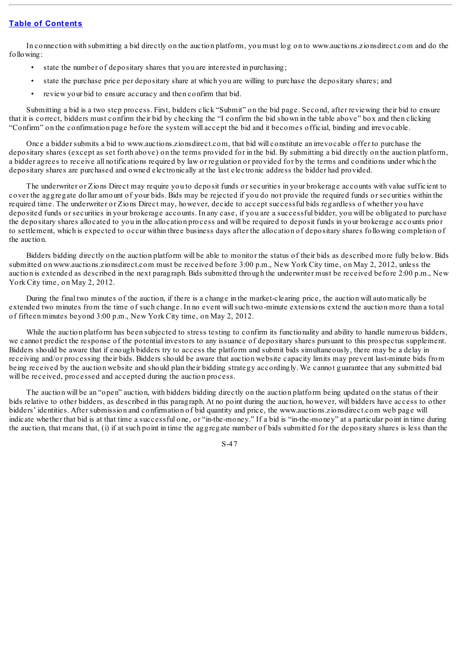In connection with submitting a bid directly on the auction platform, you must log on to www.auctions.zionsdirect.com and do the following:

- state the number of depositary shares that you are interested in purchasing;
- state the purchase price per depositary share at which you are willing to purchase the depositary shares; and
- review your bid to ensure accuracy and then confirm that bid.

Submitting a bid is a two step process. First, bidders click "Submit" on the bid page. Second, after reviewing their bid to ensure that it is correct, bidders must confirm their bid by checking the "I confirm the bid shown in the table above" box and then clicking "Confirm" on the confirmation page before the system will accept the bid and it becomes official, binding and irrevocable.

Once a bidder submits a bid to www.auctions.zionsdirect.com, that bid will constitute an irrevocable offer to purchase the depositary shares (except as set forth above) on the terms provided for in the bid. By submitting a bid directly on the auction platform, a bidder agrees to receive all notifications required by law or regulation or provided for by the terms and conditions under which the depositary shares are purchased and owned electronically at the last electronic address the bidder had provided.

The underwriter or Zions Direct may require you to deposit funds or securities in your brokerage accounts with value sufficient to cover the aggregate dollar amount of your bids. Bids may be rejected if you do not provide the required funds or securities within the required time. The underwriter or Zions Direct may, however, decide to accept successful bids regardless of whether you have deposited funds or securities in your brokerage accounts. In any case, if you are a successful bidder, you will be obligated to purchase the depositary shares allocated to you in the allocation process and will be required to deposit funds in your brokerage accounts prior to settlement, which is expected to occur within three business days after the allocation of depositary shares following completion of the auction.

Bidders bidding directly on the auction platform will be able to monitor the status of their bids as described more fully below. Bids submitted on www.auctions.zionsdirect.com must be received before 3:00 p.m., New York City time, on May 2, 2012, unless the auction is extended as described in the next paragraph. Bids submitted through the underwriter must be received before 2:00 p.m., New York City time, on May 2, 2012.

During the final two minutes of the auction, if there is a change in the market-clearing price, the auction will automatically be extended two minutes from the time of such change. In no event willsuch two-minute extensions extend the auction more than a total of fifteen minutes beyond 3:00 p.m., New York City time, on May 2, 2012.

While the auction platform has been subjected to stress testing to confirm its functionality and ability to handle numerous bidders, we cannot predict the response of the potential investors to any issuance of depositary shares pursuant to this prospectus supplement. Bidders should be aware that if enough bidders try to access the platform and submit bids simultaneously, there may be a delay in receiving and/or processing their bids. Bidders should be aware that auction website capacity limits may prevent last-minute bids from being received by the auction website and should plan their bidding strategy accordingly. We cannot guarantee that any submitted bid will be received, processed and accepted during the auction process.

The auction will be an "open" auction, with bidders bidding directly on the auction platform being updated on the status of their bids relative to other bidders, as described in this paragraph. At no point during the auction, however, will bidders have access to other bidders' identities. After submission and confirmation of bid quantity and price, the www.auctions.zionsdirect.com web page will indicate whether that bid is at that time a successful one, or "in-the-money." If a bid is "in-the-money" at a particular point in time during the auction, that means that, (i) if at such point in time the aggregate number of bids submitted for the depositary shares is less than the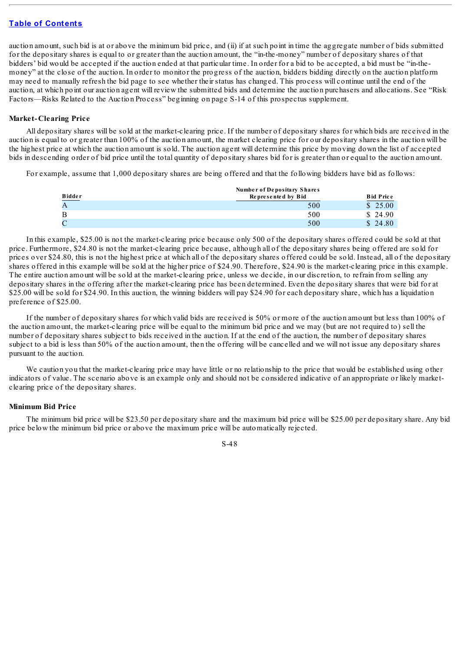auction amount, such bid is at or above the minimum bid price, and (ii) if at such point in time the aggregate number of bids submitted for the depositary shares is equal to or greater than the auction amount, the "in-the-money" number of depositary shares of that bidders' bid would be accepted if the auction ended at that particular time. In order for a bid to be accepted, a bid must be "in-themoney" at the close of the auction. In order to monitor the progress of the auction, bidders bidding directly on the auction platform may need to manually refresh the bid page to see whether their status has changed. This process will continue until the end of the auction, at which point our auction agent will review the submitted bids and determine the auction purchasers and allocations. See "Risk Factors—Risks Related to the Auction Process" beginning on page S-14 of this prospectus supplement.

#### **Market-Clearing Price**

All depositary shares will be sold at the market-clearing price. If the number of depositary shares for which bids are received in the auction is equal to or greater than 100% of the auction amount, the market clearing price for our depositary shares in the auction will be the highest price at which the auction amount is sold. The auction agent will determine this price by moving down the list of accepted bids in descending order of bid price until the total quantity of depositary shares bid for is greater than or equal to the auction amount.

For example, assume that 1,000 depositary shares are being offered and that the following bidders have bid as follows:

|                       | Number of Depositary Shares |                  |  |
|-----------------------|-----------------------------|------------------|--|
| <b>Bidder</b><br>---- | Represented by Bid          | <b>Bid Price</b> |  |
|                       | 500                         | \$25.00          |  |
| B                     | 500                         | \$ 24.90         |  |
|                       | 500                         | \$ 24.80         |  |

In this example, \$25.00 is not the market-clearing price because only 500 of the depositary shares offered could be sold at that price. Furthermore, \$24.80 is not the market-clearing price because, although all of the depositary shares being offered are sold for prices over \$24.80, this is not the highest price at which all of the depositary shares offered could be sold. Instead, all of the depositary shares offered in this example will be sold at the higher price of \$24.90. Therefore, \$24.90 is the market-clearing price in this example. The entire auction amount will be sold at the market-clearing price, unless we decide, in our discretion, to refrain from selling any depositary shares in the offering after the market-clearing price has been determined. Even the depositary shares that were bid for at \$25.00 will be sold for \$24.90. In this auction, the winning bidders will pay \$24.90 for each depositary share, which has a liquidation preference of \$25.00.

If the number of depositary shares for which valid bids are received is 50% or more of the auction amount but less than 100% of the auction amount, the market-clearing price will be equal to the minimum bid price and we may (but are not required to) sell the number of depositary shares subject to bids received in the auction. If at the end of the auction, the number of depositary shares subject to a bid is less than 50% of the auction amount, then the offering will be cancelled and we will not issue any depositary shares pursuant to the auction.

We caution you that the market-clearing price may have little or no relationship to the price that would be established using other indicators of value. The scenario above is an example only and should not be considered indicative of an appropriate or likely marketclearing price of the depositary shares.

#### **Minimum Bid Price**

The minimum bid price will be \$23.50 per depositary share and the maximum bid price will be \$25.00 per depositary share. Any bid price below the minimum bid price or above the maximum price will be automatically rejected.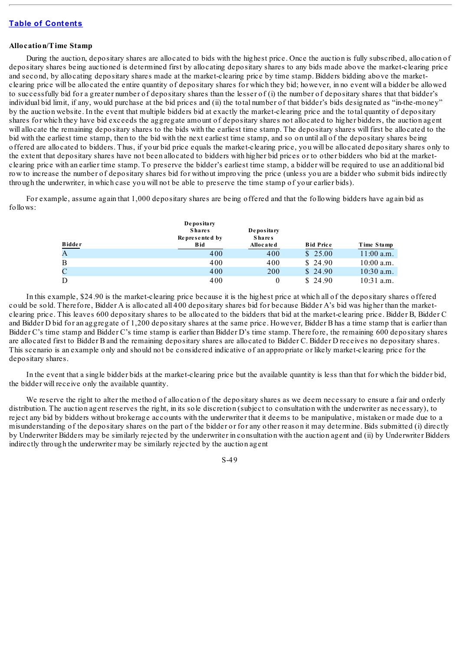#### **Allocation/Time Stamp**

During the auction, depositary shares are allocated to bids with the highest price. Once the auction is fully subscribed, allocation of depositary shares being auctioned is determined first by allocating depositary shares to any bids made above the market-clearing price and second, by allocating depositary shares made at the market-clearing price by time stamp. Bidders bidding above the marketclearing price will be allocated the entire quantity of depositary shares for which they bid; however, in no event will a bidder be allowed to successfully bid for a greater number of depositary shares than the lesser of (i) the number of depositary shares that that bidder's individual bid limit, if any, would purchase at the bid prices and (ii) the total number of that bidder's bids designated as "in-the-money" by the auction website. In the event that multiple bidders bid at exactly the market-clearing price and the total quantity of depositary shares for which they have bid exceeds the aggregate amount of depositary shares not allocated to higher bidders, the auction agent will allocate the remaining depositary shares to the bids with the earliest time stamp. The depositary shares will first be allocated to the bid with the earliest time stamp, then to the bid with the next earliest time stamp, and so on until all of the depositary shares being offered are allocated to bidders. Thus, if your bid price equals the market-clearing price, you will be allocated depositary shares only to the extent that depositary shares have not been allocated to bidders with higher bid prices or to other bidders who bid at the marketclearing price with an earlier time stamp. To preserve the bidder's earliest time stamp, a bidder will be required to use an additional bid row to increase the number of depositary shares bid for without improving the price (unless you are a bidder who submit bids indirectly through the underwriter, in which case you will not be able to preserve the time stamp of your earlier bids).

For example, assume again that 1,000 depositary shares are being offered and that the following bidders have again bid as follows:

|             | Depositary<br><b>Shares</b><br>Represented by<br><b>Bid</b> | Depositary<br><b>Shares</b><br>Allocated | <b>Bid Price</b> | Time Stamp   |
|-------------|-------------------------------------------------------------|------------------------------------------|------------------|--------------|
| Bidder<br>A | 400                                                         | 400                                      | \$25.00          | $11:00$ a.m. |
| B           | 400                                                         | 400                                      | \$24.90          | $10:00$ a.m. |
| $\mathbf C$ | 400                                                         | 200                                      | \$24.90          | $10:30$ a.m. |
| D           | 400                                                         | 0                                        | \$ 24.90         | $10:31$ a.m. |

In this example, \$24.90 is the market-clearing price because it is the highest price at which all of the depositary shares offered could be sold. Therefore, Bidder A is allocated all 400 depositary shares bid for because Bidder A's bid was higher than the marketclearing price. This leaves 600 depositary shares to be allocated to the bidders that bid at the market-clearing price. Bidder B, Bidder C and Bidder D bid for an aggregate of 1,200 depositary shares at the same price. However, Bidder B has a time stamp that is earlier than Bidder C's time stamp and Bidder C's time stamp is earlier than Bidder D's time stamp. Therefore, the remaining 600 depositary shares are allocated first to Bidder B and the remaining depositary shares are allocated to Bidder C. Bidder D receives no depositary shares. This scenario is an example only and should not be considered indicative of an appropriate or likely market-clearing price for the depositary shares.

In the event that a single bidder bids at the market-clearing price but the available quantity is less than that for which the bidder bid, the bidder will receive only the available quantity.

We reserve the right to alter the method of allocation of the depositary shares as we deem necessary to ensure a fair and orderly distribution. The auction agent reserves the right, in its sole discretion (subject to consultation with the underwriter as necessary), to reject any bid by bidders without brokerage accounts with the underwriter that it deems to be manipulative, mistaken or made due to a misunderstanding of the depositary shares on the part of the bidder or for any other reason it may determine. Bids submitted (i) directly by Underwriter Bidders may be similarly rejected by the underwriter in consultation with the auction agent and (ii) by Underwriter Bidders indirectly through the underwriter may be similarly rejected by the auction agent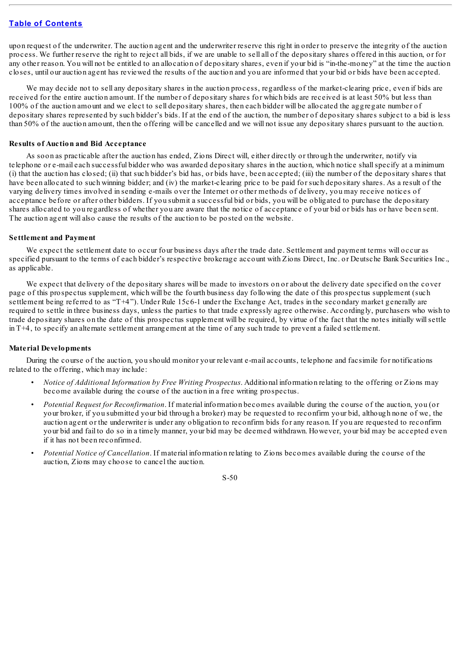upon request of the underwriter. The auction agent and the underwriter reserve this right in order to preserve the integrity of the auction process. We further reserve the right to reject all bids, if we are unable to sell all of the depositary shares offered in this auction, or for any other reason. You will not be entitled to an allocation of depositary shares, even if your bid is "in-the-money" at the time the auction closes, until our auction agent has reviewed the results of the auction and you are informed that your bid or bids have been accepted.

We may decide not to sell any depositary shares in the auction process, regardless of the market-clearing price, even if bids are received for the entire auction amount. If the number of depositary shares for which bids are received is at least 50% but less than 100% of the auction amount and we elect to sell depositary shares, then each bidder will be allocated the aggregate number of depositary shares represented by such bidder's bids. If at the end of the auction, the number of depositary shares subject to a bid is less than 50% of the auction amount, then the offering will be cancelled and we will not issue any depositary shares pursuant to the auction.

#### **Results of Auction and Bid Acceptance**

As soon as practicable after the auction has ended, Zions Direct will, either directly or through the underwriter, notify via telephone or e-mail each successful bidder who was awarded depositary shares in the auction, which notice shallspecify at a minimum (i) that the auction has closed; (ii) that such bidder's bid has, or bids have, been accepted; (iii) the number of the depositary shares that have been allocated to such winning bidder; and (iv) the market-clearing price to be paid for such depositary shares. As a result of the varying delivery times involved in sending e-mails over the Internet or other methods of delivery, you may receive notices of acceptance before or after other bidders. If you submit a successful bid or bids, you will be obligated to purchase the depositary shares allocated to you regardless of whether you are aware that the notice of acceptance of your bid or bids has or have been sent. The auction agent will also cause the results of the auction to be posted on the website.

#### **Settlement and Payment**

We expect the settlement date to occur four business days after the trade date. Settlement and payment terms will occur as specified pursuant to the terms of each bidder's respective brokerage account with Zions Direct, Inc. or Deutsche Bank Securities Inc., as applicable.

We expect that delivery of the depositary shares will be made to investors on or about the delivery date specified on the cover page of this prospectus supplement, which will be the fourth business day following the date of this prospectus supplement (such settlement being referred to as "T+4"). Under Rule 15c6-1 under the Exchange Act, trades in the secondary market generally are required to settle in three business days, unless the parties to that trade expressly agree otherwise. Accordingly, purchasers who wish to trade depositary shares on the date of this prospectus supplement will be required, by virtue of the fact that the notes initially willsettle in T+4, to specify an alternate settlement arrangement at the time of any such trade to prevent a failed settlement.

#### **Material Developments**

During the course of the auction, you should monitor your relevant e-mail accounts, telephone and facsimile for notifications related to the offering, which may include:

- *Notice of Additional Information by Free Writing Prospectus*. Additional information relating to the offering or Zions may become available during the course of the auction in a free writing prospectus.
- *Potential Request for Reconfirmation*. If material information becomes available during the course of the auction, you (or your broker, if you submitted your bid through a broker) may be requested to reconfirm your bid, although none of we, the auction agent or the underwriter is under any obligation to reconfirm bids for any reason. If you are requested to reconfirm your bid and fail to do so in a timely manner, your bid may be deemed withdrawn. However, your bid may be accepted even if it has not been reconfirmed.
- *Potential Notice of Cancellation*. If material information relating to Zions becomes available during the course of the auction, Zions may choose to cancel the auction.

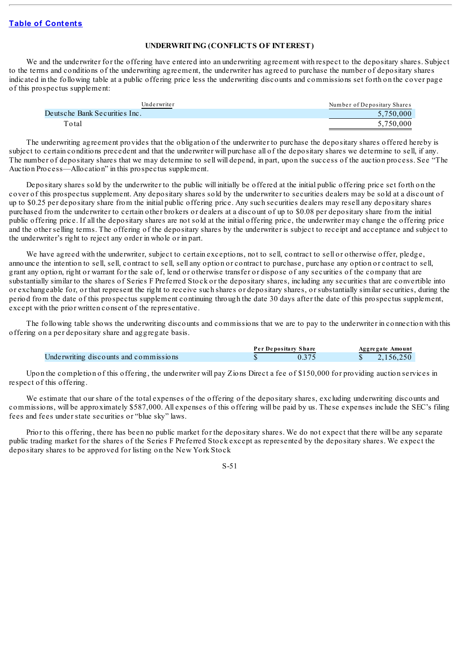#### **UNDERWRITING (CONFLICTS OF INTEREST)**

We and the underwriter for the offering have entered into an underwriting agreement with respect to the depositary shares. Subject to the terms and conditions of the underwriting agreement, the underwriter has agreed to purchase the number of depositary shares indicated in the following table at a public offering price less the underwriting discounts and commissions set forth on the cover page of this prospectus supplement:

| Underwriter                   | Number of Depositary Shares |
|-------------------------------|-----------------------------|
| Deutsche Bank Securities Inc. | 5.750,000                   |
| Total                         | 5.750.000                   |

The underwriting agreement provides that the obligation of the underwriter to purchase the depositary shares offered hereby is subject to certain conditions precedent and that the underwriter will purchase all of the depositary shares we determine to sell, if any. The number of depositary shares that we may determine to sell will depend, in part, upon the success of the auction process. See "The Auction Process—Allocation" in this prospectus supplement.

Depositary shares sold by the underwriter to the public will initially be offered at the initial public offering price set forth on the cover of this prospectus supplement. Any depositary shares sold by the underwriter to securities dealers may be sold at a discount of up to \$0.25 per depositary share from the initial public offering price. Any such securities dealers may resell any depositary shares purchased from the underwriter to certain other brokers or dealers at a discount of up to \$0.08 per depositary share from the initial public offering price. If all the depositary shares are not sold at the initial offering price, the underwriter may change the offering price and the other selling terms. The offering of the depositary shares by the underwriter is subject to receipt and acceptance and subject to the underwriter's right to reject any order in whole or in part.

We have agreed with the underwriter, subject to certain exceptions, not to sell, contract to sell or otherwise offer, pledge, announce the intention to sell, sell, contract to sell, sell any option or contract to purchase, purchase any option or contract to sell, grant any option, right or warrant for the sale of, lend or otherwise transfer or dispose of any securities of the company that are substantially similar to the shares of Series F Preferred Stock or the depositary shares, including any securities that are convertible into or exchangeable for, or that represent the right to receive such shares or depositary shares, or substantially similar securities, during the period from the date of this prospectus supplement continuing through the date 30 days after the date of this prospectus supplement, except with the prior written consent of the representative.

The following table shows the underwriting discounts and commissions that we are to pay to the underwriter in connection with this offering on a per depositary share and aggregate basis.

|                                        | Per Depositary Share | Aggregate Amount |
|----------------------------------------|----------------------|------------------|
| Underwriting discounts and commissions |                      | 2.156.250        |

Upon the completion of this offering, the underwriter will pay Zions Direct a fee of \$150,000 for providing auction services in respect of this offering.

We estimate that our share of the total expenses of the offering of the depositary shares, excluding underwriting discounts and commissions, will be approximately \$587,000. All expenses of this offering will be paid by us. These expenses include the SEC's filing fees and fees under state securities or "blue sky" laws.

Prior to this offering, there has been no public market for the depositary shares. We do not expect that there will be any separate public trading market for the shares of the Series F Preferred Stock except as represented by the depositary shares. We expect the depositary shares to be approved for listing on the New York Stock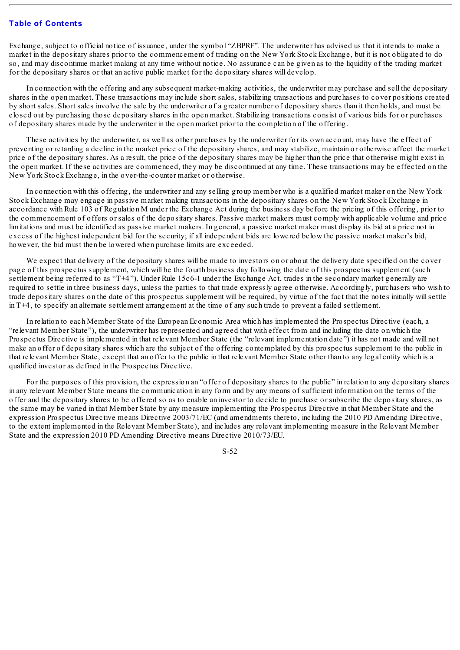Exchange, subject to official notice of issuance, under the symbol "ZBPRF". The underwriter has advised us that it intends to make a market in the depositary shares prior to the commencement of trading on the New York Stock Exchange, but it is not obligated to do so, and may discontinue market making at any time without notice. No assurance can be given as to the liquidity of the trading market for the depositary shares or that an active public market for the depositary shares will develop.

In connection with the offering and any subsequent market-making activities, the underwriter may purchase and sell the depositary shares in the open market. These transactions may include short sales, stabilizing transactions and purchases to cover positions created by short sales. Short sales involve the sale by the underwriter of a greater number of depositary shares than it then holds, and must be closed out by purchasing those depositary shares in the open market. Stabilizing transactions consist of various bids for or purchases of depositary shares made by the underwriter in the open market prior to the completion of the offering.

These activities by the underwriter, as well as other purchases by the underwriter for its own account, may have the effect of preventing or retarding a decline in the market price of the depositary shares, and may stabilize, maintain or otherwise affect the market price of the depositary shares. As a result, the price of the depositary shares may be higher than the price that otherwise might exist in the open market. If these activities are commenced, they may be discontinued at any time. These transactions may be effected on the New York Stock Exchange, in the over-the-counter market or otherwise.

In connection with this offering, the underwriter and any selling group member who is a qualified market maker on the New York Stock Exchange may engage in passive market making transactions in the depositary shares on the New York Stock Exchange in accordance with Rule 103 of Regulation M under the Exchange Act during the business day before the pricing of this offering, prior to the commencement of offers or sales of the depositary shares. Passive market makers must comply with applicable volume and price limitations and must be identified as passive market makers. In general, a passive market maker must display its bid at a price not in excess of the highest independent bid for the security; if all independent bids are lowered below the passive market maker's bid, however, the bid must then be lowered when purchase limits are exceeded.

We expect that delivery of the depositary shares will be made to investors on or about the delivery date specified on the cover page of this prospectus supplement, which will be the fourth business day following the date of this prospectus supplement (such settlement being referred to as "T+4"). Under Rule 15c6-1 under the Exchange Act, trades in the secondary market generally are required to settle in three business days, unless the parties to that trade expressly agree otherwise. Accordingly, purchasers who wish to trade depositary shares on the date of this prospectus supplement will be required, by virtue of the fact that the notes initially willsettle in T+4, to specify an alternate settlement arrangement at the time of any such trade to prevent a failed settlement.

In relation to each Member State of the European Economic Area which has implemented the Prospectus Directive (each, a "relevant Member State"), the underwriter has represented and agreed that with effect from and including the date on which the Prospectus Directive is implemented in that relevant Member State (the "relevant implementation date") it has not made and will not make an offer of depositary shares which are the subject of the offering contemplated by this prospectus supplement to the public in that relevant Member State, except that an offer to the public in that relevant Member State other than to any legal entity which is a qualified investor as defined in the Prospectus Directive.

For the purposes of this provision, the expression an "offer of depositary shares to the public" in relation to any depositary shares in any relevant Member State means the communication in any form and by any means of sufficient information on the terms of the offer and the depositary shares to be offered so as to enable an investor to decide to purchase or subscribe the depositary shares, as the same may be varied in that Member State by any measure implementing the Prospectus Directive in that Member State and the expression Prospectus Directive means Directive 2003/71/EC (and amendments thereto, including the 2010 PD Amending Directive, to the extent implemented in the Relevant Member State), and includes any relevant implementing measure in the Relevant Member State and the expression 2010 PD Amending Directive means Directive 2010/73/EU.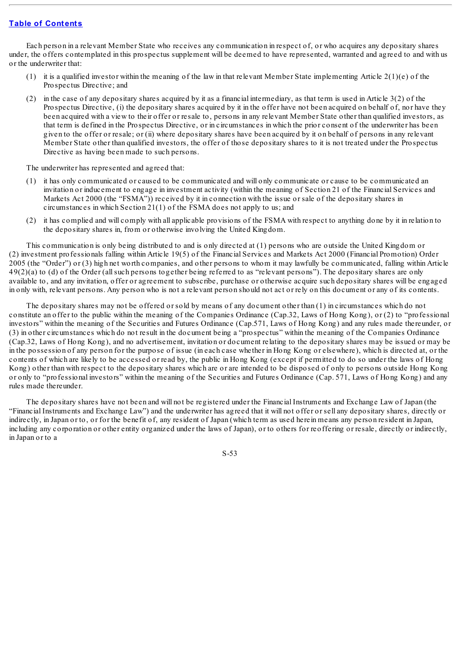Each person in a relevant Member State who receives any communication in respect of, or who acquires any depositary shares under, the offers contemplated in this prospectus supplement will be deemed to have represented, warranted and agreed to and with us or the underwriter that:

- (1) it is a qualified investor within the meaning of the law in that relevant Member State implementing Article  $2(1)(e)$  of the Prospectus Directive; and
- (2) in the case of any depositary shares acquired by it as a financial intermediary, as that term is used in Article 3(2) of the Prospectus Directive, (i) the depositary shares acquired by it in the offer have not been acquired on behalf of, nor have they been acquired with a view to their offer or resale to, persons in any relevant Member State other than qualified investors, as that term is defined in the Prospectus Directive, or in circumstances in which the prior consent of the underwriter has been given to the offer or resale; or (ii) where depositary shares have been acquired by it on behalf of persons in any relevant Member State other than qualified investors, the offer of those depositary shares to it is not treated under the Prospectus Directive as having been made to such persons.

The underwriter has represented and agreed that:

- (1) it has only communicated or caused to be communicated and will only communicate or cause to be communicated an invitation or inducement to engage in investment activity (within the meaning of Section 21 of the Financial Services and Markets Act 2000 (the "FSMA")) received by it in connection with the issue or sale of the depositary shares in circumstances in which Section 21(1) of the FSMA does not apply to us; and
- (2) it has complied and will comply with all applicable provisions of the FSMA with respect to anything done by it in relation to the depositary shares in, from or otherwise involving the United Kingdom.

This communication is only being distributed to and is only directed at (1) persons who are outside the United Kingdom or (2) investment professionals falling within Article 19(5) of the Financial Services and Markets Act 2000 (Financial Promotion) Order 2005 (the "Order") or (3) high net worth companies, and other persons to whom it may lawfully be communicated, falling within Article 49(2)(a) to (d) of the Order (allsuch persons together being referred to as "relevant persons"). The depositary shares are only available to, and any invitation, offer or agreement to subscribe, purchase or otherwise acquire such depositary shares will be engaged in only with, relevant persons. Any person who is not a relevant person should not act or rely on this document or any of its contents.

The depositary shares may not be offered or sold by means of any document other than (1) in circumstances which do not constitute an offer to the public within the meaning of the Companies Ordinance (Cap.32, Laws of Hong Kong), or (2) to "professional investors" within the meaning of the Securities and Futures Ordinance (Cap.571, Laws of Hong Kong) and any rules made thereunder, or (3) in other circumstances which do not result in the document being a "prospectus" within the meaning of the Companies Ordinance (Cap.32, Laws of Hong Kong), and no advertisement, invitation or document relating to the depositary shares may be issued or may be in the possession of any person for the purpose of issue (in each case whether in Hong Kong or elsewhere), which is directed at, or the contents of which are likely to be accessed or read by, the public in Hong Kong (except if permitted to do so under the laws of Hong Kong) other than with respect to the depositary shares which are or are intended to be disposed of only to persons outside Hong Kong or only to "professional investors" within the meaning of the Securities and Futures Ordinance (Cap. 571, Laws of Hong Kong) and any rules made thereunder.

The depositary shares have not been and will not be registered under the Financial Instruments and Exchange Law of Japan (the "Financial Instruments and Exchange Law") and the underwriter has agreed that it will not offer or sell any depositary shares, directly or indirectly, in Japan or to, or for the benefit of, any resident of Japan (which term as used herein means any person resident in Japan, including any corporation or other entity organized under the laws of Japan), or to others for reoffering or resale, directly or indirectly, in Japan or to a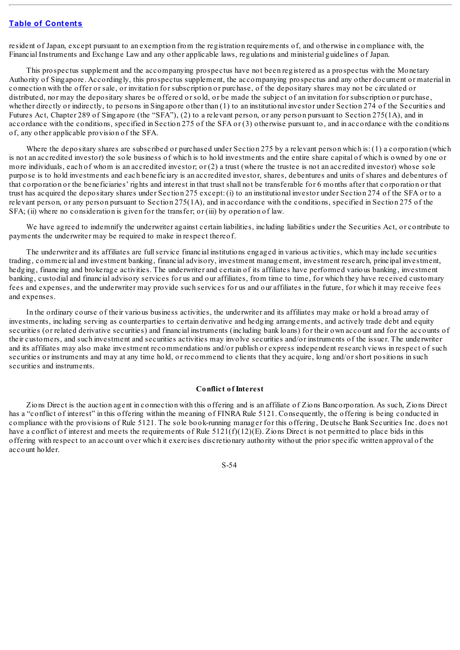resident of Japan, except pursuant to an exemption from the registration requirements of, and otherwise in compliance with, the Financial Instruments and Exchange Law and any other applicable laws, regulations and ministerial guidelines of Japan.

This prospectus supplement and the accompanying prospectus have not been registered as a prospectus with the Monetary Authority of Singapore. Accordingly, this prospectus supplement, the accompanying prospectus and any other document or material in connection with the offer or sale, or invitation for subscription or purchase, of the depositary shares may not be circulated or distributed, nor may the depositary shares be offered or sold, or be made the subject of an invitation for subscription or purchase, whether directly or indirectly, to persons in Singapore other than (1) to an institutional investor under Section 274 of the Securities and Futures Act, Chapter 289 of Singapore (the "SFA"), (2) to a relevant person, or any person pursuant to Section 275(1A), and in accordance with the conditions, specified in Section 275 of the SFA or (3) otherwise pursuant to, and in accordance with the conditions of, any other applicable provision of the SFA.

Where the depositary shares are subscribed or purchased under Section 275 by a relevant person which is: (1) a corporation (which is not an accredited investor) the sole business of which is to hold investments and the entire share capital of which is owned by one or more individuals, each of whom is an accredited investor; or (2) a trust (where the trustee is not an accredited investor) whose sole purpose is to hold investments and each beneficiary is an accredited investor, shares, debentures and units of shares and debentures of that corporation or the beneficiaries' rights and interest in that trust shall not be transferable for 6 months after that corporation or that trust has acquired the depositary shares under Section 275 except: (i) to an institutional investor under Section 274 of the SFA or to a relevant person, or any person pursuant to Section 275(1A), and in accordance with the conditions, specified in Section 275 of the SFA; (ii) where no consideration is given for the transfer; or (iii) by operation of law.

We have agreed to indemnify the underwriter against certain liabilities, including liabilities under the Securities Act, or contribute to payments the underwriter may be required to make in respect thereof.

The underwriter and its affiliates are fullservice financial institutions engaged in various activities, which may include securities trading, commercial and investment banking, financial advisory, investment management, investment research, principal investment, hedging, financing and brokerage activities. The underwriter and certain of its affiliates have performed various banking, investment banking, custodial and financial advisory services for us and our affiliates, from time to time, for which they have received customary fees and expenses, and the underwriter may provide such services for us and our affiliates in the future, for which it may receive fees and expenses.

In the ordinary course of their various business activities, the underwriter and its affiliates may make or hold a broad array of investments, including serving as counterparties to certain derivative and hedging arrangements, and actively trade debt and equity securities (or related derivative securities) and financial instruments (including bank loans) for their own account and for the accounts of their customers, and such investment and securities activities may involve securities and/or instruments of the issuer. The underwriter and its affiliates may also make investment recommendations and/or publish or express independent research views in respect of such securities or instruments and may at any time hold, or recommend to clients that they acquire, long and/or short positions in such securities and instruments.

#### **Conflict of Interest**

Zions Direct is the auction agent in connection with this offering and is an affiliate of Zions Bancorporation. As such, Zions Direct has a "conflict of interest" in this offering within the meaning of FINRA Rule 5121. Consequently, the offering is being conducted in compliance with the provisions of Rule 5121. The sole book-running manager for this offering, Deutsche Bank Securities Inc. does not have a conflict of interest and meets the requirements of Rule  $5121(f)(12)(E)$ . Zions Direct is not permitted to place bids in this offering with respect to an account over which it exercises discretionary authority without the prior specific written approval of the account holder.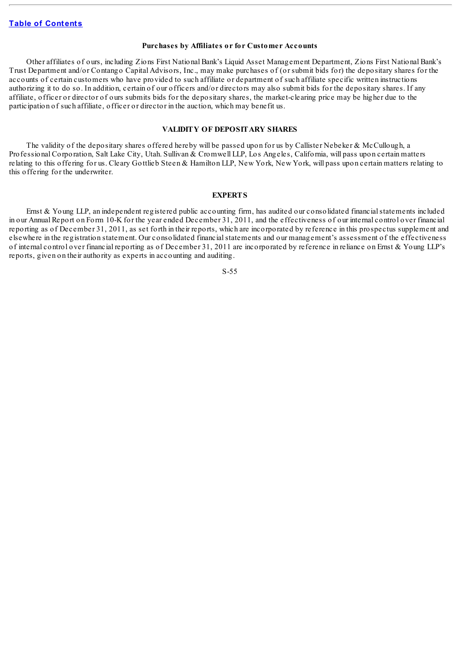#### **Purchases by Affiliates or for Customer Accounts**

Other affiliates of ours, including Zions First National Bank's Liquid Asset Management Department, Zions First National Bank's Trust Department and/or Contango Capital Advisors, Inc., may make purchases of (or submit bids for) the depositary shares for the accounts of certain customers who have provided to such affiliate or department of such affiliate specific written instructions authorizing it to do so. In addition, certain of our officers and/or directors may also submit bids for the depositary shares. If any affiliate, officer or director of ours submits bids for the depositary shares, the market-clearing price may be higher due to the participation of such affiliate, officer or director in the auction, which may benefit us.

#### **VALIDITY OF DEPOSITARY SHARES**

The validity of the depositary shares offered hereby will be passed upon for us by Callister Nebeker & McCullough, a Professional Corporation, Salt Lake City, Utah. Sullivan & Cromwell LLP, Los Angeles, California, will pass upon certain matters relating to this offering for us. Cleary Gottlieb Steen & Hamilton LLP, New York, New York, will pass upon certain matters relating to this offering for the underwriter.

#### **EXPERTS**

Ernst & Young LLP, an independent registered public accounting firm, has audited our consolidated financialstatements included in our Annual Report on Form 10-K for the year ended December 31, 2011, and the effectiveness of our internal control over financial reporting as of December 31, 2011, as set forth in their reports, which are incorporated by reference in this prospectus supplement and elsewhere in the registration statement. Our consolidated financialstatements and our management's assessment of the effectiveness of internal control over financial reporting as of December 31, 2011 are incorporated by reference in reliance on Ernst & Young LLP's reports, given on their authority as experts in accounting and auditing.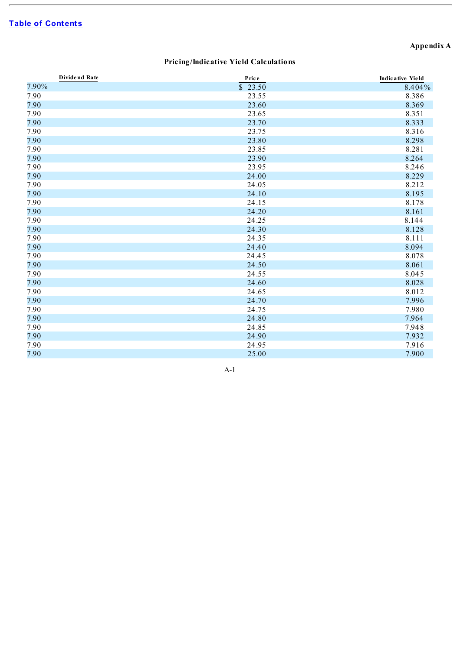# **Appendix A**

# **Pricing/Indicative Yield Calculations**

| Dividend Rate | Price   | Indicative Yield |
|---------------|---------|------------------|
| 7.90%         | \$23.50 | 8.404%           |
| 7.90          | 23.55   | 8.386            |
| 7.90          | 23.60   | 8.369            |
| 7.90          | 23.65   | 8.351            |
| 7.90          | 23.70   | 8.333            |
| 7.90          | 23.75   | 8.316            |
| 7.90          | 23.80   | 8.298            |
| 7.90          | 23.85   | 8.281            |
| 7.90          | 23.90   | 8.264            |
| 7.90          | 23.95   | 8.246            |
| 7.90          | 24.00   | 8.229            |
| 7.90          | 24.05   | 8.212            |
| 7.90          | 24.10   | 8.195            |
| 7.90          | 24.15   | 8.178            |
| 7.90          | 24.20   | 8.161            |
| 7.90          | 24.25   | 8.144            |
| 7.90          | 24.30   | 8.128            |
| 7.90          | 24.35   | 8.111            |
| 7.90          | 24.40   | 8.094            |
| 7.90          | 24.45   | 8.078            |
| 7.90          | 24.50   | 8.061            |
| 7.90          | 24.55   | 8.045            |
| 7.90          | 24.60   | 8.028            |
| 7.90          | 24.65   | 8.012            |
| 7.90          | 24.70   | 7.996            |
| 7.90          | 24.75   | 7.980            |
| 7.90          | 24.80   | 7.964            |
| 7.90          | 24.85   | 7.948            |
| 7.90          | 24.90   | 7.932            |
| 7.90          | 24.95   | 7.916            |
| 7.90          | 25.00   | 7.900            |

A-1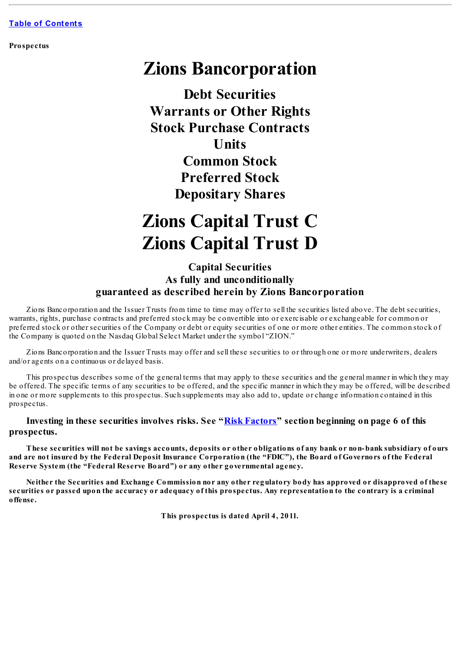**Prospectus**

# **Zions Bancorporation**

**Debt Securities Warrants or Other Rights Stock Purchase Contracts Units Common Stock Preferred Stock Depositary Shares**

# **Zions Capital Trust C Zions Capital Trust D**

# **Capital Securities As fully and unconditionally guaranteed as described herein by Zions Bancorporation**

Zions Bancorporation and the Issuer Trusts from time to time may offer to sell the securities listed above. The debt securities, warrants, rights, purchase contracts and preferred stock may be convertible into or exercisable or exchangeable for common or preferred stock or other securities of the Company or debt or equity securities of one or more other entities. The common stock of the Company is quoted on the Nasdaq Global Select Market under the symbol "ZION."

Zions Bancorporation and the Issuer Trusts may offer and sell these securities to or through one or more underwriters, dealers and/or agents on a continuous or delayed basis.

This prospectus describes some of the general terms that may apply to these securities and the general manner in which they may be offered. The specific terms of any securities to be offered, and the specific manner in which they may be offered, will be described in one or more supplements to this prospectus. Such supplements may also add to, update or change information contained in this prospectus.

# **Investing in these securities involves risks. See "Risk [Factors](#page-70-0)" section beginning on page 6 of this prospectus.**

These securities will not be savings accounts, deposits or other obligations of any bank or non-bank subsidiary of ours and are not insured by the Federal Deposit Insurance Corporation (the "FDIC"), the Board of Governors of the Federal **Reserve System (the "Federal Reserve Board") or any other governmental agency.**

Neither the Securities and Exchange Commission nor any other regulatory body has approved or disapproved of these securities or passed upon the accuracy or adequacy of this prospectus. Any representation to the contrary is a criminal **offense.**

**This prospectus is dated April 4, 2011.**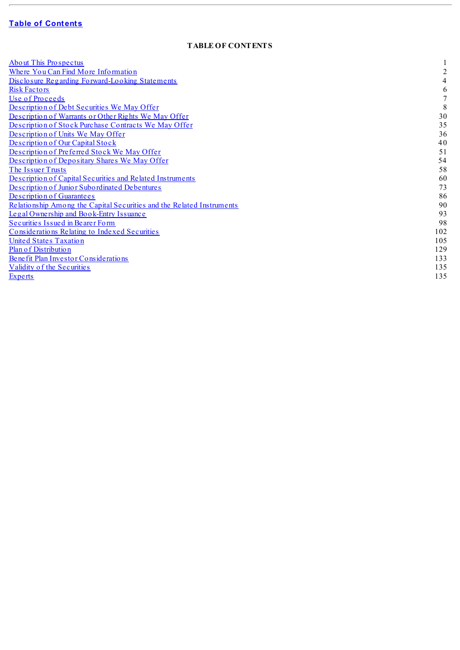# **f D E D e n f [C](#page-2-0)ontents**

## **TABLE OF CONTENTS**

| <b>About This Prospectus</b>                                          |                |
|-----------------------------------------------------------------------|----------------|
| Where You Can Find More Information                                   | $\overline{2}$ |
| Disclosure Regarding Forward-Looking Statements                       | 4              |
| <b>Risk Factors</b>                                                   | 6              |
| Use of Proceeds                                                       |                |
| Description of Debt Securities We May Offer                           | 8              |
| Description of Warrants or Other Rights We May Offer                  | 30             |
| Description of Stock Purchase Contracts We May Offer                  | 35             |
| Description of Units We May Offer                                     | 36             |
| Description of Our Capital Stock                                      | 40             |
| Description of Preferred Stock We May Offer                           | 51             |
| Description of Depositary Shares We May Offer                         | 54             |
| The Issuer Trusts                                                     | 58             |
| Description of Capital Securities and Related Instruments             | 60             |
| Description of Junior Subordinated Debentures                         | 73             |
| Description of Guarantees                                             | 86             |
| Relationship Among the Capital Securities and the Related Instruments | 90             |
| Legal Ownership and Book-Entry Issuance                               | 93             |
| Securities Issued in Bearer Form                                      | 98             |
| Considerations Relating to Indexed Securities                         | 102            |
| <b>United States Taxation</b>                                         | 105            |
| Plan of Distribution                                                  | 129            |
| Benefit Plan Investor Considerations                                  | 133            |
| Validity of the Securities                                            | 135            |
| Experts                                                               | 135            |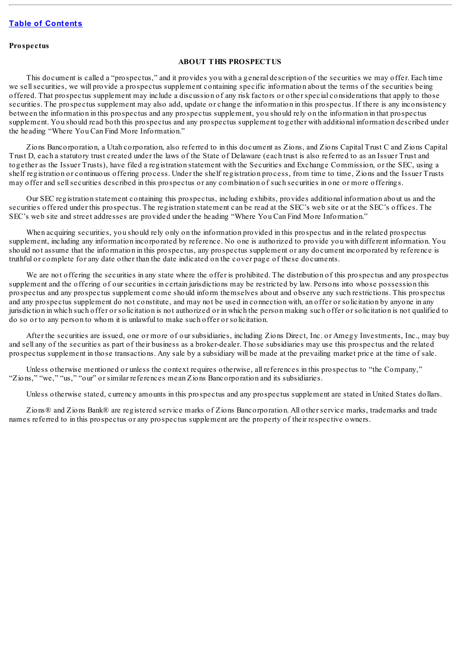#### <span id="page-65-0"></span>**Prospectus**

#### **ABOUT THIS PROSPECTUS**

This document is called a "prospectus," and it provides you with a general description of the securities we may offer. Each time we sellsecurities, we will provide a prospectus supplement containing specific information about the terms of the securities being offered. That prospectus supplement may include a discussion of any risk factors or other special considerations that apply to those securities. The prospectus supplement may also add, update or change the information in this prospectus. If there is any inconsistency between the information in this prospectus and any prospectus supplement, you should rely on the information in that prospectus supplement. You should read both this prospectus and any prospectus supplement together with additional information described under the heading "Where You Can Find More Information."

Zions Bancorporation, a Utah corporation, also referred to in this document as Zions, and Zions Capital Trust C and Zions Capital Trust D, each a statutory trust created under the laws of the State of Delaware (each trust is also referred to as an Issuer Trust and together as the Issuer Trusts), have filed a registration statement with the Securities and Exchange Commission, or the SEC, using a shelf registration or continuous offering process. Under the shelf registration process, from time to time, Zions and the Issuer Trusts may offer and sellsecurities described in this prospectus or any combination of such securities in one or more offerings.

Our SEC registration statement containing this prospectus, including exhibits, provides additional information about us and the securities offered under this prospectus. The registration statement can be read at the SEC's web site or at the SEC's offices. The SEC's web site and street addresses are provided under the heading "Where You Can Find More Information."

When acquiring securities, you should rely only on the information provided in this prospectus and in the related prospectus supplement, including any information incorporated by reference. No one is authorized to provide you with different information. You should not assume that the information in this prospectus, any prospectus supplement or any document incorporated by reference is truthful or complete for any date other than the date indicated on the cover page of these documents.

We are not offering the securities in any state where the offer is prohibited. The distribution of this prospectus and any prospectus supplement and the offering of our securities in certain jurisdictions may be restricted by law. Persons into whose possession this prospectus and any prospectus supplement come should inform themselves about and observe any such restrictions. This prospectus and any prospectus supplement do not constitute, and may not be used in connection with, an offer or solicitation by anyone in any jurisdiction in which such offer or solicitation is not authorized or in which the person making such offer or solicitation is not qualified to do so or to any person to whom it is unlawful to make such offer or solicitation.

After the securities are issued, one or more of our subsidiaries, including Zions Direct, Inc. or Amegy Investments, Inc., may buy and sell any of the securities as part of their business as a broker-dealer. Those subsidiaries may use this prospectus and the related prospectus supplement in those transactions. Any sale by a subsidiary will be made at the prevailing market price at the time of sale.

Unless otherwise mentioned or unless the context requires otherwise, all references in this prospectus to "the Company," "Zions," "we," "us," "our" or similar references mean Zions Bancorporation and its subsidiaries.

Unless otherwise stated, currency amounts in this prospectus and any prospectus supplement are stated in United States dollars.

Zions® and Zions Bank® are registered service marks of Zions Bancorporation. All other service marks, trademarks and trade names referred to in this prospectus or any prospectus supplement are the property of their respective owners.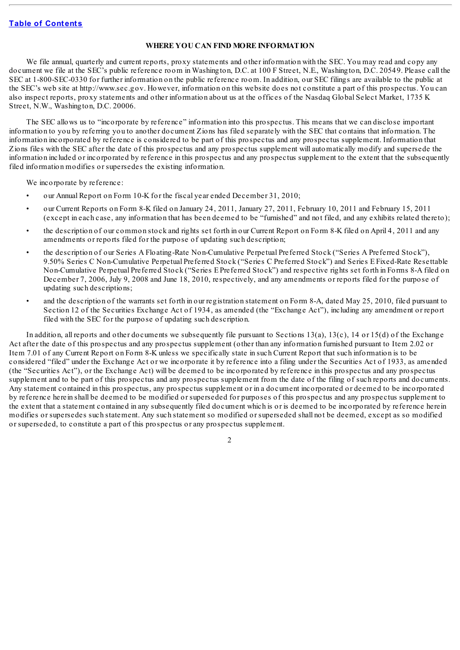#### **WHERE YOU CAN FIND MORE INFORMATION**

<span id="page-66-0"></span>We file annual, quarterly and current reports, proxy statements and other information with the SEC. You may read and copy any document we file at the SEC's public reference room in Washington, D.C. at 100 F Street, N.E., Washington, D.C. 20549. Please call the SEC at 1-800-SEC-0330 for further information on the public reference room. In addition, our SEC filings are available to the public at the SEC's web site at http://www.sec.gov. However, information on this website does not constitute a part of this prospectus. You can also inspect reports, proxy statements and other information about us at the offices of the Nasdaq Global Select Market, 1735 K Street, N.W., Washington, D.C. 20006.

The SEC allows us to "incorporate by reference" information into this prospectus. This means that we can disclose important information to you by referring you to another document Zions has filed separately with the SEC that contains that information. The information incorporated by reference is considered to be part of this prospectus and any prospectus supplement. Information that Zions files with the SEC after the date of this prospectus and any prospectus supplement will automatically modify and supersede the information included or incorporated by reference in this prospectus and any prospectus supplement to the extent that the subsequently filed information modifies or supersedes the existing information.

We incorporate by reference:

- our Annual Report on Form 10-K for the fiscal year ended December 31, 2010;
- our Current Reports on Form 8-K filed on January 24, 2011, January 27, 2011, February 10, 2011 and February 15, 2011 (except in each case, any information that has been deemed to be "furnished" and not filed, and any exhibits related thereto);
- the description of our common stock and rights set forth in our Current Report on Form 8-K filed on April 4, 2011 and any amendments or reports filed for the purpose of updating such description;
- the description of our Series A Floating-Rate Non-Cumulative Perpetual Preferred Stock ("Series A Preferred Stock"), 9.50% Series C Non-Cumulative Perpetual Preferred Stock ("Series C Preferred Stock") and Series E Fixed-Rate Resettable Non-Cumulative Perpetual Preferred Stock ("Series E Preferred Stock") and respective rights set forth in Forms 8-A filed on December 7, 2006, July 9, 2008 and June 18, 2010, respectively, and any amendments or reports filed for the purpose of updating such descriptions;
- and the description of the warrants set forth in our registration statement on Form 8-A, dated May 25, 2010, filed pursuant to Section 12 of the Securities Exchange Act of 1934, as amended (the "Exchange Act"), including any amendment or report filed with the SEC for the purpose of updating such description.

In addition, all reports and other documents we subsequently file pursuant to Sections 13(a), 13(c), 14 or 15(d) of the Exchange Act after the date of this prospectus and any prospectus supplement (other than any information furnished pursuant to Item 2.02 or Item 7.01 of any Current Report on Form 8-K unless we specifically state in such Current Report that such information is to be considered "filed" under the Exchange Act or we incorporate it by reference into a filing under the Securities Act of 1933, as amended (the "Securities Act"), or the Exchange Act) will be deemed to be incorporated by reference in this prospectus and any prospectus supplement and to be part of this prospectus and any prospectus supplement from the date of the filing of such reports and documents. Any statement contained in this prospectus, any prospectus supplement or in a document incorporated or deemed to be incorporated by reference herein shall be deemed to be modified or superseded for purposes of this prospectus and any prospectus supplement to the extent that a statement contained in any subsequently filed document which is or is deemed to be incorporated by reference herein modifies or supersedes such statement. Any such statement so modified or superseded shall not be deemed, except as so modified or superseded, to constitute a part of this prospectus or any prospectus supplement.

 $\mathcal{L}$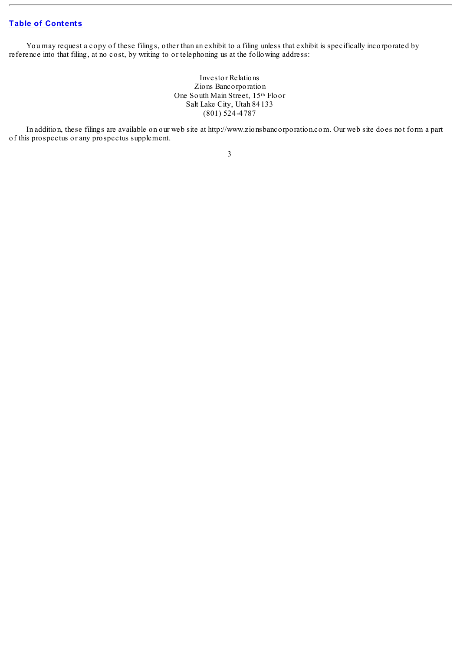You may request a copy of these filings, other than an exhibit to a filing unless that exhibit is specifically incorporated by reference into that filing, at no cost, by writing to or telephoning us at the following address:

> Investor Relations Zions Bancorporation One South Main Street, 15th Floor Salt Lake City, Utah 84133 (801) 524-4787

In addition, these filings are available on our web site at http://www.zionsbancorporation.com. Our web site does not form a part of this prospectus or any prospectus supplement.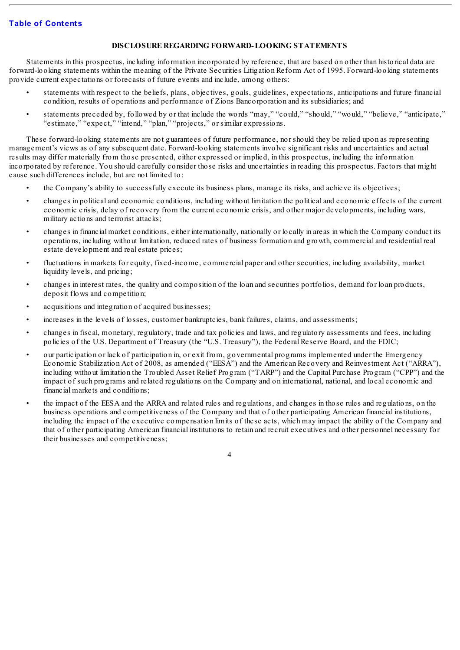#### **DISCLOSURE REGARDING FORWARD-LOOKING STATEMENTS**

<span id="page-68-0"></span>Statements in this prospectus, including information incorporated by reference, that are based on other than historical data are forward-looking statements within the meaning of the Private Securities Litigation Reform Act of 1995. Forward-looking statements provide current expectations or forecasts of future events and include, among others:

- statements with respect to the beliefs, plans, objectives, goals, guidelines, expectations, anticipations and future financial condition, results of operations and performance of Zions Bancorporation and its subsidiaries; and
- statements preceded by, followed by or that include the words "may," "could," "should," "would," "believe," "anticipate," "estimate," "expect," "intend," "plan," "projects," or similar expressions.

These forward-looking statements are not guarantees of future performance, nor should they be relied upon as representing management's views as of any subsequent date. Forward-looking statements involve significant risks and uncertainties and actual results may differ materially from those presented, either expressed or implied, in this prospectus, including the information incorporated by reference. You should carefully consider those risks and uncertainties in reading this prospectus. Factors that might cause such differences include, but are not limited to:

- the Company's ability to successfully execute its business plans, manage its risks, and achieve its objectives;
- changes in political and economic conditions, including without limitation the political and economic effects of the current economic crisis, delay of recovery from the current economic crisis, and other major developments, including wars, military actions and terrorist attacks;
- changes in financial market conditions, either internationally, nationally or locally in areas in which the Company conduct its operations, including without limitation, reduced rates of business formation and growth, commercial and residential real estate development and real estate prices;
- fluctuations in markets for equity, fixed-income, commercial paper and other securities, including availability, market liquidity levels, and pricing;
- changes in interest rates, the quality and composition of the loan and securities portfolios, demand for loan products, deposit flows and competition;
- acquisitions and integration of acquired businesses;
- increases in the levels of losses, customer bankruptcies, bank failures, claims, and assessments;
- changes in fiscal, monetary, regulatory, trade and tax policies and laws, and regulatory assessments and fees, including policies of the U.S. Department of Treasury (the "U.S. Treasury"), the Federal Reserve Board, and the FDIC;
- our participation or lack of participation in, or exit from, governmental programs implemented under the Emergency Economic Stabilization Act of 2008, as amended ("EESA") and the American Recovery and Reinvestment Act ("ARRA"), including without limitation the Troubled Asset Relief Program ("TARP") and the Capital Purchase Program ("CPP") and the impact of such programs and related regulations on the Company and on international, national, and local economic and financial markets and conditions;
- the impact of the EESA and the ARRA and related rules and regulations, and changes in those rules and regulations, on the business operations and competitiveness of the Company and that of other participating American financial institutions, including the impact of the executive compensation limits of these acts, which may impact the ability of the Company and that of other participating American financial institutions to retain and recruit executives and other personnel necessary for their businesses and competitiveness;

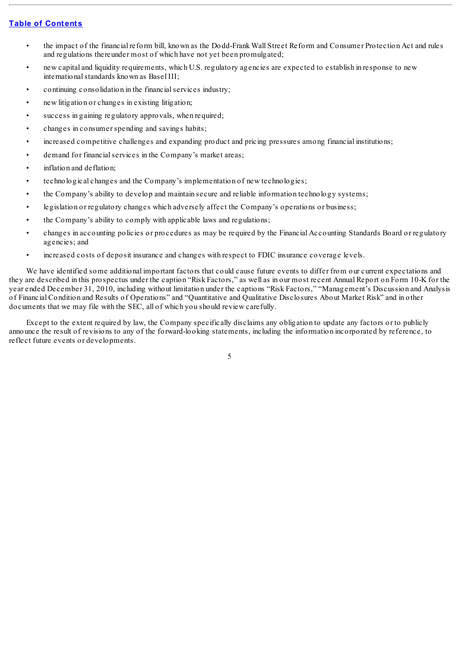- the impact of the financial reform bill, known as the Dodd-Frank Wall Street Reform and Consumer Protection Act and rules and regulations thereunder most of which have not yet been promulgated;
- new capital and liquidity requirements, which U.S. regulatory agencies are expected to establish in response to new international standards known as Basel III;
- continuing consolidation in the financialservices industry;
- new litigation or changes in existing litigation;
- success in gaining regulatory approvals, when required;
- changes in consumer spending and savings habits;
- increased competitive challenges and expanding product and pricing pressures among financial institutions;
- demand for financial services in the Company's market areas;
- inflation and deflation:
- technological changes and the Company's implementation of new technologies;
- the Company's ability to develop and maintain secure and reliable information technology systems;
- legislation or regulatory changes which adversely affect the Company's operations or business;
- the Company's ability to comply with applicable laws and regulations;
- changes in accounting policies or procedures as may be required by the Financial Accounting Standards Board or regulatory agencies; and
- increased costs of deposit insurance and changes with respect to FDIC insurance coverage levels.

We have identified some additional important factors that could cause future events to differ from our current expectations and they are described in this prospectus under the caption "Risk Factors," as well as in our most recent Annual Report on Form 10-K for the year ended December 31, 2010, including without limitation under the captions "Risk Factors," "Management's Discussion and Analysis of Financial Condition and Results of Operations" and "Quantitative and Qualitative Disclosures About Market Risk" and in other documents that we may file with the SEC, all of which you should review carefully.

Except to the extent required by law, the Company specifically disclaims any obligation to update any factors or to publicly announce the result of revisions to any of the forward-looking statements, including the information incorporated by reference, to reflect future events or developments.

5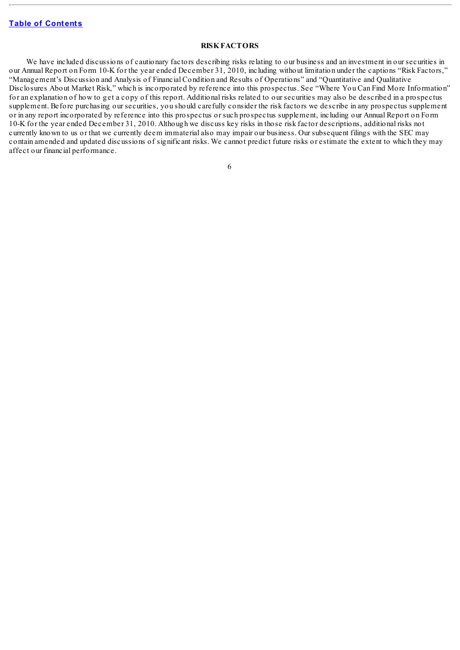#### **RISKFACTORS**

<span id="page-70-0"></span>We have included discussions of cautionary factors describing risks relating to our business and an investment in our securities in our Annual Report on Form 10-K for the year ended December 31, 2010, including without limitation under the captions "Risk Factors," "Management's Discussion and Analysis of Financial Condition and Results of Operations" and "Quantitative and Qualitative Disclosures About Market Risk," which is incorporated by reference into this prospectus. See "Where You Can Find More Information" for an explanation of how to get a copy of this report. Additional risks related to our securities may also be described in a prospectus supplement. Before purchasing our securities, you should carefully consider the risk factors we describe in any prospectus supplement or in any report incorporated by reference into this prospectus or such prospectus supplement, including our Annual Report on Form 10-K for the year ended December 31, 2010. Although we discuss key risks in those risk factor descriptions, additional risks not currently known to us or that we currently deem immaterial also may impair our business. Our subsequent filings with the SEC may contain amended and updated discussions of significant risks. We cannot predict future risks or estimate the extent to which they may affect our financial performance.

|   | v<br>۰.<br>PU 1 |
|---|-----------------|
| ٠ |                 |
|   |                 |
|   | I<br>I          |
| × | ٧               |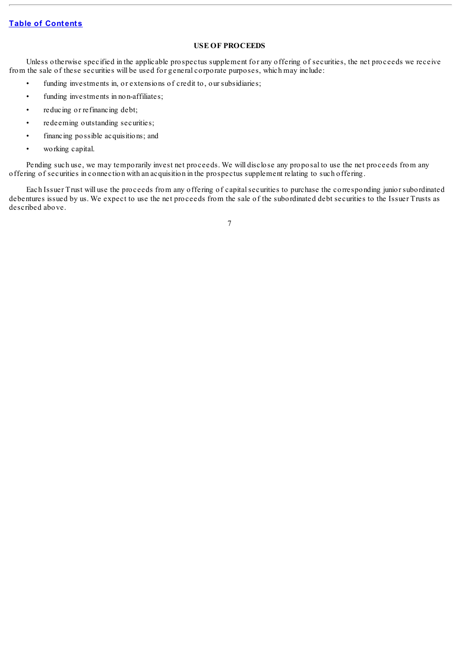### **USE OF PROCEEDS**

<span id="page-71-0"></span>Unless otherwise specified in the applicable prospectus supplement for any offering of securities, the net proceeds we receive from the sale of these securities will be used for general corporate purposes, which may include:

- funding investments in, or extensions of credit to, our subsidiaries;
- funding investments in non-affiliates;
- reducing or refinancing debt;
- redeeming outstanding securities;
- financing possible acquisitions; and
- working capital.

Pending such use, we may temporarily invest net proceeds. We will disclose any proposal to use the net proceeds from any offering of securities in connection with an acquisition in the prospectus supplement relating to such offering.

Each Issuer Trust will use the proceeds from any offering of capitalsecurities to purchase the corresponding junior subordinated debentures issued by us. We expect to use the net proceeds from the sale of the subordinated debt securities to the Issuer Trusts as described above.

7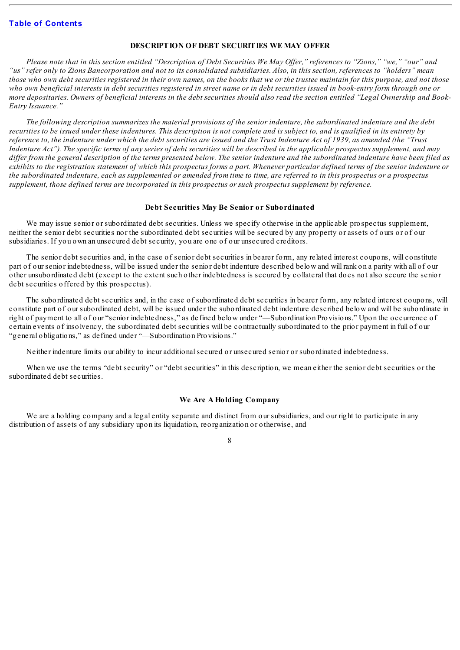## **DESCRIPTION OF DEBT SECURITIES WE MAY OFFER**

Please note that in this section entitled "Description of Debt Securities We May Offer," references to "Zions," "we," "our" and "us" refer only to Zions Bancorporation and not to its consolidated subsidiaries. Also, in this section, references to "holders" mean those who own debt securities registered in their own names, on the books that we or the trustee maintain for this purpose, and not those who own beneficial interests in debt securities registered in street name or in debt securities issued in book-entry form through one or more depositaries. Owners of beneficial interests in the debt securities should also read the section entitled "Legal Ownership and Book-*Entry Issuance."*

The following description summarizes the material provisions of the senior indenture, the subordinated indenture and the debt securities to be issued under these indentures. This description is not complete and is subject to, and is qualified in its entirety by reference to, the indenture under which the debt securities are issued and the Trust Indenture Act of 1939, as amended (the "Trust Indenture Act"). The specific terms of any series of debt securities will be described in the applicable prospectus supplement, and may differ from the general description of the terms presented below. The senior indenture and the subordinated indenture have been filed as exhibits to the registration statement of which this prospectus forms a part. Whenever particular defined terms of the senior indenture or the subordinated indenture, each as supplemented or amended from time to time, are referred to in this prospectus or a prospectus *supplement, those defined terms are incorporated in this prospectus or such prospectus supplement by reference.*

#### **Debt Securities May Be Senior or Subordinated**

We may issue senior or subordinated debt securities. Unless we specify otherwise in the applicable prospectus supplement, neither the senior debt securities nor the subordinated debt securities will be secured by any property or assets of ours or of our subsidiaries. If you own an unsecured debt security, you are one of our unsecured creditors.

The senior debt securities and, in the case of senior debt securities in bearer form, any related interest coupons, will constitute part of our senior indebtedness, will be issued under the senior debt indenture described below and will rank on a parity with all of our other unsubordinated debt (except to the extent such other indebtedness is secured by collateral that does not also secure the senior debt securities offered by this prospectus).

The subordinated debt securities and, in the case of subordinated debt securities in bearer form, any related interest coupons, will constitute part of our subordinated debt, will be issued under the subordinated debt indenture described below and will be subordinate in right of payment to all of our "senior indebtedness," as defined below under "—Subordination Provisions." Upon the occurrence of certain events of insolvency, the subordinated debt securities will be contractually subordinated to the prior payment in full of our "general obligations," as defined under "—Subordination Provisions."

Neither indenture limits our ability to incur additionalsecured or unsecured senior or subordinated indebtedness.

When we use the terms "debt security" or "debt securities" in this description, we mean either the senior debt securities or the subordinated debt securities.

#### **We Are A Holding Company**

We are a holding company and a legal entity separate and distinct from our subsidiaries, and our right to participate in any distribution of assets of any subsidiary upon its liquidation, reorganization or otherwise, and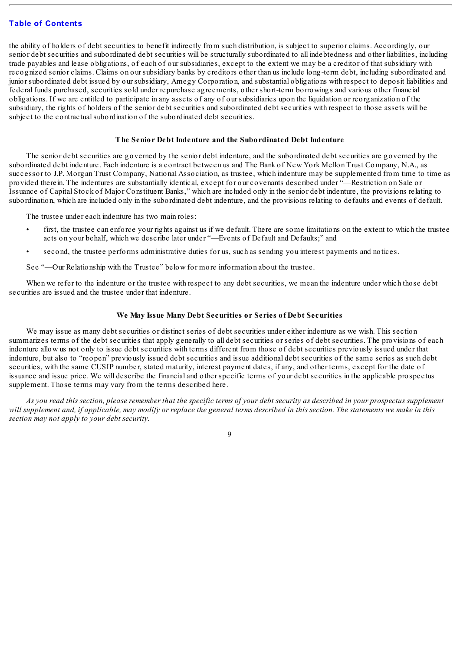the ability of holders of debt securities to benefit indirectly from such distribution, is subject to superior claims. Accordingly, our senior debt securities and subordinated debt securities will be structurally subordinated to all indebtedness and other liabilities, including trade payables and lease obligations, of each of our subsidiaries, except to the extent we may be a creditor of that subsidiary with recognized senior claims. Claims on our subsidiary banks by creditors other than us include long-term debt, including subordinated and junior subordinated debt issued by our subsidiary, Amegy Corporation, and substantial obligations with respect to deposit liabilities and federal funds purchased, securities sold under repurchase agreements, other short-term borrowings and various other financial obligations. If we are entitled to participate in any assets of any of our subsidiaries upon the liquidation or reorganization of the subsidiary, the rights of holders of the senior debt securities and subordinated debt securities with respect to those assets will be subject to the contractual subordination of the subordinated debt securities.

### **The Senior Debt Indenture and the Subordinated Debt Indenture**

The senior debt securities are governed by the senior debt indenture, and the subordinated debt securities are governed by the subordinated debt indenture. Each indenture is a contract between us and The Bank of New York Mellon Trust Company, N.A., as successor to J.P. Morgan Trust Company, National Association, as trustee, which indenture may be supplemented from time to time as provided therein. The indentures are substantially identical, except for our covenants described under "—Restriction on Sale or Issuance of Capital Stock of Major Constituent Banks," which are included only in the senior debt indenture, the provisions relating to subordination, which are included only in the subordinated debt indenture, and the provisions relating to defaults and events of default.

The trustee under each indenture has two main roles:

- first, the trustee can enforce your rights against us if we default. There are some limitations on the extent to which the trustee acts on your behalf, which we describe later under "—Events of Default and Defaults;" and
- second, the trustee performs administrative duties for us, such as sending you interest payments and notices.

See "—Our Relationship with the Trustee" below for more information about the trustee.

When we refer to the indenture or the trustee with respect to any debt securities, we mean the indenture under which those debt securities are issued and the trustee under that indenture.

#### **We May Issue Many Debt Securities or Series of Debt Securities**

We may issue as many debt securities or distinct series of debt securities under either indenture as we wish. This section summarizes terms of the debt securities that apply generally to all debt securities or series of debt securities. The provisions of each indenture allow us not only to issue debt securities with terms different from those of debt securities previously issued under that indenture, but also to "reopen" previously issued debt securities and issue additional debt securities of the same series as such debt securities, with the same CUSIP number, stated maturity, interest payment dates, if any, and other terms, except for the date of issuance and issue price. We will describe the financial and other specific terms of your debt securities in the applicable prospectus supplement. Those terms may vary from the terms described here.

As you read this section, please remember that the specific terms of your debt security as described in your prospectus supplement will supplement and, if applicable, may modify or replace the general terms described in this section. The statements we make in this *section may not apply to your debt security.*

 $\overline{Q}$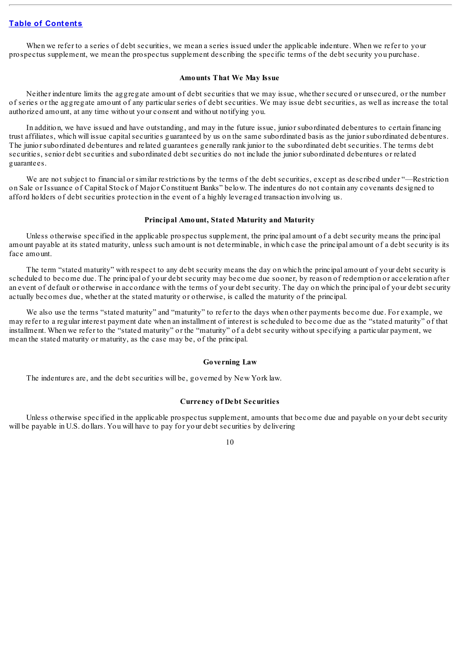When we refer to a series of debt securities, we mean a series issued under the applicable indenture. When we refer to your prospectus supplement, we mean the prospectus supplement describing the specific terms of the debt security you purchase.

#### **Amounts That We May Issue**

Neither indenture limits the aggregate amount of debt securities that we may issue, whether secured or unsecured, or the number of series or the aggregate amount of any particular series of debt securities. We may issue debt securities, as well as increase the total authorized amount, at any time without your consent and without notifying you.

In addition, we have issued and have outstanding, and may in the future issue, junior subordinated debentures to certain financing trust affiliates, which will issue capitalsecurities guaranteed by us on the same subordinated basis as the junior subordinated debentures. The junior subordinated debentures and related guarantees generally rank junior to the subordinated debt securities. The terms debt securities, senior debt securities and subordinated debt securities do not include the junior subordinated debentures or related guarantees.

We are not subject to financial or similar restrictions by the terms of the debt securities, except as described under "—Restriction on Sale or Issuance of Capital Stock of Major Constituent Banks" below. The indentures do not contain any covenants designed to afford holders of debt securities protection in the event of a highly leveraged transaction involving us.

## **Principal Amount, Stated Maturity and Maturity**

Unless otherwise specified in the applicable prospectus supplement, the principal amount of a debt security means the principal amount payable at its stated maturity, unless such amount is not determinable, in which case the principal amount of a debt security is its face amount.

The term "stated maturity" with respect to any debt security means the day on which the principal amount of your debt security is scheduled to become due. The principal of your debt security may become due sooner, by reason of redemption or acceleration after an event of default or otherwise in accordance with the terms of your debt security. The day on which the principal of your debt security actually becomes due, whether at the stated maturity or otherwise, is called the maturity of the principal.

We also use the terms "stated maturity" and "maturity" to refer to the days when other payments become due. For example, we may refer to a regular interest payment date when an installment of interest is scheduled to become due as the "stated maturity" of that installment. When we refer to the "stated maturity" or the "maturity" of a debt security without specifying a particular payment, we mean the stated maturity or maturity, as the case may be, of the principal.

#### **Governing Law**

The indentures are, and the debt securities will be, governed by New York law.

#### **Currency of Debt Securities**

Unless otherwise specified in the applicable prospectus supplement, amounts that become due and payable on your debt security will be payable in U.S. dollars. You will have to pay for your debt securities by delivering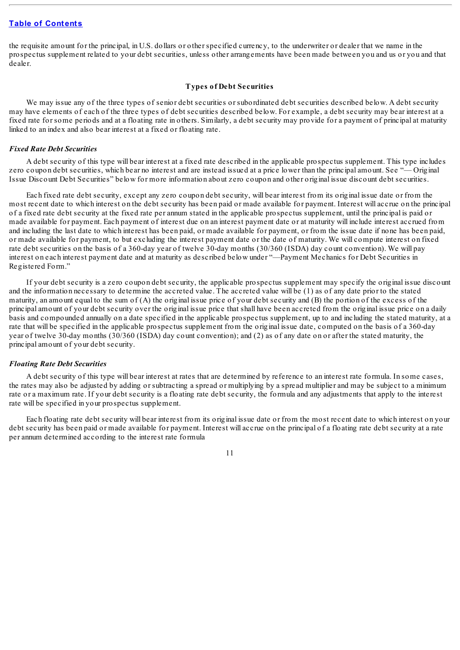the requisite amount for the principal, in U.S. dollars or other specified currency, to the underwriter or dealer that we name in the prospectus supplement related to your debt securities, unless other arrangements have been made between you and us or you and that dealer.

#### **Types of Debt Securities**

We may issue any of the three types of senior debt securities or subordinated debt securities described below. A debt security may have elements of each of the three types of debt securities described below. For example, a debt security may bear interest at a fixed rate for some periods and at a floating rate in others. Similarly, a debt security may provide for a payment of principal at maturity linked to an index and also bear interest at a fixed or floating rate.

#### *Fixed Rate Debt Securities*

A debt security of this type will bear interest at a fixed rate described in the applicable prospectus supplement. This type includes zero coupon debt securities, which bear no interest and are instead issued at a price lower than the principal amount. See "— Original Issue Discount Debt Securities" below for more information about zero coupon and other original issue discount debt securities.

Each fixed rate debt security, except any zero coupon debt security, will bear interest from its original issue date or from the most recent date to which interest on the debt security has been paid or made available for payment. Interest will accrue on the principal of a fixed rate debt security at the fixed rate per annum stated in the applicable prospectus supplement, until the principal is paid or made available for payment. Each payment of interest due on an interest payment date or at maturity will include interest accrued from and including the last date to which interest has been paid, or made available for payment, or from the issue date if none has been paid, or made available for payment, to but excluding the interest payment date or the date of maturity. We will compute interest on fixed rate debt securities on the basis of a 360-day year of twelve 30-day months (30/360 (ISDA) day count convention). We will pay interest on each interest payment date and at maturity as described below under "—Payment Mechanics for Debt Securities in Registered Form."

If your debt security is a zero coupon debt security, the applicable prospectus supplement may specify the original issue discount and the information necessary to determine the accreted value. The accreted value will be (1) as of any date prior to the stated maturity, an amount equal to the sum of (A) the original issue price of your debt security and (B) the portion of the excess of the principal amount of your debt security over the original issue price that shall have been accreted from the original issue price on a daily basis and compounded annually on a date specified in the applicable prospectus supplement, up to and including the stated maturity, at a rate that will be specified in the applicable prospectus supplement from the original issue date, computed on the basis of a 360-day year of twelve 30-day months (30/360 (ISDA) day count convention); and (2) as of any date on or after the stated maturity, the principal amount of your debt security.

#### *Floating Rate Debt Securities*

A debt security of this type will bear interest at rates that are determined by reference to an interest rate formula. In some cases, the rates may also be adjusted by adding or subtracting a spread or multiplying by a spread multiplier and may be subject to a minimum rate or a maximum rate. If your debt security is a floating rate debt security, the formula and any adjustments that apply to the interest rate will be specified in your prospectus supplement.

Each floating rate debt security will bear interest from its original issue date or from the most recent date to which interest on your debt security has been paid or made available for payment. Interest will accrue on the principal of a floating rate debt security at a rate per annum determined according to the interest rate formula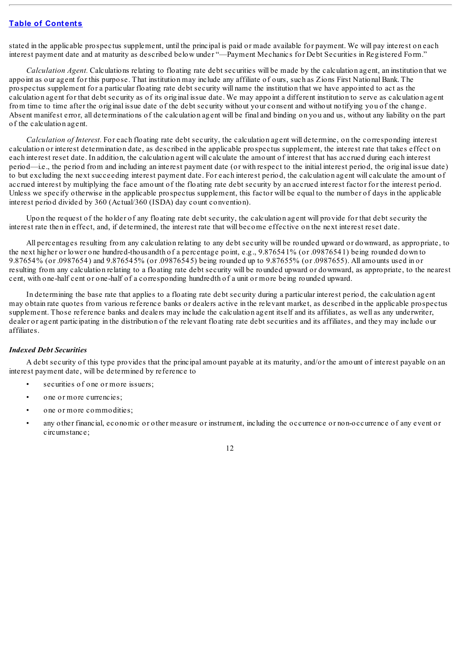stated in the applicable prospectus supplement, until the principal is paid or made available for payment. We will pay interest on each interest payment date and at maturity as described below under "—Payment Mechanics for Debt Securities in Registered Form."

*Calculation Agent.* Calculations relating to floating rate debt securities will be made by the calculation agent, an institution that we appoint as our agent for this purpose. That institution may include any affiliate of ours, such as Zions First National Bank. The prospectus supplement for a particular floating rate debt security will name the institution that we have appointed to act as the calculation agent for that debt security as of its original issue date. We may appoint a different institution to serve as calculation agent from time to time after the original issue date of the debt security without your consent and without notifying you of the change. Absent manifest error, all determinations of the calculation agent will be final and binding on you and us, without any liability on the part of the calculation agent.

*Calculation of Interest.* For each floating rate debt security, the calculation agent will determine, on the corresponding interest calculation or interest determination date, as described in the applicable prospectus supplement, the interest rate that takes effect on each interest reset date. In addition, the calculation agent will calculate the amount of interest that has accrued during each interest period—i.e., the period from and including an interest payment date (or with respect to the initial interest period, the original issue date) to but excluding the next succeeding interest payment date. For each interest period, the calculation agent will calculate the amount of accrued interest by multiplying the face amount of the floating rate debt security by an accrued interest factor for the interest period. Unless we specify otherwise in the applicable prospectus supplement, this factor will be equal to the number of days in the applicable interest period divided by 360 (Actual/360 (ISDA) day count convention).

Upon the request of the holder of any floating rate debt security, the calculation agent will provide for that debt security the interest rate then in effect, and, if determined, the interest rate that will become effective on the next interest reset date.

All percentages resulting from any calculation relating to any debt security will be rounded upward or downward, as appropriate, to the next higher or lower one hundred-thousandth of a percentage point, e.g., 9.876541% (or .09876541) being rounded down to 9.87654% (or .0987654) and 9.876545% (or .09876545) being rounded up to 9.87655% (or .0987655). All amounts used in or resulting from any calculation relating to a floating rate debt security will be rounded upward or downward, as appropriate, to the nearest cent, with one-half cent or one-half of a corresponding hundredth of a unit or more being rounded upward.

In determining the base rate that applies to a floating rate debt security during a particular interest period, the calculation agent may obtain rate quotes from various reference banks or dealers active in the relevant market, as described in the applicable prospectus supplement. Those reference banks and dealers may include the calculation agent itself and its affiliates, as well as any underwriter, dealer or agent participating in the distribution of the relevant floating rate debt securities and its affiliates, and they may include our affiliates.

### *Indexed Debt Securities*

A debt security of this type provides that the principal amount payable at its maturity, and/or the amount of interest payable on an interest payment date, will be determined by reference to

- securities of one or more issuers;
- one or more currencies;
- one or more commodities:
- any other financial, economic or other measure or instrument, including the occurrence or non-occurrence of any event or circumstance;

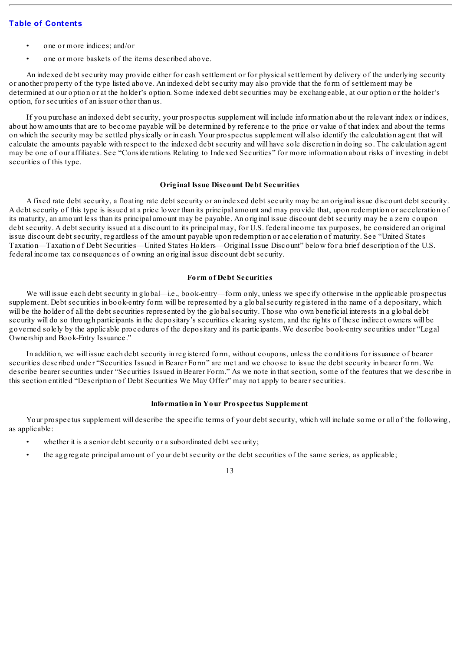- one or more indices; and/or
- one or more baskets of the items described above.

An indexed debt security may provide either for cash settlement or for physicalsettlement by delivery of the underlying security or another property of the type listed above. An indexed debt security may also provide that the form of settlement may be determined at our option or at the holder's option. Some indexed debt securities may be exchangeable, at our option or the holder's option, for securities of an issuer other than us.

If you purchase an indexed debt security, your prospectus supplement will include information about the relevant index or indices, about how amounts that are to become payable will be determined by reference to the price or value of that index and about the terms on which the security may be settled physically or in cash. Your prospectus supplement will also identify the calculation agent that will calculate the amounts payable with respect to the indexed debt security and will have sole discretion in doing so. The calculation agent may be one of our affiliates. See "Considerations Relating to Indexed Securities" for more information about risks of investing in debt securities of this type.

## **Original Issue Discount Debt Securities**

A fixed rate debt security, a floating rate debt security or an indexed debt security may be an original issue discount debt security. A debt security of this type is issued at a price lower than its principal amount and may provide that, upon redemption or acceleration of its maturity, an amount less than its principal amount may be payable. An original issue discount debt security may be a zero coupon debt security. A debt security issued at a discount to its principal may, for U.S. federal income tax purposes, be considered an original issue discount debt security, regardless of the amount payable upon redemption or acceleration of maturity. See "United States Taxation—Taxation of Debt Securities—United States Holders—Original Issue Discount" below for a brief description of the U.S. federal income tax consequences of owning an original issue discount debt security.

### **Form of Debt Securities**

We will issue each debt security in global—i.e., book-entry—form only, unless we specify otherwise in the applicable prospectus supplement. Debt securities in book-entry form will be represented by a globalsecurity registered in the name of a depositary, which will be the holder of all the debt securities represented by the global security. Those who own beneficial interests in a global debt security will do so through participants in the depositary's securities clearing system, and the rights of these indirect owners will be governed solely by the applicable procedures of the depositary and its participants. We describe book-entry securities under "Legal Ownership and Book-Entry Issuance."

In addition, we will issue each debt security in registered form, without coupons, unless the conditions for issuance of bearer securities described under "Securities Issued in Bearer Form" are met and we choose to issue the debt security in bearer form. We describe bearer securities under "Securities Issued in Bearer Form." As we note in that section, some of the features that we describe in this section entitled "Description of Debt Securities We May Offer" may not apply to bearer securities.

### **Information in Your Prospectus Supplement**

Your prospectus supplement will describe the specific terms of your debt security, which will include some or all of the following, as applicable:

- whether it is a senior debt security or a subordinated debt security;
- the aggregate principal amount of your debt security or the debt securities of the same series, as applicable;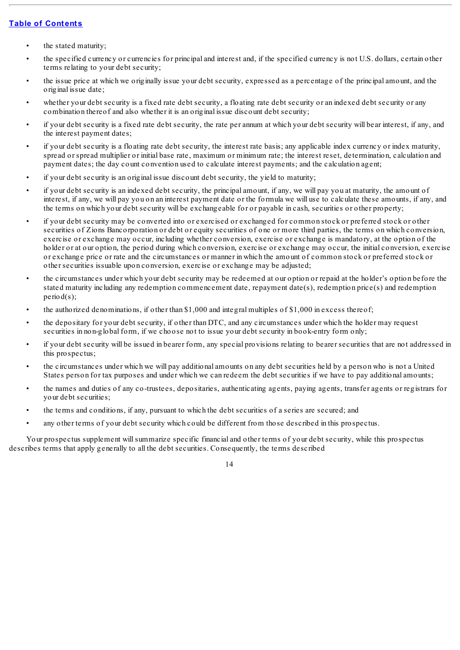- the stated maturity;
- the specified currency or currencies for principal and interest and, if the specified currency is not U.S. dollars, certain other terms relating to your debt security;
- the issue price at which we originally issue your debt security, expressed as a percentage of the principal amount, and the original issue date;
- whether your debt security is a fixed rate debt security, a floating rate debt security or an indexed debt security or any combination thereof and also whether it is an original issue discount debt security;
- if your debt security is a fixed rate debt security, the rate per annum at which your debt security will bear interest, if any, and the interest payment dates;
- if your debt security is a floating rate debt security, the interest rate basis; any applicable index currency or index maturity, spread or spread multiplier or initial base rate, maximum or minimum rate; the interest reset, determination, calculation and payment dates; the day count convention used to calculate interest payments; and the calculation agent;
- if your debt security is an original issue discount debt security, the yield to maturity;
- if your debt security is an indexed debt security, the principal amount, if any, we will pay you at maturity, the amount of interest, if any, we will pay you on an interest payment date or the formula we will use to calculate these amounts, if any, and the terms on which your debt security will be exchangeable for or payable in cash, securities or other property;
- if your debt security may be converted into or exercised or exchanged for common stock or preferred stock or other securities of Zions Bancorporation or debt or equity securities of one or more third parties, the terms on which conversion, exercise or exchange may occur, including whether conversion, exercise or exchange is mandatory, at the option of the holder or at our option, the period during which conversion, exercise or exchange may occur, the initial conversion, exercise or exchange price or rate and the circumstances or manner in which the amount of common stock or preferred stock or other securities issuable upon conversion, exercise or exchange may be adjusted;
- the circumstances under which your debt security may be redeemed at our option or repaid at the holder's option before the stated maturity including any redemption commencement date, repayment date(s), redemption price(s) and redemption period(s);
- the authorized denominations, if other than \$1,000 and integral multiples of \$1,000 in excess thereof;
- the depositary for your debt security, if other than DTC, and any circumstances under which the holder may request securities in non-global form, if we choose not to issue your debt security in book-entry form only;
- if your debt security will be issued in bearer form, any special provisions relating to bearer securities that are not addressed in this prospectus;
- the circumstances under which we will pay additional amounts on any debt securities held by a person who is not a United States person for tax purposes and under which we can redeem the debt securities if we have to pay additional amounts;
- the names and duties of any co-trustees, depositaries, authenticating agents, paying agents, transfer agents or registrars for your debt securities;
- the terms and conditions, if any, pursuant to which the debt securities of a series are secured; and
- any other terms of your debt security which could be different from those described in this prospectus.

Your prospectus supplement willsummarize specific financial and other terms of your debt security, while this prospectus describes terms that apply generally to all the debt securities. Consequently, the terms described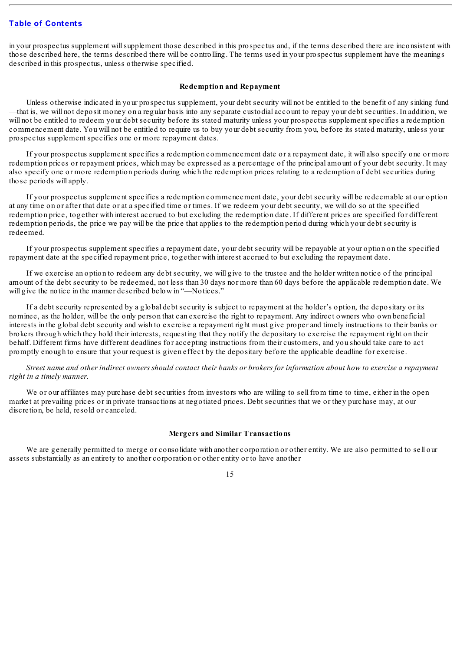in your prospectus supplement willsupplement those described in this prospectus and, if the terms described there are inconsistent with those described here, the terms described there will be controlling. The terms used in your prospectus supplement have the meanings described in this prospectus, unless otherwise specified.

#### **Redemption and Repayment**

Unless otherwise indicated in your prospectus supplement, your debt security will not be entitled to the benefit of any sinking fund —that is, we will not deposit money on a regular basis into any separate custodial account to repay your debt securities. In addition, we will not be entitled to redeem your debt security before its stated maturity unless your prospectus supplement specifies a redemption commencement date. You will not be entitled to require us to buy your debt security from you, before its stated maturity, unless your prospectus supplement specifies one or more repayment dates.

If your prospectus supplement specifies a redemption commencement date or a repayment date, it will also specify one or more redemption prices or repayment prices, which may be expressed as a percentage of the principal amount of your debt security. It may also specify one or more redemption periods during which the redemption prices relating to a redemption of debt securities during those periods will apply.

If your prospectus supplement specifies a redemption commencement date, your debt security will be redeemable at our option at any time on or after that date or at a specified time or times. If we redeem your debt security, we will do so at the specified redemption price, together with interest accrued to but excluding the redemption date. If different prices are specified for different redemption periods, the price we pay will be the price that applies to the redemption period during which your debt security is redeemed.

If your prospectus supplement specifies a repayment date, your debt security will be repayable at your option on the specified repayment date at the specified repayment price, together with interest accrued to but excluding the repayment date.

If we exercise an option to redeem any debt security, we will give to the trustee and the holder written notice of the principal amount of the debt security to be redeemed, not less than 30 days nor more than 60 days before the applicable redemption date. We will give the notice in the manner described below in "—Notices."

If a debt security represented by a global debt security is subject to repayment at the holder's option, the depositary or its nominee, as the holder, will be the only person that can exercise the right to repayment. Any indirect owners who own beneficial interests in the global debt security and wish to exercise a repayment right must give proper and timely instructions to their banks or brokers through which they hold their interests, requesting that they notify the depositary to exercise the repayment right on their behalf. Different firms have different deadlines for accepting instructions from their customers, and you should take care to act promptly enough to ensure that your request is given effect by the depositary before the applicable deadline for exercise.

Street name and other indirect owners should contact their banks or brokers for information about how to exercise a repayment *right in a timely manner.*

We or our affiliates may purchase debt securities from investors who are willing to sell from time to time, either in the open market at prevailing prices or in private transactions at negotiated prices. Debt securities that we or they purchase may, at our discretion, be held, resold or canceled.

#### **Mergers and Similar Transactions**

We are generally permitted to merge or consolidate with another corporation or other entity. We are also permitted to sell our assets substantially as an entirety to another corporation or other entity or to have another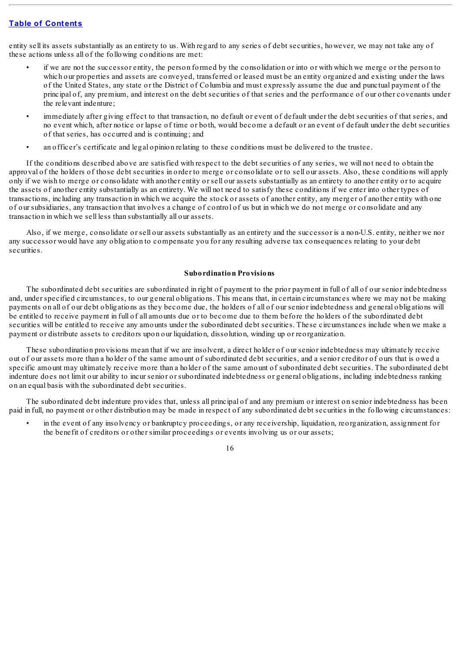entity sell its assets substantially as an entirety to us. With regard to any series of debt securities, however, we may not take any of these actions unless all of the following conditions are met:

- if we are not the successor entity, the person formed by the consolidation or into or with which we merge or the person to which our properties and assets are conveyed, transferred or leased must be an entity organized and existing under the laws of the United States, any state or the District of Columbia and must expressly assume the due and punctual payment of the principal of, any premium, and interest on the debt securities of that series and the performance of our other covenants under the relevant indenture;
- immediately after giving effect to that transaction, no default or event of default under the debt securities of that series, and no event which, after notice or lapse of time or both, would become a default or an event of default under the debt securities of that series, has occurred and is continuing; and
- an officer's certificate and legal opinion relating to these conditions must be delivered to the trustee.

If the conditions described above are satisfied with respect to the debt securities of any series, we will not need to obtain the approval of the holders of those debt securities in order to merge or consolidate or to sell our assets. Also, these conditions will apply only if we wish to merge or consolidate with another entity or sell our assets substantially as an entirety to another entity or to acquire the assets of another entity substantially as an entirety. We will not need to satisfy these conditions if we enter into other types of transactions, including any transaction in which we acquire the stock or assets of another entity, any merger of another entity with one of our subsidiaries, any transaction that involves a change of control of us but in which we do not merge or consolidate and any transaction in which we sell less than substantially all our assets.

Also, if we merge, consolidate or sell our assets substantially as an entirety and the successor is a non-U.S. entity, neither we nor any successor would have any obligation to compensate you for any resulting adverse tax consequences relating to your debt securities.

### **Subordination Provisions**

The subordinated debt securities are subordinated in right of payment to the prior payment in full of all of our senior indebtedness and, under specified circumstances, to our general obligations. This means that, in certain circumstances where we may not be making payments on all of our debt obligations as they become due, the holders of all of our senior indebtedness and general obligations will be entitled to receive payment in full of all amounts due or to become due to them before the holders of the subordinated debt securities will be entitled to receive any amounts under the subordinated debt securities. These circumstances include when we make a payment or distribute assets to creditors upon our liquidation, dissolution, winding up or reorganization.

These subordination provisions mean that if we are insolvent, a direct holder of our senior indebtedness may ultimately receive out of our assets more than a holder of the same amount of subordinated debt securities, and a senior creditor of ours that is owed a specific amount may ultimately receive more than a holder of the same amount of subordinated debt securities. The subordinated debt indenture does not limit our ability to incur senior or subordinated indebtedness or general obligations, including indebtedness ranking on an equal basis with the subordinated debt securities.

The subordinated debt indenture provides that, unless all principal of and any premium or interest on senior indebtedness has been paid in full, no payment or other distribution may be made in respect of any subordinated debt securities in the following circumstances:

• in the event of any insolvency or bankruptcy proceedings, or any receivership, liquidation, reorganization, assignment for the benefit of creditors or other similar proceedings or events involving us or our assets;

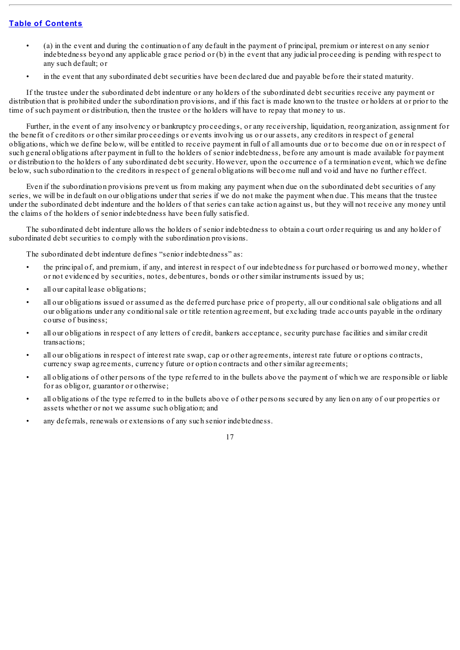- (a) in the event and during the continuation of any default in the payment of principal, premium or interest on any senior indebtedness beyond any applicable grace period or (b) in the event that any judicial proceeding is pending with respect to any such default; or
- in the event that any subordinated debt securities have been declared due and payable before their stated maturity.

If the trustee under the subordinated debt indenture or any holders of the subordinated debt securities receive any payment or distribution that is prohibited under the subordination provisions, and if this fact is made known to the trustee or holders at or prior to the time of such payment or distribution, then the trustee or the holders will have to repay that money to us.

Further, in the event of any insolvency or bankruptcy proceedings, or any receivership, liquidation, reorganization, assignment for the benefit of creditors or other similar proceedings or events involving us or our assets, any creditors in respect of general obligations, which we define below, will be entitled to receive payment in full of all amounts due or to become due on or in respect of such general obligations after payment in full to the holders of senior indebtedness, before any amount is made available for payment or distribution to the holders of any subordinated debt security. However, upon the occurrence of a termination event, which we define below, such subordination to the creditors in respect of general obligations will become null and void and have no further effect.

Even if the subordination provisions prevent us from making any payment when due on the subordinated debt securities of any series, we will be in default on our obligations under that series if we do not make the payment when due. This means that the trustee under the subordinated debt indenture and the holders of that series can take action against us, but they will not receive any money until the claims of the holders of senior indebtedness have been fully satisfied.

The subordinated debt indenture allows the holders of senior indebtedness to obtain a court order requiring us and any holder of subordinated debt securities to comply with the subordination provisions.

The subordinated debt indenture defines "senior indebtedness" as:

- the principal of, and premium, if any, and interest in respect of our indebtedness for purchased or borrowed money, whether or not evidenced by securities, notes, debentures, bonds or other similar instruments issued by us;
- all our capital lease obligations;
- all our obligations issued or assumed as the deferred purchase price of property, all our conditionalsale obligations and all our obligations under any conditionalsale or title retention agreement, but excluding trade accounts payable in the ordinary course of business;
- all our obligations in respect of any letters of credit, bankers acceptance, security purchase facilities and similar credit transactions;
- all our obligations in respect of interest rate swap, cap or other agreements, interest rate future or options contracts, currency swap agreements, currency future or option contracts and other similar agreements;
- all obligations of other persons of the type referred to in the bullets above the payment of which we are responsible or liable for as obligor, guarantor or otherwise;
- all obligations of the type referred to in the bullets above of other persons secured by any lien on any of our properties or assets whether or not we assume such obligation; and
- any deferrals, renewals or extensions of any such senior indebtedness.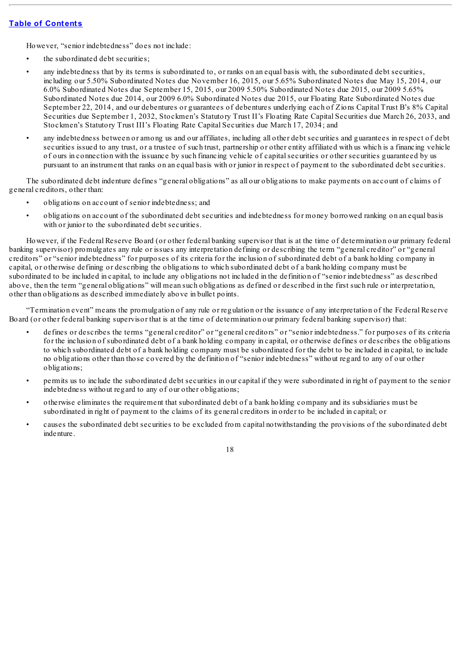However, "senior indebtedness" does not include:

- the subordinated debt securities:
- any indebtedness that by its terms is subordinated to, or ranks on an equal basis with, the subordinated debt securities, including our 5.50% Subordinated Notes due November 16, 2015, our 5.65% Subordinated Notes due May 15, 2014, our 6.0% Subordinated Notes due September 15, 2015, our 2009 5.50% Subordinated Notes due 2015, our 2009 5.65% Subordinated Notes due 2014, our 2009 6.0% Subordinated Notes due 2015, our Floating Rate Subordinated Notes due September 22, 2014, and our debentures or guarantees of debentures underlying each of Zions Capital Trust B's 8% Capital Securities due September 1, 2032, Stockmen's Statutory Trust II's Floating Rate Capital Securities due March 26, 2033, and Stockmen's Statutory Trust III's Floating Rate Capital Securities due March 17, 2034; and
- any indebtedness between or among us and our affiliates, including all other debt securities and guarantees in respect of debt securities issued to any trust, or a trustee of such trust, partnership or other entity affiliated with us which is a financing vehicle of ours in connection with the issuance by such financing vehicle of capitalsecurities or other securities guaranteed by us pursuant to an instrument that ranks on an equal basis with or junior in respect of payment to the subordinated debt securities.

The subordinated debt indenture defines "general obligations" as all our obligations to make payments on account of claims of general creditors, other than:

- obligations on account of senior indebtedness; and
- obligations on account of the subordinated debt securities and indebtedness for money borrowed ranking on an equal basis with or junior to the subordinated debt securities.

However, if the Federal Reserve Board (or other federal banking supervisor that is at the time of determination our primary federal banking supervisor) promulgates any rule or issues any interpretation defining or describing the term "general creditor" or "general creditors" or "senior indebtedness" for purposes of its criteria for the inclusion of subordinated debt of a bank holding company in capital, or otherwise defining or describing the obligations to which subordinated debt of a bank holding company must be subordinated to be included in capital, to include any obligations not included in the definition of "senior indebtedness" as described above, then the term "general obligations" will mean such obligations as defined or described in the first such rule or interpretation, other than obligations as described immediately above in bullet points.

"Termination event" means the promulgation of any rule or regulation or the issuance of any interpretation of the Federal Reserve Board (or other federal banking supervisor that is at the time of determination our primary federal banking supervisor) that:

- defines or describes the terms "general creditor" or "general creditors" or "senior indebtedness." for purposes of its criteria for the inclusion of subordinated debt of a bank holding company in capital, or otherwise defines or describes the obligations to which subordinated debt of a bank holding company must be subordinated for the debt to be included in capital, to include no obligations other than those covered by the definition of "senior indebtedness" without regard to any of our other obligations;
- permits us to include the subordinated debt securities in our capital if they were subordinated in right of payment to the senior indebtedness without regard to any of our other obligations;
- otherwise eliminates the requirement that subordinated debt of a bank holding company and its subsidiaries must be subordinated in right of payment to the claims of its general creditors in order to be included in capital; or
- causes the subordinated debt securities to be excluded from capital notwithstanding the provisions of the subordinated debt indenture.

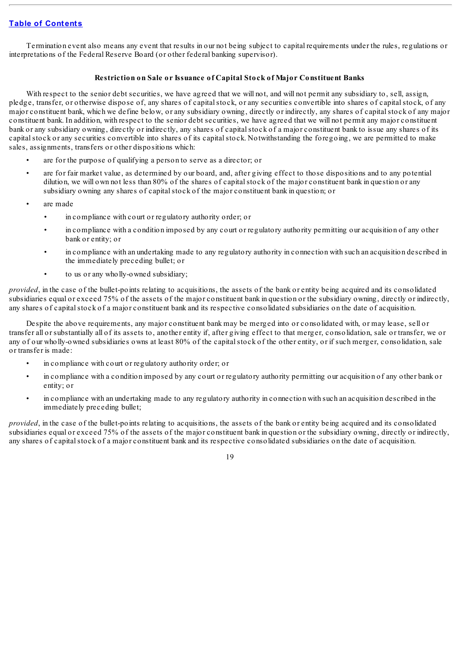Termination event also means any event that results in our not being subject to capital requirements under the rules, regulations or interpretations of the Federal Reserve Board (or other federal banking supervisor).

## **Restriction on Sale or Issuance of Capital Stock of Major Constituent Banks**

With respect to the senior debt securities, we have agreed that we will not, and will not permit any subsidiary to, sell, assign, pledge, transfer, or otherwise dispose of, any shares of capitalstock, or any securities convertible into shares of capitalstock, of any major constituent bank, which we define below, or any subsidiary owning, directly or indirectly, any shares of capitalstock of any major constituent bank. In addition, with respect to the senior debt securities, we have agreed that we will not permit any major constituent bank or any subsidiary owning, directly or indirectly, any shares of capitalstock of a major constituent bank to issue any shares of its capital stock or any securities convertible into shares of its capital stock. Notwithstanding the foregoing, we are permitted to make sales, assignments, transfers or other dispositions which:

- are for the purpose of qualifying a person to serve as a director; or
- are for fair market value, as determined by our board, and, after giving effect to those dispositions and to any potential dilution, we will own not less than 80% of the shares of capital stock of the major constituent bank in question or any subsidiary owning any shares of capitalstock of the major constituent bank in question; or
- are made
	- in compliance with court or regulatory authority order; or
	- in compliance with a condition imposed by any court or regulatory authority permitting our acquisition of any other bank or entity; or
	- in compliance with an undertaking made to any regulatory authority in connection with such an acquisition described in the immediately preceding bullet; or
	- to us or any wholly-owned subsidiary;

*provided*, in the case of the bullet-points relating to acquisitions, the assets of the bank or entity being acquired and its consolidated subsidiaries equal or exceed 75% of the assets of the major constituent bank in question or the subsidiary owning, directly or indirectly, any shares of capital stock of a major constituent bank and its respective consolidated subsidiaries on the date of acquisition.

Despite the above requirements, any major constituent bank may be merged into or consolidated with, or may lease, sell or transfer all or substantially all of its assets to, another entity if, after giving effect to that merger, consolidation, sale or transfer, we or any of our wholly-owned subsidiaries owns at least 80% of the capitalstock of the other entity, or if such merger, consolidation, sale or transfer is made:

- in compliance with court or regulatory authority order; or
- in compliance with a condition imposed by any court or regulatory authority permitting our acquisition of any other bank or entity; or
- in compliance with an undertaking made to any regulatory authority in connection with such an acquisition described in the immediately preceding bullet;

*provided*, in the case of the bullet-points relating to acquisitions, the assets of the bank or entity being acquired and its consolidated subsidiaries equal or exceed 75% of the assets of the major constituent bank in question or the subsidiary owning, directly or indirectly, any shares of capital stock of a major constituent bank and its respective consolidated subsidiaries on the date of acquisition.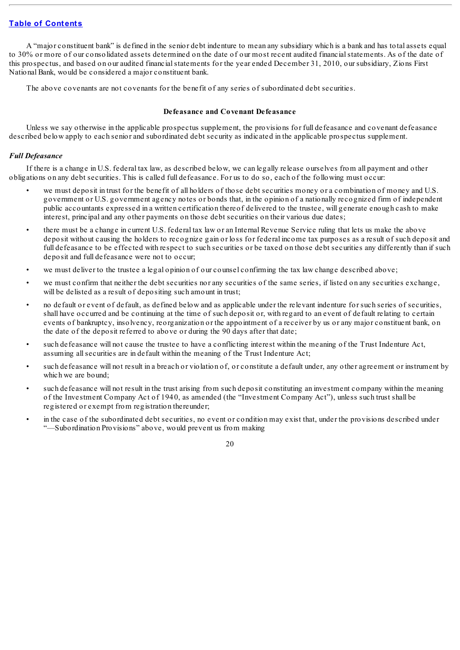A "major constituent bank" is defined in the senior debt indenture to mean any subsidiary which is a bank and has total assets equal to 30% or more of our consolidated assets determined on the date of our most recent audited financialstatements. As of the date of this prospectus, and based on our audited financialstatements for the year ended December 31, 2010, our subsidiary, Zions First National Bank, would be considered a major constituent bank.

The above covenants are not covenants for the benefit of any series of subordinated debt securities.

## **Defeasance and Covenant Defeasance**

Unless we say otherwise in the applicable prospectus supplement, the provisions for full defeasance and covenant defeasance described below apply to each senior and subordinated debt security as indicated in the applicable prospectus supplement.

## *Full Defeasance*

If there is a change in U.S. federal tax law, as described below, we can legally release ourselves from all payment and other obligations on any debt securities. This is called full defeasance. For us to do so, each of the following must occur:

- we must deposit in trust for the benefit of all holders of those debt securities money or a combination of money and U.S. government or U.S. government agency notes or bonds that, in the opinion of a nationally recognized firm of independent public accountants expressed in a written certification thereof delivered to the trustee, will generate enough cash to make interest, principal and any other payments on those debt securities on their various due dates;
- there must be a change in current U.S. federal tax law or an Internal Revenue Service ruling that lets us make the above deposit without causing the holders to recognize gain or loss for federal income tax purposes as a result of such deposit and full defeasance to be effected with respect to such securities or be taxed on those debt securities any differently than if such deposit and full defeasance were not to occur;
- we must deliver to the trustee a legal opinion of our counsel confirming the tax law change described above;
- we must confirm that neither the debt securities nor any securities of the same series, if listed on any securities exchange, will be delisted as a result of depositing such amount in trust;
- no default or event of default, as defined below and as applicable under the relevant indenture for such series of securities, shall have occurred and be continuing at the time of such deposit or, with regard to an event of default relating to certain events of bankruptcy, insolvency, reorganization or the appointment of a receiver by us or any major constituent bank, on the date of the deposit referred to above or during the 90 days after that date;
- such defeasance will not cause the trustee to have a conflicting interest within the meaning of the Trust Indenture Act, assuming allsecurities are in default within the meaning of the Trust Indenture Act;
- such defeasance will not result in a breach or violation of, or constitute a default under, any other agreement or instrument by which we are bound;
- such defeasance will not result in the trust arising from such deposit constituting an investment company within the meaning of the Investment Company Act of 1940, as amended (the "Investment Company Act"), unless such trust shall be registered or exempt from registration thereunder;
- in the case of the subordinated debt securities, no event or condition may exist that, under the provisions described under "—Subordination Provisions" above, would prevent us from making

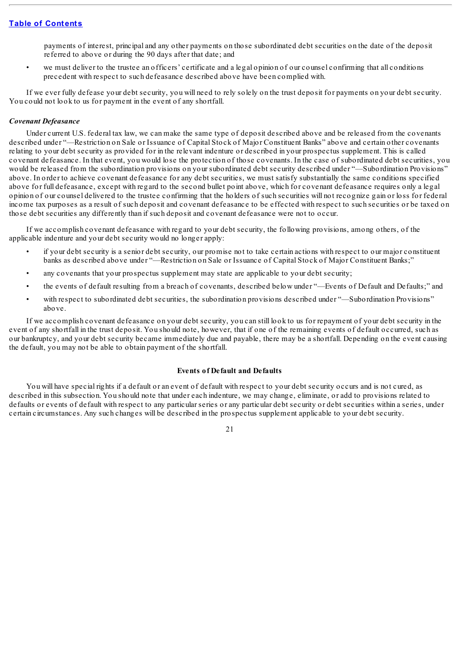payments of interest, principal and any other payments on those subordinated debt securities on the date of the deposit referred to above or during the 90 days after that date; and

• we must deliver to the trustee an officers' certificate and a legal opinion of our counsel confirming that all conditions precedent with respect to such defeasance described above have been complied with.

If we ever fully defease your debt security, you will need to rely solely on the trust deposit for payments on your debt security. You could not look to us for payment in the event of any shortfall.

### *Covenant Defeasance*

Under current U.S. federal tax law, we can make the same type of deposit described above and be released from the covenants described under "—Restriction on Sale or Issuance of Capital Stock of Major Constituent Banks" above and certain other covenants relating to your debt security as provided for in the relevant indenture or described in your prospectus supplement. This is called covenant defeasance. In that event, you would lose the protection of those covenants. In the case of subordinated debt securities, you would be released from the subordination provisions on your subordinated debt security described under "—Subordination Provisions" above. In order to achieve covenant defeasance for any debt securities, we must satisfy substantially the same conditions specified above for full defeasance, except with regard to the second bullet point above, which for covenant defeasance requires only a legal opinion of our counsel delivered to the trustee confirming that the holders of such securities will not recognize gain or loss for federal income tax purposes as a result of such deposit and covenant defeasance to be effected with respect to such securities or be taxed on those debt securities any differently than if such deposit and covenant defeasance were not to occur.

If we accomplish covenant defeasance with regard to your debt security, the following provisions, among others, of the applicable indenture and your debt security would no longer apply:

- if your debt security is a senior debt security, our promise not to take certain actions with respect to our major constituent banks as described above under "—Restriction on Sale or Issuance of Capital Stock of Major Constituent Banks;"
- any covenants that your prospectus supplement may state are applicable to your debt security;
- the events of default resulting from a breach of covenants, described below under "—Events of Default and Defaults;" and
- with respect to subordinated debt securities, the subordination provisions described under "—Subordination Provisions" above.

If we accomplish covenant defeasance on your debt security, you can still look to us for repayment of your debt security in the event of any shortfall in the trust deposit. You should note, however, that if one of the remaining events of default occurred, such as our bankruptcy, and your debt security became immediately due and payable, there may be a shortfall. Depending on the event causing the default, you may not be able to obtain payment of the shortfall.

### **Events of Default and Defaults**

You will have special rights if a default or an event of default with respect to your debt security occurs and is not cured, as described in this subsection. You should note that under each indenture, we may change, eliminate, or add to provisions related to defaults or events of default with respect to any particular series or any particular debt security or debt securities within a series, under certain circumstances. Any such changes will be described in the prospectus supplement applicable to your debt security.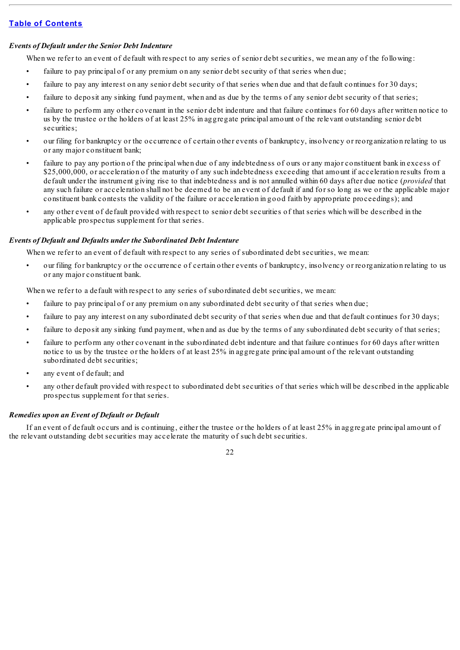# *Events of Default under the Senior Debt Indenture*

When we refer to an event of default with respect to any series of senior debt securities, we mean any of the following:

- failure to pay principal of or any premium on any senior debt security of that series when due;
- failure to pay any interest on any senior debt security of that series when due and that default continues for 30 days;
- failure to deposit any sinking fund payment, when and as due by the terms of any senior debt security of that series;
- failure to perform any other covenant in the senior debt indenture and that failure continues for 60 days after written notice to us by the trustee or the holders of at least 25% in aggregate principal amount of the relevant outstanding senior debt securities:
- our filing for bankruptcy or the occurrence of certain other events of bankruptcy, insolvency or reorganization relating to us or any major constituent bank;
- failure to pay any portion of the principal when due of any indebtedness of ours or any major constituent bank in excess of \$25,000,000, or acceleration of the maturity of any such indebtedness exceeding that amount if acceleration results from a default under the instrument giving rise to that indebtedness and is not annulled within 60 days after due notice (*provided* that any such failure or acceleration shall not be deemed to be an event of default if and for so long as we or the applicable major constituent bank contests the validity of the failure or acceleration in good faith by appropriate proceedings); and
- any other event of default provided with respect to senior debt securities of that series which will be described in the applicable prospectus supplement for that series.

# *Events of Default and Defaults under the Subordinated Debt Indenture*

When we refer to an event of default with respect to any series of subordinated debt securities, we mean:

• our filing for bankruptcy or the occurrence of certain other events of bankruptcy, insolvency or reorganization relating to us or any major constituent bank.

When we refer to a default with respect to any series of subordinated debt securities, we mean:

- failure to pay principal of or any premium on any subordinated debt security of that series when due;
- failure to pay any interest on any subordinated debt security of that series when due and that default continues for 30 days;
- failure to deposit any sinking fund payment, when and as due by the terms of any subordinated debt security of that series;
- failure to perform any other covenant in the subordinated debt indenture and that failure continues for 60 days after written notice to us by the trustee or the holders of at least 25% in aggregate principal amount of the relevant outstanding subordinated debt securities;
- any event of default; and
- any other default provided with respect to subordinated debt securities of that series which will be described in the applicable prospectus supplement for that series.

# *Remedies upon an Event of Default or Default*

If an event of default occurs and is continuing, either the trustee or the holders of at least 25% in aggregate principal amount of the relevant outstanding debt securities may accelerate the maturity of such debt securities.

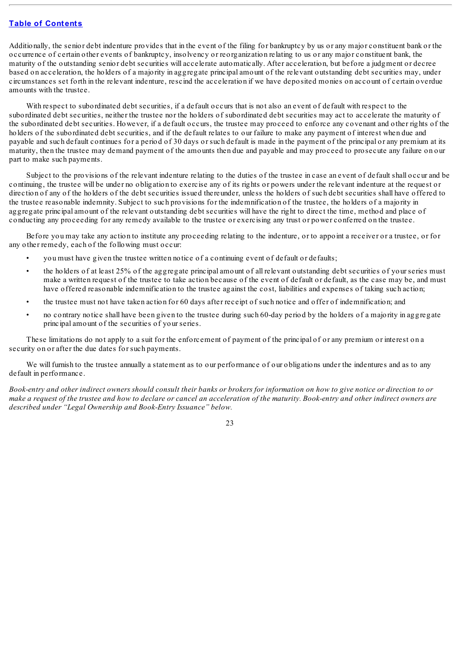Additionally, the senior debt indenture provides that in the event of the filing for bankruptcy by us or any major constituent bank or the occurrence of certain other events of bankruptcy, insolvency or reorganization relating to us or any major constituent bank, the maturity of the outstanding senior debt securities will accelerate automatically. After acceleration, but before a judgment or decree based on acceleration, the holders of a majority in aggregate principal amount of the relevant outstanding debt securities may, under circumstances set forth in the relevant indenture, rescind the acceleration if we have deposited monies on account of certain overdue amounts with the trustee.

With respect to subordinated debt securities, if a default occurs that is not also an event of default with respect to the subordinated debt securities, neither the trustee nor the holders of subordinated debt securities may act to accelerate the maturity of the subordinated debt securities. However, if a default occurs, the trustee may proceed to enforce any covenant and other rights of the holders of the subordinated debt securities, and if the default relates to our failure to make any payment of interest when due and payable and such default continues for a period of 30 days or such default is made in the payment of the principal or any premium at its maturity, then the trustee may demand payment of the amounts then due and payable and may proceed to prosecute any failure on our part to make such payments.

Subject to the provisions of the relevant indenture relating to the duties of the trustee in case an event of default shall occur and be continuing, the trustee will be under no obligation to exercise any of its rights or powers under the relevant indenture at the request or direction of any of the holders of the debt securities issued thereunder, unless the holders of such debt securities shall have offered to the trustee reasonable indemnity. Subject to such provisions for the indemnification of the trustee, the holders of a majority in aggregate principal amount of the relevant outstanding debt securities will have the right to direct the time, method and place of conducting any proceeding for any remedy available to the trustee or exercising any trust or power conferred on the trustee.

Before you may take any action to institute any proceeding relating to the indenture, or to appoint a receiver or a trustee, or for any other remedy, each of the following must occur:

- you must have given the trustee written notice of a continuing event of default or defaults;
- the holders of at least 25% of the aggregate principal amount of all relevant outstanding debt securities of your series must make a written request of the trustee to take action because of the event of default or default, as the case may be, and must have offered reasonable indemnification to the trustee against the cost, liabilities and expenses of taking such action;
- the trustee must not have taken action for 60 days after receipt of such notice and offer of indemnification; and
- no contrary notice shall have been given to the trustee during such 60-day period by the holders of a majority in aggregate principal amount of the securities of your series.

These limitations do not apply to a suit for the enforcement of payment of the principal of or any premium or interest on a security on or after the due dates for such payments.

We will furnish to the trustee annually a statement as to our performance of our obligations under the indentures and as to any default in performance.

Book-entry and other indirect owners should consult their banks or brokers for information on how to give notice or direction to or make a request of the trustee and how to declare or cancel an acceleration of the maturity. Book-entry and other indirect owners are *described under "Legal Ownership and Book-Entry Issuance" below.*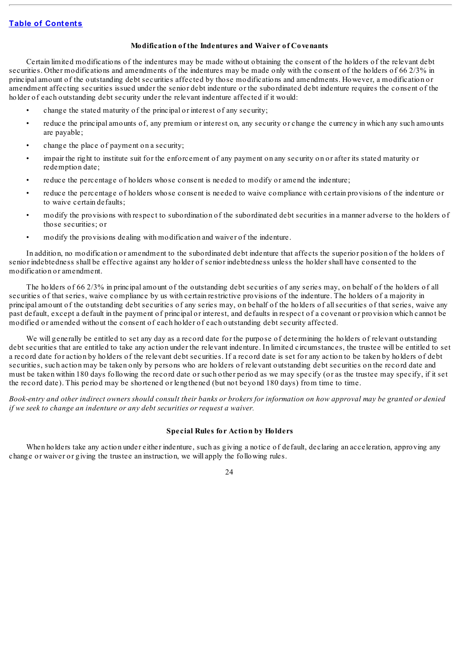## **Modification of the Indentures and Waiver of Covenants**

Certain limited modifications of the indentures may be made without obtaining the consent of the holders of the relevant debt securities. Other modifications and amendments of the indentures may be made only with the consent of the holders of 66 2/3% in principal amount of the outstanding debt securities affected by those modifications and amendments. However, a modification or amendment affecting securities issued under the senior debt indenture or the subordinated debt indenture requires the consent of the holder of each outstanding debt security under the relevant indenture affected if it would:

- change the stated maturity of the principal or interest of any security;
- reduce the principal amounts of, any premium or interest on, any security or change the currency in which any such amounts are payable;
- change the place of payment on a security:
- impair the right to institute suit for the enforcement of any payment on any security on or after its stated maturity or redemption date;
- reduce the percentage of holders whose consent is needed to modify or amend the indenture;
- reduce the percentage of holders whose consent is needed to waive compliance with certain provisions of the indenture or to waive certain defaults;
- modify the provisions with respect to subordination of the subordinated debt securities in a manner adverse to the holders of those securities; or
- modify the provisions dealing with modification and waiver of the indenture.

In addition, no modification or amendment to the subordinated debt indenture that affects the superior position of the holders of senior indebtedness shall be effective against any holder of senior indebtedness unless the holder shall have consented to the modification or amendment.

The holders of 66 2/3% in principal amount of the outstanding debt securities of any series may, on behalf of the holders of all securities of that series, waive compliance by us with certain restrictive provisions of the indenture. The holders of a majority in principal amount of the outstanding debt securities of any series may, on behalf of the holders of allsecurities of that series, waive any past default, except a default in the payment of principal or interest, and defaults in respect of a covenant or provision which cannot be modified or amended without the consent of each holder of each outstanding debt security affected.

We will generally be entitled to set any day as a record date for the purpose of determining the holders of relevant outstanding debt securities that are entitled to take any action under the relevant indenture. In limited circumstances, the trustee will be entitled to set a record date for action by holders of the relevant debt securities. If a record date is set for any action to be taken by holders of debt securities, such action may be taken only by persons who are holders of relevant outstanding debt securities on the record date and must be taken within 180 days following the record date or such other period as we may specify (or as the trustee may specify, if it set the record date). This period may be shortened or lengthened (but not beyond 180 days) from time to time.

Book-entry and other indirect owners should consult their banks or brokers for information on how approval may be granted or denied *if we seek to change an indenture or any debt securities or request a waiver.*

#### **Special Rules for Action by Holders**

When holders take any action under either indenture, such as giving a notice of default, declaring an acceleration, approving any change or waiver or giving the trustee an instruction, we will apply the following rules.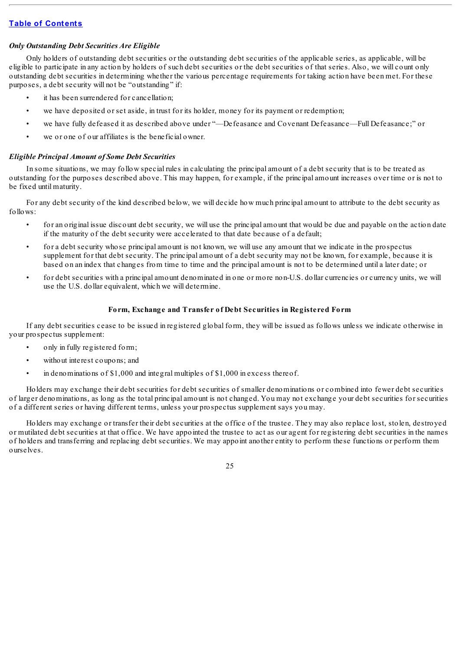## *Only Outstanding Debt Securities Are Eligible*

Only holders of outstanding debt securities or the outstanding debt securities of the applicable series, as applicable, will be eligible to participate in any action by holders of such debt securities or the debt securities of that series. Also, we will count only outstanding debt securities in determining whether the various percentage requirements for taking action have been met. For these purposes, a debt security will not be "outstanding" if:

- it has been surrendered for cancellation;
- we have deposited or set aside, in trust for its holder, money for its payment or redemption;
- we have fully defeased it as described above under "—Defeasance and Covenant Defeasance—Full Defeasance;" or
- we or one of our affiliates is the beneficial owner.

## *Eligible Principal Amount of Some Debt Securities*

In some situations, we may follow special rules in calculating the principal amount of a debt security that is to be treated as outstanding for the purposes described above. This may happen, for example, if the principal amount increases over time or is not to be fixed until maturity.

For any debt security of the kind described below, we will decide how much principal amount to attribute to the debt security as follows:

- for an original issue discount debt security, we will use the principal amount that would be due and payable on the action date if the maturity of the debt security were accelerated to that date because of a default;
- for a debt security whose principal amount is not known, we will use any amount that we indicate in the prospectus supplement for that debt security. The principal amount of a debt security may not be known, for example, because it is based on an index that changes from time to time and the principal amount is not to be determined until a later date; or
- for debt securities with a principal amount denominated in one or more non-U.S. dollar currencies or currency units, we will use the U.S. dollar equivalent, which we will determine.

## **Form, Exchange and Transfer of Debt Securities in Registered Form**

If any debt securities cease to be issued in registered global form, they will be issued as follows unless we indicate otherwise in your prospectus supplement:

- only in fully registered form;
- without interest coupons; and
- in denominations of \$1,000 and integral multiples of \$1,000 in excess thereof.

Holders may exchange their debt securities for debt securities of smaller denominations or combined into fewer debt securities of larger denominations, as long as the total principal amount is not changed. You may not exchange your debt securities for securities of a different series or having different terms, unless your prospectus supplement says you may.

Holders may exchange or transfer their debt securities at the office of the trustee. They may also replace lost, stolen, destroyed or mutilated debt securities at that office. We have appointed the trustee to act as our agent for registering debt securities in the names of holders and transferring and replacing debt securities. We may appoint another entity to perform these functions or perform them ourselves.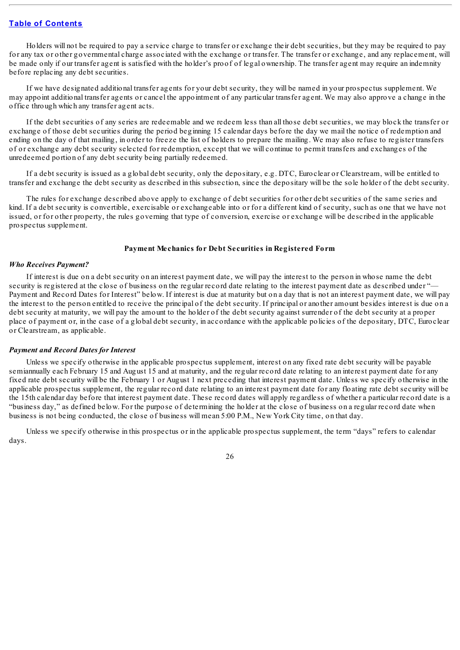Holders will not be required to pay a service charge to transfer or exchange their debt securities, but they may be required to pay for any tax or other governmental charge associated with the exchange or transfer. The transfer or exchange, and any replacement, will be made only if our transfer agent is satisfied with the holder's proof of legal ownership. The transfer agent may require an indemnity before replacing any debt securities.

If we have designated additional transfer agents for your debt security, they will be named in your prospectus supplement. We may appoint additional transfer agents or cancel the appointment of any particular transfer agent. We may also approve a change in the office through which any transfer agent acts.

If the debt securities of any series are redeemable and we redeem less than all those debt securities, we may block the transfer or exchange of those debt securities during the period beginning 15 calendar days before the day we mail the notice of redemption and ending on the day of that mailing, in order to freeze the list of holders to prepare the mailing. We may also refuse to register transfers of or exchange any debt security selected for redemption, except that we will continue to permit transfers and exchanges of the unredeemed portion of any debt security being partially redeemed.

If a debt security is issued as a global debt security, only the depositary, e.g. DTC, Euroclear or Clearstream, will be entitled to transfer and exchange the debt security as described in this subsection, since the depositary will be the sole holder of the debt security.

The rules for exchange described above apply to exchange of debt securities for other debt securities of the same series and kind. If a debt security is convertible, exercisable or exchangeable into or for a different kind of security, such as one that we have not issued, or for other property, the rules governing that type of conversion, exercise or exchange will be described in the applicable prospectus supplement.

#### **Payment Mechanics for Debt Securities in Registered Form**

#### *Who Receives Payment?*

If interest is due on a debt security on an interest payment date, we will pay the interest to the person in whose name the debt security is registered at the close of business on the regular record date relating to the interest payment date as described under "— Payment and Record Dates for Interest" below. If interest is due at maturity but on a day that is not an interest payment date, we will pay the interest to the person entitled to receive the principal of the debt security. If principal or another amount besides interest is due on a debt security at maturity, we will pay the amount to the holder of the debt security against surrender of the debt security at a proper place of payment or, in the case of a global debt security, in accordance with the applicable policies of the depositary, DTC, Euroclear or Clearstream, as applicable.

#### *Payment and Record Dates for Interest*

Unless we specify otherwise in the applicable prospectus supplement, interest on any fixed rate debt security will be payable semiannually each February 15 and August 15 and at maturity, and the regular record date relating to an interest payment date for any fixed rate debt security will be the February 1 or August 1 next preceding that interest payment date. Unless we specify otherwise in the applicable prospectus supplement, the regular record date relating to an interest payment date for any floating rate debt security will be the 15th calendar day before that interest payment date. These record dates will apply regardless of whether a particular record date is a "business day," as defined below. For the purpose of determining the holder at the close of business on a regular record date when business is not being conducted, the close of business will mean 5:00 P.M., New York City time, on that day.

Unless we specify otherwise in this prospectus or in the applicable prospectus supplement, the term "days" refers to calendar days.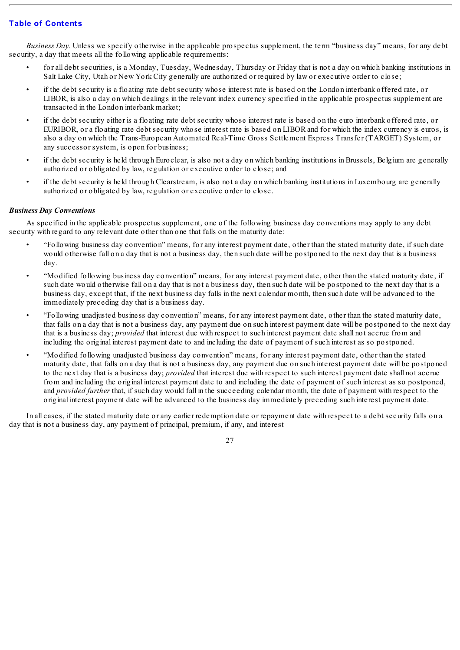*Business Day.* Unless we specify otherwise in the applicable prospectus supplement, the term "business day" means, for any debt security, a day that meets all the following applicable requirements:

- for all debt securities, is a Monday, Tuesday, Wednesday, Thursday or Friday that is not a day on which banking institutions in Salt Lake City, Utah or New York City generally are authorized or required by law or executive order to close;
- if the debt security is a floating rate debt security whose interest rate is based on the London interbank offered rate, or LIBOR, is also a day on which dealings in the relevant index currency specified in the applicable prospectus supplement are transacted in the London interbank market;
- if the debt security either is a floating rate debt security whose interest rate is based on the euro interbank offered rate, or EURIBOR, or a floating rate debt security whose interest rate is based on LIBOR and for which the index currency is euros, is also a day on which the Trans-European Automated Real-Time Gross Settlement Express Transfer (TARGET) System, or any successor system, is open for business;
- if the debt security is held through Euroclear, is also not a day on which banking institutions in Brussels, Belgium are generally authorized or obligated by law, regulation or executive order to close; and
- if the debt security is held through Clearstream, is also not a day on which banking institutions in Luxembourg are generally authorized or obligated by law, regulation or executive order to close.

## *Business Day Conventions*

As specified in the applicable prospectus supplement, one of the following business day conventions may apply to any debt security with regard to any relevant date other than one that falls on the maturity date:

- "Following business day convention" means, for any interest payment date, other than the stated maturity date, if such date would otherwise fall on a day that is not a business day, then such date will be postponed to the next day that is a business day.
- "Modified following business day convention" means, for any interest payment date, other than the stated maturity date, if such date would otherwise fall on a day that is not a business day, then such date will be postponed to the next day that is a business day, except that, if the next business day falls in the next calendar month, then such date will be advanced to the immediately preceding day that is a business day.
- "Following unadjusted business day convention" means, for any interest payment date, other than the stated maturity date, that falls on a day that is not a business day, any payment due on such interest payment date will be postponed to the next day that is a business day; *provided* that interest due with respect to such interest payment date shall not accrue from and including the original interest payment date to and including the date of payment of such interest as so postponed.
- "Modified following unadjusted business day convention" means, for any interest payment date, other than the stated maturity date, that falls on a day that is not a business day, any payment due on such interest payment date will be postponed to the next day that is a business day; *provided* that interest due with respect to such interest payment date shall not accrue from and including the original interest payment date to and including the date of payment of such interest as so postponed, and *provided further* that, if such day would fall in the succeeding calendar month, the date of payment with respect to the original interest payment date will be advanced to the business day immediately preceding such interest payment date.

In all cases, if the stated maturity date or any earlier redemption date or repayment date with respect to a debt security falls on a day that is not a business day, any payment of principal, premium, if any, and interest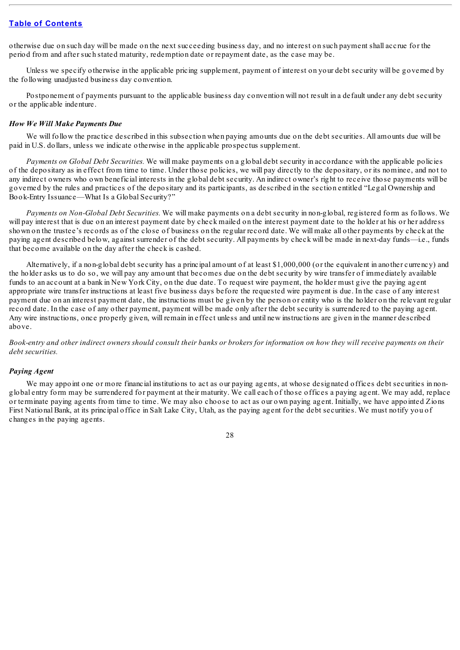otherwise due on such day will be made on the next succeeding business day, and no interest on such payment shall accrue for the period from and after such stated maturity, redemption date or repayment date, as the case may be.

Unless we specify otherwise in the applicable pricing supplement, payment of interest on your debt security will be governed by the following unadjusted business day convention.

Postponement of payments pursuant to the applicable business day convention will not result in a default under any debt security or the applicable indenture.

### *How We Will Make Payments Due*

We will follow the practice described in this subsection when paying amounts due on the debt securities. All amounts due will be paid in U.S. dollars, unless we indicate otherwise in the applicable prospectus supplement.

*Payments on Global Debt Securities.* We will make payments on a global debt security in accordance with the applicable policies of the depositary as in effect from time to time. Under those policies, we will pay directly to the depositary, or its nominee, and not to any indirect owners who own beneficial interests in the global debt security. An indirect owner's right to receive those payments will be governed by the rules and practices of the depositary and its participants, as described in the section entitled "Legal Ownership and Book-Entry Issuance—What Is a Global Security?"

*Payments on Non-Global Debt Securities.* We will make payments on a debt security in non-global, registered form as follows. We will pay interest that is due on an interest payment date by check mailed on the interest payment date to the holder at his or her address shown on the trustee's records as of the close of business on the regular record date. We will make all other payments by check at the paying agent described below, against surrender of the debt security. All payments by check will be made in next-day funds—i.e., funds that become available on the day after the check is cashed.

Alternatively, if a non-global debt security has a principal amount of at least \$1,000,000 (or the equivalent in another currency) and the holder asks us to do so, we will pay any amount that becomes due on the debt security by wire transfer of immediately available funds to an account at a bank in New York City, on the due date. To request wire payment, the holder must give the paying agent appropriate wire transfer instructions at least five business days before the requested wire payment is due. In the case of any interest payment due on an interest payment date, the instructions must be given by the person or entity who is the holder on the relevant regular record date. In the case of any other payment, payment will be made only after the debt security is surrendered to the paying agent. Any wire instructions, once properly given, will remain in effect unless and until new instructions are given in the manner described above.

Book-entry and other indirect owners should consult their banks or brokers for information on how they will receive payments on their *debt securities.*

## *Paying Agent*

We may appoint one or more financial institutions to act as our paying agents, at whose designated offices debt securities in nonglobal entry form may be surrendered for payment at their maturity. We call each of those offices a paying agent. We may add, replace or terminate paying agents from time to time. We may also choose to act as our own paying agent. Initially, we have appointed Zions First National Bank, at its principal office in Salt Lake City, Utah, as the paying agent for the debt securities. We must notify you of changes in the paying agents.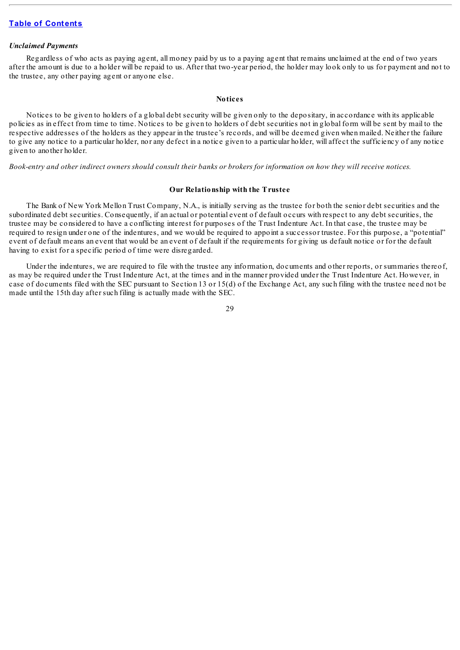#### *Unclaimed Payments*

Regardless of who acts as paying agent, all money paid by us to a paying agent that remains unclaimed at the end of two years after the amount is due to a holder will be repaid to us. After that two-year period, the holder may look only to us for payment and not to the trustee, any other paying agent or anyone else.

#### **Notices**

Notices to be given to holders of a global debt security will be given only to the depositary, in accordance with its applicable policies as in effect from time to time. Notices to be given to holders of debt securities not in global form will be sent by mail to the respective addresses of the holders as they appear in the trustee's records, and will be deemed given when mailed. Neither the failure to give any notice to a particular holder, nor any defect in a notice given to a particular holder, will affect the sufficiency of any notice given to another holder.

#### Book-entry and other indirect owners should consult their banks or brokers for information on how they will receive notices.

#### **Our Relationship with the Trustee**

The Bank of New York Mellon Trust Company, N.A., is initially serving as the trustee for both the senior debt securities and the subordinated debt securities. Consequently, if an actual or potential event of default occurs with respect to any debt securities, the trustee may be considered to have a conflicting interest for purposes of the Trust Indenture Act. In that case, the trustee may be required to resign under one of the indentures, and we would be required to appoint a successor trustee. For this purpose, a "potential" event of default means an event that would be an event of default if the requirements for giving us default notice or for the default having to exist for a specific period of time were disregarded.

Under the indentures, we are required to file with the trustee any information, documents and other reports, or summaries thereof, as may be required under the Trust Indenture Act, at the times and in the manner provided under the Trust Indenture Act. However, in case of documents filed with the SEC pursuant to Section 13 or 15(d) of the Exchange Act, any such filing with the trustee need not be made until the 15th day after such filing is actually made with the SEC.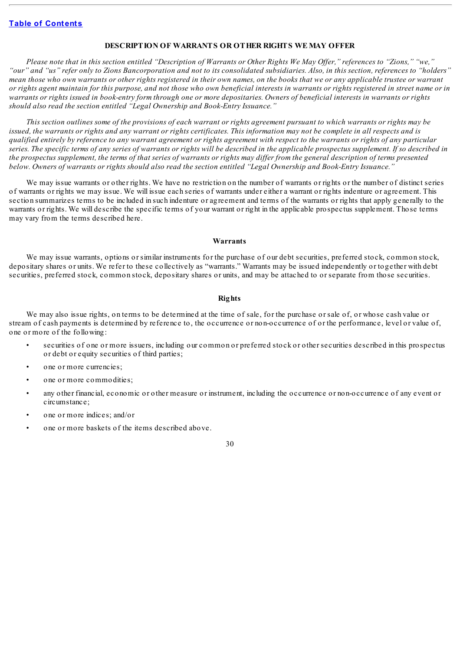### **DESCRIPTION OF WARRANTS OR OTHER RIGHTS WE MAY OFFER**

Please note that in this section entitled "Description of Warrants or Other Rights We May Offer," references to "Zions," "we," "our" and "us" refer only to Zions Bancorporation and not to its consolidated subsidiaries. Also, in this section, references to "holders" mean those who own warrants or other rights registered in their own names, on the books that we or any applicable trustee or warrant or rights agent maintain for this purpose, and not those who own beneficial interests in warrants or rights registered in street name or in warrants or rights issued in book-entry form through one or more depositaries. Owners of beneficial interests in warrants or rights *should also read the section entitled "Legal Ownership and Book-Entry Issuance."*

This section outlines some of the provisions of each warrant or rights agreement pursuant to which warrants or rights may be issued, the warrants or rights and any warrant or rights certificates. This information may not be complete in all respects and is qualified entirely by reference to any warrant agreement or rights agreement with respect to the warrants or rights of any particular series. The specific terms of any series of warrants or rights will be described in the applicable prospectus supplement. If so described in the prospectus supplement, the terms of that series of warrants or rights may differ from the general description of terms presented below. Owners of warrants or rights should also read the section entitled "Legal Ownership and Book-Entry Issuance."

We may issue warrants or other rights. We have no restriction on the number of warrants or rights or the number of distinct series of warrants or rights we may issue. We will issue each series of warrants under either a warrant or rights indenture or agreement. This section summarizes terms to be included in such indenture or agreement and terms of the warrants or rights that apply generally to the warrants or rights. We will describe the specific terms of your warrant or right in the applicable prospectus supplement. Those terms may vary from the terms described here.

#### **Warrants**

We may issue warrants, options or similar instruments for the purchase of our debt securities, preferred stock, common stock, depositary shares or units. We refer to these collectively as "warrants." Warrants may be issued independently or together with debt securities, preferred stock, common stock, depositary shares or units, and may be attached to or separate from those securities.

#### **Rights**

We may also issue rights, on terms to be determined at the time of sale, for the purchase or sale of, or whose cash value or stream of cash payments is determined by reference to, the occurrence or non-occurrence of or the performance, level or value of, one or more of the following:

- securities of one or more issuers, including our common or preferred stock or other securities described in this prospectus or debt or equity securities of third parties;
- one or more currencies;
- one or more commodities;
- any other financial, economic or other measure or instrument, including the occurrence or non-occurrence of any event or circumstance;
- one or more indices; and/or
- one or more baskets of the items described above.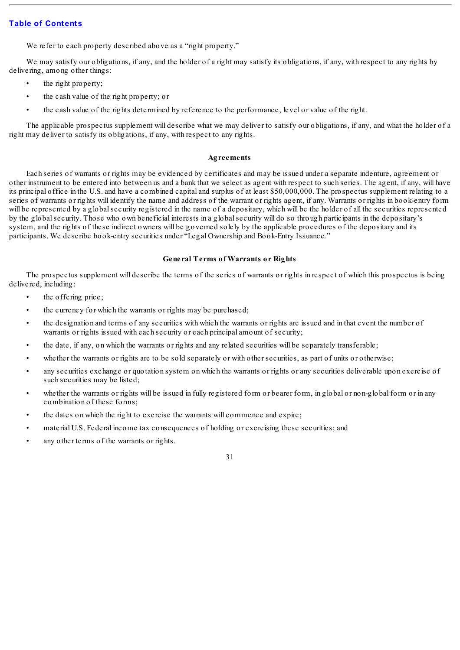We refer to each property described above as a "right property."

We may satisfy our obligations, if any, and the holder of a right may satisfy its obligations, if any, with respect to any rights by delivering, among other things:

- the right property;
- the cash value of the right property; or
- the cash value of the rights determined by reference to the performance, level or value of the right.

The applicable prospectus supplement will describe what we may deliver to satisfy our obligations, if any, and what the holder of a right may deliver to satisfy its obligations, if any, with respect to any rights.

#### **Agreements**

Each series of warrants or rights may be evidenced by certificates and may be issued under a separate indenture, agreement or other instrument to be entered into between us and a bank that we select as agent with respect to such series. The agent, if any, will have its principal office in the U.S. and have a combined capital and surplus of at least \$50,000,000. The prospectus supplement relating to a series of warrants or rights will identify the name and address of the warrant or rights agent, if any. Warrants or rights in book-entry form will be represented by a global security registered in the name of a depositary, which will be the holder of all the securities represented by the globalsecurity. Those who own beneficial interests in a globalsecurity will do so through participants in the depositary's system, and the rights of these indirect owners will be governed solely by the applicable procedures of the depositary and its participants. We describe book-entry securities under "Legal Ownership and Book-Entry Issuance."

#### **General Terms of Warrants or Rights**

The prospectus supplement will describe the terms of the series of warrants or rights in respect of which this prospectus is being delivered, including:

- the offering price;
- the currency for which the warrants or rights may be purchased;
- the designation and terms of any securities with which the warrants or rights are issued and in that event the number of warrants or rights issued with each security or each principal amount of security;
- the date, if any, on which the warrants or rights and any related securities will be separately transferable;
- whether the warrants or rights are to be sold separately or with other securities, as part of units or otherwise;
- any securities exchange or quotation system on which the warrants or rights or any securities deliverable upon exercise of such securities may be listed;
- whether the warrants or rights will be issued in fully registered form or bearer form, in global or non-global form or in any combination of these forms;
- the dates on which the right to exercise the warrants will commence and expire;
- material U.S. Federal income tax consequences of holding or exercising these securities; and
- any other terms of the warrants or rights.

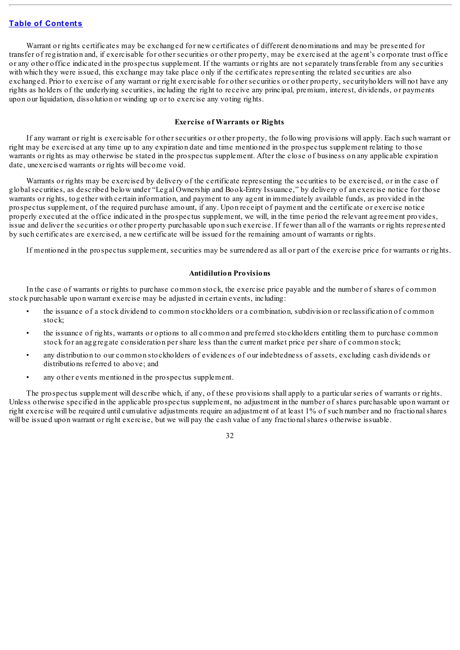Warrant or rights certificates may be exchanged for new certificates of different denominations and may be presented for transfer of registration and, if exercisable for other securities or other property, may be exercised at the agent's corporate trust office or any other office indicated in the prospectus supplement. If the warrants or rights are not separately transferable from any securities with which they were issued, this exchange may take place only if the certificates representing the related securities are also exchanged. Prior to exercise of any warrant or right exercisable for other securities or other property, securityholders will not have any rights as holders of the underlying securities, including the right to receive any principal, premium, interest, dividends, or payments upon our liquidation, dissolution or winding up or to exercise any voting rights.

## **Exercise of Warrants or Rights**

If any warrant or right is exercisable for other securities or other property, the following provisions will apply. Each such warrant or right may be exercised at any time up to any expiration date and time mentioned in the prospectus supplement relating to those warrants or rights as may otherwise be stated in the prospectus supplement. After the close of business on any applicable expiration date, unexercised warrants or rights will become void.

Warrants or rights may be exercised by delivery of the certificate representing the securities to be exercised, or in the case of globalsecurities, as described below under "Legal Ownership and Book-Entry Issuance," by delivery of an exercise notice for those warrants or rights, together with certain information, and payment to any agent in immediately available funds, as provided in the prospectus supplement, of the required purchase amount, if any. Upon receipt of payment and the certificate or exercise notice properly executed at the office indicated in the prospectus supplement, we will, in the time period the relevant agreement provides, issue and deliver the securities or other property purchasable upon such exercise. If fewer than all of the warrants or rights represented by such certificates are exercised, a new certificate will be issued for the remaining amount of warrants or rights.

If mentioned in the prospectus supplement, securities may be surrendered as all or part of the exercise price for warrants or rights.

### **Antidilution Provisions**

In the case of warrants or rights to purchase common stock, the exercise price payable and the number of shares of common stock purchasable upon warrant exercise may be adjusted in certain events, including:

- the issuance of a stock dividend to common stockholders or a combination, subdivision or reclassification of common stock;
- the issuance of rights, warrants or options to all common and preferred stockholders entitling them to purchase common stock for an aggregate consideration per share less than the current market price per share of common stock;
- any distribution to our common stockholders of evidences of our indebtedness of assets, excluding cash dividends or distributions referred to above; and
- any other events mentioned in the prospectus supplement.

The prospectus supplement will describe which, if any, of these provisions shall apply to a particular series of warrants or rights. Unless otherwise specified in the applicable prospectus supplement, no adjustment in the number of shares purchasable upon warrant or right exercise will be required until cumulative adjustments require an adjustment of at least 1% of such number and no fractionalshares will be issued upon warrant or right exercise, but we will pay the cash value of any fractional shares otherwise issuable.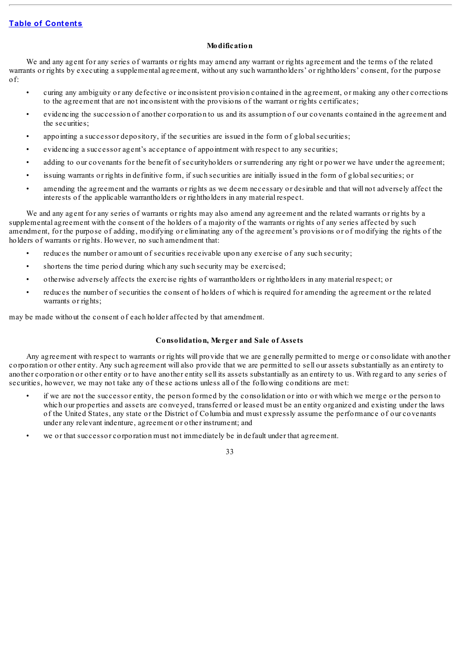## **Modification**

We and any agent for any series of warrants or rights may amend any warrant or rights agreement and the terms of the related warrants or rights by executing a supplemental agreement, without any such warrantholders' or rightholders' consent, for the purpose of:

- curing any ambiguity or any defective or inconsistent provision contained in the agreement, or making any other corrections to the agreement that are not inconsistent with the provisions of the warrant or rights certificates;
- evidencing the succession of another corporation to us and its assumption of our covenants contained in the agreement and the securities;
- appointing a successor depository, if the securities are issued in the form of global securities;
- evidencing a successor agent's acceptance of appointment with respect to any securities;
- adding to our covenants for the benefit of securityholders or surrendering any right or power we have under the agreement;
- issuing warrants or rights in definitive form, if such securities are initially issued in the form of global securities; or
- amending the agreement and the warrants or rights as we deem necessary or desirable and that will not adversely affect the interests of the applicable warrantholders or rightholders in any material respect.

We and any agent for any series of warrants or rights may also amend any agreement and the related warrants or rights by a supplemental agreement with the consent of the holders of a majority of the warrants or rights of any series affected by such amendment, for the purpose of adding, modifying or eliminating any of the agreement's provisions or of modifying the rights of the holders of warrants or rights. However, no such amendment that:

- reduces the number or amount of securities receivable upon any exercise of any such security;
- shortens the time period during which any such security may be exercised;
- otherwise adversely affects the exercise rights of warrantholders or rightholders in any material respect; or
- reduces the number of securities the consent of holders of which is required for amending the agreement or the related warrants or rights;

may be made without the consent of each holder affected by that amendment.

## **Consolidation, Merger and Sale of Assets**

Any agreement with respect to warrants or rights will provide that we are generally permitted to merge or consolidate with another corporation or other entity. Any such agreement will also provide that we are permitted to sell our assets substantially as an entirety to another corporation or other entity or to have another entity sell its assets substantially as an entirety to us. With regard to any series of securities, however, we may not take any of these actions unless all of the following conditions are met:

- if we are not the successor entity, the person formed by the consolidation or into or with which we merge or the person to which our properties and assets are conveyed, transferred or leased must be an entity organized and existing under the laws of the United States, any state or the District of Columbia and must expressly assume the performance of our covenants under any relevant indenture, agreement or other instrument; and
- we or that successor corporation must not immediately be in default under that agreement.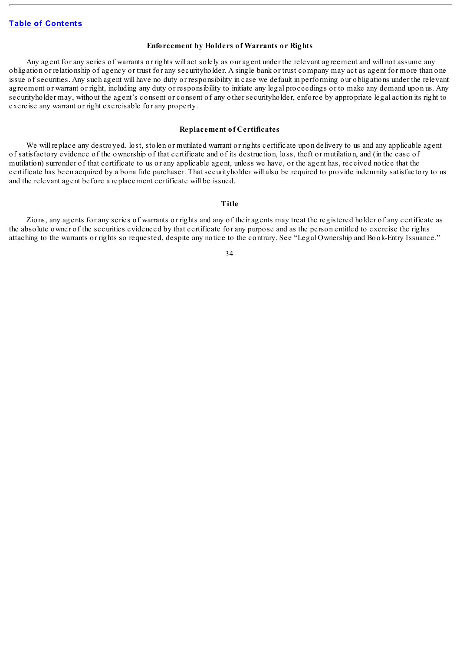## **Enforcement by Holders of Warrants or Rights**

Any agent for any series of warrants or rights will act solely as our agent under the relevant agreement and will not assume any obligation or relationship of agency or trust for any securityholder. A single bank or trust company may act as agent for more than one issue of securities. Any such agent will have no duty or responsibility in case we default in performing our obligations under the relevant agreement or warrant or right, including any duty or responsibility to initiate any legal proceedings or to make any demand upon us. Any securityholder may, without the agent's consent or consent of any other securityholder, enforce by appropriate legal action its right to exercise any warrant or right exercisable for any property.

#### **Replacement of Certificates**

We will replace any destroyed, lost, stolen or mutilated warrant or rights certificate upon delivery to us and any applicable agent of satisfactory evidence of the ownership of that certificate and of its destruction, loss, theft or mutilation, and (in the case of mutilation) surrender of that certificate to us or any applicable agent, unless we have, or the agent has, received notice that the certificate has been acquired by a bona fide purchaser. That securityholder will also be required to provide indemnity satisfactory to us and the relevant agent before a replacement certificate will be issued.

## **Title**

Zions, any agents for any series of warrants or rights and any of their agents may treat the registered holder of any certificate as the absolute owner of the securities evidenced by that certificate for any purpose and as the person entitled to exercise the rights attaching to the warrants or rights so requested, despite any notice to the contrary. See "Legal Ownership and Book-Entry Issuance."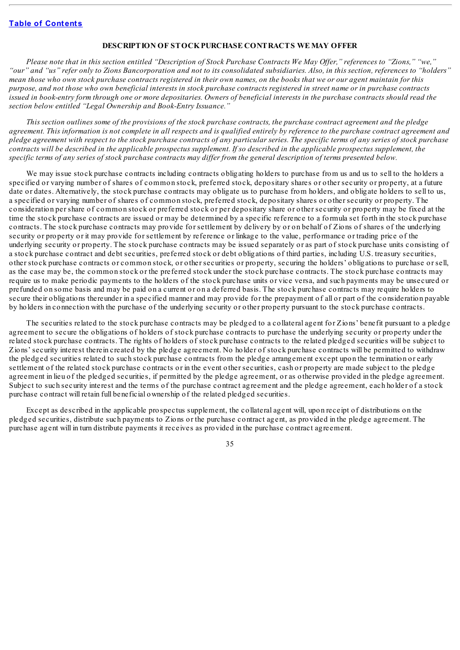### **DESCRIPTION OF STOCKPURCHASE CONTRACTS WE MAY OFFER**

Please note that in this section entitled "Description of Stock Purchase Contracts We May Offer," references to "Zions," "we," "our" and "us" refer only to Zions Bancorporation and not to its consolidated subsidiaries. Also, in this section, references to "holders" mean those who own stock purchase contracts registered in their own names, on the books that we or our agent maintain for this purpose, and not those who own beneficial interests in stock purchase contracts registered in street name or in purchase contracts issued in book-entry form through one or more depositaries. Owners of beneficial interests in the purchase contracts should read the *section below entitled "Legal Ownership and Book-Entry Issuance."*

This section outlines some of the provisions of the stock purchase contracts, the purchase contract agreement and the pledge agreement. This information is not complete in all respects and is qualified entirely by reference to the purchase contract agreement and pledge agreement with respect to the stock purchase contracts of any particular series. The specific terms of any series of stock purchase contracts will be described in the applicable prospectus supplement. If so described in the applicable prospectus supplement, the specific terms of any series of stock purchase contracts may differ from the general description of terms presented below.

We may issue stock purchase contracts including contracts obligating holders to purchase from us and us to sell to the holders a specified or varying number of shares of common stock, preferred stock, depositary shares or other security or property, at a future date or dates. Alternatively, the stock purchase contracts may obligate us to purchase from holders, and obligate holders to sell to us, a specified or varying number of shares of common stock, preferred stock, depositary shares or other security or property. The consideration per share of common stock or preferred stock or per depositary share or other security or property may be fixed at the time the stock purchase contracts are issued or may be determined by a specific reference to a formula set forth in the stock purchase contracts. The stock purchase contracts may provide for settlement by delivery by or on behalf of Zions of shares of the underlying security or property or it may provide for settlement by reference or linkage to the value, performance or trading price of the underlying security or property. The stock purchase contracts may be issued separately or as part of stock purchase units consisting of a stock purchase contract and debt securities, preferred stock or debt obligations of third parties, including U.S. treasury securities, other stock purchase contracts or common stock, or other securities or property, securing the holders' obligations to purchase or sell, as the case may be, the common stock or the preferred stock under the stock purchase contracts. The stock purchase contracts may require us to make periodic payments to the holders of the stock purchase units or vice versa, and such payments may be unsecured or prefunded on some basis and may be paid on a current or on a deferred basis. The stock purchase contracts may require holders to secure their obligations thereunder in a specified manner and may provide for the prepayment of all or part of the consideration payable by holders in connection with the purchase of the underlying security or other property pursuant to the stock purchase contracts.

The securities related to the stock purchase contracts may be pledged to a collateral agent for Zions' benefit pursuant to a pledge agreement to secure the obligations of holders of stock purchase contracts to purchase the underlying security or property under the related stock purchase contracts. The rights of holders of stock purchase contracts to the related pledged securities will be subject to Zions' security interest therein created by the pledge agreement. No holder of stock purchase contracts will be permitted to withdraw the pledged securities related to such stock purchase contracts from the pledge arrangement except upon the termination or early settlement of the related stock purchase contracts or in the event other securities, cash or property are made subject to the pledge agreement in lieu of the pledged securities, if permitted by the pledge agreement, or as otherwise provided in the pledge agreement. Subject to such security interest and the terms of the purchase contract agreement and the pledge agreement, each holder of a stock purchase contract will retain full beneficial ownership of the related pledged securities.

Except as described in the applicable prospectus supplement, the collateral agent will, upon receipt of distributions on the pledged securities, distribute such payments to Zions or the purchase contract agent, as provided in the pledge agreement. The purchase agent will in turn distribute payments it receives as provided in the purchase contract agreement.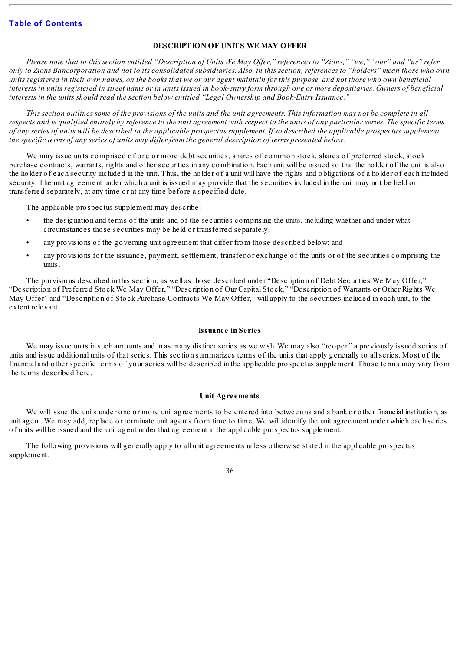## **DESCRIPTION OF UNITS WE MAY OFFER**

Please note that in this section entitled "Description of Units We May Offer," references to "Zions," "we," "our" and "us" refer only to Zions Bancorporation and not to its consolidated subsidiaries. Also, in this section, references to "holders" mean those who own units registered in their own names, on the books that we or our agent maintain for this purpose, and not those who own beneficial interests in units registered in street name or in units issued in book-entry form through one or more depositaries. Owners of beneficial *interests in the units should read the section below entitled "Legal Ownership and Book-Entry Issuance."*

This section outlines some of the provisions of the units and the unit agreements. This information may not be complete in all respects and is qualified entirely by reference to the unit agreement with respect to the units of any particular series. The specific terms of any series of units will be described in the applicable prospectus supplement. If so described the applicable prospectus supplement, the specific terms of any series of units may differ from the general description of terms presented below.

We may issue units comprised of one or more debt securities, shares of common stock, shares of preferred stock, stock purchase contracts, warrants, rights and other securities in any combination. Each unit will be issued so that the holder of the unit is also the holder of each security included in the unit. Thus, the holder of a unit will have the rights and obligations of a holder of each included security. The unit agreement under which a unit is issued may provide that the securities included in the unit may not be held or transferred separately, at any time or at any time before a specified date.

The applicable prospectus supplement may describe:

- the designation and terms of the units and of the securities comprising the units, including whether and under what circumstances those securities may be held or transferred separately;
- any provisions of the governing unit agreement that differ from those described below; and
- any provisions for the issuance, payment, settlement, transfer or exchange of the units or of the securities comprising the units.

The provisions described in this section, as well as those described under "Description of Debt Securities We May Offer," "Description of Preferred Stock We May Offer," "Description of Our Capital Stock," "Description of Warrants or Other Rights We May Offer" and "Description of Stock Purchase Contracts We May Offer," will apply to the securities included in each unit, to the extent relevant.

### **Issuance in Series**

We may issue units in such amounts and in as many distinct series as we wish. We may also "reopen" a previously issued series of units and issue additional units of that series. This section summarizes terms of the units that apply generally to allseries. Most of the financial and other specific terms of your series will be described in the applicable prospectus supplement. Those terms may vary from the terms described here.

#### **Unit Agreements**

We will issue the units under one or more unit agreements to be entered into between us and a bank or other financial institution, as unit agent. We may add, replace or terminate unit agents from time to time. We will identify the unit agreement under which each series of units will be issued and the unit agent under that agreement in the applicable prospectus supplement.

The following provisions will generally apply to all unit agreements unless otherwise stated in the applicable prospectus supplement.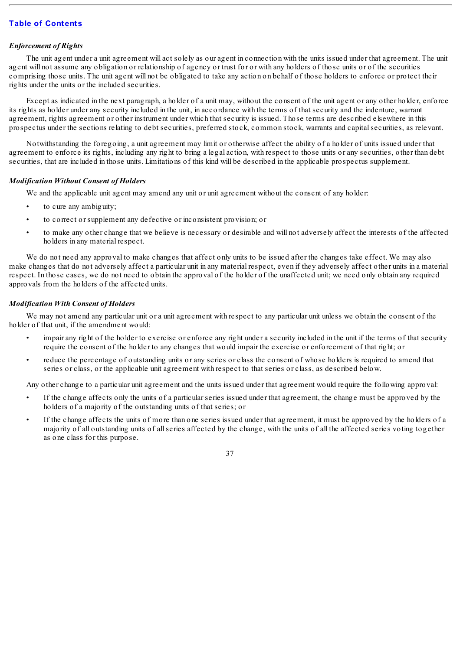## *Enforcement of Rights*

The unit agent under a unit agreement will act solely as our agent in connection with the units issued under that agreement. The unit agent will not assume any obligation or relationship of agency or trust for or with any holders of those units or of the securities comprising those units. The unit agent will not be obligated to take any action on behalf of those holders to enforce or protect their rights under the units or the included securities.

Except as indicated in the next paragraph, a holder of a unit may, without the consent of the unit agent or any other holder, enforce its rights as holder under any security included in the unit, in accordance with the terms of that security and the indenture, warrant agreement, rights agreement or other instrument under which that security is issued. Those terms are described elsewhere in this prospectus under the sections relating to debt securities, preferred stock, common stock, warrants and capitalsecurities, as relevant.

Notwithstanding the foregoing, a unit agreement may limit or otherwise affect the ability of a holder of units issued under that agreement to enforce its rights, including any right to bring a legal action, with respect to those units or any securities, other than debt securities, that are included in those units. Limitations of this kind will be described in the applicable prospectus supplement.

## *Modification Without Consent of Holders*

We and the applicable unit agent may amend any unit or unit agreement without the consent of any holder:

- to cure any ambiguity;
- to correct or supplement any defective or inconsistent provision; or
- to make any other change that we believe is necessary or desirable and will not adversely affect the interests of the affected holders in any material respect.

We do not need any approval to make changes that affect only units to be issued after the changes take effect. We may also make changes that do not adversely affect a particular unit in any material respect, even if they adversely affect other units in a material respect. In those cases, we do not need to obtain the approval of the holder of the unaffected unit; we need only obtain any required approvals from the holders of the affected units.

## *Modification With Consent of Holders*

We may not amend any particular unit or a unit agreement with respect to any particular unit unless we obtain the consent of the holder of that unit, if the amendment would:

- impair any right of the holder to exercise or enforce any right under a security included in the unit if the terms of that security require the consent of the holder to any changes that would impair the exercise or enforcement of that right; or
- reduce the percentage of outstanding units or any series or class the consent of whose holders is required to amend that series or class, or the applicable unit agreement with respect to that series or class, as described below.

Any other change to a particular unit agreement and the units issued under that agreement would require the following approval:

- If the change affects only the units of a particular series issued under that agreement, the change must be approved by the holders of a majority of the outstanding units of that series; or
- If the change affects the units of more than one series issued under that agreement, it must be approved by the holders of a majority of all outstanding units of allseries affected by the change, with the units of all the affected series voting together as one class for this purpose.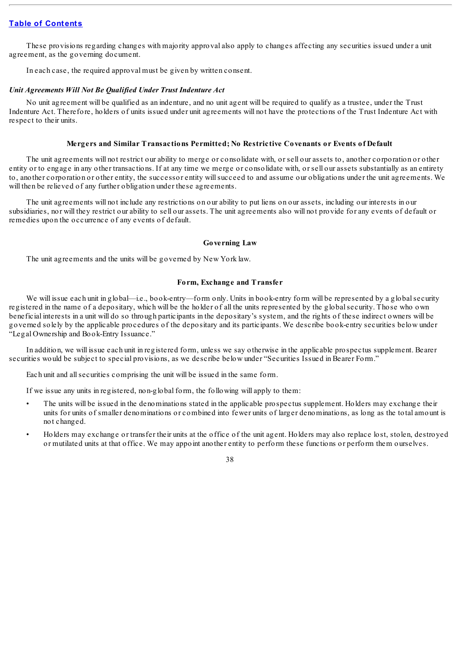These provisions regarding changes with majority approval also apply to changes affecting any securities issued under a unit agreement, as the governing document.

In each case, the required approval must be given by written consent.

#### *Unit Agreements Will Not Be Qualified Under Trust Indenture Act*

No unit agreement will be qualified as an indenture, and no unit agent will be required to qualify as a trustee, under the Trust Indenture Act. Therefore, holders of units issued under unit agreements will not have the protections of the Trust Indenture Act with respect to their units.

### **Mergers and Similar Transactions Permitted; No Restrictive Covenants or Events of Default**

The unit agreements will not restrict our ability to merge or consolidate with, or sell our assets to, another corporation or other entity or to engage in any other transactions. If at any time we merge or consolidate with, or sell our assets substantially as an entirety to, another corporation or other entity, the successor entity willsucceed to and assume our obligations under the unit agreements. We will then be relieved of any further obligation under these agreements.

The unit agreements will not include any restrictions on our ability to put liens on our assets, including our interests in our subsidiaries, nor will they restrict our ability to sell our assets. The unit agreements also will not provide for any events of default or remedies upon the occurrence of any events of default.

#### **Governing Law**

The unit agreements and the units will be governed by New York law.

## **Form, Exchange and Transfer**

We will issue each unit in global—i.e., book-entry—form only. Units in book-entry form will be represented by a global security registered in the name of a depositary, which will be the holder of all the units represented by the globalsecurity. Those who own beneficial interests in a unit will do so through participants in the depositary's system, and the rights of these indirect owners will be governed solely by the applicable procedures of the depositary and its participants. We describe book-entry securities below under "Legal Ownership and Book-Entry Issuance."

In addition, we will issue each unit in registered form, unless we say otherwise in the applicable prospectus supplement. Bearer securities would be subject to special provisions, as we describe below under "Securities Issued in Bearer Form."

Each unit and allsecurities comprising the unit will be issued in the same form.

If we issue any units in registered, non-global form, the following will apply to them:

- The units will be issued in the denominations stated in the applicable prospectus supplement. Holders may exchange their units for units of smaller denominations or combined into fewer units of larger denominations, as long as the total amount is not changed.
- Holders may exchange or transfer their units at the office of the unit agent. Holders may also replace lost, stolen, destroyed or mutilated units at that office. We may appoint another entity to perform these functions or perform them ourselves.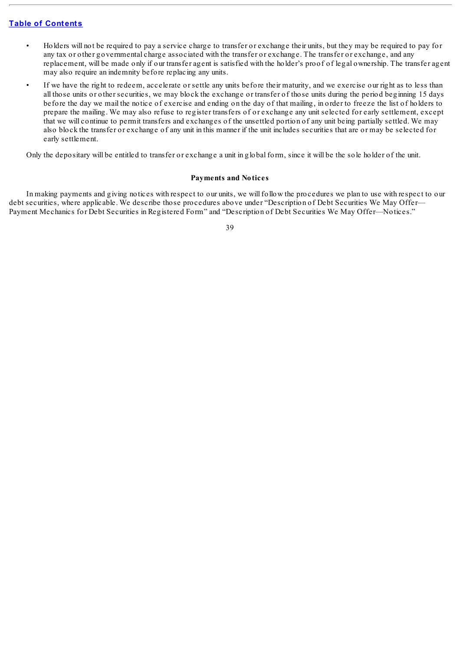- Holders will not be required to pay a service charge to transfer or exchange their units, but they may be required to pay for any tax or other governmental charge associated with the transfer or exchange. The transfer or exchange, and any replacement, will be made only if our transfer agent is satisfied with the holder's proof of legal ownership. The transfer agent may also require an indemnity before replacing any units.
- If we have the right to redeem, accelerate or settle any units before their maturity, and we exercise our right as to less than all those units or other securities, we may block the exchange or transfer of those units during the period beginning 15 days before the day we mail the notice of exercise and ending on the day of that mailing, in order to freeze the list of holders to prepare the mailing. We may also refuse to register transfers of or exchange any unit selected for early settlement, except that we will continue to permit transfers and exchanges of the unsettled portion of any unit being partially settled. We may also block the transfer or exchange of any unit in this manner if the unit includes securities that are or may be selected for early settlement.

Only the depositary will be entitled to transfer or exchange a unit in global form, since it will be the sole holder of the unit.

### **Payments and Notices**

In making payments and giving notices with respect to our units, we will follow the procedures we plan to use with respect to our debt securities, where applicable. We describe those procedures above under "Description of Debt Securities We May Offer— Payment Mechanics for Debt Securities in Registered Form" and "Description of Debt Securities We May Offer—Notices."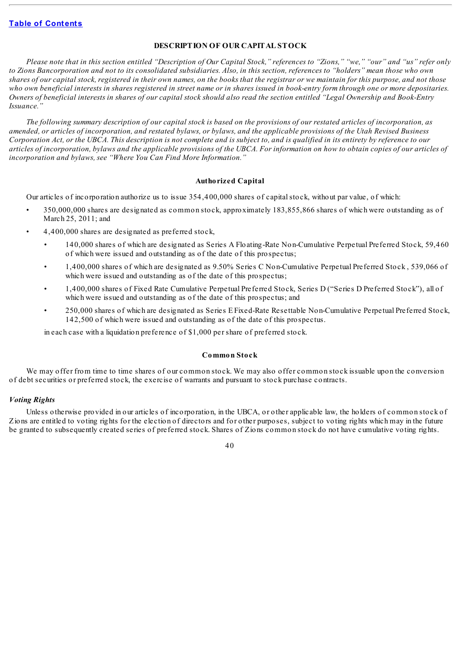## **DESCRIPTION OF OUR CAPITAL STOCK**

Please note that in this section entitled "Description of Our Capital Stock," references to "Zions," "we," "our" and "us" refer only to Zions Bancorporation and not to its consolidated subsidiaries. Also, in this section, references to "holders" mean those who own shares of our capital stock, registered in their own names, on the books that the registrar or we maintain for this purpose, and not those who own beneficial interests in shares registered in street name or in shares issued in book-entry form through one or more depositaries. Owners of beneficial interests in shares of our capital stock should also read the section entitled "Legal Ownership and Book-Entry *Issuance."*

The following summary description of our capital stock is based on the provisions of our restated articles of incorporation, as amended, or articles of incorporation, and restated bylaws, or bylaws, and the applicable provisions of the Utah Revised Business Corporation Act, or the UBCA. This description is not complete and is subject to, and is qualified in its entirety by reference to our articles of incorporation, bylaws and the applicable provisions of the UBCA. For information on how to obtain copies of our articles of *incorporation and bylaws, see "Where You Can Find More Information."*

## **Authorized Capital**

Our articles of incorporation authorize us to issue 354,400,000 shares of capitalstock, without par value, of which:

- 350,000,000 shares are designated as common stock, approximately 183,855,866 shares of which were outstanding as of March 25, 2011; and
- 4,400,000 shares are designated as preferred stock,
	- 140,000 shares of which are designated as Series A Floating-Rate Non-Cumulative Perpetual Preferred Stock, 59,460 of which were issued and outstanding as of the date of this prospectus;
	- 1,400,000 shares of which are designated as 9.50% Series C Non-Cumulative Perpetual Preferred Stock , 539,066 of which were issued and outstanding as of the date of this prospectus;
	- 1,400,000 shares of Fixed Rate Cumulative Perpetual Preferred Stock, Series D ("Series D Preferred Stock"), all of which were issued and outstanding as of the date of this prospectus; and
	- 250,000 shares of which are designated as Series E Fixed-Rate Resettable Non-Cumulative Perpetual Preferred Stock, 142,500 of which were issued and outstanding as of the date of this prospectus.

in each case with a liquidation preference of \$1,000 per share of preferred stock.

#### **Common Stock**

We may offer from time to time shares of our common stock. We may also offer common stock issuable upon the conversion of debt securities or preferred stock, the exercise of warrants and pursuant to stock purchase contracts.

#### *Voting Rights*

Unless otherwise provided in our articles of incorporation, in the UBCA, or other applicable law, the holders of common stock of Zions are entitled to voting rights for the election of directors and for other purposes, subject to voting rights which may in the future be granted to subsequently created series of preferred stock. Shares of Zions common stock do not have cumulative voting rights.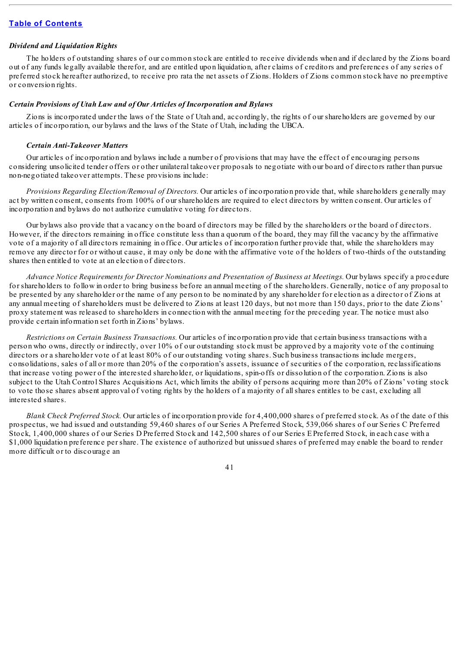## *Dividend and Liquidation Rights*

The holders of outstanding shares of our common stock are entitled to receive dividends when and if declared by the Zions board out of any funds legally available therefor, and are entitled upon liquidation, after claims of creditors and preferences of any series of preferred stock hereafter authorized, to receive pro rata the net assets of Zions. Holders of Zions common stock have no preemptive or conversion rights.

#### *Certain Provisions of Utah Law and of Our Articles of Incorporation and Bylaws*

Zions is incorporated under the laws of the State of Utah and, accordingly, the rights of our shareholders are governed by our articles of incorporation, our bylaws and the laws of the State of Utah, including the UBCA.

#### *Certain Anti-Takeover Matters*

Our articles of incorporation and bylaws include a number of provisions that may have the effect of encouraging persons considering unsolicited tender offers or other unilateral takeover proposals to negotiate with our board of directors rather than pursue non-negotiated takeover attempts. These provisions include:

*Provisions Regarding Election/Removal of Directors.* Our articles of incorporation provide that, while shareholders generally may act by written consent, consents from 100% of our shareholders are required to elect directors by written consent. Our articles of incorporation and bylaws do not authorize cumulative voting for directors.

Our bylaws also provide that a vacancy on the board of directors may be filled by the shareholders or the board of directors. However, if the directors remaining in office constitute less than a quorum of the board, they may fill the vacancy by the affirmative vote of a majority of all directors remaining in office. Our articles of incorporation further provide that, while the shareholders may remove any director for or without cause, it may only be done with the affirmative vote of the holders of two-thirds of the outstanding shares then entitled to vote at an election of directors.

*Advance Notice Requirements for Director Nominations and Presentation of Business at Meetings.* Our bylaws specify a procedure for shareholders to follow in order to bring business before an annual meeting of the shareholders. Generally, notice of any proposal to be presented by any shareholder or the name of any person to be nominated by any shareholder for election as a director of Zions at any annual meeting of shareholders must be delivered to Zions at least 120 days, but not more than 150 days, prior to the date Zions' proxy statement was released to shareholders in connection with the annual meeting for the preceding year. The notice must also provide certain information set forth in Zions' bylaws.

*Restrictions on Certain Business Transactions.* Our articles of incorporation provide that certain business transactions with a person who owns, directly or indirectly, over 10% of our outstanding stock must be approved by a majority vote of the continuing directors or a shareholder vote of at least 80% of our outstanding voting shares. Such business transactions include mergers, consolidations, sales of all or more than 20% of the corporation's assets, issuance of securities of the corporation, reclassifications that increase voting power of the interested shareholder, or liquidations, spin-offs or dissolution of the corporation. Zions is also subject to the Utah Control Shares Acquisitions Act, which limits the ability of persons acquiring more than 20% of Zions' voting stock to vote those shares absent approval of voting rights by the holders of a majority of allshares entitles to be cast, excluding all interested shares.

*Blank Check Preferred Stock.* Our articles of incorporation provide for 4,400,000 shares of preferred stock. As of the date of this prospectus, we had issued and outstanding 59,460 shares of our Series A Preferred Stock, 539,066 shares of our Series C Preferred Stock, 1,400,000 shares of our Series D Preferred Stock and 142,500 shares of our Series E Preferred Stock, in each case with a \$1,000 liquidation preference per share. The existence of authorized but unissued shares of preferred may enable the board to render more difficult or to discourage an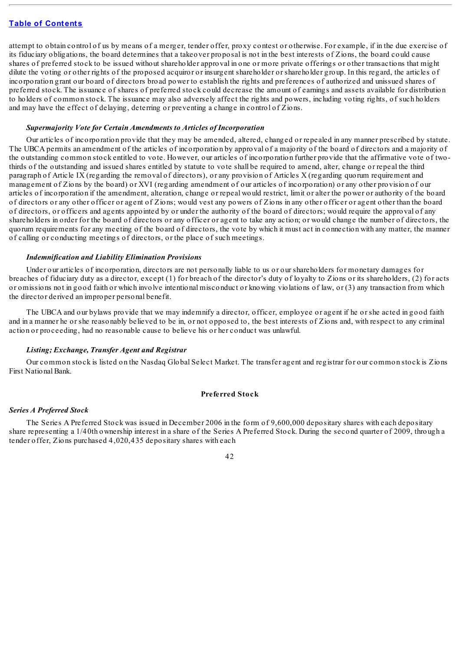attempt to obtain control of us by means of a merger, tender offer, proxy contest or otherwise. For example, if in the due exercise of its fiduciary obligations, the board determines that a takeover proposal is not in the best interests of Zions, the board could cause shares of preferred stock to be issued without shareholder approval in one or more private offerings or other transactions that might dilute the voting or other rights of the proposed acquiror or insurgent shareholder or shareholder group. In this regard, the articles of incorporation grant our board of directors broad power to establish the rights and preferences of authorized and unissued shares of preferred stock. The issuance of shares of preferred stock could decrease the amount of earnings and assets available for distribution to holders of common stock. The issuance may also adversely affect the rights and powers, including voting rights, of such holders and may have the effect of delaying, deterring or preventing a change in control of Zions.

#### *Supermajority Vote for Certain Amendments to Articles of Incorporation*

Our articles of incorporation provide that they may be amended, altered, changed or repealed in any manner prescribed by statute. The UBCA permits an amendment of the articles of incorporation by approval of a majority of the board of directors and a majority of the outstanding common stock entitled to vote. However, our articles of incorporation further provide that the affirmative vote of twothirds of the outstanding and issued shares entitled by statute to vote shall be required to amend, alter, change or repeal the third paragraph of Article IX (regarding the removal of directors), or any provision of Articles X (regarding quorum requirement and management of Zions by the board) or XVI (regarding amendment of our articles of incorporation) or any other provision of our articles of incorporation if the amendment, alteration, change or repeal would restrict, limit or alter the power or authority of the board of directors or any other officer or agent of Zions; would vest any powers of Zions in any other officer or agent other than the board of directors, or officers and agents appointed by or under the authority of the board of directors; would require the approval of any shareholders in order for the board of directors or any officer or agent to take any action; or would change the number of directors, the quorum requirements for any meeting of the board of directors, the vote by which it must act in connection with any matter, the manner of calling or conducting meetings of directors, or the place of such meetings.

## *Indemnification and Liability Elimination Provisions*

Under our articles of incorporation, directors are not personally liable to us or our shareholders for monetary damages for breaches of fiduciary duty as a director, except (1) for breach of the director's duty of loyalty to Zions or its shareholders, (2) for acts or omissions not in good faith or which involve intentional misconduct or knowing violations of law, or (3) any transaction from which the director derived an improper personal benefit.

The UBCA and our bylaws provide that we may indemnify a director, officer, employee or agent if he or she acted in good faith and in a manner he or she reasonably believed to be in, or not opposed to, the best interests of Zions and, with respect to any criminal action or proceeding, had no reasonable cause to believe his or her conduct was unlawful.

#### *Listing; Exchange, Transfer Agent and Registrar*

Our common stock is listed on the Nasdaq Global Select Market. The transfer agent and registrar for our common stock is Zions First National Bank.

#### **Preferred Stock**

## *Series A Preferred Stock*

The Series A Preferred Stock was issued in December 2006 in the form of 9,600,000 depositary shares with each depositary share representing a 1/40th ownership interest in a share of the Series A Preferred Stock. During the second quarter of 2009, through a tender offer, Zions purchased 4,020,435 depositary shares with each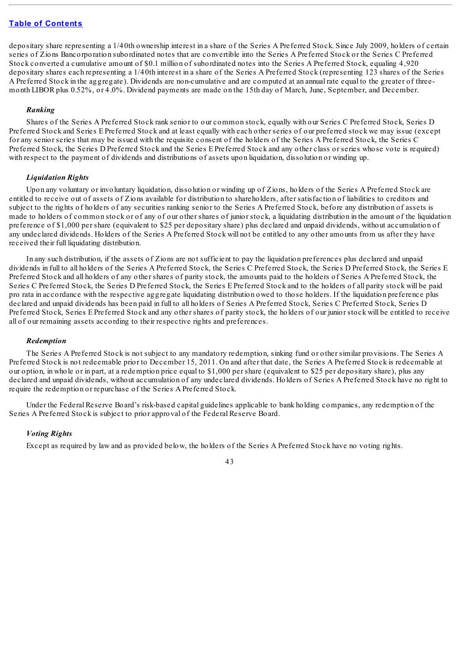depositary share representing a 1/40th ownership interest in a share of the Series A Preferred Stock. Since July 2009, holders of certain series of Zions Bancorporation subordinated notes that are convertible into the Series A Preferred Stock or the Series C Preferred Stock converted a cumulative amount of \$0.1 million of subordinated notes into the Series A Preferred Stock, equaling 4,920 depositary shares each representing a 1/40th interest in a share of the Series A Preferred Stock (representing 123 shares of the Series A Preferred Stock in the aggregate). Dividends are non-cumulative and are computed at an annual rate equal to the greater of threemonth LIBOR plus 0.52%, or 4.0%. Dividend payments are made on the 15th day of March, June, September, and December.

## *Ranking*

Shares of the Series A Preferred Stock rank senior to our common stock, equally with our Series C Preferred Stock, Series D Preferred Stock and Series E Preferred Stock and at least equally with each other series of our preferred stock we may issue (except for any senior series that may be issued with the requisite consent of the holders of the Series A Preferred Stock, the Series C Preferred Stock, the Series D Preferred Stock and the Series E Preferred Stock and any other class or series whose vote is required) with respect to the payment of dividends and distributions of assets upon liquidation, dissolution or winding up.

#### *Liquidation Rights*

Upon any voluntary or involuntary liquidation, dissolution or winding up of Zions, holders of the Series A Preferred Stock are entitled to receive out of assets of Zions available for distribution to shareholders, after satisfaction of liabilities to creditors and subject to the rights of holders of any securities ranking senior to the Series A Preferred Stock, before any distribution of assets is made to holders of common stock or of any of our other shares of junior stock, a liquidating distribution in the amount of the liquidation preference of \$1,000 per share (equivalent to \$25 per depositary share) plus declared and unpaid dividends, without accumulation of any undeclared dividends. Holders of the Series A Preferred Stock will not be entitled to any other amounts from us after they have received their full liquidating distribution.

In any such distribution, if the assets of Zions are not sufficient to pay the liquidation preferences plus declared and unpaid dividends in full to all holders of the Series A Preferred Stock, the Series C Preferred Stock, the Series D Preferred Stock, the Series E Preferred Stock and all holders of any other shares of parity stock, the amounts paid to the holders of Series A Preferred Stock, the Series C Preferred Stock, the Series D Preferred Stock, the Series E Preferred Stock and to the holders of all parity stock will be paid pro rata in accordance with the respective aggregate liquidating distribution owed to those holders. If the liquidation preference plus declared and unpaid dividends has been paid in full to all holders of Series A Preferred Stock, Series C Preferred Stock, Series D Preferred Stock, Series E Preferred Stock and any other shares of parity stock, the holders of our junior stock will be entitled to receive all of our remaining assets according to their respective rights and preferences.

#### *Redemption*

The Series A Preferred Stock is not subject to any mandatory redemption, sinking fund or other similar provisions. The Series A Preferred Stock is not redeemable prior to December 15, 2011. On and after that date, the Series A Preferred Stock is redeemable at our option, in whole or in part, at a redemption price equal to \$1,000 per share (equivalent to \$25 per depositary share), plus any declared and unpaid dividends, without accumulation of any undeclared dividends. Holders of Series A Preferred Stock have no right to require the redemption or repurchase of the Series A Preferred Stock.

Under the Federal Reserve Board's risk-based capital guidelines applicable to bank holding companies, any redemption of the Series A Preferred Stock is subject to prior approval of the Federal Reserve Board.

#### *Voting Rights*

Except as required by law and as provided below, the holders of the Series A Preferred Stock have no voting rights.

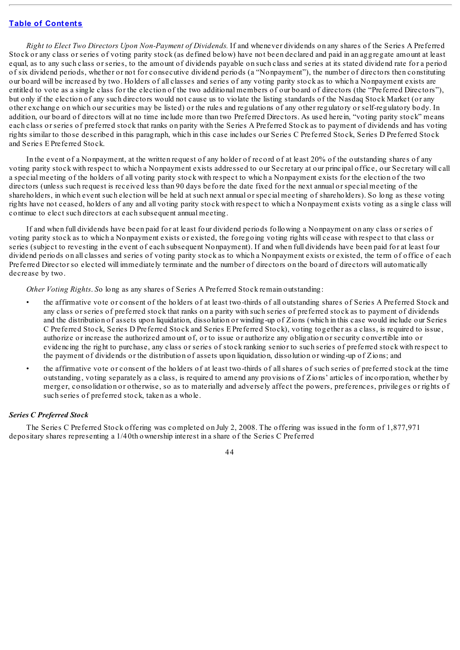*Right to Elect Two Directors Upon Non-Payment of Dividends.* If and whenever dividends on any shares of the Series A Preferred Stock or any class or series of voting parity stock (as defined below) have not been declared and paid in an aggregate amount at least equal, as to any such class or series, to the amount of dividends payable on such class and series at its stated dividend rate for a period of six dividend periods, whether or not for consecutive dividend periods (a "Nonpayment"), the number of directors then constituting our board will be increased by two. Holders of all classes and series of any voting parity stock as to which a Nonpayment exists are entitled to vote as a single class for the election of the two additional members of our board of directors (the "Preferred Directors"), but only if the election of any such directors would not cause us to violate the listing standards of the Nasdaq Stock Market (or any other exchange on which our securities may be listed) or the rules and regulations of any other regulatory or self-regulatory body. In addition, our board of directors will at no time include more than two Preferred Directors. As used herein, "voting parity stock" means each class or series of preferred stock that ranks on parity with the Series A Preferred Stock as to payment of dividends and has voting rights similar to those described in this paragraph, which in this case includes our Series C Preferred Stock, Series D Preferred Stock and Series E Preferred Stock.

In the event of a Nonpayment, at the written request of any holder of record of at least 20% of the outstanding shares of any voting parity stock with respect to which a Nonpayment exists addressed to our Secretary at our principal office, our Secretary will call a special meeting of the holders of all voting parity stock with respect to which a Nonpayment exists for the election of the two directors (unless such request is received less than 90 days before the date fixed for the next annual or special meeting of the shareholders, in which event such election will be held at such next annual or special meeting of shareholders). So long as these voting rights have not ceased, holders of any and all voting parity stock with respect to which a Nonpayment exists voting as a single class will continue to elect such directors at each subsequent annual meeting.

If and when full dividends have been paid for at least four dividend periods following a Nonpayment on any class or series of voting parity stock as to which a Nonpayment exists or existed, the foregoing voting rights will cease with respect to that class or series (subject to revesting in the event of each subsequent Nonpayment). If and when full dividends have been paid for at least four dividend periods on all classes and series of voting parity stock as to which a Nonpayment exists or existed, the term of office of each Preferred Director so elected will immediately terminate and the number of directors on the board of directors will automatically decrease by two.

*Other Voting Rights*. *S*o long as any shares of Series A Preferred Stock remain outstanding:

- the affirmative vote or consent of the holders of at least two-thirds of all outstanding shares of Series A Preferred Stock and any class or series of preferred stock that ranks on a parity with such series of preferred stock as to payment of dividends and the distribution of assets upon liquidation, dissolution or winding-up of Zions (which in this case would include our Series C Preferred Stock, Series D Preferred Stock and Series E Preferred Stock), voting together as a class, is required to issue, authorize or increase the authorized amount of, or to issue or authorize any obligation or security convertible into or evidencing the right to purchase, any class or series of stock ranking senior to such series of preferred stock with respect to the payment of dividends or the distribution of assets upon liquidation, dissolution or winding-up of Zions; and
- the affirmative vote or consent of the holders of at least two-thirds of allshares of such series of preferred stock at the time outstanding, voting separately as a class, is required to amend any provisions of Zions' articles of incorporation, whether by merger, consolidation or otherwise, so as to materially and adversely affect the powers, preferences, privileges or rights of such series of preferred stock, taken as a whole.

### *Series C Preferred Stock*

The Series C Preferred Stock offering was completed on July 2, 2008. The offering was issued in the form of 1,877,971 depositary shares representing a 1/40th ownership interest in a share of the Series C Preferred

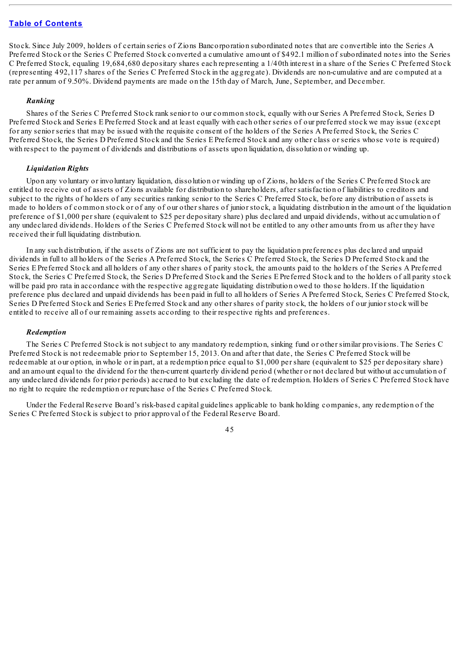Stock. Since July 2009, holders of certain series of Zions Bancorporation subordinated notes that are convertible into the Series A Preferred Stock or the Series C Preferred Stock converted a cumulative amount of \$492.1 million of subordinated notes into the Series C Preferred Stock, equaling 19,684,680 depositary shares each representing a 1/40th interest in a share of the Series C Preferred Stock (representing 492,117 shares of the Series C Preferred Stock in the aggregate). Dividends are non-cumulative and are computed at a rate per annum of 9.50%. Dividend payments are made on the 15th day of March, June, September, and December.

### *Ranking*

Shares of the Series C Preferred Stock rank senior to our common stock, equally with our Series A Preferred Stock, Series D Preferred Stock and Series E Preferred Stock and at least equally with each other series of our preferred stock we may issue (except for any senior series that may be issued with the requisite consent of the holders of the Series A Preferred Stock, the Series C Preferred Stock, the Series D Preferred Stock and the Series E Preferred Stock and any other class or series whose vote is required) with respect to the payment of dividends and distributions of assets upon liquidation, dissolution or winding up.

### *Liquidation Rights*

Upon any voluntary or involuntary liquidation, dissolution or winding up of Zions, holders of the Series C Preferred Stock are entitled to receive out of assets of Zions available for distribution to shareholders, after satisfaction of liabilities to creditors and subject to the rights of holders of any securities ranking senior to the Series C Preferred Stock, before any distribution of assets is made to holders of common stock or of any of our other shares of junior stock, a liquidating distribution in the amount of the liquidation preference of \$1,000 per share (equivalent to \$25 per depositary share) plus declared and unpaid dividends, without accumulation of any undeclared dividends. Holders of the Series C Preferred Stock will not be entitled to any other amounts from us after they have received their full liquidating distribution.

In any such distribution, if the assets of Zions are not sufficient to pay the liquidation preferences plus declared and unpaid dividends in full to all holders of the Series A Preferred Stock, the Series C Preferred Stock, the Series D Preferred Stock and the Series E Preferred Stock and all holders of any other shares of parity stock, the amounts paid to the holders of the Series A Preferred Stock, the Series C Preferred Stock, the Series D Preferred Stock and the Series E Preferred Stock and to the holders of all parity stock will be paid pro rata in accordance with the respective aggregate liquidating distribution owed to those holders. If the liquidation preference plus declared and unpaid dividends has been paid in full to all holders of Series A Preferred Stock, Series C Preferred Stock, Series D Preferred Stock and Series E Preferred Stock and any other shares of parity stock, the holders of our junior stock will be entitled to receive all of our remaining assets according to their respective rights and preferences.

#### *Redemption*

The Series C Preferred Stock is not subject to any mandatory redemption, sinking fund or other similar provisions. The Series C Preferred Stock is not redeemable prior to September 15, 2013. On and after that date, the Series C Preferred Stock will be redeemable at our option, in whole or in part, at a redemption price equal to \$1,000 per share (equivalent to \$25 per depositary share) and an amount equal to the dividend for the then-current quarterly dividend period (whether or not declared but without accumulation of any undeclared dividends for prior periods) accrued to but excluding the date of redemption. Holders of Series C Preferred Stock have no right to require the redemption or repurchase of the Series C Preferred Stock.

Under the Federal Reserve Board's risk-based capital guidelines applicable to bank holding companies, any redemption of the Series C Preferred Stock is subject to prior approval of the Federal Reserve Board.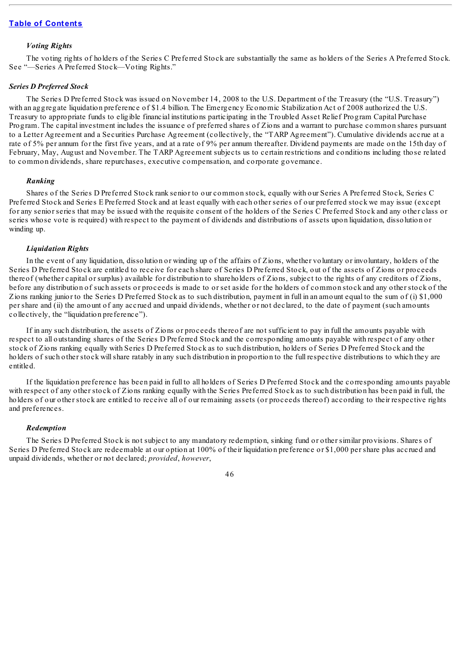### *Voting Rights*

The voting rights of holders of the Series C Preferred Stock are substantially the same as holders of the Series A Preferred Stock. See "—Series A Preferred Stock—Voting Rights."

#### *Series D Preferred Stock*

The Series D Preferred Stock was issued on November 14, 2008 to the U.S. Department of the Treasury (the "U.S. Treasury") with an aggregate liquidation preference of \$1.4 billion. The Emergency Economic Stabilization Act of 2008 authorized the U.S. Treasury to appropriate funds to eligible financial institutions participating in the Troubled Asset Relief Program Capital Purchase Program. The capital investment includes the issuance of preferred shares of Zions and a warrant to purchase common shares pursuant to a Letter Agreement and a Securities Purchase Agreement (collectively, the "TARP Agreement"). Cumulative dividends accrue at a rate of 5% per annum for the first five years, and at a rate of 9% per annum thereafter. Dividend payments are made on the 15th day of February, May, August and November. The TARP Agreement subjects us to certain restrictions and conditions including those related to common dividends, share repurchases, executive compensation, and corporate governance.

## *Ranking*

Shares of the Series D Preferred Stock rank senior to our common stock, equally with our Series A Preferred Stock, Series C Preferred Stock and Series E Preferred Stock and at least equally with each other series of our preferred stock we may issue (except for any senior series that may be issued with the requisite consent of the holders of the Series C Preferred Stock and any other class or series whose vote is required) with respect to the payment of dividends and distributions of assets upon liquidation, dissolution or winding up.

### *Liquidation Rights*

In the event of any liquidation, dissolution or winding up of the affairs of Zions, whether voluntary or involuntary, holders of the Series D Preferred Stock are entitled to receive for each share of Series D Preferred Stock, out of the assets of Zions or proceeds thereof (whether capital or surplus) available for distribution to shareholders of Zions, subject to the rights of any creditors of Zions, before any distribution of such assets or proceeds is made to or set aside for the holders of common stock and any other stock of the Zions ranking junior to the Series D Preferred Stock as to such distribution, payment in full in an amount equal to the sum of (i) \$1,000 per share and (ii) the amount of any accrued and unpaid dividends, whether or not declared, to the date of payment (such amounts collectively, the "liquidation preference").

If in any such distribution, the assets of Zions or proceeds thereof are not sufficient to pay in full the amounts payable with respect to all outstanding shares of the Series D Preferred Stock and the corresponding amounts payable with respect of any other stock of Zions ranking equally with Series D Preferred Stock as to such distribution, holders of Series D Preferred Stock and the holders of such other stock willshare ratably in any such distribution in proportion to the full respective distributions to which they are entitled.

If the liquidation preference has been paid in full to all holders of Series D Preferred Stock and the corresponding amounts payable with respect of any other stock of Zions ranking equally with the Series Preferred Stock as to such distribution has been paid in full, the holders of our other stock are entitled to receive all of our remaining assets (or proceeds thereof) according to their respective rights and preferences.

### *Redemption*

The Series D Preferred Stock is not subject to any mandatory redemption, sinking fund or other similar provisions. Shares of Series D Preferred Stock are redeemable at our option at 100% of their liquidation preference or \$1,000 per share plus accrued and unpaid dividends, whether or not declared; *provided*, *however*,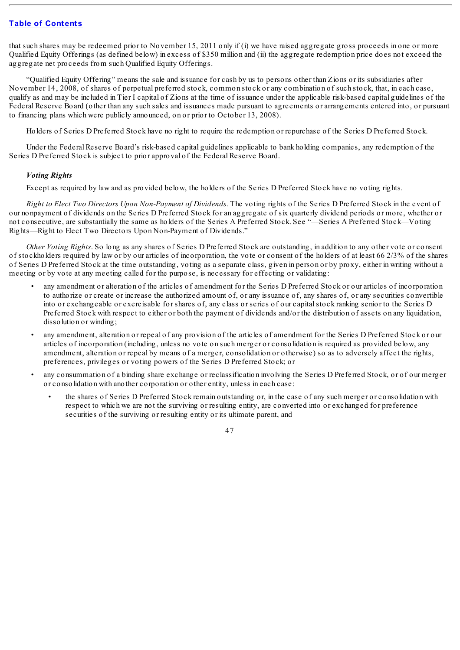that such shares may be redeemed prior to November 15, 2011 only if (i) we have raised aggregate gross proceeds in one or more Qualified Equity Offerings (as defined below) in excess of \$350 million and (ii) the aggregate redemption price does not exceed the aggregate net proceeds from such Qualified Equity Offerings.

"Qualified Equity Offering" means the sale and issuance for cash by us to persons other than Zions or its subsidiaries after November 14, 2008, of shares of perpetual preferred stock, common stock or any combination of such stock, that, in each case, qualify as and may be included in Tier I capital of Zions at the time of issuance under the applicable risk-based capital guidelines of the Federal Reserve Board (other than any such sales and issuances made pursuant to agreements or arrangements entered into, or pursuant to financing plans which were publicly announced, on or prior to October 13, 2008).

Holders of Series D Preferred Stock have no right to require the redemption or repurchase of the Series D Preferred Stock.

Under the Federal Reserve Board's risk-based capital guidelines applicable to bank holding companies, any redemption of the Series D Preferred Stock is subject to prior approval of the Federal Reserve Board.

# *Voting Rights*

Except as required by law and as provided below, the holders of the Series D Preferred Stock have no voting rights.

*Right to Elect Two Directors Upon Non-Payment of Dividends*. The voting rights of the Series D Preferred Stock in the event of our nonpayment of dividends on the Series D Preferred Stock for an aggregate of six quarterly dividend periods or more, whether or not consecutive, are substantially the same as holders of the Series A Preferred Stock. See "—Series A Preferred Stock—Voting Rights—Right to Elect Two Directors Upon Non-Payment of Dividends."

*Other Voting Rights*. So long as any shares of Series D Preferred Stock are outstanding, in addition to any other vote or consent of stockholders required by law or by our articles of incorporation, the vote or consent of the holders of at least 66 2/3% of the shares of Series D Preferred Stock at the time outstanding, voting as a separate class, given in person or by proxy, either in writing without a meeting or by vote at any meeting called for the purpose, is necessary for effecting or validating:

- any amendment or alteration of the articles of amendment for the Series D Preferred Stock or our articles of incorporation to authorize or create or increase the authorized amount of, or any issuance of, any shares of, or any securities convertible into or exchangeable or exercisable for shares of, any class or series of our capitalstock ranking senior to the Series D Preferred Stock with respect to either or both the payment of dividends and/or the distribution of assets on any liquidation, dissolution or winding;
- any amendment, alteration or repeal of any provision of the articles of amendment for the Series D Preferred Stock or our articles of incorporation (including, unless no vote on such merger or consolidation is required as provided below, any amendment, alteration or repeal by means of a merger, consolidation or otherwise) so as to adversely affect the rights, preferences, privileges or voting powers of the Series D Preferred Stock; or
- any consummation of a binding share exchange or reclassification involving the Series D Preferred Stock, or of our merger or consolidation with another corporation or other entity, unless in each case:
	- the shares of Series D Preferred Stock remain outstanding or, in the case of any such merger or consolidation with respect to which we are not the surviving or resulting entity, are converted into or exchanged for preference securities of the surviving or resulting entity or its ultimate parent, and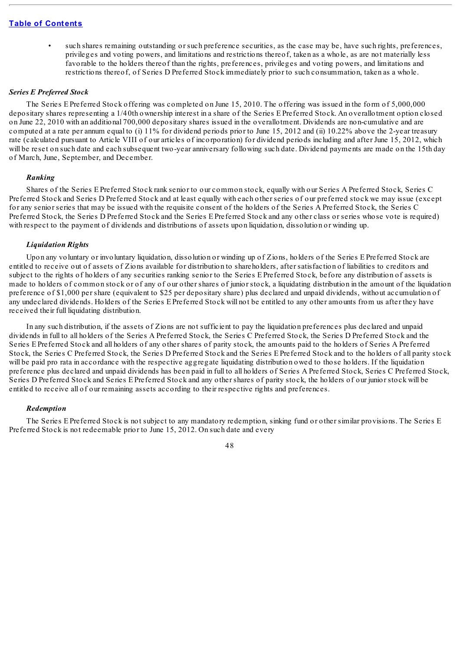such shares remaining outstanding or such preference securities, as the case may be, have such rights, preferences, privileges and voting powers, and limitations and restrictions thereof, taken as a whole, as are not materially less favorable to the holders thereof than the rights, preferences, privileges and voting powers, and limitations and restrictions thereof, of Series D Preferred Stock immediately prior to such consummation, taken as a whole.

### *Series E Preferred Stock*

The Series E Preferred Stock offering was completed on June 15, 2010. The offering was issued in the form of 5,000,000 depositary shares representing a 1/40th ownership interest in a share of the Series E Preferred Stock. An overallotment option closed on June 22, 2010 with an additional 700,000 depositary shares issued in the overallotment. Dividends are non-cumulative and are computed at a rate per annum equal to (i) 11% for dividend periods prior to June 15, 2012 and (ii) 10.22% above the 2-year treasury rate (calculated pursuant to Article VIII of our articles of incorporation) for dividend periods including and after June 15, 2012, which will be reset on such date and each subsequent two-year anniversary following such date. Dividend payments are made on the 15th day of March, June, September, and December.

## *Ranking*

Shares of the Series E Preferred Stock rank senior to our common stock, equally with our Series A Preferred Stock, Series C Preferred Stock and Series D Preferred Stock and at least equally with each other series of our preferred stock we may issue (except for any senior series that may be issued with the requisite consent of the holders of the Series A Preferred Stock, the Series C Preferred Stock, the Series D Preferred Stock and the Series E Preferred Stock and any other class or series whose vote is required) with respect to the payment of dividends and distributions of assets upon liquidation, dissolution or winding up.

## *Liquidation Rights*

Upon any voluntary or involuntary liquidation, dissolution or winding up of Zions, holders of the Series E Preferred Stock are entitled to receive out of assets of Zions available for distribution to shareholders, after satisfaction of liabilities to creditors and subject to the rights of holders of any securities ranking senior to the Series E Preferred Stock, before any distribution of assets is made to holders of common stock or of any of our other shares of junior stock, a liquidating distribution in the amount of the liquidation preference of \$1,000 per share (equivalent to \$25 per depositary share) plus declared and unpaid dividends, without accumulation of any undeclared dividends. Holders of the Series E Preferred Stock will not be entitled to any other amounts from us after they have received their full liquidating distribution.

In any such distribution, if the assets of Zions are not sufficient to pay the liquidation preferences plus declared and unpaid dividends in full to all holders of the Series A Preferred Stock, the Series C Preferred Stock, the Series D Preferred Stock and the Series E Preferred Stock and all holders of any other shares of parity stock, the amounts paid to the holders of Series A Preferred Stock, the Series C Preferred Stock, the Series D Preferred Stock and the Series E Preferred Stock and to the holders of all parity stock will be paid pro rata in accordance with the respective aggregate liquidating distribution owed to those holders. If the liquidation preference plus declared and unpaid dividends has been paid in full to all holders of Series A Preferred Stock, Series C Preferred Stock, Series D Preferred Stock and Series E Preferred Stock and any other shares of parity stock, the holders of our junior stock will be entitled to receive all of our remaining assets according to their respective rights and preferences.

### *Redemption*

The Series E Preferred Stock is not subject to any mandatory redemption, sinking fund or other similar provisions. The Series E Preferred Stock is not redeemable prior to June 15, 2012. On such date and every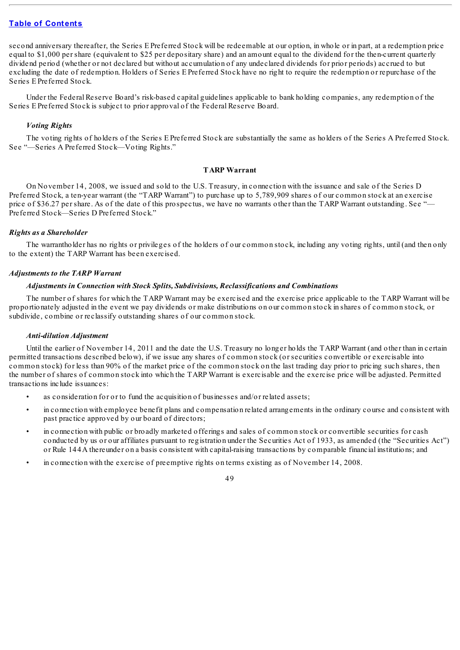second anniversary thereafter, the Series E Preferred Stock will be redeemable at our option, in whole or in part, at a redemption price equal to \$1,000 per share (equivalent to \$25 per depositary share) and an amount equal to the dividend for the then-current quarterly dividend period (whether or not declared but without accumulation of any undeclared dividends for prior periods) accrued to but excluding the date of redemption. Holders of Series E Preferred Stock have no right to require the redemption or repurchase of the Series E Preferred Stock.

Under the Federal Reserve Board's risk-based capital guidelines applicable to bank holding companies, any redemption of the Series E Preferred Stock is subject to prior approval of the Federal Reserve Board.

### *Voting Rights*

The voting rights of holders of the Series E Preferred Stock are substantially the same as holders of the Series A Preferred Stock. See "—Series A Preferred Stock—Voting Rights."

### **TARP Warrant**

On November 14, 2008, we issued and sold to the U.S. Treasury, in connection with the issuance and sale of the Series D Preferred Stock, a ten-year warrant (the "TARP Warrant") to purchase up to 5,789,909 shares of our common stock at an exercise price of \$36.27 per share. As of the date of this prospectus, we have no warrants other than the TARP Warrant outstanding. See "-Preferred Stock—Series D Preferred Stock."

# *Rights as a Shareholder*

The warrantholder has no rights or privileges of the holders of our common stock, including any voting rights, until (and then only to the extent) the TARP Warrant has been exercised.

### *Adjustments to the TARP Warrant*

### *Adjustments in Connection with Stock Splits, Subdivisions, Reclassifications and Combinations*

The number of shares for which the TARP Warrant may be exercised and the exercise price applicable to the TARP Warrant will be proportionately adjusted in the event we pay dividends or make distributions on our common stock in shares of common stock, or subdivide, combine or reclassify outstanding shares of our common stock.

### *Anti-dilution Adjustment*

Until the earlier of November 14, 2011 and the date the U.S. Treasury no longer holds the TARP Warrant (and other than in certain permitted transactions described below), if we issue any shares of common stock (or securities convertible or exercisable into common stock) for less than 90% of the market price of the common stock on the last trading day prior to pricing such shares, then the number of shares of common stock into which the TARP Warrant is exercisable and the exercise price will be adjusted. Permitted transactions include issuances:

- as consideration for or to fund the acquisition of businesses and/or related assets;
- in connection with employee benefit plans and compensation related arrangements in the ordinary course and consistent with past practice approved by our board of directors;
- in connection with public or broadly marketed offerings and sales of common stock or convertible securities for cash conducted by us or our affiliates pursuant to registration under the Securities Act of 1933, as amended (the "Securities Act") or Rule 144A thereunder on a basis consistent with capital-raising transactions by comparable financial institutions; and
- in connection with the exercise of preemptive rights on terms existing as of November 14, 2008.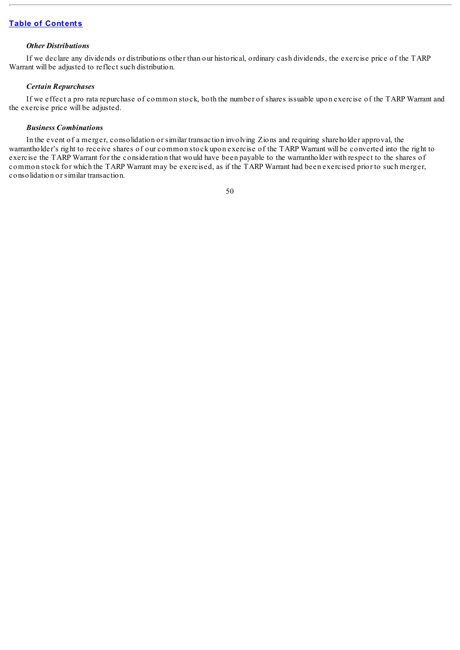## *Other Distributions*

If we declare any dividends or distributions other than our historical, ordinary cash dividends, the exercise price of the TARP Warrant will be adjusted to reflect such distribution.

# *Certain Repurchases*

If we effect a pro rata repurchase of common stock, both the number of shares issuable upon exercise of the TARP Warrant and the exercise price will be adjusted.

## *Business Combinations*

In the event of a merger, consolidation or similar transaction involving Zions and requiring shareholder approval, the warrantholder's right to receive shares of our common stock upon exercise of the TARP Warrant will be converted into the right to exercise the TARP Warrant for the consideration that would have been payable to the warrantholder with respect to the shares of common stock for which the TARP Warrant may be exercised, as if the TARP Warrant had been exercised prior to such merger, consolidation or similar transaction.

<sup>50</sup>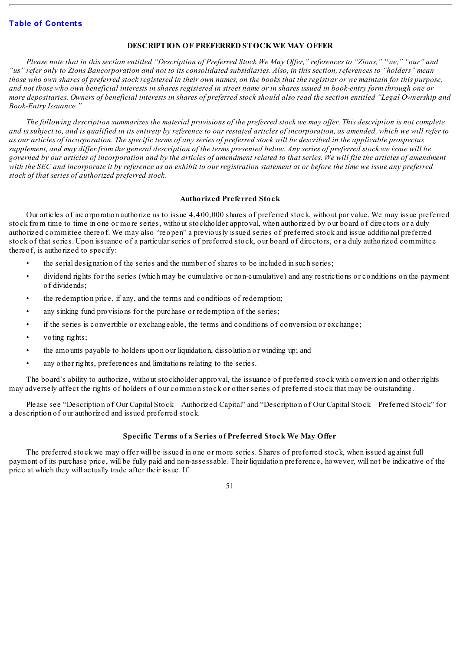### **DESCRIPTION OF PREFERRED STOCKWE MAY OFFER**

Please note that in this section entitled "Description of Preferred Stock We May Offer," references to "Zions," "we," "our" and "us" refer only to Zions Bancorporation and not to its consolidated subsidiaries. Also, in this section, references to "holders" mean those who own shares of preferred stock registered in their own names, on the books that the registrar or we maintain for this purpose, and not those who own beneficial interests in shares registered in street name or in shares issued in book-entry form through one or more depositaries. Owners of beneficial interests in shares of preferred stock should also read the section entitled "Legal Ownership and *Book-Entry Issuance."*

The following description summarizes the material provisions of the preferred stock we may offer. This description is not complete and is subject to, and is qualified in its entirety by reference to our restated articles of incorporation, as amended, which we will refer to as our articles of incorporation. The specific terms of any series of preferred stock will be described in the applicable prospectus supplement, and may differ from the general description of the terms presented below. Any series of preferred stock we issue will be governed by our articles of incorporation and by the articles of amendment related to that series. We will file the articles of amendment with the SEC and incorporate it by reference as an exhibit to our registration statement at or before the time we issue any preferred *stock of that series of authorized preferred stock.*

# **Authorized Preferred Stock**

Our articles of incorporation authorize us to issue 4,400,000 shares of preferred stock, without par value. We may issue preferred stock from time to time in one or more series, without stockholder approval, when authorized by our board of directors or a duly authorized committee thereof. We may also "reopen" a previously issued series of preferred stock and issue additional preferred stock of that series. Upon issuance of a particular series of preferred stock, our board of directors, or a duly authorized committee thereof, is authorized to specify:

- the serial designation of the series and the number of shares to be included in such series;
- dividend rights for the series (which may be cumulative or non-cumulative) and any restrictions or conditions on the payment of dividends;
- the redemption price, if any, and the terms and conditions of redemption;
- any sinking fund provisions for the purchase or redemption of the series;
- if the series is convertible or exchangeable, the terms and conditions of conversion or exchange;
- voting rights:
- the amounts payable to holders upon our liquidation, dissolution or winding up; and
- any other rights, preferences and limitations relating to the series.

The board's ability to authorize, without stockholder approval, the issuance of preferred stock with conversion and other rights may adversely affect the rights of holders of our common stock or other series of preferred stock that may be outstanding.

Please see "Description of Our Capital Stock—Authorized Capital" and "Description of Our Capital Stock—Preferred Stock" for a description of our authorized and issued preferred stock.

# **Specific Terms of a Series of Preferred Stock We May Offer**

The preferred stock we may offer will be issued in one or more series. Shares of preferred stock, when issued against full payment of its purchase price, will be fully paid and non-assessable. Their liquidation preference, however, will not be indicative of the price at which they will actually trade after their issue. If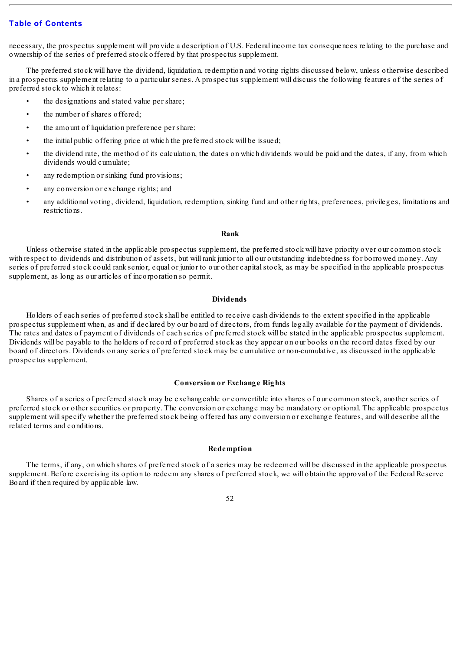necessary, the prospectus supplement will provide a description of U.S. Federal income tax consequences relating to the purchase and ownership of the series of preferred stock offered by that prospectus supplement.

The preferred stock will have the dividend, liquidation, redemption and voting rights discussed below, unless otherwise described in a prospectus supplement relating to a particular series. A prospectus supplement will discuss the following features of the series of preferred stock to which it relates:

- the designations and stated value per share;
- the number of shares offered;
- the amount of liquidation preference per share;
- the initial public offering price at which the preferred stock will be issued;
- the dividend rate, the method of its calculation, the dates on which dividends would be paid and the dates, if any, from which dividends would cumulate;
- any redemption or sinking fund provisions;
- any conversion or exchange rights; and
- any additional voting, dividend, liquidation, redemption, sinking fund and other rights, preferences, privileges, limitations and restrictions.

#### **Rank**

Unless otherwise stated in the applicable prospectus supplement, the preferred stock will have priority over our common stock with respect to dividends and distribution of assets, but will rank junior to all our outstanding indebtedness for borrowed money. Any series of preferred stock could rank senior, equal or junior to our other capitalstock, as may be specified in the applicable prospectus supplement, as long as our articles of incorporation so permit.

# **Dividends**

Holders of each series of preferred stock shall be entitled to receive cash dividends to the extent specified in the applicable prospectus supplement when, as and if declared by our board of directors, from funds legally available for the payment of dividends. The rates and dates of payment of dividends of each series of preferred stock will be stated in the applicable prospectus supplement. Dividends will be payable to the holders of record of preferred stock as they appear on our books on the record dates fixed by our board of directors. Dividends on any series of preferred stock may be cumulative or non-cumulative, as discussed in the applicable prospectus supplement.

### **Conversion or Exchange Rights**

Shares of a series of preferred stock may be exchangeable or convertible into shares of our common stock, another series of preferred stock or other securities or property. The conversion or exchange may be mandatory or optional. The applicable prospectus supplement willspecify whether the preferred stock being offered has any conversion or exchange features, and will describe all the related terms and conditions.

### **Redemption**

The terms, if any, on which shares of preferred stock of a series may be redeemed will be discussed in the applicable prospectus supplement. Before exercising its option to redeem any shares of preferred stock, we will obtain the approval of the Federal Reserve Board if then required by applicable law.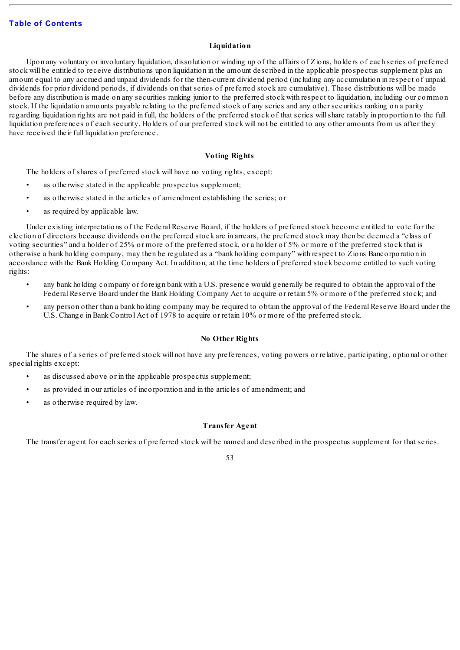# **Liquidation**

Upon any voluntary or involuntary liquidation, dissolution or winding up of the affairs of Zions, holders of each series of preferred stock will be entitled to receive distributions upon liquidation in the amount described in the applicable prospectus supplement plus an amount equal to any accrued and unpaid dividends for the then-current dividend period (including any accumulation in respect of unpaid dividends for prior dividend periods, if dividends on that series of preferred stock are cumulative). These distributions will be made before any distribution is made on any securities ranking junior to the preferred stock with respect to liquidation, including our common stock. If the liquidation amounts payable relating to the preferred stock of any series and any other securities ranking on a parity regarding liquidation rights are not paid in full, the holders of the preferred stock of that series willshare ratably in proportion to the full liquidation preferences of each security. Holders of our preferred stock will not be entitled to any other amounts from us after they have received their full liquidation preference.

### **Voting Rights**

The holders of shares of preferred stock will have no voting rights, except:

- as otherwise stated in the applicable prospectus supplement;
- as otherwise stated in the articles of amendment establishing the series; or
- as required by applicable law.

Under existing interpretations of the Federal Reserve Board, if the holders of preferred stock become entitled to vote for the election of directors because dividends on the preferred stock are in arrears, the preferred stock may then be deemed a "class of voting securities" and a holder of 25% or more of the preferred stock, or a holder of 5% or more of the preferred stock that is otherwise a bank holding company, may then be regulated as a "bank holding company" with respect to Zions Bancorporation in accordance with the Bank Holding Company Act. In addition, at the time holders of preferred stock become entitled to such voting rights:

- any bank holding company or foreign bank with a U.S. presence would generally be required to obtain the approval of the Federal Reserve Board under the Bank Holding Company Act to acquire or retain 5% or more of the preferred stock; and
- any person other than a bank holding company may be required to obtain the approval of the Federal Reserve Board under the U.S. Change in Bank Control Act of 1978 to acquire or retain 10% or more of the preferred stock.

# **No Other Rights**

The shares of a series of preferred stock will not have any preferences, voting powers or relative, participating, optional or other special rights except:

- as discussed above or in the applicable prospectus supplement;
- as provided in our articles of incorporation and in the articles of amendment; and
- as otherwise required by law.

### **Transfer Agent**

The transfer agent for each series of preferred stock will be named and described in the prospectus supplement for that series.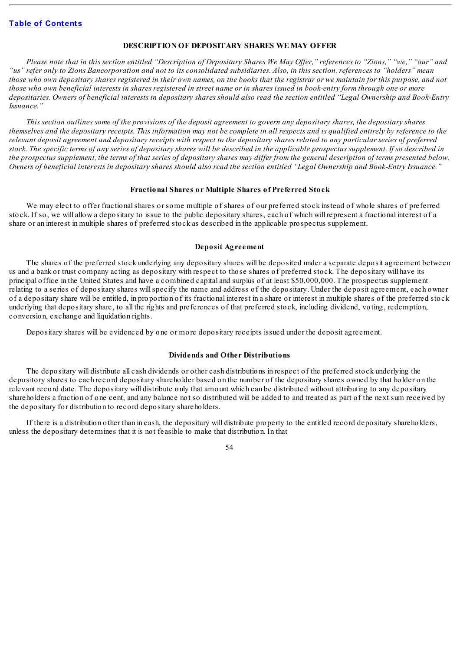## **DESCRIPTION OF DEPOSITARY SHARES WE MAY OFFER**

Please note that in this section entitled "Description of Depositary Shares We May Offer," references to "Zions," "we," "our" and "us" refer only to Zions Bancorporation and not to its consolidated subsidiaries. Also, in this section, references to "holders" mean those who own depositary shares registered in their own names, on the books that the registrar or we maintain for this purpose, and not those who own beneficial interests in shares registered in street name or in shares issued in book-entry form through one or more depositaries. Owners of beneficial interests in depositary shares should also read the section entitled "Legal Ownership and Book-Entry *Issuance."*

This section outlines some of the provisions of the deposit agreement to govern any depositary shares, the depositary shares themselves and the depositary receipts. This information may not be complete in all respects and is qualified entirely by reference to the relevant deposit agreement and depositary receipts with respect to the depositary shares related to any particular series of preferred stock. The specific terms of any series of depositary shares will be described in the applicable prospectus supplement. If so described in the prospectus supplement, the terms of that series of depositary shares may differ from the general description of terms presented below. Owners of beneficial interests in depositary shares should also read the section entitled "Legal Ownership and Book-Entry Issuance."

### **Fractional Shares or Multiple Shares of Preferred Stock**

We may elect to offer fractional shares or some multiple of shares of our preferred stock instead of whole shares of preferred stock. If so, we will allow a depositary to issue to the public depositary shares, each of which will represent a fractional interest of a share or an interest in multiple shares of preferred stock as described in the applicable prospectus supplement.

### **Deposit Agreement**

The shares of the preferred stock underlying any depositary shares will be deposited under a separate deposit agreement between us and a bank or trust company acting as depositary with respect to those shares of preferred stock. The depositary will have its principal office in the United States and have a combined capital and surplus of at least \$50,000,000. The prospectus supplement relating to a series of depositary shares willspecify the name and address of the depositary. Under the deposit agreement, each owner of a depositary share will be entitled, in proportion of its fractional interest in a share or interest in multiple shares of the preferred stock underlying that depositary share, to all the rights and preferences of that preferred stock, including dividend, voting, redemption, conversion, exchange and liquidation rights.

Depositary shares will be evidenced by one or more depositary receipts issued under the deposit agreement.

### **Dividends and Other Distributions**

The depositary will distribute all cash dividends or other cash distributions in respect of the preferred stock underlying the depository shares to each record depositary shareholder based on the number of the depositary shares owned by that holder on the relevant record date. The depositary will distribute only that amount which can be distributed without attributing to any depositary shareholders a fraction of one cent, and any balance not so distributed will be added to and treated as part of the next sum received by the depositary for distribution to record depositary shareholders.

If there is a distribution other than in cash, the depositary will distribute property to the entitled record depositary shareholders, unless the depositary determines that it is not feasible to make that distribution. In that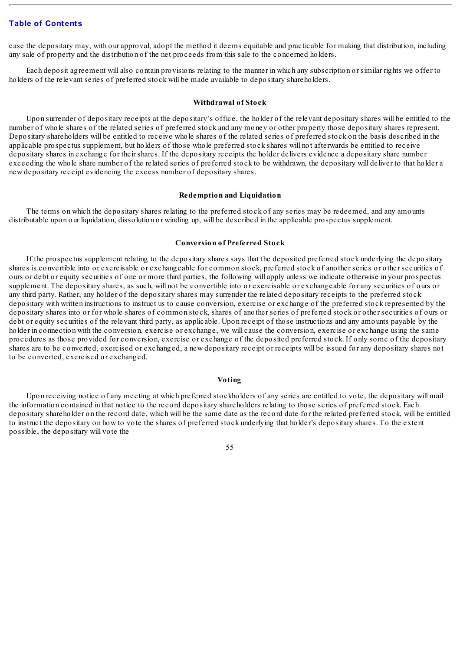case the depositary may, with our approval, adopt the method it deems equitable and practicable for making that distribution, including any sale of property and the distribution of the net proceeds from this sale to the concerned holders.

Each deposit agreement will also contain provisions relating to the manner in which any subscription or similar rights we offer to holders of the relevant series of preferred stock will be made available to depositary shareholders.

## **Withdrawal of Stock**

Upon surrender of depositary receipts at the depositary's office, the holder of the relevant depositary shares will be entitled to the number of whole shares of the related series of preferred stock and any money or other property those depositary shares represent. Depositary shareholders will be entitled to receive whole shares of the related series of preferred stock on the basis described in the applicable prospectus supplement, but holders of those whole preferred stock shares will not afterwards be entitled to receive depositary shares in exchange for their shares. If the depositary receipts the holder delivers evidence a depositary share number exceeding the whole share number of the related series of preferred stock to be withdrawn, the depositary will deliver to that holder a new depositary receipt evidencing the excess number of depositary shares.

#### **Redemption and Liquidation**

The terms on which the depositary shares relating to the preferred stock of any series may be redeemed, and any amounts distributable upon our liquidation, dissolution or winding up, will be described in the applicable prospectus supplement.

## **Conversion of Preferred Stock**

If the prospectus supplement relating to the depositary shares says that the deposited preferred stock underlying the depositary shares is convertible into or exercisable or exchangeable for common stock, preferred stock of another series or other securities of ours or debt or equity securities of one or more third parties, the following will apply unless we indicate otherwise in your prospectus supplement. The depositary shares, as such, will not be convertible into or exercisable or exchangeable for any securities of ours or any third party. Rather, any holder of the depositary shares may surrender the related depositary receipts to the preferred stock depositary with written instructions to instruct us to cause conversion, exercise or exchange of the preferred stock represented by the depositary shares into or for whole shares of common stock, shares of another series of preferred stock or other securities of ours or debt or equity securities of the relevant third party, as applicable. Upon receipt of those instructions and any amounts payable by the holder in connection with the conversion, exercise or exchange, we will cause the conversion, exercise or exchange using the same procedures as those provided for conversion, exercise or exchange of the deposited preferred stock. If only some of the depositary shares are to be converted, exercised or exchanged, a new depositary receipt or receipts will be issued for any depositary shares not to be converted, exercised or exchanged.

#### **Voting**

Upon receiving notice of any meeting at which preferred stockholders of any series are entitled to vote, the depositary will mail the information contained in that notice to the record depositary shareholders relating to those series of preferred stock. Each depositary shareholder on the record date, which will be the same date as the record date for the related preferred stock, will be entitled to instruct the depositary on how to vote the shares of preferred stock underlying that holder's depositary shares. To the extent possible, the depositary will vote the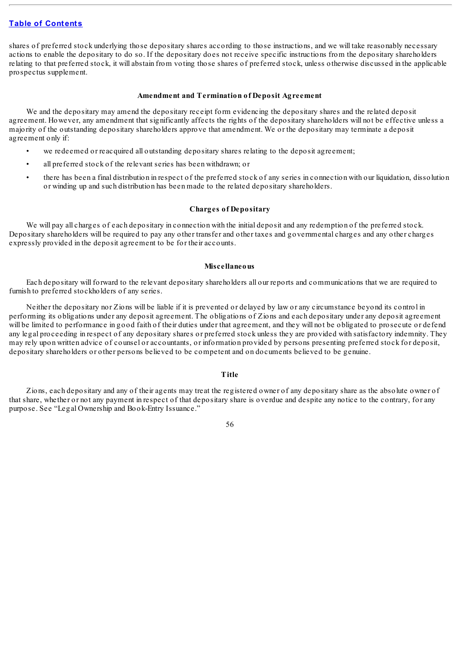shares of preferred stock underlying those depositary shares according to those instructions, and we will take reasonably necessary actions to enable the depositary to do so. If the depositary does not receive specific instructions from the depositary shareholders relating to that preferred stock, it will abstain from voting those shares of preferred stock, unless otherwise discussed in the applicable prospectus supplement.

#### **Amendment and Termination of Deposit Agreement**

We and the depositary may amend the depositary receipt form evidencing the depositary shares and the related deposit agreement. However, any amendment that significantly affects the rights of the depositary shareholders will not be effective unless a majority of the outstanding depositary shareholders approve that amendment. We or the depositary may terminate a deposit agreement only if:

- we redeemed or reacquired all outstanding depositary shares relating to the deposit agreement;
- all preferred stock of the relevant series has been withdrawn; or
- there has been a final distribution in respect of the preferred stock of any series in connection with our liquidation, dissolution or winding up and such distribution has been made to the related depositary shareholders.

### **Charges of Depositary**

We will pay all charges of each depositary in connection with the initial deposit and any redemption of the preferred stock. Depositary shareholders will be required to pay any other transfer and other taxes and governmental charges and any other charges expressly provided in the deposit agreement to be for their accounts.

#### **Miscellaneous**

Each depositary will forward to the relevant depositary shareholders all our reports and communications that we are required to furnish to preferred stockholders of any series.

Neither the depositary nor Zions will be liable if it is prevented or delayed by law or any circumstance beyond its control in performing its obligations under any deposit agreement. The obligations of Zions and each depositary under any deposit agreement will be limited to performance in good faith of their duties under that agreement, and they will not be obligated to prosecute or defend any legal proceeding in respect of any depositary shares or preferred stock unless they are provided with satisfactory indemnity. They may rely upon written advice of counsel or accountants, or information provided by persons presenting preferred stock for deposit, depositary shareholders or other persons believed to be competent and on documents believed to be genuine.

## **Title**

Zions, each depositary and any of their agents may treat the registered owner of any depositary share as the absolute owner of that share, whether or not any payment in respect of that depositary share is overdue and despite any notice to the contrary, for any purpose. See "Legal Ownership and Book-Entry Issuance."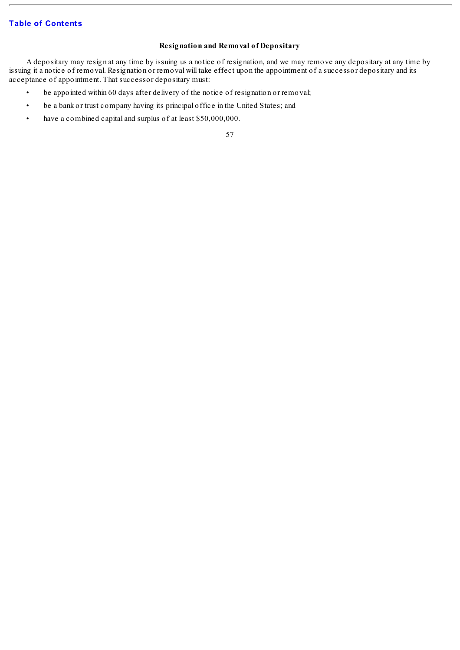# **Resignation and Removal of Depositary**

A depositary may resign at any time by issuing us a notice of resignation, and we may remove any depositary at any time by issuing it a notice of removal. Resignation or removal will take effect upon the appointment of a successor depositary and its acceptance of appointment. That successor depositary must:

- be appointed within 60 days after delivery of the notice of resignation or removal;
- be a bank or trust company having its principal office in the United States; and
- have a combined capital and surplus of at least \$50,000,000.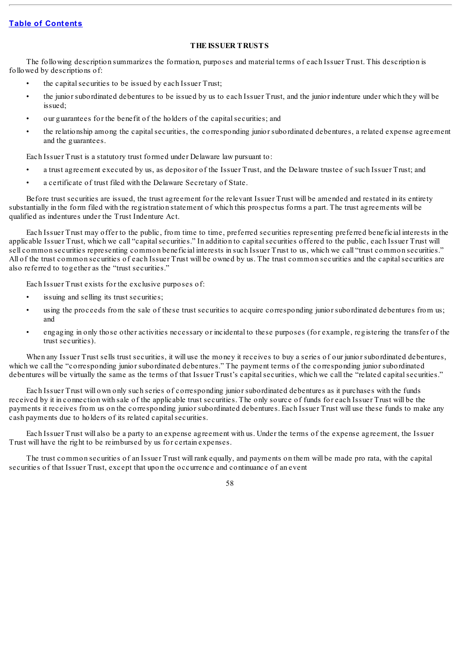# **THE ISSUER TRUSTS**

The following description summarizes the formation, purposes and material terms of each Issuer Trust. This description is followed by descriptions of:

- the capital securities to be issued by each Issuer Trust;
- the junior subordinated debentures to be issued by us to each Issuer Trust, and the junior indenture under which they will be issued;
- our guarantees for the benefit of the holders of the capital securities; and
- the relationship among the capitalsecurities, the corresponding junior subordinated debentures, a related expense agreement and the guarantees.

Each Issuer Trust is a statutory trust formed under Delaware law pursuant to:

- a trust agreement executed by us, as depositor of the Issuer Trust, and the Delaware trustee of such Issuer Trust; and
- a certificate of trust filed with the Delaware Secretary of State.

Before trust securities are issued, the trust agreement for the relevant Issuer Trust will be amended and restated in its entirety substantially in the form filed with the registration statement of which this prospectus forms a part. The trust agreements will be qualified as indentures under the Trust Indenture Act.

Each Issuer Trust may offer to the public, from time to time, preferred securities representing preferred beneficial interests in the applicable Issuer Trust, which we call "capital securities." In addition to capital securities offered to the public, each Issuer Trust will sell common securities representing common beneficial interests in such Issuer Trust to us, which we call "trust common securities." All of the trust common securities of each Issuer Trust will be owned by us. The trust common securities and the capitalsecurities are also referred to together as the "trust securities."

Each Issuer Trust exists for the exclusive purposes of:

- issuing and selling its trust securities;
- using the proceeds from the sale of these trust securities to acquire corresponding junior subordinated debentures from us; and
- engaging in only those other activities necessary or incidental to these purposes (for example, registering the transfer of the trust securities).

When any Issuer Trust sells trust securities, it will use the money it receives to buy a series of our junior subordinated debentures, which we call the "corresponding junior subordinated debentures." The payment terms of the corresponding junior subordinated debentures will be virtually the same as the terms of that Issuer Trust's capital securities, which we call the "related capital securities."

Each Issuer Trust will own only such series of corresponding junior subordinated debentures as it purchases with the funds received by it in connection with sale of the applicable trust securities. The only source of funds for each Issuer Trust will be the payments it receives from us on the corresponding junior subordinated debentures. Each Issuer Trust will use these funds to make any cash payments due to holders of its related capital securities.

Each Issuer Trust will also be a party to an expense agreement with us. Under the terms of the expense agreement, the Issuer Trust will have the right to be reimbursed by us for certain expenses.

The trust common securities of an Issuer Trust will rank equally, and payments on them will be made pro rata, with the capital securities of that Issuer Trust, except that upon the occurrence and continuance of an event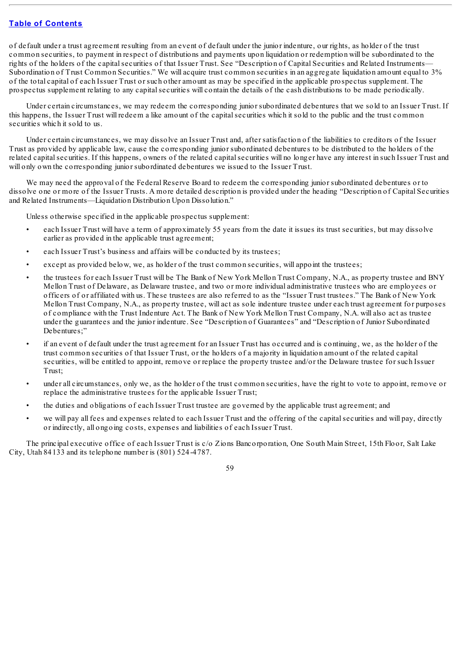of default under a trust agreement resulting from an event of default under the junior indenture, our rights, as holder of the trust common securities, to payment in respect of distributions and payments upon liquidation or redemption will be subordinated to the rights of the holders of the capitalsecurities of that Issuer Trust. See "Description of Capital Securities and Related Instruments— Subordination of Trust Common Securities." We will acquire trust common securities in an aggregate liquidation amount equal to 3% of the total capital of each Issuer Trust or such other amount as may be specified in the applicable prospectus supplement. The prospectus supplement relating to any capitalsecurities will contain the details of the cash distributions to be made periodically.

Under certain circumstances, we may redeem the corresponding junior subordinated debentures that we sold to an Issuer Trust. If this happens, the Issuer Trust will redeem a like amount of the capitalsecurities which it sold to the public and the trust common securities which it sold to us.

Under certain circumstances, we may dissolve an Issuer Trust and, after satisfaction of the liabilities to creditors of the Issuer Trust as provided by applicable law, cause the corresponding junior subordinated debentures to be distributed to the holders of the related capitalsecurities. If this happens, owners of the related capitalsecurities will no longer have any interest in such Issuer Trust and will only own the corresponding junior subordinated debentures we issued to the Issuer Trust.

We may need the approval of the Federal Reserve Board to redeem the corresponding junior subordinated debentures or to dissolve one or more of the Issuer Trusts. A more detailed description is provided under the heading "Description of Capital Securities and Related Instruments—Liquidation Distribution Upon Dissolution."

Unless otherwise specified in the applicable prospectus supplement:

- each Issuer Trust will have a term of approximately 55 years from the date it issues its trust securities, but may dissolve earlier as provided in the applicable trust agreement;
- each Issuer Trust's business and affairs will be conducted by its trustees;
- except as provided below, we, as holder of the trust common securities, will appoint the trustees;
- the trustees for each Issuer Trust will be The Bank of New York Mellon Trust Company, N.A., as property trustee and BNY Mellon Trust of Delaware, as Delaware trustee, and two or more individual administrative trustees who are employees or officers of or affiliated with us. These trustees are also referred to as the "Issuer Trust trustees." The Bank of New York Mellon Trust Company, N.A., as property trustee, will act as sole indenture trustee under each trust agreement for purposes of compliance with the Trust Indenture Act. The Bank of New York Mellon Trust Company, N.A. will also act as trustee under the guarantees and the junior indenture. See "Description of Guarantees" and "Description of Junior Subordinated Debentures;"
- if an event of default under the trust agreement for an Issuer Trust has occurred and is continuing, we, as the holder of the trust common securities of that Issuer Trust, or the holders of a majority in liquidation amount of the related capital securities, will be entitled to appoint, remove or replace the property trustee and/or the Delaware trustee for such Issuer Trust;
- under all circumstances, only we, as the holder of the trust common securities, have the right to vote to appoint, remove or replace the administrative trustees for the applicable Issuer Trust;
- the duties and obligations of each Issuer Trust trustee are governed by the applicable trust agreement; and
- we will pay all fees and expenses related to each Issuer Trust and the offering of the capitalsecurities and will pay, directly or indirectly, all ongoing costs, expenses and liabilities of each Issuer Trust.

The principal executive office of each Issuer Trust is c/o Zions Bancorporation, One South Main Street, 15th Floor, Salt Lake City, Utah 84133 and its telephone number is (801) 524-4787.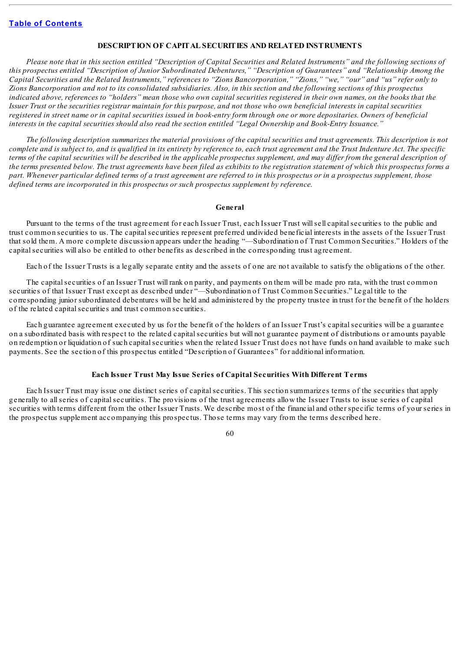## **DESCRIPTION OF CAPITAL SECURITIES AND RELATED INSTRUMENTS**

Please note that in this section entitled "Description of Capital Securities and Related Instruments" and the following sections of this prospectus entitled "Description of Junior Subordinated Debentures," "Description of Guarantees" and "Relationship Among the Capital Securities and the Related Instruments," references to "Zions Bancorporation," "Zions," "we," "our" and "us" refer only to Zions Bancorporation and not to its consolidated subsidiaries. Also, in this section and the following sections of this prospectus indicated above, references to "holders" mean those who own capital securities registered in their own names, on the books that the Issuer Trust or the securities registrar maintain for this purpose, and not those who own beneficial interests in capital securities registered in street name or in capital securities issued in book-entry form through one or more depositaries. Owners of beneficial interests in the capital securities should also read the section entitled "Legal Ownership and Book-Entry Issuance."

The following description summarizes the material provisions of the capital securities and trust agreements. This description is not complete and is subject to, and is qualified in its entirety by reference to, each trust agreement and the Trust Indenture Act. The specific terms of the capital securities will be described in the applicable prospectus supplement, and may differ from the general description of the terms presented below. The trust agreements have been filed as exhibits to the registration statement of which this prospectus forms a part. Whenever particular defined terms of a trust agreement are referred to in this prospectus or in a prospectus supplement, those *defined terms are incorporated in this prospectus or such prospectus supplement by reference.*

### **General**

Pursuant to the terms of the trust agreement for each Issuer Trust, each Issuer Trust will sell capital securities to the public and trust common securities to us. The capitalsecurities represent preferred undivided beneficial interests in the assets of the Issuer Trust that sold them. A more complete discussion appears under the heading "—Subordination of Trust Common Securities." Holders of the capitalsecurities will also be entitled to other benefits as described in the corresponding trust agreement.

Each of the Issuer Trusts is a legally separate entity and the assets of one are not available to satisfy the obligations of the other.

The capital securities of an Issuer Trust will rank on parity, and payments on them will be made pro rata, with the trust common securities of that Issuer Trust except as described under "—Subordination of Trust Common Securities." Legal title to the corresponding junior subordinated debentures will be held and administered by the property trustee in trust for the benefit of the holders of the related capital securities and trust common securities.

Each guarantee agreement executed by us for the benefit of the holders of an Issuer Trust's capitalsecurities will be a guarantee on a subordinated basis with respect to the related capitalsecurities but will not guarantee payment of distributions or amounts payable on redemption or liquidation of such capitalsecurities when the related Issuer Trust does not have funds on hand available to make such payments. See the section of this prospectus entitled "Description of Guarantees" for additional information.

## **Each Issuer Trust May Issue Series of Capital Securities With Different Terms**

Each Issuer Trust may issue one distinct series of capitalsecurities. This section summarizes terms of the securities that apply generally to allseries of capitalsecurities. The provisions of the trust agreements allow the Issuer Trusts to issue series of capital securities with terms different from the other Issuer Trusts. We describe most of the financial and other specific terms of your series in the prospectus supplement accompanying this prospectus. Those terms may vary from the terms described here.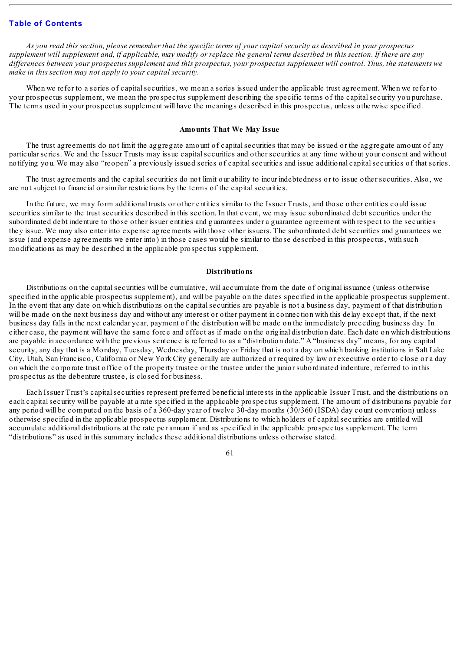As you read this section, please remember that the specific terms of your capital security as described in your prospectus supplement will supplement and, if applicable, may modify or replace the general terms described in this section. If there are any differences between your prospectus supplement and this prospectus, your prospectus supplement will control. Thus, the statements we *make in this section may not apply to your capital security.*

When we refer to a series of capital securities, we mean a series issued under the applicable trust agreement. When we refer to your prospectus supplement, we mean the prospectus supplement describing the specific terms of the capitalsecurity you purchase. The terms used in your prospectus supplement will have the meanings described in this prospectus, unless otherwise specified.

### **Amounts That We May Issue**

The trust agreements do not limit the aggregate amount of capitalsecurities that may be issued or the aggregate amount of any particular series. We and the Issuer Trusts may issue capitalsecurities and other securities at any time without your consent and without notifying you. We may also "reopen" a previously issued series of capitalsecurities and issue additional capitalsecurities of that series.

The trust agreements and the capital securities do not limit our ability to incur indebtedness or to issue other securities. Also, we are not subject to financial or similar restrictions by the terms of the capitalsecurities.

In the future, we may form additional trusts or other entities similar to the Issuer Trusts, and those other entities could issue securities similar to the trust securities described in this section. In that event, we may issue subordinated debt securities under the subordinated debt indenture to those other issuer entities and guarantees under a guarantee agreement with respect to the securities they issue. We may also enter into expense agreements with those other issuers. The subordinated debt securities and guarantees we issue (and expense agreements we enter into) in those cases would be similar to those described in this prospectus, with such modifications as may be described in the applicable prospectus supplement.

### **Distributions**

Distributions on the capital securities will be cumulative, will accumulate from the date of original issuance (unless otherwise specified in the applicable prospectus supplement), and will be payable on the dates specified in the applicable prospectus supplement. In the event that any date on which distributions on the capitalsecurities are payable is not a business day, payment of that distribution will be made on the next business day and without any interest or other payment in connection with this delay except that, if the next business day falls in the next calendar year, payment of the distribution will be made on the immediately preceding business day. In either case, the payment will have the same force and effect as if made on the original distribution date. Each date on which distributions are payable in accordance with the previous sentence is referred to as a "distribution date." A "business day" means, for any capital security, any day that is a Monday, Tuesday, Wednesday, Thursday or Friday that is not a day on which banking institutions in Salt Lake City, Utah, San Francisco, California or New York City generally are authorized or required by law or executive order to close or a day on which the corporate trust office of the property trustee or the trustee under the junior subordinated indenture, referred to in this prospectus as the debenture trustee, is closed for business.

Each Issuer Trust's capital securities represent preferred beneficial interests in the applicable Issuer Trust, and the distributions on each capital security will be payable at a rate specified in the applicable prospectus supplement. The amount of distributions payable for any period will be computed on the basis of a 360-day year of twelve 30-day months (30/360 (ISDA) day count convention) unless otherwise specified in the applicable prospectus supplement. Distributions to which holders of capitalsecurities are entitled will accumulate additional distributions at the rate per annum if and as specified in the applicable prospectus supplement. The term "distributions" as used in this summary includes these additional distributions unless otherwise stated.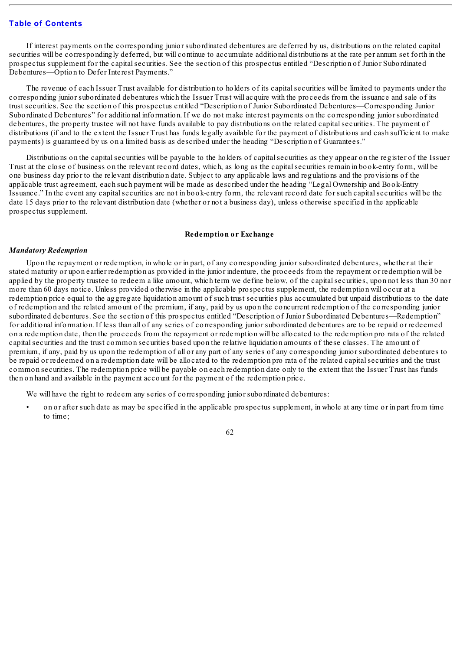If interest payments on the corresponding junior subordinated debentures are deferred by us, distributions on the related capital securities will be correspondingly deferred, but will continue to accumulate additional distributions at the rate per annum set forth in the prospectus supplement for the capitalsecurities. See the section of this prospectus entitled "Description of Junior Subordinated Debentures—Option to Defer Interest Payments."

The revenue of each Issuer Trust available for distribution to holders of its capitalsecurities will be limited to payments under the corresponding junior subordinated debentures which the Issuer Trust will acquire with the proceeds from the issuance and sale of its trust securities. See the section of this prospectus entitled "Description of Junior Subordinated Debentures—Corresponding Junior Subordinated Debentures" for additional information. If we do not make interest payments on the corresponding junior subordinated debentures, the property trustee will not have funds available to pay distributions on the related capital securities. The payment of distributions (if and to the extent the Issuer Trust has funds legally available for the payment of distributions and cash sufficient to make payments) is guaranteed by us on a limited basis as described under the heading "Description of Guarantees."

Distributions on the capital securities will be payable to the holders of capital securities as they appear on the register of the Issuer Trust at the close of business on the relevant record dates, which, as long as the capitalsecurities remain in book-entry form, will be one business day prior to the relevant distribution date. Subject to any applicable laws and regulations and the provisions of the applicable trust agreement, each such payment will be made as described under the heading "Legal Ownership and Book-Entry Issuance." In the event any capitalsecurities are not in book-entry form, the relevant record date for such capitalsecurities will be the date 15 days prior to the relevant distribution date (whether or not a business day), unless otherwise specified in the applicable prospectus supplement.

## **Redemption or Exchange**

#### *Mandatory Redemption*

Upon the repayment or redemption, in whole or in part, of any corresponding junior subordinated debentures, whether at their stated maturity or upon earlier redemption as provided in the junior indenture, the proceeds from the repayment or redemption will be applied by the property trustee to redeem a like amount, which term we define below, of the capitalsecurities, upon not less than 30 nor more than 60 days notice. Unless provided otherwise in the applicable prospectus supplement, the redemption will occur at a redemption price equal to the aggregate liquidation amount of such trust securities plus accumulated but unpaid distributions to the date of redemption and the related amount of the premium, if any, paid by us upon the concurrent redemption of the corresponding junior subordinated debentures. See the section of this prospectus entitled "Description of Junior Subordinated Debentures—Redemption" for additional information. If less than all of any series of corresponding junior subordinated debentures are to be repaid or redeemed on a redemption date, then the proceeds from the repayment or redemption will be allocated to the redemption pro rata of the related capitalsecurities and the trust common securities based upon the relative liquidation amounts of these classes. The amount of premium, if any, paid by us upon the redemption of all or any part of any series of any corresponding junior subordinated debentures to be repaid or redeemed on a redemption date will be allocated to the redemption pro rata of the related capitalsecurities and the trust common securities. The redemption price will be payable on each redemption date only to the extent that the Issuer Trust has funds then on hand and available in the payment account for the payment of the redemption price.

We will have the right to redeem any series of corresponding junior subordinated debentures:

• on or after such date as may be specified in the applicable prospectus supplement, in whole at any time or in part from time to time;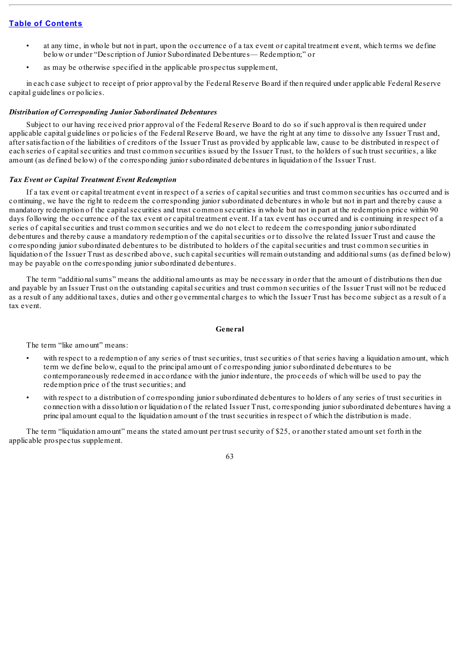- at any time, in whole but not in part, upon the occurrence of a tax event or capital treatment event, which terms we define below or under "Description of Junior Subordinated Debentures— Redemption;" or
- as may be otherwise specified in the applicable prospectus supplement,

in each case subject to receipt of prior approval by the Federal Reserve Board if then required under applicable Federal Reserve capital guidelines or policies.

## *Distribution of Corresponding Junior Subordinated Debentures*

Subject to our having received prior approval of the Federal Reserve Board to do so if such approval is then required under applicable capital guidelines or policies of the Federal Reserve Board, we have the right at any time to dissolve any Issuer Trust and, after satisfaction of the liabilities of creditors of the Issuer Trust as provided by applicable law, cause to be distributed in respect of each series of capitalsecurities and trust common securities issued by the Issuer Trust, to the holders of such trust securities, a like amount (as defined below) of the corresponding junior subordinated debentures in liquidation of the Issuer Trust.

## *Tax Event or Capital Treatment Event Redemption*

If a tax event or capital treatment event in respect of a series of capital securities and trust common securities has occurred and is continuing, we have the right to redeem the corresponding junior subordinated debentures in whole but not in part and thereby cause a mandatory redemption of the capitalsecurities and trust common securities in whole but not in part at the redemption price within 90 days following the occurrence of the tax event or capital treatment event. If a tax event has occurred and is continuing in respect of a series of capitalsecurities and trust common securities and we do not elect to redeem the corresponding junior subordinated debentures and thereby cause a mandatory redemption of the capitalsecurities or to dissolve the related Issuer Trust and cause the corresponding junior subordinated debentures to be distributed to holders of the capitalsecurities and trust common securities in liquidation of the Issuer Trust as described above, such capital securities will remain outstanding and additional sums (as defined below) may be payable on the corresponding junior subordinated debentures.

The term "additionalsums" means the additional amounts as may be necessary in order that the amount of distributions then due and payable by an Issuer Trust on the outstanding capitalsecurities and trust common securities of the Issuer Trust will not be reduced as a result of any additional taxes, duties and other governmental charges to which the Issuer Trust has become subject as a result of a tax event.

## **General**

The term "like amount" means:

- with respect to a redemption of any series of trust securities, trust securities of that series having a liquidation amount, which term we define below, equal to the principal amount of corresponding junior subordinated debentures to be contemporaneously redeemed in accordance with the junior indenture, the proceeds of which will be used to pay the redemption price of the trust securities; and
- with respect to a distribution of corresponding junior subordinated debentures to holders of any series of trust securities in connection with a dissolution or liquidation of the related Issuer Trust, corresponding junior subordinated debentures having a principal amount equal to the liquidation amount of the trust securities in respect of which the distribution is made.

The term "liquidation amount" means the stated amount per trust security of \$25, or another stated amount set forth in the applicable prospectus supplement.

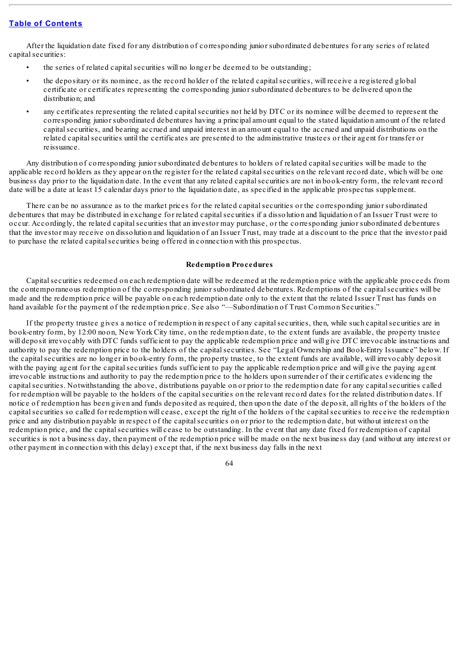After the liquidation date fixed for any distribution of corresponding junior subordinated debentures for any series of related capital securities:

- the series of related capital securities will no longer be deemed to be outstanding;
- the depositary or its nominee, as the record holder of the related capitalsecurities, will receive a registered global certificate or certificates representing the corresponding junior subordinated debentures to be delivered upon the distribution; and
- any certificates representing the related capitalsecurities not held by DTC or its nominee will be deemed to represent the corresponding junior subordinated debentures having a principal amount equal to the stated liquidation amount of the related capitalsecurities, and bearing accrued and unpaid interest in an amount equal to the accrued and unpaid distributions on the related capitalsecurities until the certificates are presented to the administrative trustees or their agent for transfer or reissuance.

Any distribution of corresponding junior subordinated debentures to holders of related capital securities will be made to the applicable record holders as they appear on the register for the related capitalsecurities on the relevant record date, which will be one business day prior to the liquidation date. In the event that any related capitalsecurities are not in book-entry form, the relevant record date will be a date at least 15 calendar days prior to the liquidation date, as specified in the applicable prospectus supplement.

There can be no assurance as to the market prices for the related capitalsecurities or the corresponding junior subordinated debentures that may be distributed in exchange for related capitalsecurities if a dissolution and liquidation of an Issuer Trust were to occur. Accordingly, the related capital securities that an investor may purchase, or the corresponding junior subordinated debentures that the investor may receive on dissolution and liquidation of an Issuer Trust, may trade at a discount to the price that the investor paid to purchase the related capitalsecurities being offered in connection with this prospectus.

### **Redemption Procedures**

Capitalsecurities redeemed on each redemption date will be redeemed at the redemption price with the applicable proceeds from the contemporaneous redemption of the corresponding junior subordinated debentures. Redemptions of the capitalsecurities will be made and the redemption price will be payable on each redemption date only to the extent that the related Issuer Trust has funds on hand available for the payment of the redemption price. See also "—Subordination of Trust Common Securities."

If the property trustee gives a notice of redemption in respect of any capitalsecurities, then, while such capitalsecurities are in book-entry form, by 12:00 noon, New York City time, on the redemption date, to the extent funds are available, the property trustee will deposit irrevocably with DTC funds sufficient to pay the applicable redemption price and will give DTC irrevocable instructions and authority to pay the redemption price to the holders of the capitalsecurities. See "Legal Ownership and Book-Entry Issuance" below. If the capitalsecurities are no longer in book-entry form, the property trustee, to the extent funds are available, will irrevocably deposit with the paying agent for the capital securities funds sufficient to pay the applicable redemption price and will give the paying agent irrevocable instructions and authority to pay the redemption price to the holders upon surrender of their certificates evidencing the capitalsecurities. Notwithstanding the above, distributions payable on or prior to the redemption date for any capitalsecurities called for redemption will be payable to the holders of the capitalsecurities on the relevant record dates for the related distribution dates. If notice of redemption has been given and funds deposited as required, then upon the date of the deposit, all rights of the holders of the capitalsecurities so called for redemption will cease, except the right of the holders of the capitalsecurities to receive the redemption price and any distribution payable in respect of the capitalsecurities on or prior to the redemption date, but without interest on the redemption price, and the capital securities will cease to be outstanding. In the event that any date fixed for redemption of capital securities is not a business day, then payment of the redemption price will be made on the next business day (and without any interest or other payment in connection with this delay) except that, if the next business day falls in the next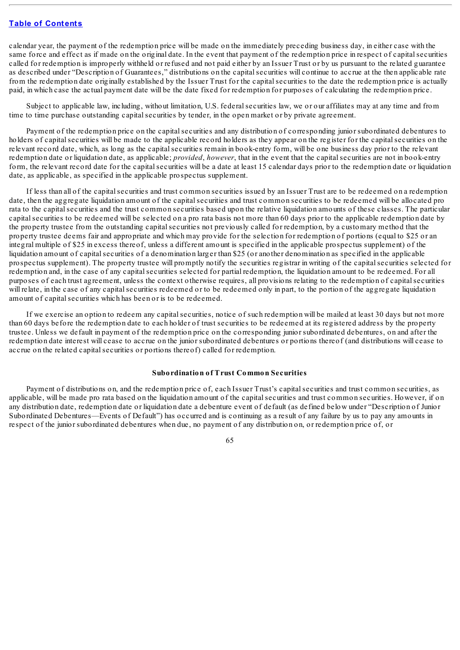calendar year, the payment of the redemption price will be made on the immediately preceding business day, in either case with the same force and effect as if made on the original date. In the event that payment of the redemption price in respect of capitalsecurities called for redemption is improperly withheld or refused and not paid either by an Issuer Trust or by us pursuant to the related guarantee as described under "Description of Guarantees," distributions on the capitalsecurities will continue to accrue at the then applicable rate from the redemption date originally established by the Issuer Trust for the capitalsecurities to the date the redemption price is actually paid, in which case the actual payment date will be the date fixed for redemption for purposes of calculating the redemption price.

Subject to applicable law, including, without limitation, U.S. federalsecurities law, we or our affiliates may at any time and from time to time purchase outstanding capitalsecurities by tender, in the open market or by private agreement.

Payment of the redemption price on the capital securities and any distribution of corresponding junior subordinated debentures to holders of capital securities will be made to the applicable record holders as they appear on the register for the capital securities on the relevant record date, which, as long as the capitalsecurities remain in book-entry form, will be one business day prior to the relevant redemption date or liquidation date, as applicable; *provided*, *however*, that in the event that the capitalsecurities are not in book-entry form, the relevant record date for the capitalsecurities will be a date at least 15 calendar days prior to the redemption date or liquidation date, as applicable, as specified in the applicable prospectus supplement.

If less than all of the capitalsecurities and trust common securities issued by an Issuer Trust are to be redeemed on a redemption date, then the aggregate liquidation amount of the capital securities and trust common securities to be redeemed will be allocated pro rata to the capital securities and the trust common securities based upon the relative liquidation amounts of these classes. The particular capitalsecurities to be redeemed will be selected on a pro rata basis not more than 60 days prior to the applicable redemption date by the property trustee from the outstanding capitalsecurities not previously called for redemption, by a customary method that the property trustee deems fair and appropriate and which may provide for the selection for redemption of portions (equal to \$25 or an integral multiple of \$25 in excess thereof, unless a different amount is specified in the applicable prospectus supplement) of the liquidation amount of capitalsecurities of a denomination larger than \$25 (or another denomination as specified in the applicable prospectus supplement). The property trustee will promptly notify the securities registrar in writing of the capitalsecurities selected for redemption and, in the case of any capital securities selected for partial redemption, the liquidation amount to be redeemed. For all purposes of each trust agreement, unless the context otherwise requires, all provisions relating to the redemption of capitalsecurities will relate, in the case of any capital securities redeemed or to be redeemed only in part, to the portion of the aggregate liquidation amount of capital securities which has been or is to be redeemed.

If we exercise an option to redeem any capitalsecurities, notice of such redemption will be mailed at least 30 days but not more than 60 days before the redemption date to each holder of trust securities to be redeemed at its registered address by the property trustee. Unless we default in payment of the redemption price on the corresponding junior subordinated debentures, on and after the redemption date interest will cease to accrue on the junior subordinated debentures or portions thereof (and distributions will cease to accrue on the related capital securities or portions thereof) called for redemption.

## **Subordination of Trust Common Securities**

Payment of distributions on, and the redemption price of, each Issuer Trust's capitalsecurities and trust common securities, as applicable, will be made pro rata based on the liquidation amount of the capitalsecurities and trust common securities. However, if on any distribution date, redemption date or liquidation date a debenture event of default (as defined below under "Description of Junior Subordinated Debentures—Events of Default") has occurred and is continuing as a result of any failure by us to pay any amounts in respect of the junior subordinated debentures when due, no payment of any distribution on, or redemption price of, or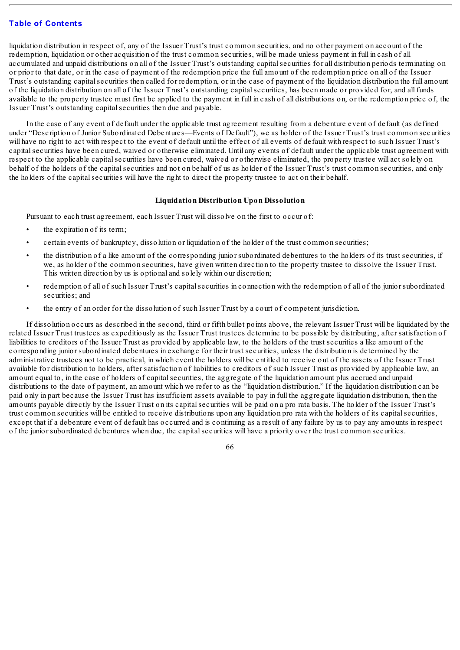liquidation distribution in respect of, any of the Issuer Trust's trust common securities, and no other payment on account of the redemption, liquidation or other acquisition of the trust common securities, will be made unless payment in full in cash of all accumulated and unpaid distributions on all of the Issuer Trust's outstanding capital securities for all distribution periods terminating on or prior to that date, or in the case of payment of the redemption price the full amount of the redemption price on all of the Issuer Trust's outstanding capitalsecurities then called for redemption, or in the case of payment of the liquidation distribution the full amount of the liquidation distribution on all of the Issuer Trust's outstanding capitalsecurities, has been made or provided for, and all funds available to the property trustee must first be applied to the payment in full in cash of all distributions on, or the redemption price of, the Issuer Trust's outstanding capital securities then due and payable.

In the case of any event of default under the applicable trust agreement resulting from a debenture event of default (as defined under "Description of Junior Subordinated Debentures—Events of Default"), we as holder of the Issuer Trust's trust common securities will have no right to act with respect to the event of default until the effect of all events of default with respect to such Issuer Trust's capitalsecurities have been cured, waived or otherwise eliminated. Until any events of default under the applicable trust agreement with respect to the applicable capitalsecurities have been cured, waived or otherwise eliminated, the property trustee will act solely on behalf of the holders of the capitalsecurities and not on behalf of us as holder of the Issuer Trust's trust common securities, and only the holders of the capitalsecurities will have the right to direct the property trustee to act on their behalf.

## **Liquidation Distribution Upon Dissolution**

Pursuant to each trust agreement, each Issuer Trust will dissolve on the first to occur of:

- the expiration of its term;
- certain events of bankruptcy, dissolution or liquidation of the holder of the trust common securities;
- the distribution of a like amount of the corresponding junior subordinated debentures to the holders of its trust securities, if we, as holder of the common securities, have given written direction to the property trustee to dissolve the Issuer Trust. This written direction by us is optional and solely within our discretion;
- redemption of all of such Issuer Trust's capitalsecurities in connection with the redemption of all of the junior subordinated securities; and
- the entry of an order for the dissolution of such Issuer Trust by a court of competent jurisdiction.

If dissolution occurs as described in the second, third or fifth bullet points above, the relevant Issuer Trust will be liquidated by the related Issuer Trust trustees as expeditiously as the Issuer Trust trustees determine to be possible by distributing, after satisfaction of liabilities to creditors of the Issuer Trust as provided by applicable law, to the holders of the trust securities a like amount of the corresponding junior subordinated debentures in exchange for their trust securities, unless the distribution is determined by the administrative trustees not to be practical, in which event the holders will be entitled to receive out of the assets of the Issuer Trust available for distribution to holders, after satisfaction of liabilities to creditors of such Issuer Trust as provided by applicable law, an amount equal to, in the case of holders of capital securities, the aggregate of the liquidation amount plus accrued and unpaid distributions to the date of payment, an amount which we refer to as the "liquidation distribution." If the liquidation distribution can be paid only in part because the Issuer Trust has insufficient assets available to pay in full the aggregate liquidation distribution, then the amounts payable directly by the Issuer Trust on its capitalsecurities will be paid on a pro rata basis. The holder of the Issuer Trust's trust common securities will be entitled to receive distributions upon any liquidation pro rata with the holders of its capitalsecurities, except that if a debenture event of default has occurred and is continuing as a result of any failure by us to pay any amounts in respect of the junior subordinated debentures when due, the capitalsecurities will have a priority over the trust common securities.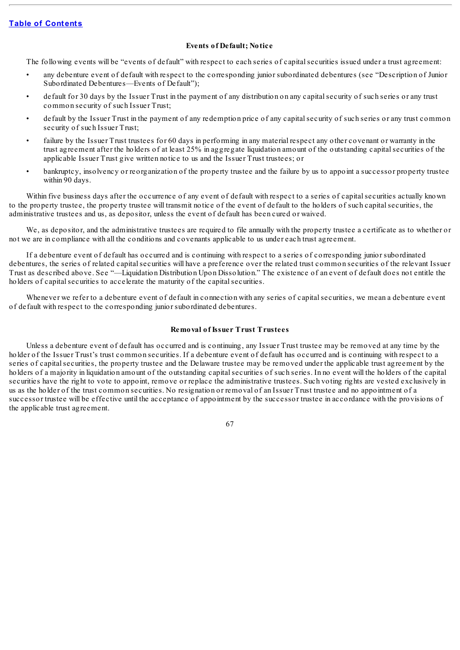## **Events of Default; Notice**

The following events will be "events of default" with respect to each series of capital securities issued under a trust agreement:

- any debenture event of default with respect to the corresponding junior subordinated debentures (see "Description of Junior Subordinated Debentures—Events of Default");
- default for 30 days by the Issuer Trust in the payment of any distribution on any capitalsecurity of such series or any trust common security of such Issuer Trust;
- default by the Issuer Trust in the payment of any redemption price of any capitalsecurity of such series or any trust common security of such Issuer Trust;
- failure by the Issuer Trust trustees for 60 days in performing in any material respect any other covenant or warranty in the trust agreement after the holders of at least 25% in aggregate liquidation amount of the outstanding capitalsecurities of the applicable Issuer Trust give written notice to us and the Issuer Trust trustees; or
- bankruptcy, insolvency or reorganization of the property trustee and the failure by us to appoint a successor property trustee within 90 days.

Within five business days after the occurrence of any event of default with respect to a series of capital securities actually known to the property trustee, the property trustee will transmit notice of the event of default to the holders of such capitalsecurities, the administrative trustees and us, as depositor, unless the event of default has been cured or waived.

We, as depositor, and the administrative trustees are required to file annually with the property trustee a certificate as to whether or not we are in compliance with all the conditions and covenants applicable to us under each trust agreement.

If a debenture event of default has occurred and is continuing with respect to a series of corresponding junior subordinated debentures, the series of related capitalsecurities will have a preference over the related trust common securities of the relevant Issuer Trust as described above. See "—Liquidation Distribution Upon Dissolution." The existence of an event of default does not entitle the holders of capital securities to accelerate the maturity of the capital securities.

Whenever we refer to a debenture event of default in connection with any series of capital securities, we mean a debenture event of default with respect to the corresponding junior subordinated debentures.

## **Removal of Issuer Trust Trustees**

Unless a debenture event of default has occurred and is continuing, any Issuer Trust trustee may be removed at any time by the holder of the Issuer Trust's trust common securities. If a debenture event of default has occurred and is continuing with respect to a series of capitalsecurities, the property trustee and the Delaware trustee may be removed under the applicable trust agreement by the holders of a majority in liquidation amount of the outstanding capital securities of such series. In no event will the holders of the capital securities have the right to vote to appoint, remove or replace the administrative trustees. Such voting rights are vested exclusively in us as the holder of the trust common securities. No resignation or removal of an Issuer Trust trustee and no appointment of a successor trustee will be effective until the acceptance of appointment by the successor trustee in accordance with the provisions of the applicable trust agreement.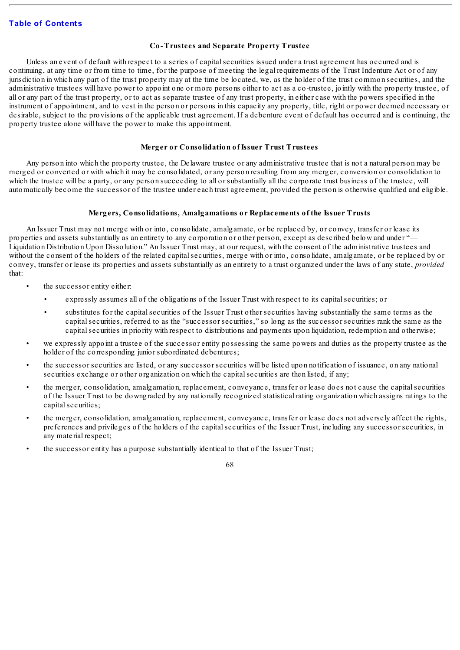# **Co-Trustees and Separate Property Trustee**

Unless an event of default with respect to a series of capital securities issued under a trust agreement has occurred and is continuing, at any time or from time to time, for the purpose of meeting the legal requirements of the Trust Indenture Act or of any jurisdiction in which any part of the trust property may at the time be located, we, as the holder of the trust common securities, and the administrative trustees will have power to appoint one or more persons either to act as a co-trustee, jointly with the property trustee, of all or any part of the trust property, or to act as separate trustee of any trust property, in either case with the powers specified in the instrument of appointment, and to vest in the person or persons in this capacity any property, title, right or power deemed necessary or desirable, subject to the provisions of the applicable trust agreement. If a debenture event of default has occurred and is continuing, the property trustee alone will have the power to make this appointment.

# **Merger or Consolidation of Issuer Trust Trustees**

Any person into which the property trustee, the Delaware trustee or any administrative trustee that is not a natural person may be merged or converted or with which it may be consolidated, or any person resulting from any merger, conversion or consolidation to which the trustee will be a party, or any person succeeding to all or substantially all the corporate trust business of the trustee, will automatically become the successor of the trustee under each trust agreement, provided the person is otherwise qualified and eligible.

## **Mergers, Consolidations, Amalgamations or Replacements of the Issuer Trusts**

An Issuer Trust may not merge with or into, consolidate, amalgamate, or be replaced by, or convey, transfer or lease its properties and assets substantially as an entirety to any corporation or other person, except as described below and under "— Liquidation Distribution Upon Dissolution." An Issuer Trust may, at our request, with the consent of the administrative trustees and without the consent of the holders of the related capital securities, merge with or into, consolidate, amalgamate, or be replaced by or convey, transfer or lease its properties and assets substantially as an entirety to a trust organized under the laws of any state, *provided* that:

- the successor entity either:
	- expressly assumes all of the obligations of the Issuer Trust with respect to its capitalsecurities; or
	- substitutes for the capital securities of the Issuer Trust other securities having substantially the same terms as the capital securities, referred to as the "successor securities," so long as the successor securities rank the same as the capital securities in priority with respect to distributions and payments upon liquidation, redemption and otherwise;
- we expressly appoint a trustee of the successor entity possessing the same powers and duties as the property trustee as the holder of the corresponding junior subordinated debentures;
- the successor securities are listed, or any successor securities will be listed upon notification of issuance, on any national securities exchange or other organization on which the capital securities are then listed, if any;
- the merger, consolidation, amalgamation, replacement, conveyance, transfer or lease does not cause the capitalsecurities of the Issuer Trust to be downgraded by any nationally recognized statistical rating organization which assigns ratings to the capital securities;
- the merger, consolidation, amalgamation, replacement, conveyance, transfer or lease does not adversely affect the rights, preferences and privileges of the holders of the capitalsecurities of the Issuer Trust, including any successor securities, in any material respect;
- the successor entity has a purpose substantially identical to that of the Issuer Trust;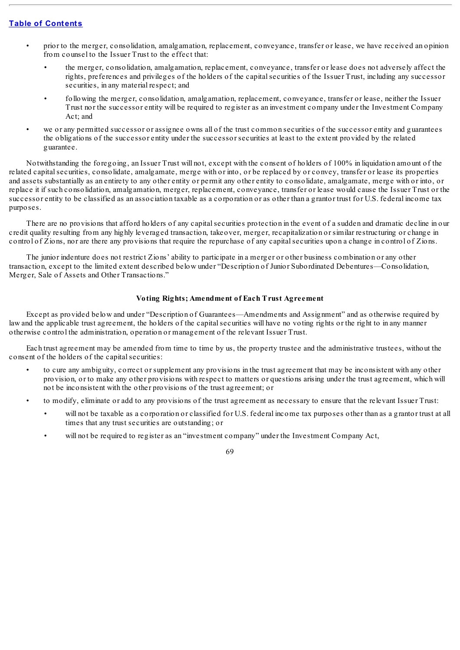- prior to the merger, consolidation, amalgamation, replacement, conveyance, transfer or lease, we have received an opinion from counsel to the Issuer Trust to the effect that:
	- the merger, consolidation, amalgamation, replacement, conveyance, transfer or lease does not adversely affect the rights, preferences and privileges of the holders of the capitalsecurities of the Issuer Trust, including any successor securities, in any material respect; and
	- following the merger, consolidation, amalgamation, replacement, conveyance, transfer or lease, neither the Issuer Trust nor the successor entity will be required to register as an investment company under the Investment Company Act; and
- we or any permitted successor or assignee owns all of the trust common securities of the successor entity and guarantees the obligations of the successor entity under the successor securities at least to the extent provided by the related guarantee.

Notwithstanding the foregoing, an Issuer Trust will not, except with the consent of holders of 100% in liquidation amount of the related capital securities, consolidate, amalgamate, merge with or into, or be replaced by or convey, transfer or lease its properties and assets substantially as an entirety to any other entity or permit any other entity to consolidate, amalgamate, merge with or into, or replace it if such consolidation, amalgamation, merger, replacement, conveyance, transfer or lease would cause the Issuer Trust or the successor entity to be classified as an association taxable as a corporation or as other than a grantor trust for U.S. federal income tax purposes.

There are no provisions that afford holders of any capitalsecurities protection in the event of a sudden and dramatic decline in our credit quality resulting from any highly leveraged transaction, takeover, merger, recapitalization or similar restructuring or change in control of Zions, nor are there any provisions that require the repurchase of any capitalsecurities upon a change in control of Zions.

The junior indenture does not restrict Zions' ability to participate in a merger or other business combination or any other transaction, except to the limited extent described below under "Description of Junior Subordinated Debentures—Consolidation, Merger, Sale of Assets and Other Transactions."

## **Voting Rights; Amendment of Each Trust Agreement**

Except as provided below and under "Description of Guarantees—Amendments and Assignment" and as otherwise required by law and the applicable trust agreement, the holders of the capital securities will have no voting rights or the right to in any manner otherwise control the administration, operation or management of the relevant Issuer Trust.

Each trust agreement may be amended from time to time by us, the property trustee and the administrative trustees, without the consent of the holders of the capital securities:

- to cure any ambiguity, correct or supplement any provisions in the trust agreement that may be inconsistent with any other provision, or to make any other provisions with respect to matters or questions arising under the trust agreement, which will not be inconsistent with the other provisions of the trust agreement; or
- to modify, eliminate or add to any provisions of the trust agreement as necessary to ensure that the relevant Issuer Trust:
	- will not be taxable as a corporation or classified for U.S. federal income tax purposes other than as a grantor trust at all times that any trust securities are outstanding; or
	- will not be required to register as an "investment company" under the Investment Company Act,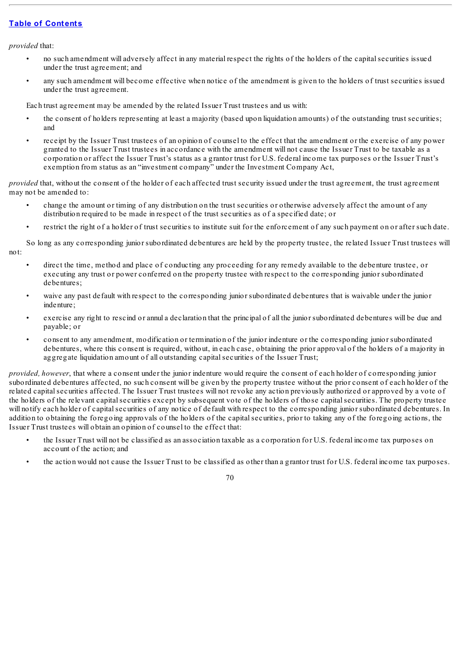*provided* that:

- no such amendment will adversely affect in any material respect the rights of the holders of the capitalsecurities issued under the trust agreement; and
- any such amendment will become effective when notice of the amendment is given to the holders of trust securities issued under the trust agreement.

Each trust agreement may be amended by the related Issuer Trust trustees and us with:

- the consent of holders representing at least a majority (based upon liquidation amounts) of the outstanding trust securities; and
- receipt by the Issuer Trust trustees of an opinion of counsel to the effect that the amendment or the exercise of any power granted to the Issuer Trust trustees in accordance with the amendment will not cause the Issuer Trust to be taxable as a corporation or affect the Issuer Trust's status as a grantor trust for U.S. federal income tax purposes or the Issuer Trust's exemption from status as an "investment company" under the Investment Company Act,

*provided* that, without the consent of the holder of each affected trust security issued under the trust agreement, the trust agreement may not be amended to:

- change the amount or timing of any distribution on the trust securities or otherwise adversely affect the amount of any distribution required to be made in respect of the trust securities as of a specified date; or
- restrict the right of a holder of trust securities to institute suit for the enforcement of any such payment on or after such date.

So long as any corresponding junior subordinated debentures are held by the property trustee, the related Issuer Trust trustees will not:

- direct the time, method and place of conducting any proceeding for any remedy available to the debenture trustee, or executing any trust or power conferred on the property trustee with respect to the corresponding junior subordinated debentures;
- waive any past default with respect to the corresponding junior subordinated debentures that is waivable under the junior indenture;
- exercise any right to rescind or annul a declaration that the principal of all the junior subordinated debentures will be due and payable; or
- consent to any amendment, modification or termination of the junior indenture or the corresponding junior subordinated debentures, where this consent is required, without, in each case, obtaining the prior approval of the holders of a majority in aggregate liquidation amount of all outstanding capitalsecurities of the Issuer Trust;

*provided, however*, that where a consent under the junior indenture would require the consent of each holder of corresponding junior subordinated debentures affected, no such consent will be given by the property trustee without the prior consent of each holder of the related capitalsecurities affected. The Issuer Trust trustees will not revoke any action previously authorized or approved by a vote of the holders of the relevant capitalsecurities except by subsequent vote of the holders of those capitalsecurities. The property trustee will notify each holder of capital securities of any notice of default with respect to the corresponding junior subordinated debentures. In addition to obtaining the foregoing approvals of the holders of the capital securities, prior to taking any of the foregoing actions, the Issuer Trust trustees will obtain an opinion of counsel to the effect that:

- the Issuer Trust will not be classified as an association taxable as a corporation for U.S. federal income tax purposes on account of the action; and
- the action would not cause the Issuer Trust to be classified as other than a grantor trust for U.S. federal income tax purposes.

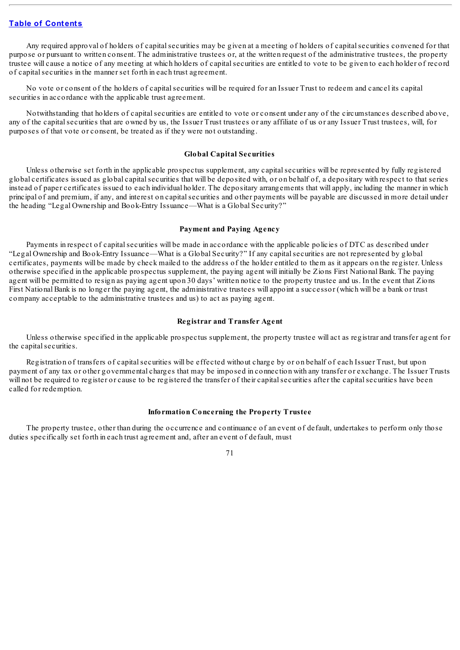Any required approval of holders of capital securities may be given at a meeting of holders of capital securities convened for that purpose or pursuant to written consent. The administrative trustees or, at the written request of the administrative trustees, the property trustee will cause a notice of any meeting at which holders of capitalsecurities are entitled to vote to be given to each holder of record of capitalsecurities in the manner set forth in each trust agreement.

No vote or consent of the holders of capital securities will be required for an Issuer Trust to redeem and cancel its capital securities in accordance with the applicable trust agreement.

Notwithstanding that holders of capitalsecurities are entitled to vote or consent under any of the circumstances described above, any of the capitalsecurities that are owned by us, the Issuer Trust trustees or any affiliate of us or any Issuer Trust trustees, will, for purposes of that vote or consent, be treated as if they were not outstanding.

### **Global Capital Securities**

Unless otherwise set forth in the applicable prospectus supplement, any capitalsecurities will be represented by fully registered global certificates issued as global capitalsecurities that will be deposited with, or on behalf of, a depositary with respect to that series instead of paper certificates issued to each individual holder. The depositary arrangements that will apply, including the manner in which principal of and premium, if any, and interest on capitalsecurities and other payments will be payable are discussed in more detail under the heading "Legal Ownership and Book-Entry Issuance—What is a Global Security?"

### **Payment and Paying Agency**

Payments in respect of capitalsecurities will be made in accordance with the applicable policies of DTC as described under "Legal Ownership and Book-Entry Issuance—What is a Global Security?" If any capitalsecurities are not represented by global certificates, payments will be made by check mailed to the address of the holder entitled to them as it appears on the register. Unless otherwise specified in the applicable prospectus supplement, the paying agent will initially be Zions First National Bank. The paying agent will be permitted to resign as paying agent upon 30 days' written notice to the property trustee and us. In the event that Zions First National Bank is no longer the paying agent, the administrative trustees will appoint a successor (which will be a bank or trust company acceptable to the administrative trustees and us) to act as paying agent.

### **Registrar and Transfer Agent**

Unless otherwise specified in the applicable prospectus supplement, the property trustee will act as registrar and transfer agent for the capital securities.

Registration of transfers of capitalsecurities will be effected without charge by or on behalf of each Issuer Trust, but upon payment of any tax or other governmental charges that may be imposed in connection with any transfer or exchange. The Issuer Trusts will not be required to register or cause to be registered the transfer of their capital securities after the capital securities have been called for redemption.

## **Information Concerning the Property Trustee**

The property trustee, other than during the occurrence and continuance of an event of default, undertakes to perform only those duties specifically set forth in each trust agreement and, after an event of default, must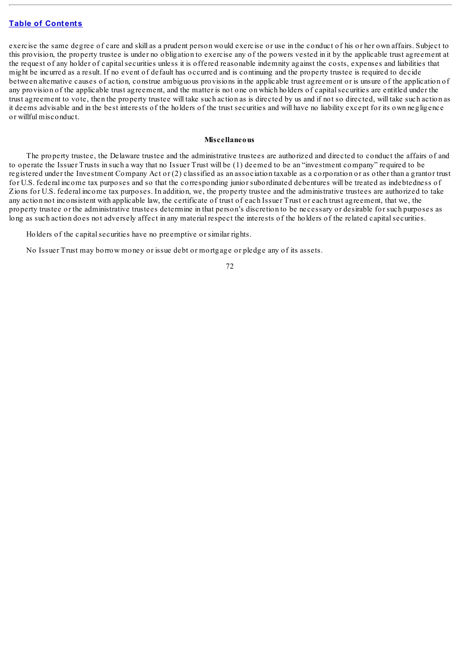exercise the same degree of care and skill as a prudent person would exercise or use in the conduct of his or her own affairs. Subject to this provision, the property trustee is under no obligation to exercise any of the powers vested in it by the applicable trust agreement at the request of any holder of capitalsecurities unless it is offered reasonable indemnity against the costs, expenses and liabilities that might be incurred as a result. If no event of default has occurred and is continuing and the property trustee is required to decide between alternative causes of action, construe ambiguous provisions in the applicable trust agreement or is unsure of the application of any provision of the applicable trust agreement, and the matter is not one on which holders of capitalsecurities are entitled under the trust agreement to vote, then the property trustee will take such action as is directed by us and if not so directed, will take such action as it deems advisable and in the best interests of the holders of the trust securities and will have no liability except for its own negligence or willful misconduct.

#### **Miscellaneous**

The property trustee, the Delaware trustee and the administrative trustees are authorized and directed to conduct the affairs of and to operate the Issuer Trusts in such a way that no Issuer Trust will be (1) deemed to be an "investment company" required to be registered under the Investment Company Act or (2) classified as an association taxable as a corporation or as other than a grantor trust for U.S. federal income tax purposes and so that the corresponding junior subordinated debentures will be treated as indebtedness of Zions for U.S. federal income tax purposes. In addition, we, the property trustee and the administrative trustees are authorized to take any action not inconsistent with applicable law, the certificate of trust of each Issuer Trust or each trust agreement, that we, the property trustee or the administrative trustees determine in that person's discretion to be necessary or desirable for such purposes as long as such action does not adversely affect in any material respect the interests of the holders of the related capitalsecurities.

Holders of the capital securities have no preemptive or similar rights.

No Issuer Trust may borrow money or issue debt or mortgage or pledge any of its assets.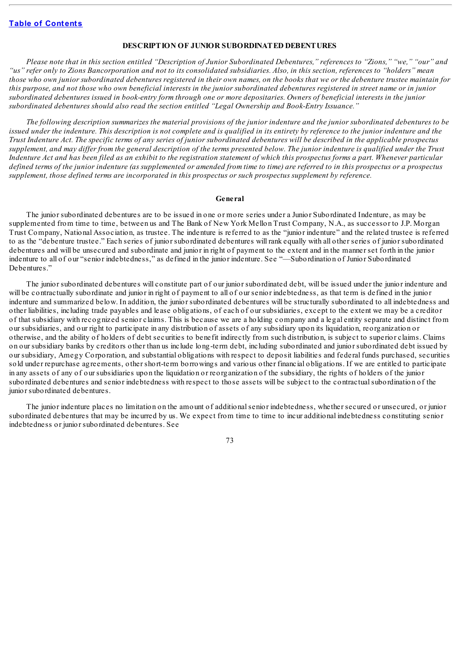## **DESCRIPTION OF JUNIOR SUBORDINATED DEBENTURES**

Please note that in this section entitled "Description of Junior Subordinated Debentures," references to "Zions," "we," "our" and "us" refer only to Zions Bancorporation and not to its consolidated subsidiaries. Also, in this section, references to "holders" mean those who own junior subordinated debentures registered in their own names, on the books that we or the debenture trustee maintain for this purpose, and not those who own beneficial interests in the junior subordinated debentures registered in street name or in junior subordinated debentures issued in book-entry form through one or more depositaries. Owners of beneficial interests in the junior *subordinated debentures should also read the section entitled "Legal Ownership and Book-Entry Issuance."*

The following description summarizes the material provisions of the junior indenture and the junior subordinated debentures to be issued under the indenture. This description is not complete and is qualified in its entirety by reference to the junior indenture and the Trust Indenture Act. The specific terms of any series of junior subordinated debentures will be described in the applicable prospectus supplement, and may differ from the general description of the terms presented below. The junior indenture is qualified under the Trust Indenture Act and has been filed as an exhibit to the registration statement of which this prospectus forms a part. Whenever particular defined terms of the junior indenture (as supplemented or amended from time to time) are referred to in this prospectus or a prospectus *supplement, those defined terms are incorporated in this prospectus or such prospectus supplement by reference.*

#### **General**

The junior subordinated debentures are to be issued in one or more series under a Junior Subordinated Indenture, as may be supplemented from time to time, between us and The Bank of New York Mellon Trust Company, N.A., as successor to J.P. Morgan Trust Company, National Association, as trustee. The indenture is referred to as the "junior indenture" and the related trustee is referred to as the "debenture trustee." Each series of junior subordinated debentures will rank equally with all other series of junior subordinated debentures and will be unsecured and subordinate and junior in right of payment to the extent and in the manner set forth in the junior indenture to all of our "senior indebtedness," as defined in the junior indenture. See "—Subordination of Junior Subordinated Debentures."

The junior subordinated debentures will constitute part of our junior subordinated debt, will be issued under the junior indenture and will be contractually subordinate and junior in right of payment to all of our senior indebtedness, as that term is defined in the junior indenture and summarized below. In addition, the junior subordinated debentures will be structurally subordinated to all indebtedness and other liabilities, including trade payables and lease obligations, of each of our subsidiaries, except to the extent we may be a creditor of that subsidiary with recognized senior claims. This is because we are a holding company and a legal entity separate and distinct from our subsidiaries, and our right to participate in any distribution of assets of any subsidiary upon its liquidation, reorganization or otherwise, and the ability of holders of debt securities to benefit indirectly from such distribution, is subject to superior claims. Claims on our subsidiary banks by creditors other than us include long-term debt, including subordinated and junior subordinated debt issued by our subsidiary, Amegy Corporation, and substantial obligations with respect to deposit liabilities and federal funds purchased, securities sold under repurchase agreements, other short-term borrowings and various other financial obligations. If we are entitled to participate in any assets of any of our subsidiaries upon the liquidation or reorganization of the subsidiary, the rights of holders of the junior subordinated debentures and senior indebtedness with respect to those assets will be subject to the contractualsubordination of the junior subordinated debentures.

The junior indenture places no limitation on the amount of additionalsenior indebtedness, whether secured or unsecured, or junior subordinated debentures that may be incurred by us. We expect from time to time to incur additional indebtedness constituting senior indebtedness or junior subordinated debentures. See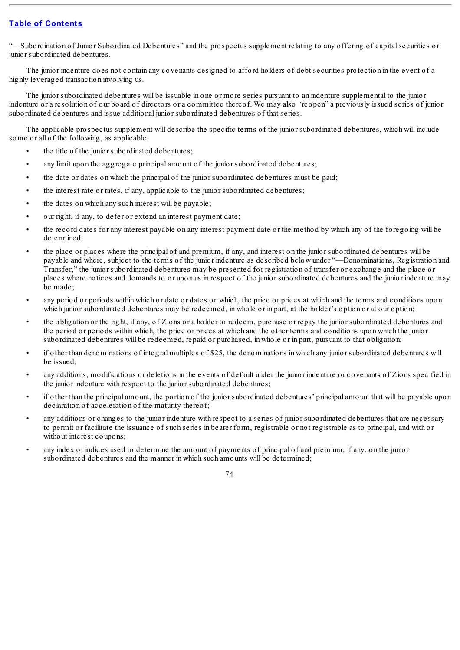"—Subordination of Junior Subordinated Debentures" and the prospectus supplement relating to any offering of capitalsecurities or junior subordinated debentures.

The junior indenture does not contain any covenants designed to afford holders of debt securities protection in the event of a highly leveraged transaction involving us.

The junior subordinated debentures will be issuable in one or more series pursuant to an indenture supplemental to the junior indenture or a resolution of our board of directors or a committee thereof. We may also "reopen" a previously issued series of junior subordinated debentures and issue additional junior subordinated debentures of that series.

The applicable prospectus supplement will describe the specific terms of the junior subordinated debentures, which will include some or all of the following, as applicable:

- the title of the junior subordinated debentures;
- any limit upon the aggregate principal amount of the junior subordinated debentures;
- the date or dates on which the principal of the junior subordinated debentures must be paid;
- the interest rate or rates, if any, applicable to the junior subordinated debentures;
- the dates on which any such interest will be payable;
- our right, if any, to defer or extend an interest payment date;
- the record dates for any interest payable on any interest payment date or the method by which any of the foregoing will be determined;
- the place or places where the principal of and premium, if any, and interest on the junior subordinated debentures will be payable and where, subject to the terms of the junior indenture as described below under "—Denominations, Registration and Transfer," the junior subordinated debentures may be presented for registration of transfer or exchange and the place or places where notices and demands to or upon us in respect of the junior subordinated debentures and the junior indenture may be made;
- any period or periods within which or date or dates on which, the price or prices at which and the terms and conditions upon which junior subordinated debentures may be redeemed, in whole or in part, at the holder's option or at our option;
- the obligation or the right, if any, of Zions or a holder to redeem, purchase or repay the junior subordinated debentures and the period or periods within which, the price or prices at which and the other terms and conditions upon which the junior subordinated debentures will be redeemed, repaid or purchased, in whole or in part, pursuant to that obligation;
- if other than denominations of integral multiples of \$25, the denominations in which any junior subordinated debentures will be issued;
- any additions, modifications or deletions in the events of default under the junior indenture or covenants of Zions specified in the junior indenture with respect to the junior subordinated debentures;
- if other than the principal amount, the portion of the junior subordinated debentures' principal amount that will be payable upon declaration of acceleration of the maturity thereof;
- any additions or changes to the junior indenture with respect to a series of junior subordinated debentures that are necessary to permit or facilitate the issuance of such series in bearer form, registrable or not registrable as to principal, and with or without interest coupons;
- any index or indices used to determine the amount of payments of principal of and premium, if any, on the junior subordinated debentures and the manner in which such amounts will be determined;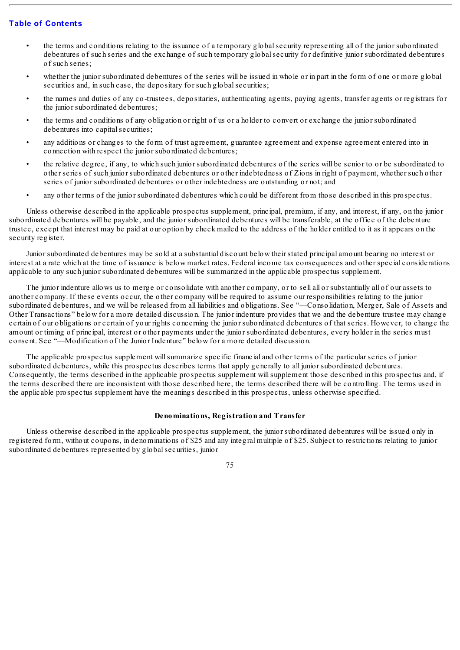- the terms and conditions relating to the issuance of a temporary globalsecurity representing all of the junior subordinated debentures of such series and the exchange of such temporary globalsecurity for definitive junior subordinated debentures of such series;
- whether the junior subordinated debentures of the series will be issued in whole or in part in the form of one or more global securities and, in such case, the depositary for such global securities;
- the names and duties of any co-trustees, depositaries, authenticating agents, paying agents, transfer agents or registrars for the junior subordinated debentures;
- the terms and conditions of any obligation or right of us or a holder to convert or exchange the junior subordinated debentures into capital securities;
- any additions or changes to the form of trust agreement, guarantee agreement and expense agreement entered into in connection with respect the junior subordinated debentures;
- the relative degree, if any, to which such junior subordinated debentures of the series will be senior to or be subordinated to other series of such junior subordinated debentures or other indebtedness of Zions in right of payment, whether such other series of junior subordinated debentures or other indebtedness are outstanding or not; and
- any other terms of the junior subordinated debentures which could be different from those described in this prospectus.

Unless otherwise described in the applicable prospectus supplement, principal, premium, if any, and interest, if any, on the junior subordinated debentures will be payable, and the junior subordinated debentures will be transferable, at the office of the debenture trustee, except that interest may be paid at our option by check mailed to the address of the holder entitled to it as it appears on the security register.

Junior subordinated debentures may be sold at a substantial discount below their stated principal amount bearing no interest or interest at a rate which at the time of issuance is below market rates. Federal income tax consequences and other special considerations applicable to any such junior subordinated debentures will be summarized in the applicable prospectus supplement.

The junior indenture allows us to merge or consolidate with another company, or to sell all or substantially all of our assets to another company. If these events occur, the other company will be required to assume our responsibilities relating to the junior subordinated debentures, and we will be released from all liabilities and obligations. See "—Consolidation, Merger, Sale of Assets and Other Transactions" below for a more detailed discussion. The junior indenture provides that we and the debenture trustee may change certain of our obligations or certain of your rights concerning the junior subordinated debentures of that series. However, to change the amount or timing of principal, interest or other payments under the junior subordinated debentures, every holder in the series must consent. See "—Modification of the Junior Indenture" below for a more detailed discussion.

The applicable prospectus supplement willsummarize specific financial and other terms of the particular series of junior subordinated debentures, while this prospectus describes terms that apply generally to all junior subordinated debentures. Consequently, the terms described in the applicable prospectus supplement willsupplement those described in this prospectus and, if the terms described there are inconsistent with those described here, the terms described there will be controlling. The terms used in the applicable prospectus supplement have the meanings described in this prospectus, unless otherwise specified.

### **Denominations, Registration and Transfer**

Unless otherwise described in the applicable prospectus supplement, the junior subordinated debentures will be issued only in registered form, without coupons, in denominations of \$25 and any integral multiple of \$25. Subject to restrictions relating to junior subordinated debentures represented by globalsecurities, junior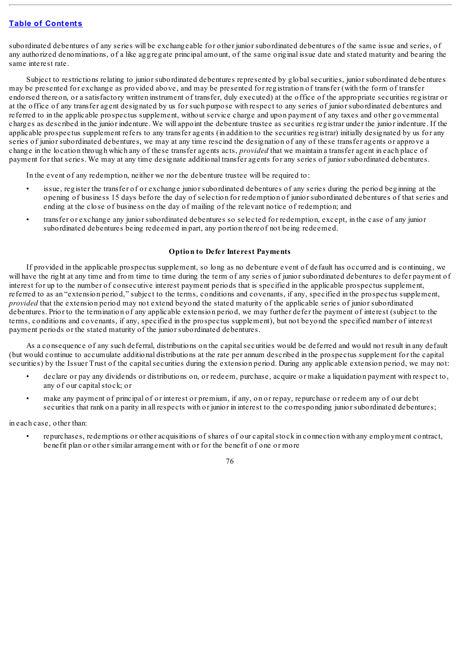subordinated debentures of any series will be exchangeable for other junior subordinated debentures of the same issue and series, of any authorized denominations, of a like aggregate principal amount, of the same original issue date and stated maturity and bearing the same interest rate.

Subject to restrictions relating to junior subordinated debentures represented by globalsecurities, junior subordinated debentures may be presented for exchange as provided above, and may be presented for registration of transfer (with the form of transfer endorsed thereon, or a satisfactory written instrument of transfer, duly executed) at the office of the appropriate securities registrar or at the office of any transfer agent designated by us for such purpose with respect to any series of junior subordinated debentures and referred to in the applicable prospectus supplement, without service charge and upon payment of any taxes and other governmental charges as described in the junior indenture. We will appoint the debenture trustee as securities registrar under the junior indenture. If the applicable prospectus supplement refers to any transfer agents (in addition to the securities registrar) initially designated by us for any series of junior subordinated debentures, we may at any time rescind the designation of any of these transfer agents or approve a change in the location through which any of these transfer agents acts, *provided* that we maintain a transfer agent in each place of payment for that series. We may at any time designate additional transfer agents for any series of junior subordinated debentures.

In the event of any redemption, neither we nor the debenture trustee will be required to:

- issue, register the transfer of or exchange junior subordinated debentures of any series during the period beginning at the opening of business 15 days before the day of selection for redemption of junior subordinated debentures of that series and ending at the close of business on the day of mailing of the relevant notice of redemption; and
- transfer or exchange any junior subordinated debentures so selected for redemption, except, in the case of any junior subordinated debentures being redeemed in part, any portion thereof not being redeemed.

## **Option to Defer Interest Payments**

If provided in the applicable prospectus supplement, so long as no debenture event of default has occurred and is continuing, we will have the right at any time and from time to time during the term of any series of junior subordinated debentures to defer payment of interest for up to the number of consecutive interest payment periods that is specified in the applicable prospectus supplement, referred to as an "extension period," subject to the terms, conditions and covenants, if any, specified in the prospectus supplement, *provided* that the extension period may not extend beyond the stated maturity of the applicable series of junior subordinated debentures. Prior to the termination of any applicable extension period, we may further defer the payment of interest (subject to the terms, conditions and covenants, if any, specified in the prospectus supplement), but not beyond the specified number of interest payment periods or the stated maturity of the junior subordinated debentures.

As a consequence of any such deferral, distributions on the capitalsecurities would be deferred and would not result in any default (but would continue to accumulate additional distributions at the rate per annum described in the prospectus supplement for the capital securities) by the Issuer Trust of the capital securities during the extension period. During any applicable extension period, we may not:

- declare or pay any dividends or distributions on, or redeem, purchase, acquire or make a liquidation payment with respect to, any of our capitalstock; or
- make any payment of principal of or interest or premium, if any, on or repay, repurchase or redeem any of our debt securities that rank on a parity in all respects with or junior in interest to the corresponding junior subordinated debentures;

in each case, other than:

• repurchases, redemptions or other acquisitions of shares of our capitalstock in connection with any employment contract, benefit plan or other similar arrangement with or for the benefit of one or more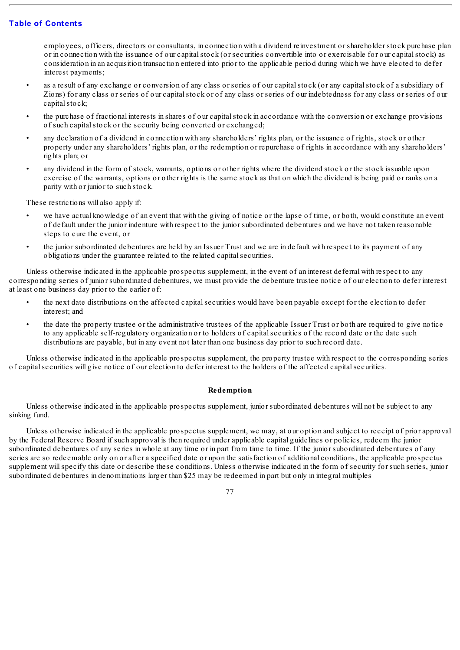employees, officers, directors or consultants, in connection with a dividend reinvestment or shareholder stock purchase plan or in connection with the issuance of our capitalstock (or securities convertible into or exercisable for our capitalstock) as consideration in an acquisition transaction entered into prior to the applicable period during which we have elected to defer interest payments;

- as a result of any exchange or conversion of any class or series of our capital stock (or any capital stock of a subsidiary of Zions) for any class or series of our capitalstock or of any class or series of our indebtedness for any class or series of our capital stock;
- the purchase of fractional interests in shares of our capitalstock in accordance with the conversion or exchange provisions of such capitalstock or the security being converted or exchanged;
- any declaration of a dividend in connection with any shareholders' rights plan, or the issuance of rights, stock or other property under any shareholders' rights plan, or the redemption or repurchase of rights in accordance with any shareholders' rights plan; or
- any dividend in the form of stock, warrants, options or other rights where the dividend stock or the stock issuable upon exercise of the warrants, options or other rights is the same stock as that on which the dividend is being paid or ranks on a parity with or junior to such stock.

These restrictions will also apply if:

- we have actual knowledge of an event that with the giving of notice or the lapse of time, or both, would constitute an event of default under the junior indenture with respect to the junior subordinated debentures and we have not taken reasonable steps to cure the event, or
- the junior subordinated debentures are held by an Issuer Trust and we are in default with respect to its payment of any obligations under the guarantee related to the related capitalsecurities.

Unless otherwise indicated in the applicable prospectus supplement, in the event of an interest deferral with respect to any corresponding series of junior subordinated debentures, we must provide the debenture trustee notice of our election to defer interest at least one business day prior to the earlier of:

- the next date distributions on the affected capitalsecurities would have been payable except for the election to defer interest; and
- the date the property trustee or the administrative trustees of the applicable Issuer Trust or both are required to give notice to any applicable self-regulatory organization or to holders of capitalsecurities of the record date or the date such distributions are payable, but in any event not later than one business day prior to such record date.

Unless otherwise indicated in the applicable prospectus supplement, the property trustee with respect to the corresponding series of capitalsecurities will give notice of our election to defer interest to the holders of the affected capitalsecurities.

### **Redemption**

Unless otherwise indicated in the applicable prospectus supplement, junior subordinated debentures will not be subject to any sinking fund.

Unless otherwise indicated in the applicable prospectus supplement, we may, at our option and subject to receipt of prior approval by the Federal Reserve Board if such approval is then required under applicable capital guidelines or policies, redeem the junior subordinated debentures of any series in whole at any time or in part from time to time. If the junior subordinated debentures of any series are so redeemable only on or after a specified date or upon the satisfaction of additional conditions, the applicable prospectus supplement willspecify this date or describe these conditions. Unless otherwise indicated in the form of security for such series, junior subordinated debentures in denominations larger than \$25 may be redeemed in part but only in integral multiples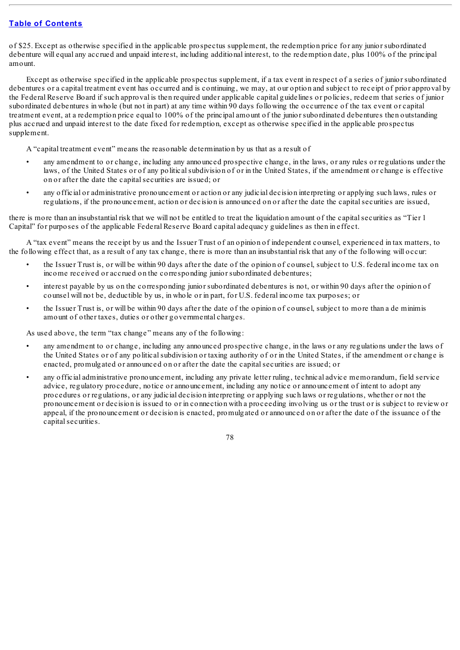of \$25. Except as otherwise specified in the applicable prospectus supplement, the redemption price for any junior subordinated debenture will equal any accrued and unpaid interest, including additional interest, to the redemption date, plus 100% of the principal amount.

Except as otherwise specified in the applicable prospectus supplement, if a tax event in respect of a series of junior subordinated debentures or a capital treatment event has occurred and is continuing, we may, at our option and subject to receipt of prior approval by the Federal Reserve Board if such approval is then required under applicable capital guidelines or policies, redeem that series of junior subordinated debentures in whole (but not in part) at any time within 90 days following the occurrence of the tax event or capital treatment event, at a redemption price equal to 100% of the principal amount of the junior subordinated debentures then outstanding plus accrued and unpaid interest to the date fixed for redemption, except as otherwise specified in the applicable prospectus supplement.

A "capital treatment event" means the reasonable determination by us that as a result of

- any amendment to or change, including any announced prospective change, in the laws, or any rules or regulations under the laws, of the United States or of any politicalsubdivision of or in the United States, if the amendment or change is effective on or after the date the capitalsecurities are issued; or
- any official or administrative pronouncement or action or any judicial decision interpreting or applying such laws, rules or regulations, if the pronouncement, action or decision is announced on or after the date the capitalsecurities are issued,

there is more than an insubstantial risk that we will not be entitled to treat the liquidation amount of the capitalsecurities as "Tier 1 Capital" for purposes of the applicable Federal Reserve Board capital adequacy guidelines as then in effect.

A "tax event" means the receipt by us and the Issuer Trust of an opinion of independent counsel, experienced in tax matters, to the following effect that, as a result of any tax change, there is more than an insubstantial risk that any of the following will occur:

- the Issuer Trust is, or will be within 90 days after the date of the opinion of counsel, subject to U.S. federal income tax on income received or accrued on the corresponding junior subordinated debentures;
- interest payable by us on the corresponding junior subordinated debentures is not, or within 90 days after the opinion of counsel will not be, deductible by us, in whole or in part, for U.S. federal income tax purposes; or
- the Issuer Trust is, or will be within 90 days after the date of the opinion of counsel, subject to more than a de minimis amount of other taxes, duties or other governmental charges.

As used above, the term "tax change" means any of the following:

- any amendment to or change, including any announced prospective change, in the laws or any regulations under the laws of the United States or of any politicalsubdivision or taxing authority of or in the United States, if the amendment or change is enacted, promulgated or announced on or after the date the capitalsecurities are issued; or
- any official administrative pronouncement, including any private letter ruling, technical advice memorandum, field service advice, regulatory procedure, notice or announcement, including any notice or announcement of intent to adopt any procedures or regulations, or any judicial decision interpreting or applying such laws or regulations, whether or not the pronouncement or decision is issued to or in connection with a proceeding involving us or the trust or is subject to review or appeal, if the pronouncement or decision is enacted, promulgated or announced on or after the date of the issuance of the capital securities.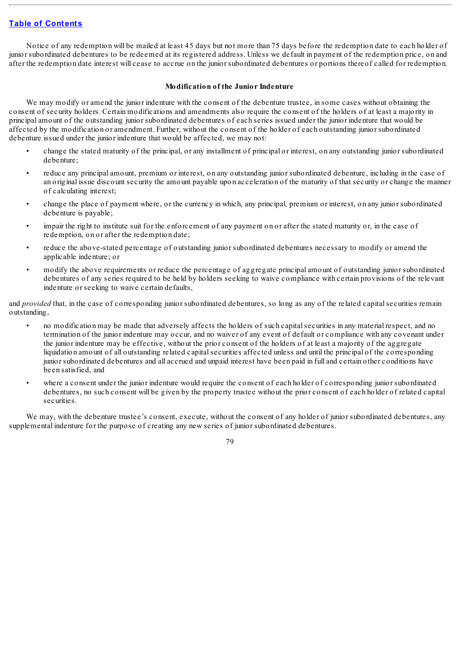Notice of any redemption will be mailed at least 45 days but not more than 75 days before the redemption date to each holder of junior subordinated debentures to be redeemed at its registered address. Unless we default in payment of the redemption price, on and after the redemption date interest will cease to accrue on the junior subordinated debentures or portions thereof called for redemption.

### **Modification of the Junior Indenture**

We may modify or amend the junior indenture with the consent of the debenture trustee, in some cases without obtaining the consent of security holders. Certain modifications and amendments also require the consent of the holders of at least a majority in principal amount of the outstanding junior subordinated debentures of each series issued under the junior indenture that would be affected by the modification or amendment. Further, without the consent of the holder of each outstanding junior subordinated debenture issued under the junior indenture that would be affected, we may not:

- change the stated maturity of the principal, or any installment of principal or interest, on any outstanding junior subordinated debenture;
- reduce any principal amount, premium or interest, on any outstanding junior subordinated debenture, including in the case of an original issue discount security the amount payable upon acceleration of the maturity of that security or change the manner of calculating interest;
- change the place of payment where, or the currency in which, any principal, premium or interest, on any junior subordinated debenture is payable;
- impair the right to institute suit for the enforcement of any payment on or after the stated maturity or, in the case of redemption, on or after the redemption date;
- reduce the above-stated percentage of outstanding junior subordinated debentures necessary to modify or amend the applicable indenture; or
- modify the above requirements or reduce the percentage of aggregate principal amount of outstanding junior subordinated debentures of any series required to be held by holders seeking to waive compliance with certain provisions of the relevant indenture or seeking to waive certain defaults,

and *provided* that, in the case of corresponding junior subordinated debentures, so long as any of the related capital securities remain outstanding,

- no modification may be made that adversely affects the holders of such capitalsecurities in any material respect, and no termination of the junior indenture may occur, and no waiver of any event of default or compliance with any covenant under the junior indenture may be effective, without the prior consent of the holders of at least a majority of the aggregate liquidation amount of all outstanding related capitalsecurities affected unless and until the principal of the corresponding junior subordinated debentures and all accrued and unpaid interest have been paid in full and certain other conditions have been satisfied, and
- where a consent under the junior indenture would require the consent of each holder of corresponding junior subordinated debentures, no such consent will be given by the property trustee without the prior consent of each holder of related capital securities.

We may, with the debenture trustee's consent, execute, without the consent of any holder of junior subordinated debentures, any supplemental indenture for the purpose of creating any new series of junior subordinated debentures.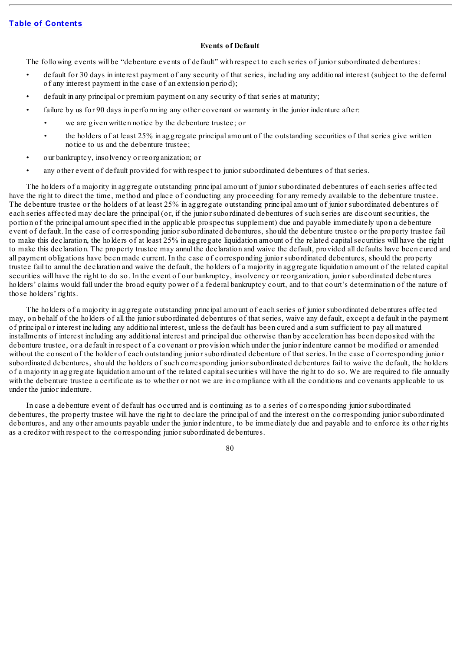## **Events of Default**

The following events will be "debenture events of default" with respect to each series of junior subordinated debentures:

- default for 30 days in interest payment of any security of that series, including any additional interest (subject to the deferral of any interest payment in the case of an extension period);
- default in any principal or premium payment on any security of that series at maturity;
- failure by us for 90 days in performing any other covenant or warranty in the junior indenture after:
	- we are given written notice by the debenture trustee; or
	- the holders of at least 25% in aggregate principal amount of the outstanding securities of that series give written notice to us and the debenture trustee;
- our bankruptcy, insolvency or reorganization; or
- any other event of default provided for with respect to junior subordinated debentures of that series.

The holders of a majority in aggregate outstanding principal amount of junior subordinated debentures of each series affected have the right to direct the time, method and place of conducting any proceeding for any remedy available to the debenture trustee. The debenture trustee or the holders of at least 25% in aggregate outstanding principal amount of junior subordinated debentures of each series affected may declare the principal (or, if the junior subordinated debentures of such series are discount securities, the portion of the principal amount specified in the applicable prospectus supplement) due and payable immediately upon a debenture event of default. In the case of corresponding junior subordinated debentures, should the debenture trustee or the property trustee fail to make this declaration, the holders of at least 25% in aggregate liquidation amount of the related capitalsecurities will have the right to make this declaration. The property trustee may annul the declaration and waive the default, provided all defaults have been cured and all payment obligations have been made current. In the case of corresponding junior subordinated debentures, should the property trustee fail to annul the declaration and waive the default, the holders of a majority in aggregate liquidation amount of the related capital securities will have the right to do so. In the event of our bankruptcy, insolvency or reorganization, junior subordinated debentures holders' claims would fall under the broad equity power of a federal bankruptcy court, and to that court's determination of the nature of those holders' rights.

The holders of a majority in aggregate outstanding principal amount of each series of junior subordinated debentures affected may, on behalf of the holders of all the junior subordinated debentures of that series, waive any default, except a default in the payment of principal or interest including any additional interest, unless the default has been cured and a sum sufficient to pay all matured installments of interest including any additional interest and principal due otherwise than by acceleration has been deposited with the debenture trustee, or a default in respect of a covenant or provision which under the junior indenture cannot be modified or amended without the consent of the holder of each outstanding junior subordinated debenture of that series. In the case of corresponding junior subordinated debentures, should the holders of such corresponding junior subordinated debentures fail to waive the default, the holders of a majority in aggregate liquidation amount of the related capitalsecurities will have the right to do so. We are required to file annually with the debenture trustee a certificate as to whether or not we are in compliance with all the conditions and covenants applicable to us under the junior indenture.

In case a debenture event of default has occurred and is continuing as to a series of corresponding junior subordinated debentures, the property trustee will have the right to declare the principal of and the interest on the corresponding junior subordinated debentures, and any other amounts payable under the junior indenture, to be immediately due and payable and to enforce its other rights as a creditor with respect to the corresponding junior subordinated debentures.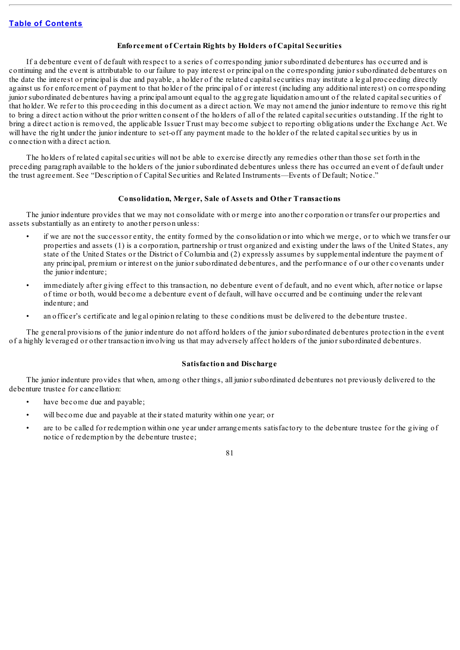## **Enforcement of Certain Rights by Holders of Capital Securities**

If a debenture event of default with respect to a series of corresponding junior subordinated debentures has occurred and is continuing and the event is attributable to our failure to pay interest or principal on the corresponding junior subordinated debentures on the date the interest or principal is due and payable, a holder of the related capitalsecurities may institute a legal proceeding directly against us for enforcement of payment to that holder of the principal of or interest (including any additional interest) on corresponding junior subordinated debentures having a principal amount equal to the aggregate liquidation amount of the related capitalsecurities of that holder. We refer to this proceeding in this document as a direct action. We may not amend the junior indenture to remove this right to bring a direct action without the prior written consent of the holders of all of the related capitalsecurities outstanding. If the right to bring a direct action is removed, the applicable Issuer Trust may become subject to reporting obligations under the Exchange Act. We will have the right under the junior indenture to set-off any payment made to the holder of the related capital securities by us in connection with a direct action.

The holders of related capitalsecurities will not be able to exercise directly any remedies other than those set forth in the preceding paragraph available to the holders of the junior subordinated debentures unless there has occurred an event of default under the trust agreement. See "Description of Capital Securities and Related Instruments—Events of Default; Notice."

## **Consolidation, Merger, Sale of Assets and Other Transactions**

The junior indenture provides that we may not consolidate with or merge into another corporation or transfer our properties and assets substantially as an entirety to another person unless:

- if we are not the successor entity, the entity formed by the consolidation or into which we merge, or to which we transfer our properties and assets (1) is a corporation, partnership or trust organized and existing under the laws of the United States, any state of the United States or the District of Columbia and (2) expressly assumes by supplemental indenture the payment of any principal, premium or interest on the junior subordinated debentures, and the performance of our other covenants under the junior indenture;
- immediately after giving effect to this transaction, no debenture event of default, and no event which, after notice or lapse of time or both, would become a debenture event of default, will have occurred and be continuing under the relevant indenture; and
- an officer's certificate and legal opinion relating to these conditions must be delivered to the debenture trustee.

The general provisions of the junior indenture do not afford holders of the junior subordinated debentures protection in the event of a highly leveraged or other transaction involving us that may adversely affect holders of the junior subordinated debentures.

#### **Satisfaction and Discharge**

The junior indenture provides that when, among other things, all junior subordinated debentures not previously delivered to the debenture trustee for cancellation:

- have become due and payable;
- will become due and payable at their stated maturity within one year; or
- are to be called for redemption within one year under arrangements satisfactory to the debenture trustee for the giving of notice of redemption by the debenture trustee;

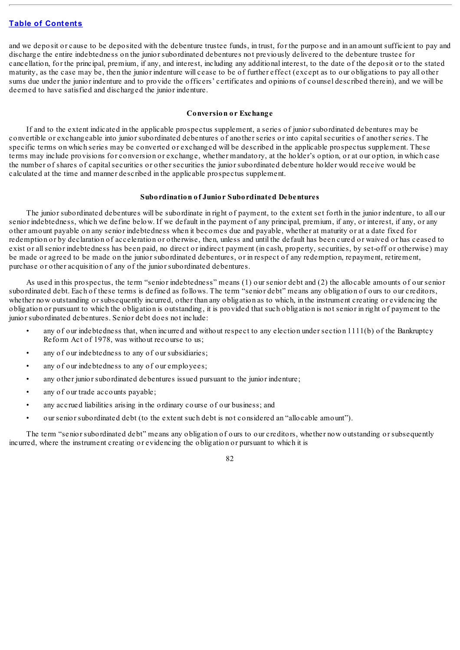and we deposit or cause to be deposited with the debenture trustee funds, in trust, for the purpose and in an amount sufficient to pay and discharge the entire indebtedness on the junior subordinated debentures not previously delivered to the debenture trustee for cancellation, for the principal, premium, if any, and interest, including any additional interest, to the date of the deposit or to the stated maturity, as the case may be, then the junior indenture will cease to be of further effect (except as to our obligations to pay all other sums due under the junior indenture and to provide the officers' certificates and opinions of counsel described therein), and we will be deemed to have satisfied and discharged the junior indenture.

## **Conversion or Exchange**

If and to the extent indicated in the applicable prospectus supplement, a series of junior subordinated debentures may be convertible or exchangeable into junior subordinated debentures of another series or into capitalsecurities of another series. The specific terms on which series may be converted or exchanged will be described in the applicable prospectus supplement. These terms may include provisions for conversion or exchange, whether mandatory, at the holder's option, or at our option, in which case the number of shares of capitalsecurities or other securities the junior subordinated debenture holder would receive would be calculated at the time and manner described in the applicable prospectus supplement.

#### **Subordination of Junior Subordinated Debentures**

The junior subordinated debentures will be subordinate in right of payment, to the extent set forth in the junior indenture, to all our senior indebtedness, which we define below. If we default in the payment of any principal, premium, if any, or interest, if any, or any other amount payable on any senior indebtedness when it becomes due and payable, whether at maturity or at a date fixed for redemption or by declaration of acceleration or otherwise, then, unless and until the default has been cured or waived or has ceased to exist or allsenior indebtedness has been paid, no direct or indirect payment (in cash, property, securities, by set-off or otherwise) may be made or agreed to be made on the junior subordinated debentures, or in respect of any redemption, repayment, retirement, purchase or other acquisition of any of the junior subordinated debentures.

As used in this prospectus, the term "senior indebtedness" means (1) our senior debt and (2) the allocable amounts of our senior subordinated debt. Each of these terms is defined as follows. The term "senior debt" means any obligation of ours to our creditors, whether now outstanding or subsequently incurred, other than any obligation as to which, in the instrument creating or evidencing the obligation or pursuant to which the obligation is outstanding, it is provided that such obligation is not senior in right of payment to the junior subordinated debentures. Senior debt does not include:

- any of our indebtedness that, when incurred and without respect to any election under section 1111(b) of the Bankruptcy Reform Act of 1978, was without recourse to us;
- any of our indebtedness to any of our subsidiaries;
- any of our indebtedness to any of our employees;
- any other junior subordinated debentures issued pursuant to the junior indenture;
- any of our trade accounts payable;
- any accrued liabilities arising in the ordinary course of our business; and
- our senior subordinated debt (to the extent such debt is not considered an "allocable amount").

The term "senior subordinated debt" means any obligation of ours to our creditors, whether now outstanding or subsequently incurred, where the instrument creating or evidencing the obligation or pursuant to which it is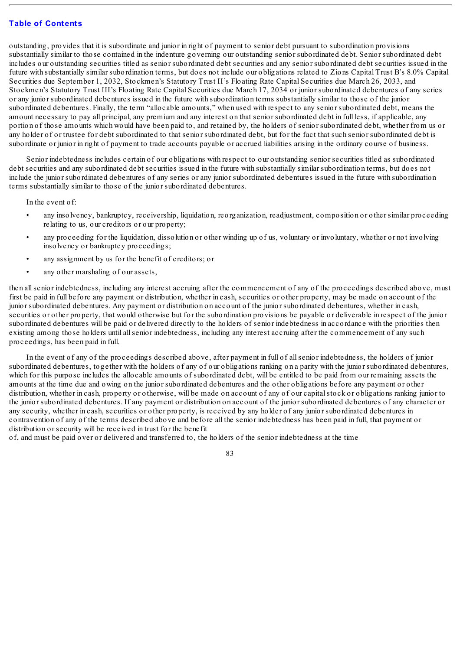outstanding, provides that it is subordinate and junior in right of payment to senior debt pursuant to subordination provisions substantially similar to those contained in the indenture governing our outstanding senior subordinated debt. Senior subordinated debt includes our outstanding securities titled as senior subordinated debt securities and any senior subordinated debt securities issued in the future with substantially similar subordination terms, but does not include our obligations related to Zions Capital Trust B's 8.0% Capital Securities due September 1, 2032, Stockmen's Statutory Trust II's Floating Rate Capital Securities due March 26, 2033, and Stockmen's Statutory Trust III's Floating Rate Capital Securities due March 17, 2034 or junior subordinated debentures of any series or any junior subordinated debentures issued in the future with subordination terms substantially similar to those of the junior subordinated debentures. Finally, the term "allocable amounts," when used with respect to any senior subordinated debt, means the amount necessary to pay all principal, any premium and any interest on that senior subordinated debt in full less, if applicable, any portion of those amounts which would have been paid to, and retained by, the holders of senior subordinated debt, whether from us or any holder of or trustee for debt subordinated to that senior subordinated debt, but for the fact that such senior subordinated debt is subordinate or junior in right of payment to trade accounts payable or accrued liabilities arising in the ordinary course of business.

Senior indebtedness includes certain of our obligations with respect to our outstanding senior securities titled as subordinated debt securities and any subordinated debt securities issued in the future with substantially similar subordination terms, but does not include the junior subordinated debentures of any series or any junior subordinated debentures issued in the future with subordination terms substantially similar to those of the junior subordinated debentures.

In the event of:

- any insolvency, bankruptcy, receivership, liquidation, reorganization, readjustment, composition or other similar proceeding relating to us, our creditors or our property;
- any proceeding for the liquidation, dissolution or other winding up of us, voluntary or involuntary, whether or not involving insolvency or bankruptcy proceedings;
- any assignment by us for the benefit of creditors; or
- any other marshaling of our assets,

then allsenior indebtedness, including any interest accruing after the commencement of any of the proceedings described above, must first be paid in full before any payment or distribution, whether in cash, securities or other property, may be made on account of the junior subordinated debentures. Any payment or distribution on account of the junior subordinated debentures, whether in cash, securities or other property, that would otherwise but for the subordination provisions be payable or deliverable in respect of the junior subordinated debentures will be paid or delivered directly to the holders of senior indebtedness in accordance with the priorities then existing among those holders until allsenior indebtedness, including any interest accruing after the commencement of any such proceedings, has been paid in full.

In the event of any of the proceedings described above, after payment in full of allsenior indebtedness, the holders of junior subordinated debentures, together with the holders of any of our obligations ranking on a parity with the junior subordinated debentures, which for this purpose includes the allocable amounts of subordinated debt, will be entitled to be paid from our remaining assets the amounts at the time due and owing on the junior subordinated debentures and the other obligations before any payment or other distribution, whether in cash, property or otherwise, will be made on account of any of our capital stock or obligations ranking junior to the junior subordinated debentures. If any payment or distribution on account of the junior subordinated debentures of any character or any security, whether in cash, securities or other property, is received by any holder of any junior subordinated debentures in contravention of any of the terms described above and before all the senior indebtedness has been paid in full, that payment or distribution or security will be received in trust for the benefit

of, and must be paid over or delivered and transferred to, the holders of the senior indebtedness at the time

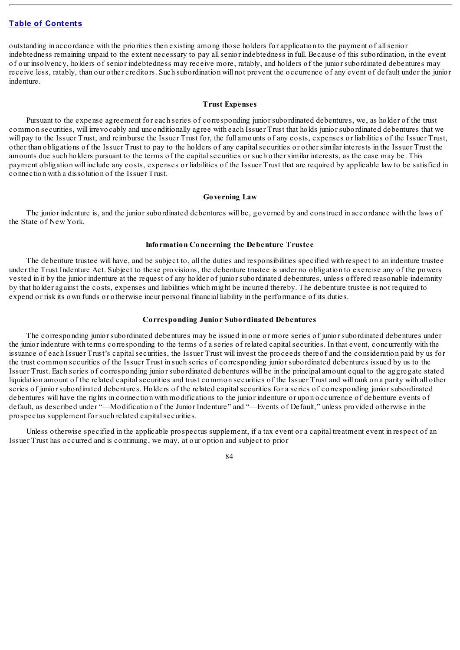outstanding in accordance with the priorities then existing among those holders for application to the payment of allsenior indebtedness remaining unpaid to the extent necessary to pay allsenior indebtedness in full. Because of this subordination, in the event of our insolvency, holders of senior indebtedness may receive more, ratably, and holders of the junior subordinated debentures may receive less, ratably, than our other creditors. Such subordination will not prevent the occurrence of any event of default under the junior indenture.

#### **Trust Expenses**

Pursuant to the expense agreement for each series of corresponding junior subordinated debentures, we, as holder of the trust common securities, will irrevocably and unconditionally agree with each Issuer Trust that holds junior subordinated debentures that we will pay to the Issuer Trust, and reimburse the Issuer Trust for, the full amounts of any costs, expenses or liabilities of the Issuer Trust, other than obligations of the Issuer Trust to pay to the holders of any capitalsecurities or other similar interests in the Issuer Trust the amounts due such holders pursuant to the terms of the capitalsecurities or such other similar interests, as the case may be. This payment obligation will include any costs, expenses or liabilities of the Issuer Trust that are required by applicable law to be satisfied in connection with a dissolution of the Issuer Trust.

#### **Governing Law**

The junior indenture is, and the junior subordinated debentures will be, governed by and construed in accordance with the laws of the State of New York.

#### **Information Concerning the Debenture Trustee**

The debenture trustee will have, and be subject to, all the duties and responsibilities specified with respect to an indenture trustee under the Trust Indenture Act. Subject to these provisions, the debenture trustee is under no obligation to exercise any of the powers vested in it by the junior indenture at the request of any holder of junior subordinated debentures, unless offered reasonable indemnity by that holder against the costs, expenses and liabilities which might be incurred thereby. The debenture trustee is not required to expend or risk its own funds or otherwise incur personal financial liability in the performance of its duties.

#### **Corresponding Junior Subordinated Debentures**

The corresponding junior subordinated debentures may be issued in one or more series of junior subordinated debentures under the junior indenture with terms corresponding to the terms of a series of related capitalsecurities. In that event, concurrently with the issuance of each Issuer Trust's capitalsecurities, the Issuer Trust will invest the proceeds thereof and the consideration paid by us for the trust common securities of the Issuer Trust in such series of corresponding junior subordinated debentures issued by us to the Issuer Trust. Each series of corresponding junior subordinated debentures will be in the principal amount equal to the aggregate stated liquidation amount of the related capitalsecurities and trust common securities of the Issuer Trust and will rank on a parity with all other series of junior subordinated debentures. Holders of the related capitalsecurities for a series of corresponding junior subordinated debentures will have the rights in connection with modifications to the junior indenture or upon occurrence of debenture events of default, as described under "—Modification of the Junior Indenture" and "—Events of Default," unless provided otherwise in the prospectus supplement for such related capital securities.

Unless otherwise specified in the applicable prospectus supplement, if a tax event or a capital treatment event in respect of an Issuer Trust has occurred and is continuing, we may, at our option and subject to prior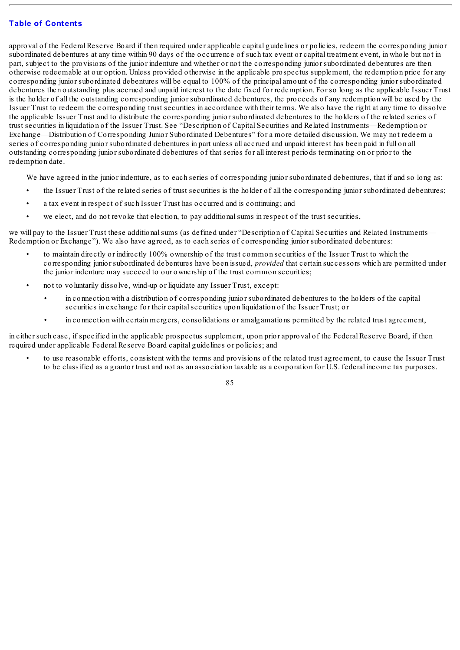approval of the Federal Reserve Board if then required under applicable capital guidelines or policies, redeem the corresponding junior subordinated debentures at any time within 90 days of the occurrence of such tax event or capital treatment event, in whole but not in part, subject to the provisions of the junior indenture and whether or not the corresponding junior subordinated debentures are then otherwise redeemable at our option. Unless provided otherwise in the applicable prospectus supplement, the redemption price for any corresponding junior subordinated debentures will be equal to 100% of the principal amount of the corresponding junior subordinated debentures then outstanding plus accrued and unpaid interest to the date fixed for redemption. For so long as the applicable Issuer Trust is the holder of all the outstanding corresponding junior subordinated debentures, the proceeds of any redemption will be used by the Issuer Trust to redeem the corresponding trust securities in accordance with their terms. We also have the right at any time to dissolve the applicable Issuer Trust and to distribute the corresponding junior subordinated debentures to the holders of the related series of trust securities in liquidation of the Issuer Trust. See "Description of Capital Securities and Related Instruments—Redemption or Exchange—Distribution of Corresponding Junior Subordinated Debentures" for a more detailed discussion. We may not redeem a series of corresponding junior subordinated debentures in part unless all accrued and unpaid interest has been paid in full on all outstanding corresponding junior subordinated debentures of that series for all interest periods terminating on or prior to the redemption date.

We have agreed in the junior indenture, as to each series of corresponding junior subordinated debentures, that if and so long as:

- the Issuer Trust of the related series of trust securities is the holder of all the corresponding junior subordinated debentures;
- a tax event in respect of such Issuer Trust has occurred and is continuing; and
- we elect, and do not revoke that election, to pay additional sums in respect of the trust securities.

we will pay to the Issuer Trust these additional sums (as defined under "Description of Capital Securities and Related Instruments— Redemption or Exchange"). We also have agreed, as to each series of corresponding junior subordinated debentures:

- to maintain directly or indirectly 100% ownership of the trust common securities of the Issuer Trust to which the corresponding junior subordinated debentures have been issued, *provided* that certain successors which are permitted under the junior indenture may succeed to our ownership of the trust common securities;
- not to voluntarily dissolve, wind-up or liquidate any Issuer Trust, except:
	- in connection with a distribution of corresponding junior subordinated debentures to the holders of the capital securities in exchange for their capitalsecurities upon liquidation of the Issuer Trust; or
	- in connection with certain mergers, consolidations or amalgamations permitted by the related trust agreement,

in either such case, if specified in the applicable prospectus supplement, upon prior approval of the Federal Reserve Board, if then required under applicable Federal Reserve Board capital guidelines or policies; and

• to use reasonable efforts, consistent with the terms and provisions of the related trust agreement, to cause the Issuer Trust to be classified as a grantor trust and not as an association taxable as a corporation for U.S. federal income tax purposes.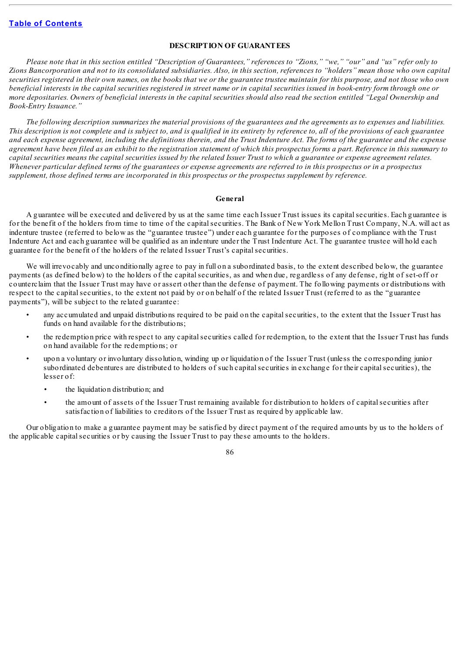## **DESCRIPTION OF GUARANTEES**

Please note that in this section entitled "Description of Guarantees," references to "Zions," "we," "our" and "us" refer only to Zions Bancorporation and not to its consolidated subsidiaries. Also, in this section, references to "holders" mean those who own capital securities registered in their own names, on the books that we or the guarantee trustee maintain for this purpose, and not those who own beneficial interests in the capital securities registered in street name or in capital securities issued in book-entry form through one or more depositaries. Owners of beneficial interests in the capital securities should also read the section entitled "Legal Ownership and *Book-Entry Issuance."*

The following description summarizes the material provisions of the guarantees and the agreements as to expenses and liabilities. This description is not complete and is subject to, and is qualified in its entirety by reference to, all of the provisions of each guarantee and each expense agreement, including the definitions therein, and the Trust Indenture Act. The forms of the guarantee and the expense agreement have been filed as an exhibit to the registration statement of which this prospectus forms a part. Reference in this summary to capital securities means the capital securities issued by the related Issuer Trust to which a guarantee or expense agreement relates. Whenever particular defined terms of the guarantees or expense agreements are referred to in this prospectus or in a prospectus *supplement, those defined terms are incorporated in this prospectus or the prospectus supplement by reference.*

#### **General**

A guarantee will be executed and delivered by us at the same time each Issuer Trust issues its capitalsecurities. Each guarantee is for the benefit of the holders from time to time of the capital securities. The Bank of New York Mellon Trust Company, N.A. will act as indenture trustee (referred to below as the "guarantee trustee") under each guarantee for the purposes of compliance with the Trust Indenture Act and each guarantee will be qualified as an indenture under the Trust Indenture Act. The guarantee trustee will hold each guarantee for the benefit of the holders of the related Issuer Trust's capitalsecurities.

We will irrevocably and unconditionally agree to pay in full on a subordinated basis, to the extent described below, the guarantee payments (as defined below) to the holders of the capitalsecurities, as and when due, regardless of any defense, right of set-off or counterclaim that the Issuer Trust may have or assert other than the defense of payment. The following payments or distributions with respect to the capitalsecurities, to the extent not paid by or on behalf of the related Issuer Trust (referred to as the "guarantee payments"), will be subject to the related guarantee:

- any accumulated and unpaid distributions required to be paid on the capitalsecurities, to the extent that the Issuer Trust has funds on hand available for the distributions;
- the redemption price with respect to any capitalsecurities called for redemption, to the extent that the Issuer Trust has funds on hand available for the redemptions; or
- upon a voluntary or involuntary dissolution, winding up or liquidation of the Issuer Trust (unless the corresponding junior subordinated debentures are distributed to holders of such capitalsecurities in exchange for their capitalsecurities), the lesser of:
	- the liquidation distribution; and
	- the amount of assets of the Issuer Trust remaining available for distribution to holders of capitalsecurities after satisfaction of liabilities to creditors of the Issuer Trust as required by applicable law.

Our obligation to make a guarantee payment may be satisfied by direct payment of the required amounts by us to the holders of the applicable capitalsecurities or by causing the Issuer Trust to pay these amounts to the holders.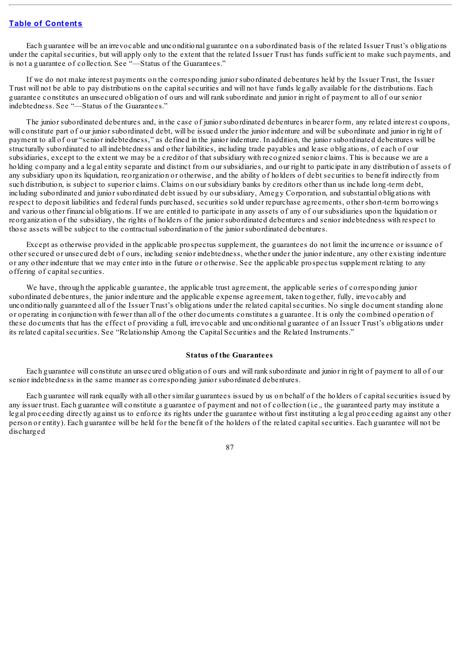Each guarantee will be an irrevocable and unconditional guarantee on a subordinated basis of the related Issuer Trust's obligations under the capitalsecurities, but will apply only to the extent that the related Issuer Trust has funds sufficient to make such payments, and is not a guarantee of collection. See "—Status of the Guarantees."

If we do not make interest payments on the corresponding junior subordinated debentures held by the Issuer Trust, the Issuer Trust will not be able to pay distributions on the capitalsecurities and will not have funds legally available for the distributions. Each guarantee constitutes an unsecured obligation of ours and will rank subordinate and junior in right of payment to all of our senior indebtedness. See "—Status of the Guarantees."

The junior subordinated debentures and, in the case of junior subordinated debentures in bearer form, any related interest coupons, will constitute part of our junior subordinated debt, will be issued under the junior indenture and will be subordinate and junior in right of payment to all of our "senior indebtedness," as defined in the junior indenture. In addition, the junior subordinated debentures will be structurally subordinated to all indebtedness and other liabilities, including trade payables and lease obligations, of each of our subsidiaries, except to the extent we may be a creditor of that subsidiary with recognized senior claims. This is because we are a holding company and a legal entity separate and distinct from our subsidiaries, and our right to participate in any distribution of assets of any subsidiary upon its liquidation, reorganization or otherwise, and the ability of holders of debt securities to benefit indirectly from such distribution, is subject to superior claims. Claims on our subsidiary banks by creditors other than us include long-term debt, including subordinated and junior subordinated debt issued by our subsidiary, Amegy Corporation, and substantial obligations with respect to deposit liabilities and federal funds purchased, securities sold under repurchase agreements, other short-term borrowings and various other financial obligations. If we are entitled to participate in any assets of any of our subsidiaries upon the liquidation or reorganization of the subsidiary, the rights of holders of the junior subordinated debentures and senior indebtedness with respect to those assets will be subject to the contractualsubordination of the junior subordinated debentures.

Except as otherwise provided in the applicable prospectus supplement, the guarantees do not limit the incurrence or issuance of other secured or unsecured debt of ours, including senior indebtedness, whether under the junior indenture, any other existing indenture or any other indenture that we may enter into in the future or otherwise. See the applicable prospectus supplement relating to any offering of capital securities.

We have, through the applicable guarantee, the applicable trust agreement, the applicable series of corresponding junior subordinated debentures, the junior indenture and the applicable expense agreement, taken together, fully, irrevocably and unconditionally guaranteed all of the Issuer Trust's obligations under the related capitalsecurities. No single document standing alone or operating in conjunction with fewer than all of the other documents constitutes a guarantee. It is only the combined operation of these documents that has the effect of providing a full, irrevocable and unconditional guarantee of an Issuer Trust's obligations under its related capital securities. See "Relationship Among the Capital Securities and the Related Instruments."

#### **Status of the Guarantees**

Each guarantee will constitute an unsecured obligation of ours and will rank subordinate and junior in right of payment to all of our senior indebtedness in the same manner as corresponding junior subordinated debentures.

Each guarantee will rank equally with all other similar guarantees issued by us on behalf of the holders of capitalsecurities issued by any issuer trust. Each guarantee will constitute a guarantee of payment and not of collection (i.e., the guaranteed party may institute a legal proceeding directly against us to enforce its rights under the guarantee without first instituting a legal proceeding against any other person or entity). Each guarantee will be held for the benefit of the holders of the related capitalsecurities. Each guarantee will not be discharged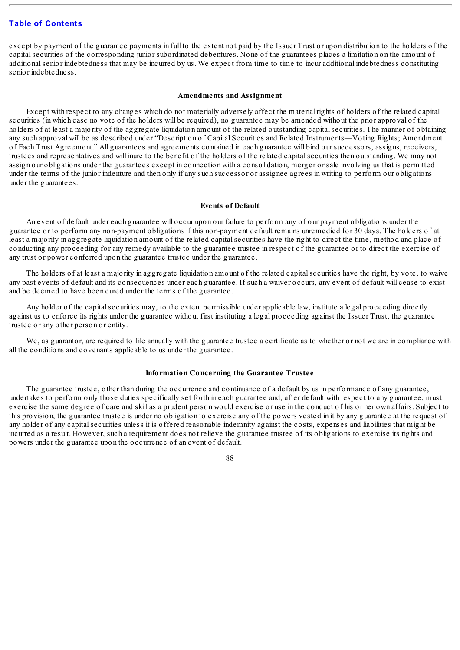except by payment of the guarantee payments in full to the extent not paid by the Issuer Trust or upon distribution to the holders of the capitalsecurities of the corresponding junior subordinated debentures. None of the guarantees places a limitation on the amount of additionalsenior indebtedness that may be incurred by us. We expect from time to time to incur additional indebtedness constituting senior indebtedness.

#### **Amendments and Assignment**

Except with respect to any changes which do not materially adversely affect the material rights of holders of the related capital securities (in which case no vote of the holders will be required), no guarantee may be amended without the prior approval of the holders of at least a majority of the aggregate liquidation amount of the related outstanding capital securities. The manner of obtaining any such approval will be as described under "Description of Capital Securities and Related Instruments—Voting Rights; Amendment of Each Trust Agreement." All guarantees and agreements contained in each guarantee will bind our successors, assigns, receivers, trustees and representatives and will inure to the benefit of the holders of the related capitalsecurities then outstanding. We may not assign our obligations under the guarantees except in connection with a consolidation, merger or sale involving us that is permitted under the terms of the junior indenture and then only if any such successor or assignee agrees in writing to perform our obligations under the guarantees.

#### **Events of Default**

An event of default under each guarantee will occur upon our failure to perform any of our payment obligations under the guarantee or to perform any non-payment obligations if this non-payment default remains unremedied for 30 days. The holders of at least a majority in aggregate liquidation amount of the related capitalsecurities have the right to direct the time, method and place of conducting any proceeding for any remedy available to the guarantee trustee in respect of the guarantee or to direct the exercise of any trust or power conferred upon the guarantee trustee under the guarantee.

The holders of at least a majority in aggregate liquidation amount of the related capitalsecurities have the right, by vote, to waive any past events of default and its consequences under each guarantee. If such a waiver occurs, any event of default will cease to exist and be deemed to have been cured under the terms of the guarantee.

Any holder of the capital securities may, to the extent permissible under applicable law, institute a legal proceeding directly against us to enforce its rights under the guarantee without first instituting a legal proceeding against the Issuer Trust, the guarantee trustee or any other person or entity.

We, as guarantor, are required to file annually with the guarantee trustee a certificate as to whether or not we are in compliance with all the conditions and covenants applicable to us under the guarantee.

#### **Information Concerning the Guarantee Trustee**

The guarantee trustee, other than during the occurrence and continuance of a default by us in performance of any guarantee, undertakes to perform only those duties specifically set forth in each guarantee and, after default with respect to any guarantee, must exercise the same degree of care and skill as a prudent person would exercise or use in the conduct of his or her own affairs. Subject to this provision, the guarantee trustee is under no obligation to exercise any of the powers vested in it by any guarantee at the request of any holder of any capitalsecurities unless it is offered reasonable indemnity against the costs, expenses and liabilities that might be incurred as a result. However, such a requirement does not relieve the guarantee trustee of its obligations to exercise its rights and powers under the guarantee upon the occurrence of an event of default.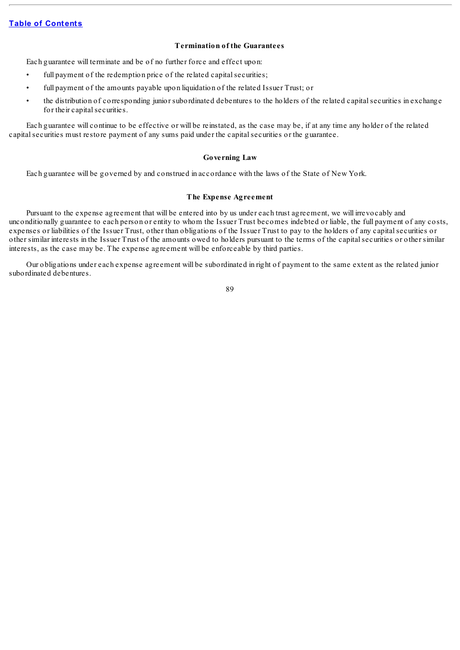## **Termination of the Guarantees**

Each guarantee will terminate and be of no further force and effect upon:

- full payment of the redemption price of the related capital securities;
- full payment of the amounts payable upon liquidation of the related Issuer Trust; or
- the distribution of corresponding junior subordinated debentures to the holders of the related capital securities in exchange for their capital securities.

Each guarantee will continue to be effective or will be reinstated, as the case may be, if at any time any holder of the related capitalsecurities must restore payment of any sums paid under the capitalsecurities or the guarantee.

### **Governing Law**

Each guarantee will be governed by and construed in accordance with the laws of the State of New York.

#### **The Expense Agreement**

Pursuant to the expense agreement that will be entered into by us under each trust agreement, we will irrevocably and unconditionally guarantee to each person or entity to whom the Issuer Trust becomes indebted or liable, the full payment of any costs, expenses or liabilities of the Issuer Trust, other than obligations of the Issuer Trust to pay to the holders of any capitalsecurities or other similar interests in the Issuer Trust of the amounts owed to holders pursuant to the terms of the capitalsecurities or other similar interests, as the case may be. The expense agreement will be enforceable by third parties.

Our obligations under each expense agreement will be subordinated in right of payment to the same extent as the related junior subordinated debentures.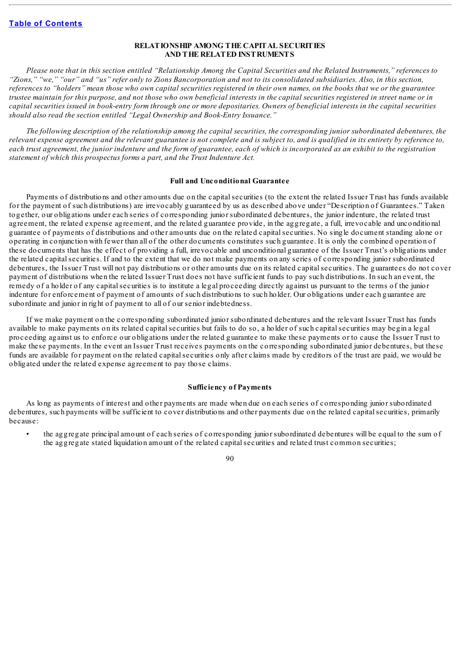## **RELATIONSHIP AMONG THE CAPITAL SECURITIES AND THE RELATED INSTRUMENTS**

Please note that in this section entitled "Relationship Among the Capital Securities and the Related Instruments," references to "Zions," "we," "our" and "us" refer only to Zions Bancorporation and not to its consolidated subsidiaries. Also, in this section, references to "holders" mean those who own capital securities registered in their own names, on the books that we or the guarantee trustee maintain for this purpose, and not those who own beneficial interests in the capital securities registered in street name or in capital securities issued in book-entry form through one or more depositaries. Owners of beneficial interests in the capital securities *should also read the section entitled "Legal Ownership and Book-Entry Issuance."*

The following description of the relationship among the capital securities, the corresponding junior subordinated debentures, the relevant expense agreement and the relevant guarantee is not complete and is subject to, and is qualified in its entirety by reference to. each trust agreement, the junior indenture and the form of guarantee, each of which is incorporated as an exhibit to the registration *statement of which this prospectus forms a part, and the Trust Indenture Act.*

#### **Full and Unconditional Guarantee**

Payments of distributions and other amounts due on the capitalsecurities (to the extent the related Issuer Trust has funds available for the payment of such distributions) are irrevocably guaranteed by us as described above under "Description of Guarantees." Taken together, our obligations under each series of corresponding junior subordinated debentures, the junior indenture, the related trust agreement, the related expense agreement, and the related guarantee provide, in the aggregate, a full, irrevocable and unconditional guarantee of payments of distributions and other amounts due on the related capitalsecurities. No single document standing alone or operating in conjunction with fewer than all of the other documents constitutes such guarantee. It is only the combined operation of these documents that has the effect of providing a full, irrevocable and unconditional guarantee of the Issuer Trust's obligations under the related capitalsecurities. If and to the extent that we do not make payments on any series of corresponding junior subordinated debentures, the Issuer Trust will not pay distributions or other amounts due on its related capital securities. The guarantees do not cover payment of distributions when the related Issuer Trust does not have sufficient funds to pay such distributions. In such an event, the remedy of a holder of any capitalsecurities is to institute a legal proceeding directly against us pursuant to the terms of the junior indenture for enforcement of payment of amounts of such distributions to such holder. Our obligations under each guarantee are subordinate and junior in right of payment to all of our senior indebtedness.

If we make payment on the corresponding subordinated junior subordinated debentures and the relevant Issuer Trust has funds available to make payments on its related capitalsecurities but fails to do so, a holder of such capitalsecurities may begin a legal proceeding against us to enforce our obligations under the related guarantee to make these payments or to cause the Issuer Trust to make these payments. In the event an Issuer Trust receives payments on the corresponding subordinated junior debentures, but these funds are available for payment on the related capital securities only after claims made by creditors of the trust are paid, we would be obligated under the related expense agreement to pay those claims.

#### **Sufficiency of Payments**

As long as payments of interest and other payments are made when due on each series of corresponding junior subordinated debentures, such payments will be sufficient to cover distributions and other payments due on the related capital securities, primarily because:

• the aggregate principal amount of each series of corresponding junior subordinated debentures will be equal to the sum of the aggregate stated liquidation amount of the related capitalsecurities and related trust common securities;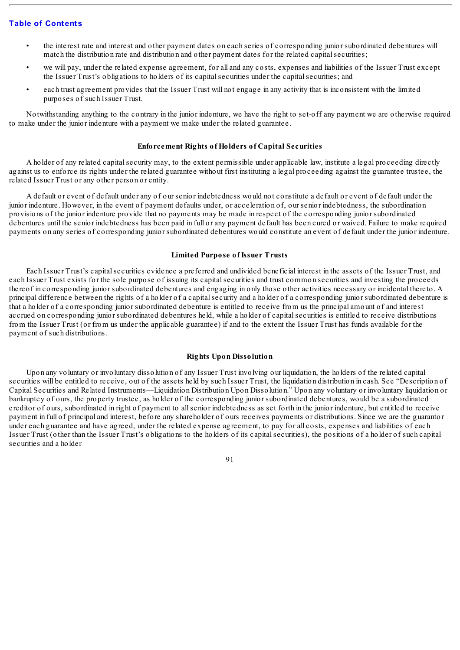- the interest rate and interest and other payment dates on each series of corresponding junior subordinated debentures will match the distribution rate and distribution and other payment dates for the related capital securities;
- we will pay, under the related expense agreement, for all and any costs, expenses and liabilities of the Issuer Trust except the Issuer Trust's obligations to holders of its capitalsecurities under the capitalsecurities; and
- each trust agreement provides that the Issuer Trust will not engage in any activity that is inconsistent with the limited purposes of such Issuer Trust.

Notwithstanding anything to the contrary in the junior indenture, we have the right to set-off any payment we are otherwise required to make under the junior indenture with a payment we make under the related guarantee.

#### **Enforcement Rights of Holders of Capital Securities**

A holder of any related capitalsecurity may, to the extent permissible under applicable law, institute a legal proceeding directly against us to enforce its rights under the related guarantee without first instituting a legal proceeding against the guarantee trustee, the related Issuer Trust or any other person or entity.

A default or event of default under any of our senior indebtedness would not constitute a default or event of default under the junior indenture. However, in the event of payment defaults under, or acceleration of, our senior indebtedness, the subordination provisions of the junior indenture provide that no payments may be made in respect of the corresponding junior subordinated debentures until the senior indebtedness has been paid in full or any payment default has been cured or waived. Failure to make required payments on any series of corresponding junior subordinated debentures would constitute an event of default under the junior indenture.

#### **Limited Purpose of Issuer Trusts**

Each Issuer Trust's capital securities evidence a preferred and undivided beneficial interest in the assets of the Issuer Trust, and each Issuer Trust exists for the sole purpose of issuing its capitalsecurities and trust common securities and investing the proceeds thereof in corresponding junior subordinated debentures and engaging in only those other activities necessary or incidental thereto. A principal difference between the rights of a holder of a capitalsecurity and a holder of a corresponding junior subordinated debenture is that a holder of a corresponding junior subordinated debenture is entitled to receive from us the principal amount of and interest accrued on corresponding junior subordinated debentures held, while a holder of capitalsecurities is entitled to receive distributions from the Issuer Trust (or from us under the applicable guarantee) if and to the extent the Issuer Trust has funds available for the payment of such distributions.

## **Rights Upon Dissolution**

Upon any voluntary or involuntary dissolution of any Issuer Trust involving our liquidation, the holders of the related capital securities will be entitled to receive, out of the assets held by such Issuer Trust, the liquidation distribution in cash. See "Description of Capital Securities and Related Instruments—Liquidation Distribution Upon Dissolution." Upon any voluntary or involuntary liquidation or bankruptcy of ours, the property trustee, as holder of the corresponding junior subordinated debentures, would be a subordinated creditor of ours, subordinated in right of payment to allsenior indebtedness as set forth in the junior indenture, but entitled to receive payment in full of principal and interest, before any shareholder of ours receives payments or distributions. Since we are the guarantor under each guarantee and have agreed, under the related expense agreement, to pay for all costs, expenses and liabilities of each Issuer Trust (other than the Issuer Trust's obligations to the holders of its capitalsecurities), the positions of a holder of such capital securities and a holder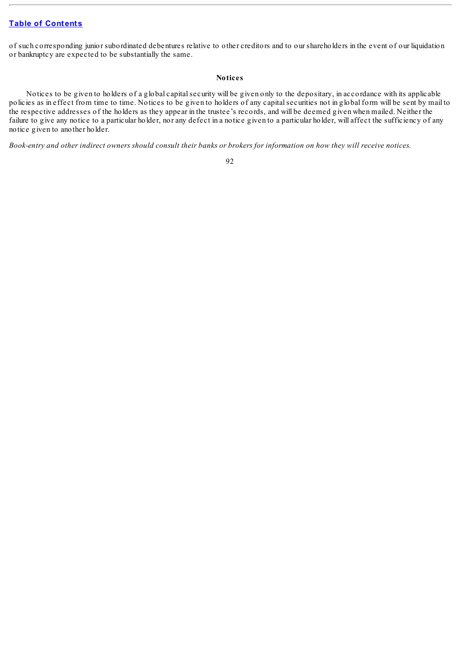of such corresponding junior subordinated debentures relative to other creditors and to our shareholders in the event of our liquidation or bankruptcy are expected to be substantially the same.

#### **Notices**

Notices to be given to holders of a global capitalsecurity will be given only to the depositary, in accordance with its applicable policies as in effect from time to time. Notices to be given to holders of any capitalsecurities not in global form will be sent by mail to the respective addresses of the holders as they appear in the trustee's records, and will be deemed given when mailed. Neither the failure to give any notice to a particular holder, nor any defect in a notice given to a particular holder, will affect the sufficiency of any notice given to another holder.

Book-entry and other indirect owners should consult their banks or brokers for information on how they will receive notices.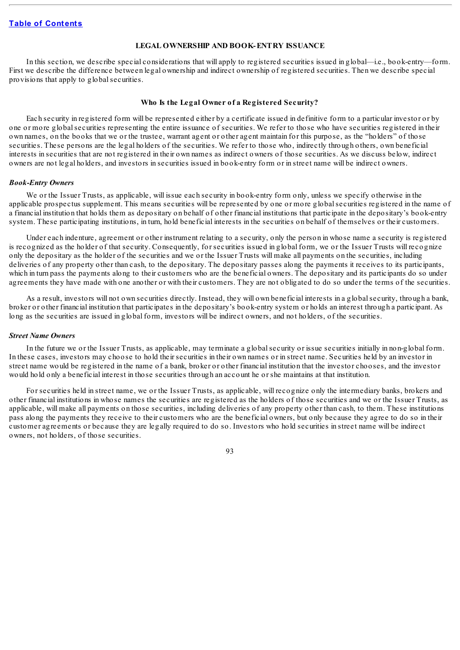#### **LEGAL OWNERSHIP AND BOOK-ENTRY ISSUANCE**

In this section, we describe special considerations that will apply to registered securities issued in global—i.e., book-entry—form. First we describe the difference between legal ownership and indirect ownership of registered securities. Then we describe special provisions that apply to globalsecurities.

#### **Who Is the Legal Owner of a Registered Security?**

Each security in registered form will be represented either by a certificate issued in definitive form to a particular investor or by one or more globalsecurities representing the entire issuance of securities. We refer to those who have securities registered in their own names, on the books that we or the trustee, warrant agent or other agent maintain for this purpose, as the "holders" of those securities. These persons are the legal holders of the securities. We refer to those who, indirectly through others, own beneficial interests in securities that are not registered in their own names as indirect owners of those securities. As we discuss below, indirect owners are not legal holders, and investors in securities issued in book-entry form or in street name will be indirect owners.

## *Book-Entry Owners*

We or the Issuer Trusts, as applicable, will issue each security in book-entry form only, unless we specify otherwise in the applicable prospectus supplement. This means securities will be represented by one or more globalsecurities registered in the name of a financial institution that holds them as depositary on behalf of other financial institutions that participate in the depositary's book-entry system. These participating institutions, in turn, hold beneficial interests in the securities on behalf of themselves or their customers.

Under each indenture, agreement or other instrument relating to a security, only the person in whose name a security is registered is recognized as the holder of that security. Consequently, for securities issued in global form, we or the Issuer Trusts will recognize only the depositary as the holder of the securities and we or the Issuer Trusts will make all payments on the securities, including deliveries of any property other than cash, to the depositary. The depositary passes along the payments it receives to its participants, which in turn pass the payments along to their customers who are the beneficial owners. The depositary and its participants do so under agreements they have made with one another or with their customers. They are not obligated to do so under the terms of the securities.

As a result, investors will not own securities directly. Instead, they will own beneficial interests in a globalsecurity, through a bank, broker or other financial institution that participates in the depositary's book-entry system or holds an interest through a participant. As long as the securities are issued in global form, investors will be indirect owners, and not holders, of the securities.

#### *Street Name Owners*

In the future we or the Issuer Trusts, as applicable, may terminate a globalsecurity or issue securities initially in non-global form. In these cases, investors may choose to hold their securities in their own names or in street name. Securities held by an investor in street name would be registered in the name of a bank, broker or other financial institution that the investor chooses, and the investor would hold only a beneficial interest in those securities through an account he or she maintains at that institution.

For securities held in street name, we or the Issuer Trusts, as applicable, will recognize only the intermediary banks, brokers and other financial institutions in whose names the securities are registered as the holders of those securities and we or the Issuer Trusts, as applicable, will make all payments on those securities, including deliveries of any property other than cash, to them. These institutions pass along the payments they receive to their customers who are the beneficial owners, but only because they agree to do so in their customer agreements or because they are legally required to do so. Investors who hold securities in street name will be indirect owners, not holders, of those securities.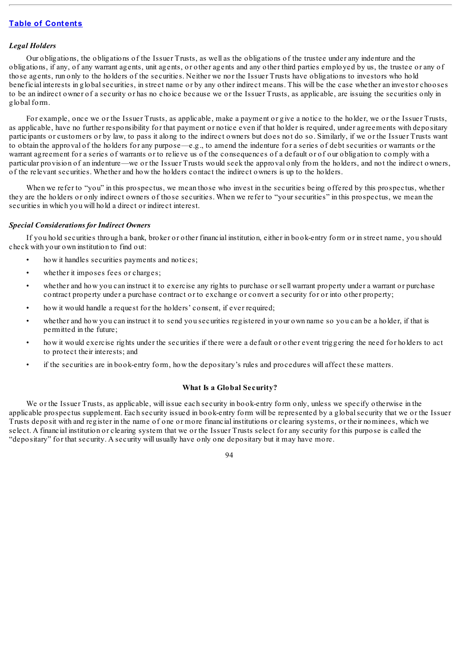#### *Legal Holders*

Our obligations, the obligations of the Issuer Trusts, as well as the obligations of the trustee under any indenture and the obligations, if any, of any warrant agents, unit agents, or other agents and any other third parties employed by us, the trustee or any of those agents, run only to the holders of the securities. Neither we nor the Issuer Trusts have obligations to investors who hold beneficial interests in globalsecurities, in street name or by any other indirect means. This will be the case whether an investor chooses to be an indirect owner of a security or has no choice because we or the Issuer Trusts, as applicable, are issuing the securities only in global form.

For example, once we or the Issuer Trusts, as applicable, make a payment or give a notice to the holder, we or the Issuer Trusts, as applicable, have no further responsibility for that payment or notice even if that holder is required, under agreements with depositary participants or customers or by law, to pass it along to the indirect owners but does not do so. Similarly, if we or the Issuer Trusts want to obtain the approval of the holders for any purpose—e.g., to amend the indenture for a series of debt securities or warrants or the warrant agreement for a series of warrants or to relieve us of the consequences of a default or of our obligation to comply with a particular provision of an indenture—we or the Issuer Trusts would seek the approval only from the holders, and not the indirect owners, of the relevant securities. Whether and how the holders contact the indirect owners is up to the holders.

When we refer to "you" in this prospectus, we mean those who invest in the securities being offered by this prospectus, whether they are the holders or only indirect owners of those securities. When we refer to "your securities" in this prospectus, we mean the securities in which you will hold a direct or indirect interest.

## *Special Considerations for Indirect Owners*

If you hold securities through a bank, broker or other financial institution, either in book-entry form or in street name, you should check with your own institution to find out:

- how it handles securities payments and notices;
- whether it imposes fees or charges;
- whether and how you can instruct it to exercise any rights to purchase or sell warrant property under a warrant or purchase contract property under a purchase contract or to exchange or convert a security for or into other property;
- how it would handle a request for the holders' consent, if ever required;
- whether and how you can instruct it to send you securities registered in your own name so you can be a holder, if that is permitted in the future;
- how it would exercise rights under the securities if there were a default or other event triggering the need for holders to act to protect their interests; and
- if the securities are in book-entry form, how the depositary's rules and procedures will affect these matters.

## **What Is a Global Security?**

We or the Issuer Trusts, as applicable, will issue each security in book-entry form only, unless we specify otherwise in the applicable prospectus supplement. Each security issued in book-entry form will be represented by a globalsecurity that we or the Issuer Trusts deposit with and register in the name of one or more financial institutions or clearing systems, or their nominees, which we select. A financial institution or clearing system that we or the Issuer Trusts select for any security for this purpose is called the "depositary" for that security. A security will usually have only one depositary but it may have more.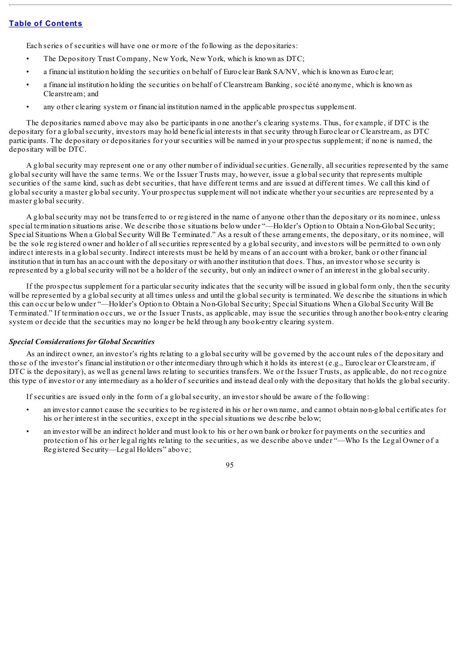Each series of securities will have one or more of the following as the depositaries:

- The Depository Trust Company, New York, New York, which is known as DTC;
- a financial institution holding the securities on behalf of Euroclear Bank SA/NV, which is known as Euroclear;
- a financial institution holding the securities on behalf of Clearstream Banking, société anonyme, which is known as Clearstream; and
- any other clearing system or financial institution named in the applicable prospectus supplement.

The depositaries named above may also be participants in one another's clearing systems. Thus, for example, if DTC is the depositary for a globalsecurity, investors may hold beneficial interests in that security through Euroclear or Clearstream, as DTC participants. The depositary or depositaries for your securities will be named in your prospectus supplement; if none is named, the depositary will be DTC.

A globalsecurity may represent one or any other number of individualsecurities. Generally, allsecurities represented by the same globalsecurity will have the same terms. We or the Issuer Trusts may, however, issue a globalsecurity that represents multiple securities of the same kind, such as debt securities, that have different terms and are issued at different times. We call this kind of globalsecurity a master globalsecurity. Your prospectus supplement will not indicate whether your securities are represented by a master globalsecurity.

A globalsecurity may not be transferred to or registered in the name of anyone other than the depositary or its nominee, unless special termination situations arise. We describe those situations below under "—Holder's Option to Obtain a Non-Global Security; Special Situations When a Global Security Will Be Terminated." As a result of these arrangements, the depositary, or its nominee, will be the sole registered owner and holder of allsecurities represented by a globalsecurity, and investors will be permitted to own only indirect interests in a globalsecurity. Indirect interests must be held by means of an account with a broker, bank or other financial institution that in turn has an account with the depositary or with another institution that does. Thus, an investor whose security is represented by a globalsecurity will not be a holder of the security, but only an indirect owner of an interest in the globalsecurity.

If the prospectus supplement for a particular security indicates that the security will be issued in global form only, then the security will be represented by a global security at all times unless and until the global security is terminated. We describe the situations in which this can occur below under "—Holder's Option to Obtain a Non-Global Security; Special Situations When a Global Security Will Be Terminated." If termination occurs, we or the Issuer Trusts, as applicable, may issue the securities through another book-entry clearing system or decide that the securities may no longer be held through any book-entry clearing system.

#### *Special Considerations for Global Securities*

As an indirect owner, an investor's rights relating to a globalsecurity will be governed by the account rules of the depositary and those of the investor's financial institution or other intermediary through which it holds its interest (e.g., Euroclear or Clearstream, if DTC is the depositary), as well as general laws relating to securities transfers. We or the Issuer Trusts, as applicable, do not recognize this type of investor or any intermediary as a holder of securities and instead deal only with the depositary that holds the globalsecurity.

If securities are issued only in the form of a globalsecurity, an investor should be aware of the following:

- an investor cannot cause the securities to be registered in his or her own name, and cannot obtain non-global certificates for his or her interest in the securities, except in the special situations we describe below;
- an investor will be an indirect holder and must look to his or her own bank or broker for payments on the securities and protection of his or her legal rights relating to the securities, as we describe above under "—Who Is the Legal Owner of a Registered Security—Legal Holders" above;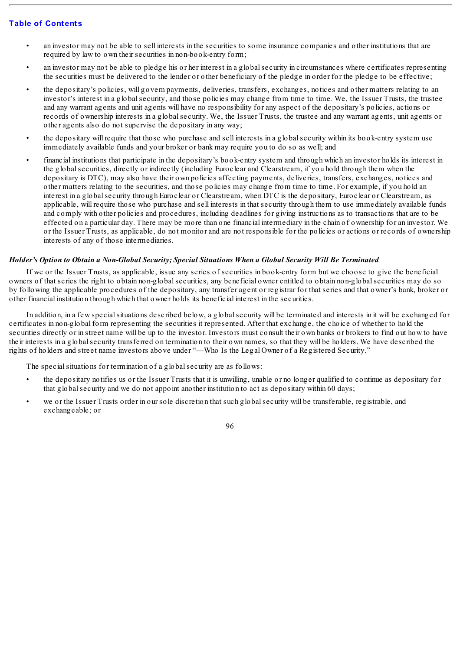- an investor may not be able to sell interests in the securities to some insurance companies and other institutions that are required by law to own their securities in non-book-entry form;
- an investor may not be able to pledge his or her interest in a globalsecurity in circumstances where certificates representing the securities must be delivered to the lender or other beneficiary of the pledge in order for the pledge to be effective;
- the depositary's policies, will govern payments, deliveries, transfers, exchanges, notices and other matters relating to an investor's interest in a globalsecurity, and those policies may change from time to time. We, the Issuer Trusts, the trustee and any warrant agents and unit agents will have no responsibility for any aspect of the depositary's policies, actions or records of ownership interests in a globalsecurity. We, the Issuer Trusts, the trustee and any warrant agents, unit agents or other agents also do not supervise the depositary in any way;
- the depositary will require that those who purchase and sell interests in a globalsecurity within its book-entry system use immediately available funds and your broker or bank may require you to do so as well; and
- financial institutions that participate in the depositary's book-entry system and through which an investor holds its interest in the globalsecurities, directly or indirectly (including Euroclear and Clearstream, if you hold through them when the depositary is DTC), may also have their own policies affecting payments, deliveries, transfers, exchanges, notices and other matters relating to the securities, and those policies may change from time to time. For example, if you hold an interest in a globalsecurity through Euroclear or Clearstream, when DTC is the depositary, Euroclear or Clearstream, as applicable, will require those who purchase and sell interests in that security through them to use immediately available funds and comply with other policies and procedures, including deadlines for giving instructions as to transactions that are to be effected on a particular day. There may be more than one financial intermediary in the chain of ownership for an investor. We or the Issuer Trusts, as applicable, do not monitor and are not responsible for the policies or actions or records of ownership interests of any of those intermediaries.

## *Holder's Option to Obtain a Non-Global Security; Special Situations When a Global Security Will Be Terminated*

If we or the Issuer Trusts, as applicable, issue any series of securities in book-entry form but we choose to give the beneficial owners of that series the right to obtain non-globalsecurities, any beneficial owner entitled to obtain non-globalsecurities may do so by following the applicable procedures of the depositary, any transfer agent or registrar for that series and that owner's bank, broker or other financial institution through which that owner holds its beneficial interest in the securities.

In addition, in a few specialsituations described below, a globalsecurity will be terminated and interests in it will be exchanged for certificates in non-global form representing the securities it represented. After that exchange, the choice of whether to hold the securities directly or in street name will be up to the investor. Investors must consult their own banks or brokers to find out how to have their interests in a globalsecurity transferred on termination to their own names, so that they will be holders. We have described the rights of holders and street name investors above under "—Who Is the Legal Owner of a Registered Security."

The special situations for termination of a global security are as follows:

- the depositary notifies us or the Issuer Trusts that it is unwilling, unable or no longer qualified to continue as depositary for that globalsecurity and we do not appoint another institution to act as depositary within 60 days;
- we or the Issuer Trusts order in our sole discretion that such global security will be transferable, registrable, and exchangeable; or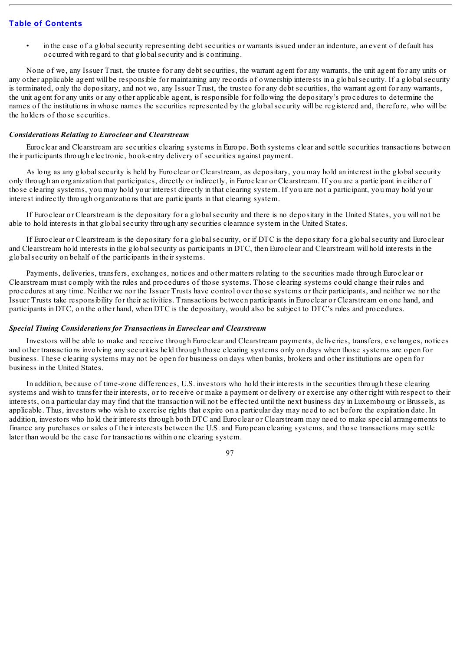• in the case of a globalsecurity representing debt securities or warrants issued under an indenture, an event of default has occurred with regard to that globalsecurity and is continuing.

None of we, any Issuer Trust, the trustee for any debt securities, the warrant agent for any warrants, the unit agent for any units or any other applicable agent will be responsible for maintaining any records of ownership interests in a globalsecurity. If a globalsecurity is terminated, only the depositary, and not we, any Issuer Trust, the trustee for any debt securities, the warrant agent for any warrants, the unit agent for any units or any other applicable agent, is responsible for following the depositary's procedures to determine the names of the institutions in whose names the securities represented by the globalsecurity will be registered and, therefore, who will be the holders of those securities.

#### *Considerations Relating to Euroclear and Clearstream*

Euroclear and Clearstream are securities clearing systems in Europe. Both systems clear and settle securities transactions between their participants through electronic, book-entry delivery of securities against payment.

As long as any globalsecurity is held by Euroclear or Clearstream, as depositary, you may hold an interest in the globalsecurity only through an organization that participates, directly or indirectly, in Euroclear or Clearstream. If you are a participant in either of those clearing systems, you may hold your interest directly in that clearing system. If you are not a participant, you may hold your interest indirectly through organizations that are participants in that clearing system.

If Euroclear or Clearstream is the depositary for a globalsecurity and there is no depositary in the United States, you will not be able to hold interests in that globalsecurity through any securities clearance system in the United States.

If Euroclear or Clearstream is the depositary for a globalsecurity, or if DTC is the depositary for a globalsecurity and Euroclear and Clearstream hold interests in the globalsecurity as participants in DTC, then Euroclear and Clearstream will hold interests in the globalsecurity on behalf of the participants in their systems.

Payments, deliveries, transfers, exchanges, notices and other matters relating to the securities made through Euroclear or Clearstream must comply with the rules and procedures of those systems. Those clearing systems could change their rules and procedures at any time. Neither we nor the Issuer Trusts have control over those systems or their participants, and neither we nor the Issuer Trusts take responsibility for their activities. Transactions between participants in Euroclear or Clearstream on one hand, and participants in DTC, on the other hand, when DTC is the depositary, would also be subject to DTC's rules and procedures.

#### *Special Timing Considerations for Transactions in Euroclear and Clearstream*

Investors will be able to make and receive through Euroclear and Clearstream payments, deliveries, transfers, exchanges, notices and other transactions involving any securities held through those clearing systems only on days when those systems are open for business. These clearing systems may not be open for business on days when banks, brokers and other institutions are open for business in the United States.

In addition, because of time-zone differences, U.S. investors who hold their interests in the securities through these clearing systems and wish to transfer their interests, or to receive or make a payment or delivery or exercise any other right with respect to their interests, on a particular day may find that the transaction will not be effected until the next business day in Luxembourg or Brussels, as applicable. Thus, investors who wish to exercise rights that expire on a particular day may need to act before the expiration date. In addition, investors who hold their interests through both DTC and Euroclear or Clearstream may need to make special arrangements to finance any purchases or sales of their interests between the U.S. and European clearing systems, and those transactions may settle later than would be the case for transactions within one clearing system.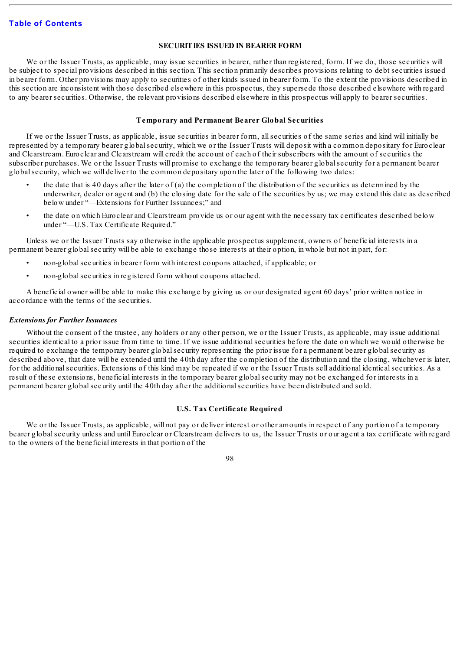## **SECURITIES ISSUED IN BEARER FORM**

We or the Issuer Trusts, as applicable, may issue securities in bearer, rather than registered, form. If we do, those securities will be subject to special provisions described in this section. This section primarily describes provisions relating to debt securities issued in bearer form. Other provisions may apply to securities of other kinds issued in bearer form. To the extent the provisions described in this section are inconsistent with those described elsewhere in this prospectus, they supersede those described elsewhere with regard to any bearer securities. Otherwise, the relevant provisions described elsewhere in this prospectus will apply to bearer securities.

#### **Temporary and Permanent Bearer Global Securities**

If we or the Issuer Trusts, as applicable, issue securities in bearer form, allsecurities of the same series and kind will initially be represented by a temporary bearer globalsecurity, which we or the Issuer Trusts will deposit with a common depositary for Euroclear and Clearstream. Euroclear and Clearstream will credit the account of each of their subscribers with the amount of securities the subscriber purchases. We or the Issuer Trusts will promise to exchange the temporary bearer globalsecurity for a permanent bearer globalsecurity, which we will deliver to the common depositary upon the later of the following two dates:

- the date that is 40 days after the later of (a) the completion of the distribution of the securities as determined by the underwriter, dealer or agent and (b) the closing date for the sale of the securities by us; we may extend this date as described below under "—Extensions for Further Issuances;" and
- the date on which Euroclear and Clearstream provide us or our agent with the necessary tax certificates described below under "—U.S. Tax Certificate Required."

Unless we or the Issuer Trusts say otherwise in the applicable prospectus supplement, owners of beneficial interests in a permanent bearer globalsecurity will be able to exchange those interests at their option, in whole but not in part, for:

- non-globalsecurities in bearer form with interest coupons attached, if applicable; or
- non-global securities in registered form without coupons attached.

A beneficial owner will be able to make this exchange by giving us or our designated agent 60 days' prior written notice in accordance with the terms of the securities.

#### *Extensions for Further Issuances*

Without the consent of the trustee, any holders or any other person, we or the Issuer Trusts, as applicable, may issue additional securities identical to a prior issue from time to time. If we issue additionalsecurities before the date on which we would otherwise be required to exchange the temporary bearer globalsecurity representing the prior issue for a permanent bearer globalsecurity as described above, that date will be extended until the 40th day after the completion of the distribution and the closing, whichever is later, for the additionalsecurities. Extensions of this kind may be repeated if we or the Issuer Trusts sell additional identicalsecurities. As a result of these extensions, beneficial interests in the temporary bearer globalsecurity may not be exchanged for interests in a permanent bearer globalsecurity until the 40th day after the additionalsecurities have been distributed and sold.

## **U.S. Tax Certificate Required**

We or the Issuer Trusts, as applicable, will not pay or deliver interest or other amounts in respect of any portion of a temporary bearer globalsecurity unless and until Euroclear or Clearstream delivers to us, the Issuer Trusts or our agent a tax certificate with regard to the owners of the beneficial interests in that portion of the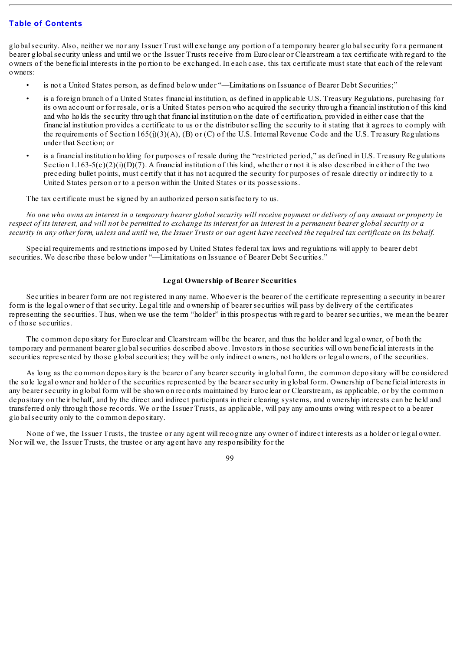globalsecurity. Also, neither we nor any Issuer Trust will exchange any portion of a temporary bearer globalsecurity for a permanent bearer globalsecurity unless and until we or the Issuer Trusts receive from Euroclear or Clearstream a tax certificate with regard to the owners of the beneficial interests in the portion to be exchanged. In each case, this tax certificate must state that each of the relevant owners:

- is not a United States person, as defined below under "—Limitations on Issuance of Bearer Debt Securities;"
- is a foreign branch of a United States financial institution, as defined in applicable U.S. Treasury Regulations, purchasing for its own account or for resale, or is a United States person who acquired the security through a financial institution of this kind and who holds the security through that financial institution on the date of certification, provided in either case that the financial institution provides a certificate to us or the distributor selling the security to it stating that it agrees to comply with the requirements of Section 165(j)(3)(A), (B) or (C) of the U.S. Internal Revenue Code and the U.S. Treasury Regulations under that Section; or
- is a financial institution holding for purposes of resale during the "restricted period," as defined in U.S. Treasury Regulations Section 1.163-5(c)(2)(i)(D)(7). A financial institution of this kind, whether or not it is also described in either of the two preceding bullet points, must certify that it has not acquired the security for purposes of resale directly or indirectly to a United States person or to a person within the United States or its possessions.

The tax certificate must be signed by an authorized person satisfactory to us.

No one who owns an interest in a temporary bearer global security will receive payment or delivery of any amount or property in respect of its interest, and will not be permitted to exchange its interest for an interest in a permanent bearer global security or a security in any other form, unless and until we, the Issuer Trusts or our agent have received the required tax certificate on its behalf.

Special requirements and restrictions imposed by United States federal tax laws and regulations will apply to bearer debt securities. We describe these below under "—Limitations on Issuance of Bearer Debt Securities."

### **Legal Ownership of Bearer Securities**

Securities in bearer form are not registered in any name. Whoever is the bearer of the certificate representing a security in bearer form is the legal owner of that security. Legal title and ownership of bearer securities will pass by delivery of the certificates representing the securities. Thus, when we use the term "holder" in this prospectus with regard to bearer securities, we mean the bearer of those securities.

The common depositary for Euroclear and Clearstream will be the bearer, and thus the holder and legal owner, of both the temporary and permanent bearer globalsecurities described above. Investors in those securities will own beneficial interests in the securities represented by those global securities; they will be only indirect owners, not holders or legal owners, of the securities.

As long as the common depositary is the bearer of any bearer security in global form, the common depositary will be considered the sole legal owner and holder of the securities represented by the bearer security in global form. Ownership of beneficial interests in any bearer security in global form will be shown on records maintained by Euroclear or Clearstream, as applicable, or by the common depositary on their behalf, and by the direct and indirect participants in their clearing systems, and ownership interests can be held and transferred only through those records. We or the Issuer Trusts, as applicable, will pay any amounts owing with respect to a bearer globalsecurity only to the common depositary.

None of we, the Issuer Trusts, the trustee or any agent will recognize any owner of indirect interests as a holder or legal owner. Nor will we, the Issuer Trusts, the trustee or any agent have any responsibility for the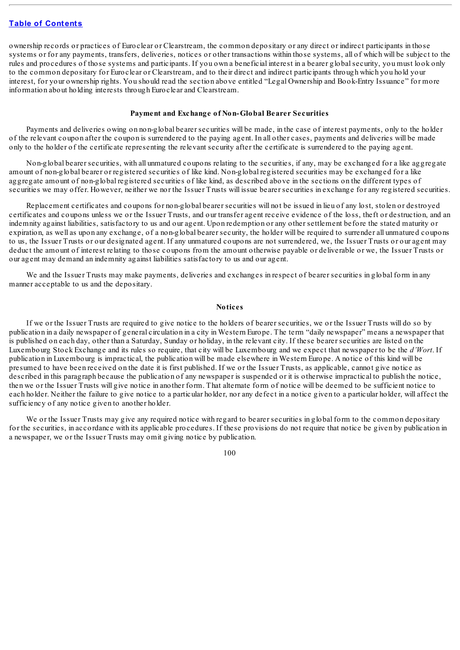ownership records or practices of Euroclear or Clearstream, the common depositary or any direct or indirect participants in those systems or for any payments, transfers, deliveries, notices or other transactions within those systems, all of which will be subject to the rules and procedures of those systems and participants. If you own a beneficial interest in a bearer globalsecurity, you must look only to the common depositary for Euroclear or Clearstream, and to their direct and indirect participants through which you hold your interest, for your ownership rights. You should read the section above entitled "Legal Ownership and Book-Entry Issuance" for more information about holding interests through Euroclear and Clearstream.

#### **Payment and Exchange of Non-Global Bearer Securities**

Payments and deliveries owing on non-global bearer securities will be made, in the case of interest payments, only to the holder of the relevant coupon after the coupon is surrendered to the paying agent. In all other cases, payments and deliveries will be made only to the holder of the certificate representing the relevant security after the certificate is surrendered to the paying agent.

Non-global bearer securities, with all unmatured coupons relating to the securities, if any, may be exchanged for a like aggregate amount of non-global bearer or registered securities of like kind. Non-global registered securities may be exchanged for a like aggregate amount of non-global registered securities of like kind, as described above in the sections on the different types of securities we may offer. However, neither we nor the Issuer Trusts will issue bearer securities in exchange for any registered securities.

Replacement certificates and coupons for non-global bearer securities will not be issued in lieu of any lost, stolen or destroyed certificates and coupons unless we or the Issuer Trusts, and our transfer agent receive evidence of the loss, theft or destruction, and an indemnity against liabilities, satisfactory to us and our agent. Upon redemption or any other settlement before the stated maturity or expiration, as well as upon any exchange, of a non-global bearer security, the holder will be required to surrender all unmatured coupons to us, the Issuer Trusts or our designated agent. If any unmatured coupons are not surrendered, we, the Issuer Trusts or our agent may deduct the amount of interest relating to those coupons from the amount otherwise payable or deliverable or we, the Issuer Trusts or our agent may demand an indemnity against liabilities satisfactory to us and our agent.

We and the Issuer Trusts may make payments, deliveries and exchanges in respect of bearer securities in global form in any manner acceptable to us and the depositary.

#### **Notices**

If we or the Issuer Trusts are required to give notice to the holders of bearer securities, we or the Issuer Trusts will do so by publication in a daily newspaper of general circulation in a city in Western Europe. The term "daily newspaper" means a newspaper that is published on each day, other than a Saturday, Sunday or holiday, in the relevant city. If these bearer securities are listed on the Luxembourg Stock Exchange and its rules so require, that city will be Luxembourg and we expect that newspaper to be the *d'Wort*. If publication in Luxembourg is impractical, the publication will be made elsewhere in Western Europe. A notice of this kind will be presumed to have been received on the date it is first published. If we or the Issuer Trusts, as applicable, cannot give notice as described in this paragraph because the publication of any newspaper is suspended or it is otherwise impractical to publish the notice, then we or the Issuer Trusts will give notice in another form. That alternate form of notice will be deemed to be sufficient notice to each holder. Neither the failure to give notice to a particular holder, nor any defect in a notice given to a particular holder, will affect the sufficiency of any notice given to another holder.

We or the Issuer Trusts may give any required notice with regard to bearer securities in global form to the common depositary for the securities, in accordance with its applicable procedures. If these provisions do not require that notice be given by publication in a newspaper, we or the Issuer Trusts may omit giving notice by publication.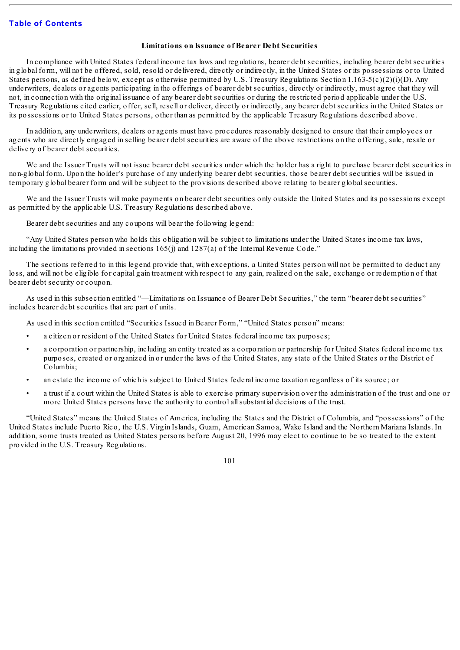#### **Limitations on Issuance of Bearer Debt Securities**

In compliance with United States federal income tax laws and regulations, bearer debt securities, including bearer debt securities in global form, will not be offered, sold, resold or delivered, directly or indirectly, in the United States or its possessions or to United States persons, as defined below, except as otherwise permitted by U.S. Treasury Regulations Section 1.163-5(c)(2)(i)(D). Any underwriters, dealers or agents participating in the offerings of bearer debt securities, directly or indirectly, must agree that they will not, in connection with the original issuance of any bearer debt securities or during the restricted period applicable under the U.S. Treasury Regulations cited earlier, offer, sell, resell or deliver, directly or indirectly, any bearer debt securities in the United States or its possessions or to United States persons, other than as permitted by the applicable Treasury Regulations described above.

In addition, any underwriters, dealers or agents must have procedures reasonably designed to ensure that their employees or agents who are directly engaged in selling bearer debt securities are aware of the above restrictions on the offering, sale, resale or delivery of bearer debt securities.

We and the Issuer Trusts will not issue bearer debt securities under which the holder has a right to purchase bearer debt securities in non-global form. Upon the holder's purchase of any underlying bearer debt securities, those bearer debt securities will be issued in temporary global bearer form and will be subject to the provisions described above relating to bearer globalsecurities.

We and the Issuer Trusts will make payments on bearer debt securities only outside the United States and its possessions except as permitted by the applicable U.S. Treasury Regulations described above.

Bearer debt securities and any coupons will bear the following legend:

"Any United States person who holds this obligation will be subject to limitations under the United States income tax laws, including the limitations provided in sections 165(j) and 1287(a) of the Internal Revenue Code."

The sections referred to in this legend provide that, with exceptions, a United States person will not be permitted to deduct any loss, and will not be eligible for capital gain treatment with respect to any gain, realized on the sale, exchange or redemption of that bearer debt security or coupon.

As used in this subsection entitled "—Limitations on Issuance of Bearer Debt Securities," the term "bearer debt securities" includes bearer debt securities that are part of units.

As used in this section entitled "Securities Issued in Bearer Form," "United States person" means:

- a citizen or resident of the United States for United States federal income tax purposes;
- a corporation or partnership, including an entity treated as a corporation or partnership for United States federal income tax purposes, created or organized in or under the laws of the United States, any state of the United States or the District of Columbia;
- an estate the income of which is subject to United States federal income taxation regardless of its source; or
- a trust if a court within the United States is able to exercise primary supervision over the administration of the trust and one or more United States persons have the authority to control allsubstantial decisions of the trust.

"United States" means the United States of America, including the States and the District of Columbia, and "possessions" of the United States include Puerto Rico, the U.S. Virgin Islands, Guam, American Samoa, Wake Island and the Northern Mariana Islands. In addition, some trusts treated as United States persons before August 20, 1996 may elect to continue to be so treated to the extent provided in the U.S. Treasury Regulations.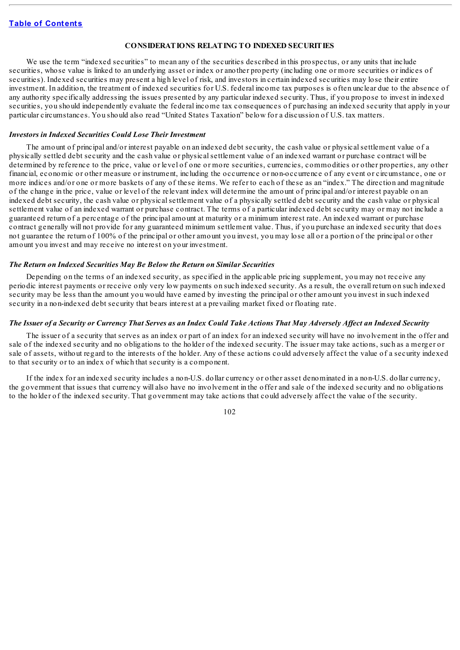#### **CONSIDERATIONS RELATING TO INDEXED SECURITIES**

We use the term "indexed securities" to mean any of the securities described in this prospectus, or any units that include securities, whose value is linked to an underlying asset or index or another property (including one or more securities or indices of securities). Indexed securities may present a high level of risk, and investors in certain indexed securities may lose their entire investment. In addition, the treatment of indexed securities for U.S. federal income tax purposes is often unclear due to the absence of any authority specifically addressing the issues presented by any particular indexed security. Thus, if you propose to invest in indexed securities, you should independently evaluate the federal income tax consequences of purchasing an indexed security that apply in your particular circumstances. You should also read "United States Taxation" below for a discussion of U.S. tax matters.

#### *Investors in Indexed Securities Could Lose Their Investment*

The amount of principal and/or interest payable on an indexed debt security, the cash value or physicalsettlement value of a physically settled debt security and the cash value or physicalsettlement value of an indexed warrant or purchase contract will be determined by reference to the price, value or level of one or more securities, currencies, commodities or other properties, any other financial, economic or other measure or instrument, including the occurrence or non-occurrence of any event or circumstance, one or more indices and/or one or more baskets of any of these items. We refer to each of these as an "index." The direction and magnitude of the change in the price, value or level of the relevant index will determine the amount of principal and/or interest payable on an indexed debt security, the cash value or physicalsettlement value of a physically settled debt security and the cash value or physical settlement value of an indexed warrant or purchase contract. The terms of a particular indexed debt security may or may not include a guaranteed return of a percentage of the principal amount at maturity or a minimum interest rate. An indexed warrant or purchase contract generally will not provide for any guaranteed minimum settlement value. Thus, if you purchase an indexed security that does not guarantee the return of 100% of the principal or other amount you invest, you may lose all or a portion of the principal or other amount you invest and may receive no interest on your investment.

#### *The Return on Indexed Securities May Be Below the Return on Similar Securities*

Depending on the terms of an indexed security, as specified in the applicable pricing supplement, you may not receive any periodic interest payments or receive only very low payments on such indexed security. As a result, the overall return on such indexed security may be less than the amount you would have earned by investing the principal or other amount you invest in such indexed security in a non-indexed debt security that bears interest at a prevailing market fixed or floating rate.

#### The Issuer of a Security or Currency That Serves as an Index Could Take Actions That May Adversely Affect an Indexed Security

The issuer of a security that serves as an index or part of an index for an indexed security will have no involvement in the offer and sale of the indexed security and no obligations to the holder of the indexed security. The issuer may take actions, such as a merger or sale of assets, without regard to the interests of the holder. Any of these actions could adversely affect the value of a security indexed to that security or to an index of which that security is a component.

If the index for an indexed security includes a non-U.S. dollar currency or other asset denominated in a non-U.S. dollar currency, the government that issues that currency will also have no involvement in the offer and sale of the indexed security and no obligations to the holder of the indexed security. That government may take actions that could adversely affect the value of the security.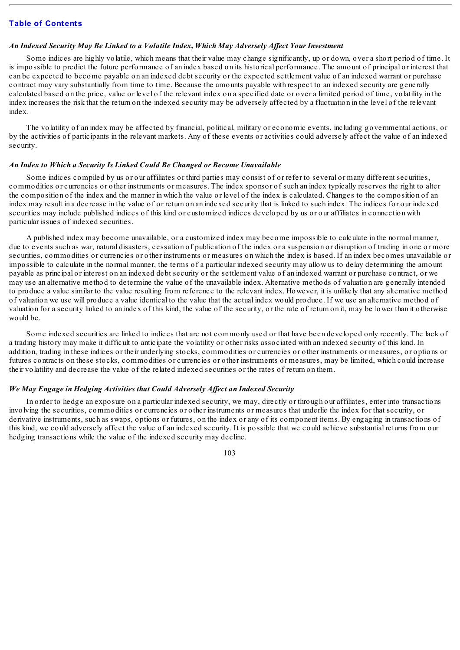### *An Indexed Security May Be Linked to a Volatile Index, Which May Adversely Af ect Your Investment*

Some indices are highly volatile, which means that their value may change significantly, up or down, over a short period of time. It is impossible to predict the future performance of an index based on its historical performance. The amount of principal or interest that can be expected to become payable on an indexed debt security or the expected settlement value of an indexed warrant or purchase contract may vary substantially from time to time. Because the amounts payable with respect to an indexed security are generally calculated based on the price, value or level of the relevant index on a specified date or over a limited period of time, volatility in the index increases the risk that the return on the indexed security may be adversely affected by a fluctuation in the level of the relevant index.

The volatility of an index may be affected by financial, political, military or economic events, including governmental actions, or by the activities of participants in the relevant markets. Any of these events or activities could adversely affect the value of an indexed security.

#### *An Index to Which a Security Is Linked Could Be Changed or Become Unavailable*

Some indices compiled by us or our affiliates or third parties may consist of or refer to several or many different securities, commodities or currencies or other instruments or measures. The index sponsor of such an index typically reserves the right to alter the composition of the index and the manner in which the value or level of the index is calculated. Changes to the composition of an index may result in a decrease in the value of or return on an indexed security that is linked to such index. The indices for our indexed securities may include published indices of this kind or customized indices developed by us or our affiliates in connection with particular issues of indexed securities.

A published index may become unavailable, or a customized index may become impossible to calculate in the normal manner, due to events such as war, natural disasters, cessation of publication of the index or a suspension or disruption of trading in one or more securities, commodities or currencies or other instruments or measures on which the index is based. If an index becomes unavailable or impossible to calculate in the normal manner, the terms of a particular indexed security may allow us to delay determining the amount payable as principal or interest on an indexed debt security or the settlement value of an indexed warrant or purchase contract, or we may use an alternative method to determine the value of the unavailable index. Alternative methods of valuation are generally intended to produce a value similar to the value resulting from reference to the relevant index. However, it is unlikely that any alternative method of valuation we use will produce a value identical to the value that the actual index would produce. If we use an alternative method of valuation for a security linked to an index of this kind, the value of the security, or the rate of return on it, may be lower than it otherwise would be.

Some indexed securities are linked to indices that are not commonly used or that have been developed only recently. The lack of a trading history may make it difficult to anticipate the volatility or other risks associated with an indexed security of this kind. In addition, trading in these indices or their underlying stocks, commodities or currencies or other instruments or measures, or options or futures contracts on these stocks, commodities or currencies or other instruments or measures, may be limited, which could increase their volatility and decrease the value of the related indexed securities or the rates of return on them.

### *We May Engage in Hedging Activities that Could Adversely Af ect an Indexed Security*

In order to hedge an exposure on a particular indexed security, we may, directly or through our affiliates, enter into transactions involving the securities, commodities or currencies or other instruments or measures that underlie the index for that security, or derivative instruments, such as swaps, options or futures, on the index or any of its component items. By engaging in transactions of this kind, we could adversely affect the value of an indexed security. It is possible that we could achieve substantial returns from our hedging transactions while the value of the indexed security may decline.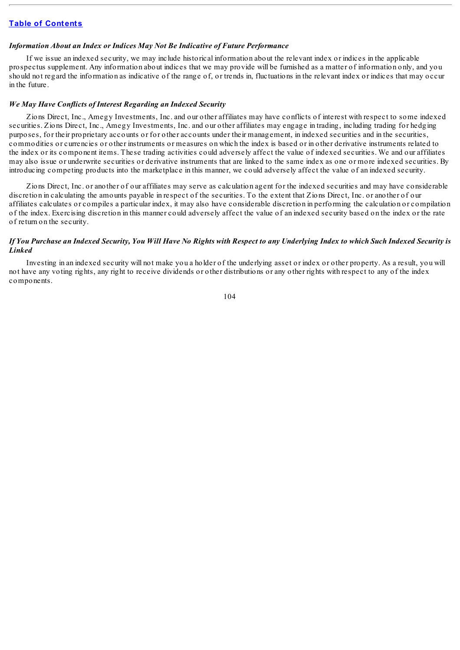## *Information About an Index or Indices May Not Be Indicative of Future Performance*

If we issue an indexed security, we may include historical information about the relevant index or indices in the applicable prospectus supplement. Any information about indices that we may provide will be furnished as a matter of information only, and you should not regard the information as indicative of the range of, or trends in, fluctuations in the relevant index or indices that may occur in the future.

#### *We May Have Conflicts of Interest Regarding an Indexed Security*

Zions Direct, Inc., Amegy Investments, Inc. and our other affiliates may have conflicts of interest with respect to some indexed securities. Zions Direct, Inc., Amegy Investments, Inc. and our other affiliates may engage in trading, including trading for hedging purposes, for their proprietary accounts or for other accounts under their management, in indexed securities and in the securities, commodities or currencies or other instruments or measures on which the index is based or in other derivative instruments related to the index or its component items. These trading activities could adversely affect the value of indexed securities. We and our affiliates may also issue or underwrite securities or derivative instruments that are linked to the same index as one or more indexed securities. By introducing competing products into the marketplace in this manner, we could adversely affect the value of an indexed security.

Zions Direct, Inc. or another of our affiliates may serve as calculation agent for the indexed securities and may have considerable discretion in calculating the amounts payable in respect of the securities. To the extent that Zions Direct, Inc. or another of our affiliates calculates or compiles a particular index, it may also have considerable discretion in performing the calculation or compilation of the index. Exercising discretion in this manner could adversely affect the value of an indexed security based on the index or the rate of return on the security.

## If You Purchase an Indexed Security, You Will Have No Rights with Respect to any Underlying Index to which Such Indexed Security is *Linked*

Investing in an indexed security will not make you a holder of the underlying asset or index or other property. As a result, you will not have any voting rights, any right to receive dividends or other distributions or any other rights with respect to any of the index components.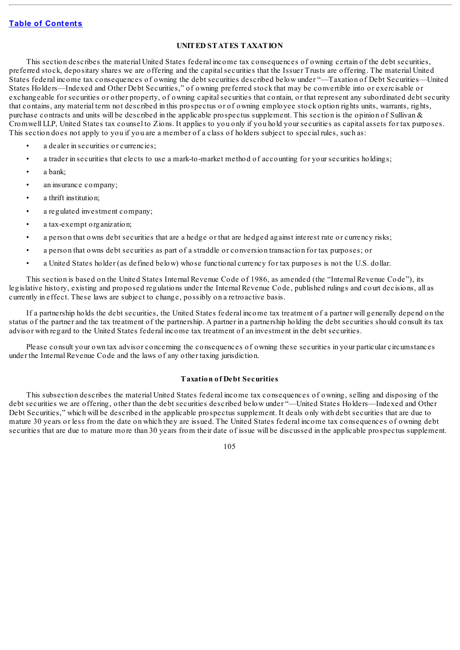## **UNITED STATES TAXATION**

This section describes the material United States federal income tax consequences of owning certain of the debt securities, preferred stock, depositary shares we are offering and the capitalsecurities that the Issuer Trusts are offering. The material United States federal income tax consequences of owning the debt securities described below under "—Taxation of Debt Securities—United States Holders—Indexed and Other Debt Securities," of owning preferred stock that may be convertible into or exercisable or exchangeable for securities or other property, of owning capitalsecurities that contain, or that represent any subordinated debt security that contains, any material term not described in this prospectus or of owning employee stock option rights units, warrants, rights, purchase contracts and units will be described in the applicable prospectus supplement. This section is the opinion of Sullivan  $\&$ Cromwell LLP, United States tax counsel to Zions. It applies to you only if you hold your securities as capital assets for tax purposes. This section does not apply to you if you are a member of a class of holders subject to special rules, such as:

- a dealer in securities or currencies;
- a trader in securities that elects to use a mark-to-market method of accounting for your securities holdings;
- a bank;
- an insurance company;
- a thrift institution;
- a regulated investment company;
- a tax-exempt organization;
- a person that owns debt securities that are a hedge or that are hedged against interest rate or currency risks;
- a person that owns debt securities as part of a straddle or conversion transaction for tax purposes; or
- a United States holder (as defined below) whose functional currency for tax purposes is not the U.S. dollar.

This section is based on the United States Internal Revenue Code of 1986, as amended (the "Internal Revenue Code"), its legislative history, existing and proposed regulations under the Internal Revenue Code, published rulings and court decisions, all as currently in effect. These laws are subject to change, possibly on a retroactive basis.

If a partnership holds the debt securities, the United States federal income tax treatment of a partner will generally depend on the status of the partner and the tax treatment of the partnership. A partner in a partnership holding the debt securities should consult its tax advisor with regard to the United States federal income tax treatment of an investment in the debt securities.

Please consult your own tax advisor concerning the consequences of owning these securities in your particular circumstances under the Internal Revenue Code and the laws of any other taxing jurisdiction.

## **Taxation of Debt Securities**

This subsection describes the material United States federal income tax consequences of owning, selling and disposing of the debt securities we are offering, other than the debt securities described below under "—United States Holders—Indexed and Other Debt Securities," which will be described in the applicable prospectus supplement. It deals only with debt securities that are due to mature 30 years or less from the date on which they are issued. The United States federal income tax consequences of owning debt securities that are due to mature more than 30 years from their date of issue will be discussed in the applicable prospectus supplement.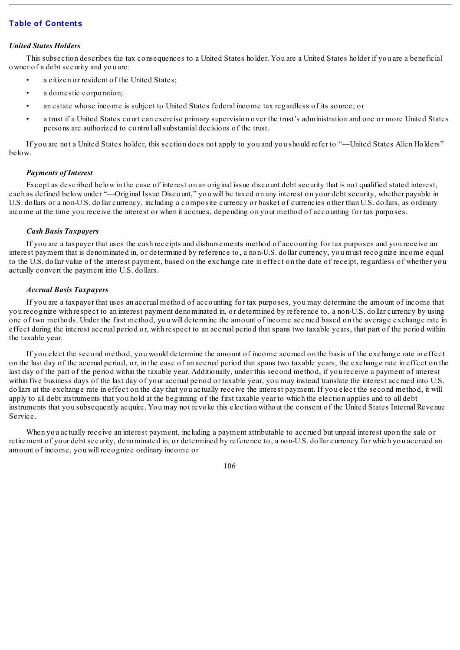#### *United States Holders*

This subsection describes the tax consequences to a United States holder. You are a United States holder if you are a beneficial owner of a debt security and you are:

- a citizen or resident of the United States;
- a domestic corporation:
- an estate whose income is subject to United States federal income tax regardless of its source; or
- a trust if a United States court can exercise primary supervision over the trust's administration and one or more United States persons are authorized to control allsubstantial decisions of the trust.

If you are not a United States holder, this section does not apply to you and you should refer to "—United States Alien Holders" below.

### *Payments of Interest*

Except as described below in the case of interest on an original issue discount debt security that is not qualified stated interest, each as defined below under "—Original Issue Discount," you will be taxed on any interest on your debt security, whether payable in U.S. dollars or a non-U.S. dollar currency, including a composite currency or basket of currencies other than U.S. dollars, as ordinary income at the time you receive the interest or when it accrues, depending on your method of accounting for tax purposes.

## *Cash Basis Taxpayers*

If you are a taxpayer that uses the cash receipts and disbursements method of accounting for tax purposes and you receive an interest payment that is denominated in, or determined by reference to, a non-U.S. dollar currency, you must recognize income equal to the U.S. dollar value of the interest payment, based on the exchange rate in effect on the date of receipt, regardless of whether you actually convert the payment into U.S. dollars.

### *Accrual Basis Taxpayers*

If you are a taxpayer that uses an accrual method of accounting for tax purposes, you may determine the amount of income that you recognize with respect to an interest payment denominated in, or determined by reference to, a non-U.S. dollar currency by using one of two methods. Under the first method, you will determine the amount of income accrued based on the average exchange rate in effect during the interest accrual period or, with respect to an accrual period that spans two taxable years, that part of the period within the taxable year.

If you elect the second method, you would determine the amount of income accrued on the basis of the exchange rate in effect on the last day of the accrual period, or, in the case of an accrual period that spans two taxable years, the exchange rate in effect on the last day of the part of the period within the taxable year. Additionally, under this second method, if you receive a payment of interest within five business days of the last day of your accrual period or taxable year, you may instead translate the interest accrued into U.S. dollars at the exchange rate in effect on the day that you actually receive the interest payment. If you elect the second method, it will apply to all debt instruments that you hold at the beginning of the first taxable year to which the election applies and to all debt instruments that you subsequently acquire. You may not revoke this election without the consent of the United States Internal Revenue Service.

When you actually receive an interest payment, including a payment attributable to accrued but unpaid interest upon the sale or retirement of your debt security, denominated in, or determined by reference to, a non-U.S. dollar currency for which you accrued an amount of income, you will recognize ordinary income or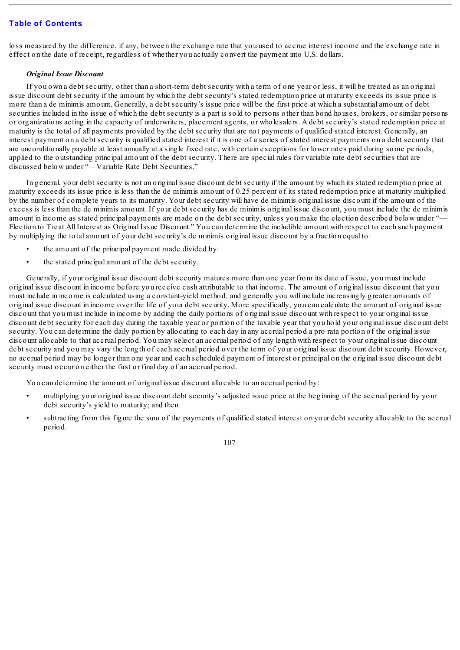loss measured by the difference, if any, between the exchange rate that you used to accrue interest income and the exchange rate in effect on the date of receipt, regardless of whether you actually convert the payment into U.S. dollars.

## *Original Issue Discount*

If you own a debt security, other than a short-term debt security with a term of one year or less, it will be treated as an original issue discount debt security if the amount by which the debt security's stated redemption price at maturity exceeds its issue price is more than a de minimis amount. Generally, a debt security's issue price will be the first price at which a substantial amount of debt securities included in the issue of which the debt security is a part is sold to persons other than bond houses, brokers, or similar persons or organizations acting in the capacity of underwriters, placement agents, or wholesalers. A debt security's stated redemption price at maturity is the total of all payments provided by the debt security that are not payments of qualified stated interest. Generally, an interest payment on a debt security is qualified stated interest if it is one of a series of stated interest payments on a debt security that are unconditionally payable at least annually at a single fixed rate, with certain exceptions for lower rates paid during some periods, applied to the outstanding principal amount of the debt security. There are special rules for variable rate debt securities that are discussed below under "—Variable Rate Debt Securities."

In general, your debt security is not an original issue discount debt security if the amount by which its stated redemption price at maturity exceeds its issue price is less than the de minimis amount of 0.25 percent of its stated redemption price at maturity multiplied by the number of complete years to its maturity. Your debt security will have de minimis original issue discount if the amount of the excess is less than the de minimis amount. If your debt security has de minimis original issue discount, you must include the de minimis amount in income as stated principal payments are made on the debt security, unless you make the election described below under "-Election to Treat All Interest as Original Issue Discount." You can determine the includible amount with respect to each such payment by multiplying the total amount of your debt security's de minimis original issue discount by a fraction equal to:

- the amount of the principal payment made divided by:
- the stated principal amount of the debt security.

Generally, if your original issue discount debt security matures more than one year from its date of issue, you must include original issue discount in income before you receive cash attributable to that income. The amount of original issue discount that you must include in income is calculated using a constant-yield method, and generally you will include increasingly greater amounts of original issue discount in income over the life of your debt security. More specifically, you can calculate the amount of original issue discount that you must include in income by adding the daily portions of original issue discount with respect to your original issue discount debt security for each day during the taxable year or portion of the taxable year that you hold your original issue discount debt security. You can determine the daily portion by allocating to each day in any accrual period a pro rata portion of the original issue discount allocable to that accrual period. You may select an accrual period of any length with respect to your original issue discount debt security and you may vary the length of each accrual period over the term of your original issue discount debt security. However, no accrual period may be longer than one year and each scheduled payment of interest or principal on the original issue discount debt security must occur on either the first or final day of an accrual period.

You can determine the amount of original issue discount allocable to an accrual period by:

- multiplying your original issue discount debt security's adjusted issue price at the beginning of the accrual period by your debt security's yield to maturity; and then
- subtracting from this figure the sum of the payments of qualified stated interest on your debt security allocable to the accrual period.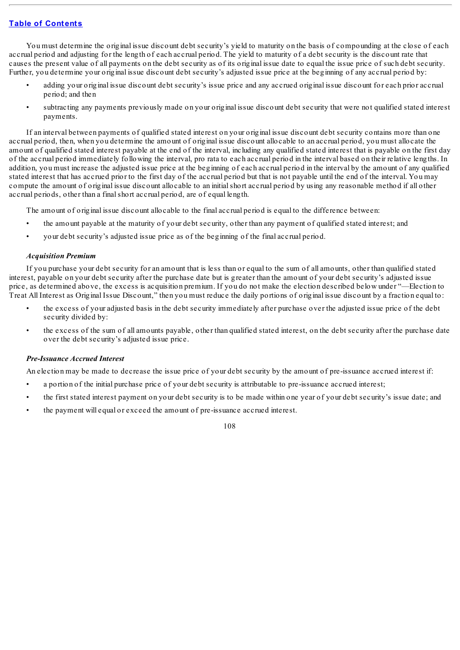You must determine the original issue discount debt security's yield to maturity on the basis of compounding at the close of each accrual period and adjusting for the length of each accrual period. The yield to maturity of a debt security is the discount rate that causes the present value of all payments on the debt security as of its original issue date to equal the issue price of such debt security. Further, you determine your original issue discount debt security's adjusted issue price at the beginning of any accrual period by:

- adding your original issue discount debt security's issue price and any accrued original issue discount for each prior accrual period; and then
- subtracting any payments previously made on your original issue discount debt security that were not qualified stated interest payments.

If an interval between payments of qualified stated interest on your original issue discount debt security contains more than one accrual period, then, when you determine the amount of original issue discount allocable to an accrual period, you must allocate the amount of qualified stated interest payable at the end of the interval, including any qualified stated interest that is payable on the first day of the accrual period immediately following the interval, pro rata to each accrual period in the interval based on their relative lengths. In addition, you must increase the adjusted issue price at the beginning of each accrual period in the interval by the amount of any qualified stated interest that has accrued prior to the first day of the accrual period but that is not payable until the end of the interval. You may compute the amount of original issue discount allocable to an initialshort accrual period by using any reasonable method if all other accrual periods, other than a finalshort accrual period, are of equal length.

The amount of original issue discount allocable to the final accrual period is equal to the difference between:

- the amount payable at the maturity of your debt security, other than any payment of qualified stated interest; and
- your debt security's adjusted issue price as of the beginning of the final accrual period.

## *Acquisition Premium*

If you purchase your debt security for an amount that is less than or equal to the sum of all amounts, other than qualified stated interest, payable on your debt security after the purchase date but is greater than the amount of your debt security's adjusted issue price, as determined above, the excess is acquisition premium. If you do not make the election described below under "—Election to Treat All Interest as Original Issue Discount," then you must reduce the daily portions of original issue discount by a fraction equal to:

- the excess of your adjusted basis in the debt security immediately after purchase over the adjusted issue price of the debt security divided by:
- the excess of the sum of all amounts payable, other than qualified stated interest, on the debt security after the purchase date over the debt security's adjusted issue price.

## *Pre-Issuance Accrued Interest*

An election may be made to decrease the issue price of your debt security by the amount of pre-issuance accrued interest if:

- a portion of the initial purchase price of your debt security is attributable to pre-issuance accrued interest;
- the first stated interest payment on your debt security is to be made within one year of your debt security's issue date; and
- the payment will equal or exceed the amount of pre-issuance accrued interest.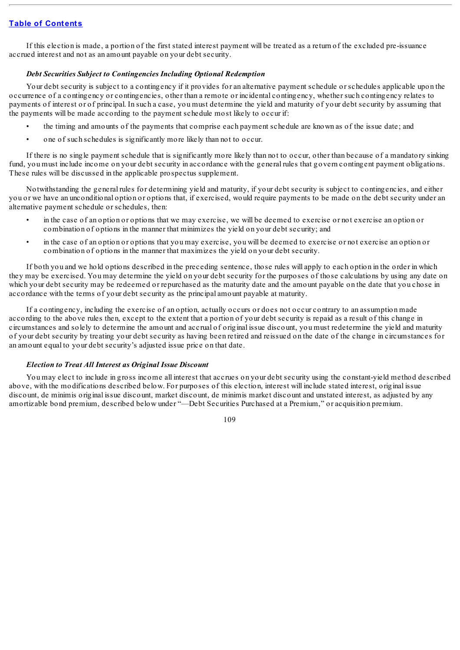If this election is made, a portion of the first stated interest payment will be treated as a return of the excluded pre-issuance accrued interest and not as an amount payable on your debt security.

## *Debt Securities Subject to Contingencies Including Optional Redemption*

Your debt security is subject to a contingency if it provides for an alternative payment schedule or schedules applicable upon the occurrence of a contingency or contingencies, other than a remote or incidental contingency, whether such contingency relates to payments of interest or of principal. In such a case, you must determine the yield and maturity of your debt security by assuming that the payments will be made according to the payment schedule most likely to occur if:

- the timing and amounts of the payments that comprise each payment schedule are known as of the issue date; and
- one of such schedules is significantly more likely than not to occur.

If there is no single payment schedule that is significantly more likely than not to occur, other than because of a mandatory sinking fund, you must include income on your debt security in accordance with the general rules that govern contingent payment obligations. These rules will be discussed in the applicable prospectus supplement.

Notwithstanding the general rules for determining yield and maturity, if your debt security is subject to contingencies, and either you or we have an unconditional option or options that, if exercised, would require payments to be made on the debt security under an alternative payment schedule or schedules, then:

- in the case of an option or options that we may exercise, we will be deemed to exercise or not exercise an option or combination of options in the manner that minimizes the yield on your debt security; and
- in the case of an option or options that you may exercise, you will be deemed to exercise or not exercise an option or combination of options in the manner that maximizes the yield on your debt security.

If both you and we hold options described in the preceding sentence, those rules will apply to each option in the order in which they may be exercised. You may determine the yield on your debt security for the purposes of those calculations by using any date on which your debt security may be redeemed or repurchased as the maturity date and the amount payable on the date that you chose in accordance with the terms of your debt security as the principal amount payable at maturity.

If a contingency, including the exercise of an option, actually occurs or does not occur contrary to an assumption made according to the above rules then, except to the extent that a portion of your debt security is repaid as a result of this change in circumstances and solely to determine the amount and accrual of original issue discount, you must redetermine the yield and maturity of your debt security by treating your debt security as having been retired and reissued on the date of the change in circumstances for an amount equal to your debt security's adjusted issue price on that date.

#### *Election to Treat All Interest as Original Issue Discount*

You may elect to include in gross income all interest that accrues on your debt security using the constant-yield method described above, with the modifications described below. For purposes of this election, interest will include stated interest, original issue discount, de minimis original issue discount, market discount, de minimis market discount and unstated interest, as adjusted by any amortizable bond premium, described below under "—Debt Securities Purchased at a Premium," or acquisition premium.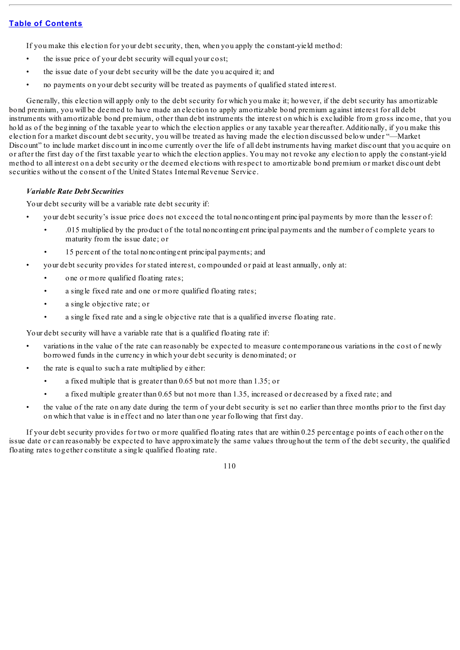If you make this election for your debt security, then, when you apply the constant-yield method:

- the issue price of your debt security will equal your cost;
- the issue date of your debt security will be the date you acquired it; and
- no payments on your debt security will be treated as payments of qualified stated interest.

Generally, this election will apply only to the debt security for which you make it; however, if the debt security has amortizable bond premium, you will be deemed to have made an election to apply amortizable bond premium against interest for all debt instruments with amortizable bond premium, other than debt instruments the interest on which is excludible from gross income, that you hold as of the beginning of the taxable year to which the election applies or any taxable year thereafter. Additionally, if you make this election for a market discount debt security, you will be treated as having made the election discussed below under "—Market Discount" to include market discount in income currently over the life of all debt instruments having market discount that you acquire on or after the first day of the first taxable year to which the election applies. You may not revoke any election to apply the constant-yield method to all interest on a debt security or the deemed elections with respect to amortizable bond premium or market discount debt securities without the consent of the United States Internal Revenue Service.

#### *Variable Rate Debt Securities*

Your debt security will be a variable rate debt security if:

- your debt security's issue price does not exceed the total noncontingent principal payments by more than the lesser of:
	- .015 multiplied by the product of the total noncontingent principal payments and the number of complete years to maturity from the issue date; or
	- 15 percent of the total noncontingent principal payments; and
- your debt security provides for stated interest, compounded or paid at least annually, only at:
	- one or more qualified floating rates;
	- a single fixed rate and one or more qualified floating rates;
	- a single objective rate; or
	- a single fixed rate and a single objective rate that is a qualified inverse floating rate.

Your debt security will have a variable rate that is a qualified floating rate if:

- variations in the value of the rate can reasonably be expected to measure contemporaneous variations in the cost of newly borrowed funds in the currency in which your debt security is denominated; or
- the rate is equal to such a rate multiplied by either:
	- a fixed multiple that is greater than 0.65 but not more than 1.35; or
	- a fixed multiple greater than 0.65 but not more than 1.35, increased or decreased by a fixed rate; and
	- the value of the rate on any date during the term of your debt security is set no earlier than three months prior to the first day on which that value is in effect and no later than one year following that first day.

If your debt security provides for two or more qualified floating rates that are within 0.25 percentage points of each other on the issue date or can reasonably be expected to have approximately the same values throughout the term of the debt security, the qualified floating rates together constitute a single qualified floating rate.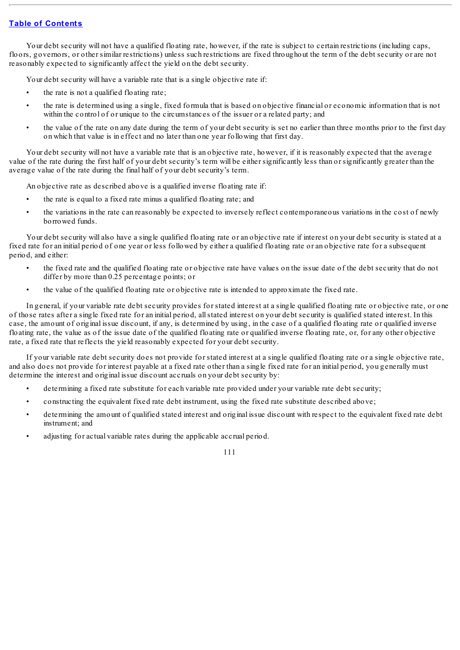Your debt security will not have a qualified floating rate, however, if the rate is subject to certain restrictions (including caps, floors, governors, or other similar restrictions) unless such restrictions are fixed throughout the term of the debt security or are not reasonably expected to significantly affect the yield on the debt security.

Your debt security will have a variable rate that is a single objective rate if:

- the rate is not a qualified floating rate;
- the rate is determined using a single, fixed formula that is based on objective financial or economic information that is not within the control of or unique to the circumstances of the issuer or a related party; and
- the value of the rate on any date during the term of your debt security is set no earlier than three months prior to the first day on which that value is in effect and no later than one year following that first day.

Your debt security will not have a variable rate that is an objective rate, however, if it is reasonably expected that the average value of the rate during the first half of your debt security's term will be either significantly less than or significantly greater than the average value of the rate during the final half of your debt security's term.

An objective rate as described above is a qualified inverse floating rate if:

- the rate is equal to a fixed rate minus a qualified floating rate; and
- the variations in the rate can reasonably be expected to inversely reflect contemporaneous variations in the cost of newly borrowed funds.

Your debt security will also have a single qualified floating rate or an objective rate if interest on your debt security is stated at a fixed rate for an initial period of one year or less followed by either a qualified floating rate or an objective rate for a subsequent period, and either:

- the fixed rate and the qualified floating rate or objective rate have values on the issue date of the debt security that do not differ by more than 0.25 percentage points; or
- the value of the qualified floating rate or objective rate is intended to approximate the fixed rate.

In general, if your variable rate debt security provides for stated interest at a single qualified floating rate or objective rate, or one of those rates after a single fixed rate for an initial period, allstated interest on your debt security is qualified stated interest. In this case, the amount of original issue discount, if any, is determined by using, in the case of a qualified floating rate or qualified inverse floating rate, the value as of the issue date of the qualified floating rate or qualified inverse floating rate, or, for any other objective rate, a fixed rate that reflects the yield reasonably expected for your debt security.

If your variable rate debt security does not provide for stated interest at a single qualified floating rate or a single objective rate, and also does not provide for interest payable at a fixed rate other than a single fixed rate for an initial period, you generally must determine the interest and original issue discount accruals on your debt security by:

- determining a fixed rate substitute for each variable rate provided under your variable rate debt security;
- constructing the equivalent fixed rate debt instrument, using the fixed rate substitute described above;
- determining the amount of qualified stated interest and original issue discount with respect to the equivalent fixed rate debt instrument; and
- adjusting for actual variable rates during the applicable accrual period.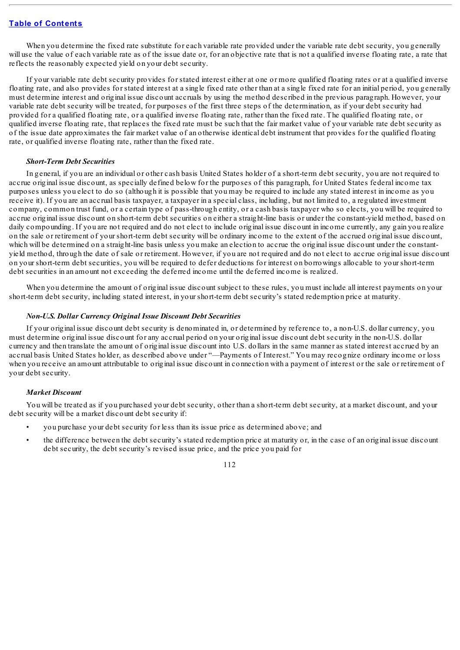When you determine the fixed rate substitute for each variable rate provided under the variable rate debt security, you generally will use the value of each variable rate as of the issue date or, for an objective rate that is not a qualified inverse floating rate, a rate that reflects the reasonably expected yield on your debt security.

If your variable rate debt security provides for stated interest either at one or more qualified floating rates or at a qualified inverse floating rate, and also provides for stated interest at a single fixed rate other than at a single fixed rate for an initial period, you generally must determine interest and original issue discount accruals by using the method described in the previous paragraph. However, your variable rate debt security will be treated, for purposes of the first three steps of the determination, as if your debt security had provided for a qualified floating rate, or a qualified inverse floating rate, rather than the fixed rate. The qualified floating rate, or qualified inverse floating rate, that replaces the fixed rate must be such that the fair market value of your variable rate debt security as of the issue date approximates the fair market value of an otherwise identical debt instrument that provides for the qualified floating rate, or qualified inverse floating rate, rather than the fixed rate.

## *Short-Term Debt Securities*

In general, if you are an individual or other cash basis United States holder of a short-term debt security, you are not required to accrue original issue discount, as specially defined below for the purposes of this paragraph, for United States federal income tax purposes unless you elect to do so (although it is possible that you may be required to include any stated interest in income as you receive it). If you are an accrual basis taxpayer, a taxpayer in a special class, including, but not limited to, a regulated investment company, common trust fund, or a certain type of pass-through entity, or a cash basis taxpayer who so elects, you will be required to accrue original issue discount on short-term debt securities on either a straight-line basis or under the constant-yield method, based on daily compounding. If you are not required and do not elect to include original issue discount in income currently, any gain you realize on the sale or retirement of your short-term debt security will be ordinary income to the extent of the accrued original issue discount, which will be determined on a straight-line basis unless you make an election to accrue the original issue discount under the constantyield method, through the date of sale or retirement. However, if you are not required and do not elect to accrue original issue discount on your short-term debt securities, you will be required to defer deductions for interest on borrowings allocable to your short-term debt securities in an amount not exceeding the deferred income until the deferred income is realized.

When you determine the amount of original issue discount subject to these rules, you must include all interest payments on your short-term debt security, including stated interest, in your short-term debt security's stated redemption price at maturity.

#### *Non-U.S. Dollar Currency Original Issue Discount Debt Securities*

If your original issue discount debt security is denominated in, or determined by reference to, a non-U.S. dollar currency, you must determine original issue discount for any accrual period on your original issue discount debt security in the non-U.S. dollar currency and then translate the amount of original issue discount into U.S. dollars in the same manner as stated interest accrued by an accrual basis United States holder, as described above under "—Payments of Interest." You may recognize ordinary income or loss when you receive an amount attributable to original issue discount in connection with a payment of interest or the sale or retirement of your debt security.

## *Market Discount*

You will be treated as if you purchased your debt security, other than a short-term debt security, at a market discount, and your debt security will be a market discount debt security if:

- you purchase your debt security for less than its issue price as determined above; and
- the difference between the debt security's stated redemption price at maturity or, in the case of an original issue discount debt security, the debt security's revised issue price, and the price you paid for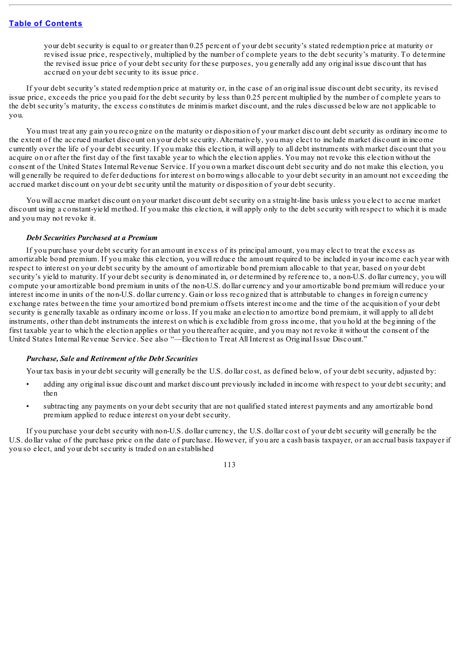your debt security is equal to or greater than 0.25 percent of your debt security's stated redemption price at maturity or revised issue price, respectively, multiplied by the number of complete years to the debt security's maturity. To determine the revised issue price of your debt security for these purposes, you generally add any original issue discount that has accrued on your debt security to its issue price.

If your debt security's stated redemption price at maturity or, in the case of an original issue discount debt security, its revised issue price, exceeds the price you paid for the debt security by less than 0.25 percent multiplied by the number of complete years to the debt security's maturity, the excess constitutes de minimis market discount, and the rules discussed below are not applicable to you.

You must treat any gain you recognize on the maturity or disposition of your market discount debt security as ordinary income to the extent of the accrued market discount on your debt security. Alternatively, you may elect to include market discount in income currently over the life of your debt security. If you make this election, it will apply to all debt instruments with market discount that you acquire on or after the first day of the first taxable year to which the election applies. You may not revoke this election without the consent of the United States Internal Revenue Service. If you own a market discount debt security and do not make this election, you will generally be required to defer deductions for interest on borrowings allocable to your debt security in an amount not exceeding the accrued market discount on your debt security until the maturity or disposition of your debt security.

You will accrue market discount on your market discount debt security on a straight-line basis unless you elect to accrue market discount using a constant-yield method. If you make this election, it will apply only to the debt security with respect to which it is made and you may not revoke it.

#### *Debt Securities Purchased at a Premium*

If you purchase your debt security for an amount in excess of its principal amount, you may elect to treat the excess as amortizable bond premium. If you make this election, you will reduce the amount required to be included in your income each year with respect to interest on your debt security by the amount of amortizable bond premium allocable to that year, based on your debt security's yield to maturity. If your debt security is denominated in, or determined by reference to, a non-U.S. dollar currency, you will compute your amortizable bond premium in units of the non-U.S. dollar currency and your amortizable bond premium will reduce your interest income in units of the non-U.S. dollar currency. Gain or loss recognized that is attributable to changes in foreign currency exchange rates between the time your amortized bond premium offsets interest income and the time of the acquisition of your debt security is generally taxable as ordinary income or loss. If you make an election to amortize bond premium, it will apply to all debt instruments, other than debt instruments the interest on which is excludible from gross income, that you hold at the beginning of the first taxable year to which the election applies or that you thereafter acquire, and you may not revoke it without the consent of the United States Internal Revenue Service. See also "—Election to Treat All Interest as Original Issue Discount."

#### *Purchase, Sale and Retirement of the Debt Securities*

Your tax basis in your debt security will generally be the U.S. dollar cost, as defined below, of your debt security, adjusted by:

- adding any original issue discount and market discount previously included in income with respect to your debt security; and then
- subtracting any payments on your debt security that are not qualified stated interest payments and any amortizable bond premium applied to reduce interest on your debt security.

If you purchase your debt security with non-U.S. dollar currency, the U.S. dollar cost of your debt security will generally be the U.S. dollar value of the purchase price on the date of purchase. However, if you are a cash basis taxpayer, or an accrual basis taxpayer if you so elect, and your debt security is traded on an established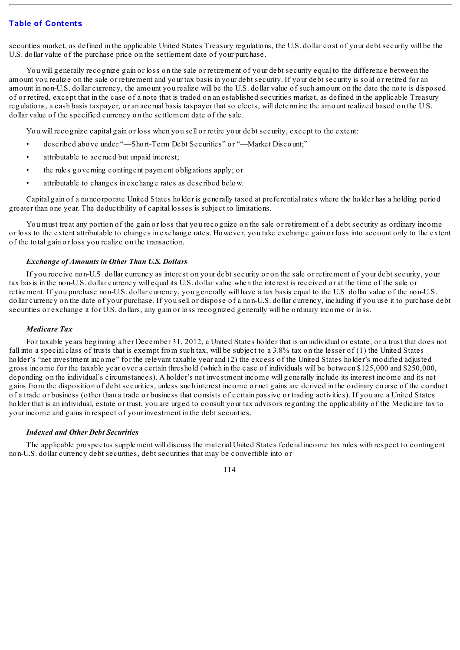securities market, as defined in the applicable United States Treasury regulations, the U.S. dollar cost of your debt security will be the U.S. dollar value of the purchase price on the settlement date of your purchase.

You will generally recognize gain or loss on the sale or retirement of your debt security equal to the difference between the amount you realize on the sale or retirement and your tax basis in your debt security. If your debt security is sold or retired for an amount in non-U.S. dollar currency, the amount you realize will be the U.S. dollar value of such amount on the date the note is disposed of or retired, except that in the case of a note that is traded on an established securities market, as defined in the applicable Treasury regulations, a cash basis taxpayer, or an accrual basis taxpayer that so elects, will determine the amount realized based on the U.S. dollar value of the specified currency on the settlement date of the sale.

You will recognize capital gain or loss when you sell or retire your debt security, except to the extent:

- described above under "—Short-Term Debt Securities" or "—Market Discount;"
- attributable to accrued but unpaid interest;
- the rules governing contingent payment obligations apply; or
- attributable to changes in exchange rates as described below.

Capital gain of a noncorporate United States holder is generally taxed at preferential rates where the holder has a holding period greater than one year. The deductibility of capital losses is subject to limitations.

You must treat any portion of the gain or loss that you recognize on the sale or retirement of a debt security as ordinary income or loss to the extent attributable to changes in exchange rates. However, you take exchange gain or loss into account only to the extent of the total gain or loss you realize on the transaction.

#### *Exchange of Amounts in Other Than U.S. Dollars*

If you receive non-U.S. dollar currency as interest on your debt security or on the sale or retirement of your debt security, your tax basis in the non-U.S. dollar currency will equal its U.S. dollar value when the interest is received or at the time of the sale or retirement. If you purchase non-U.S. dollar currency, you generally will have a tax basis equal to the U.S. dollar value of the non-U.S. dollar currency on the date of your purchase. If you sell or dispose of a non-U.S. dollar currency, including if you use it to purchase debt securities or exchange it for U.S. dollars, any gain or loss recognized generally will be ordinary income or loss.

#### *Medicare Tax*

For taxable years beginning after December 31, 2012, a United States holder that is an individual or estate, or a trust that does not fall into a special class of trusts that is exempt from such tax, will be subject to a 3.8% tax on the lesser of (1) the United States holder's "net investment income" for the relevant taxable year and (2) the excess of the United States holder's modified adjusted gross income for the taxable year over a certain threshold (which in the case of individuals will be between \$125,000 and \$250,000, depending on the individual's circumstances). A holder's net investment income will generally include its interest income and its net gains from the disposition of debt securities, unless such interest income or net gains are derived in the ordinary course of the conduct of a trade or business (other than a trade or business that consists of certain passive or trading activities). If you are a United States holder that is an individual, estate or trust, you are urged to consult your tax advisors regarding the applicability of the Medicare tax to your income and gains in respect of your investment in the debt securities.

#### *Indexed and Other Debt Securities*

The applicable prospectus supplement will discuss the material United States federal income tax rules with respect to contingent non-U.S. dollar currency debt securities, debt securities that may be convertible into or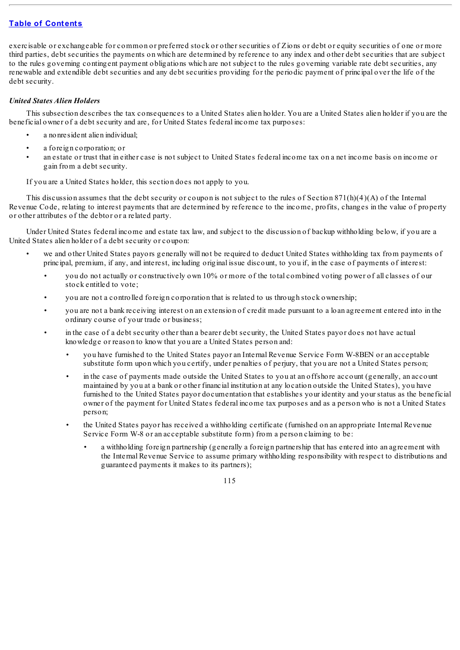exercisable or exchangeable for common or preferred stock or other securities of Zions or debt or equity securities of one or more third parties, debt securities the payments on which are determined by reference to any index and other debt securities that are subject to the rules governing contingent payment obligations which are not subject to the rules governing variable rate debt securities, any renewable and extendible debt securities and any debt securities providing for the periodic payment of principal over the life of the debt security.

# *United States Alien Holders*

This subsection describes the tax consequences to a United States alien holder. You are a United States alien holder if you are the beneficial owner of a debt security and are, for United States federal income tax purposes:

- a no nresident alien individual:
- a foreign corporation; or
- an estate or trust that in either case is not subject to United States federal income tax on a net income basis on income or gain from a debt security.

If you are a United States holder, this section does not apply to you.

This discussion assumes that the debt security or coupon is not subject to the rules of Section 871(h)(4)(A) of the Internal Revenue Code, relating to interest payments that are determined by reference to the income, profits, changes in the value of property or other attributes of the debtor or a related party.

Under United States federal income and estate tax law, and subject to the discussion of backup withholding below, if you are a United States alien holder of a debt security or coupon:

- we and other United States payors generally will not be required to deduct United States withholding tax from payments of principal, premium, if any, and interest, including original issue discount, to you if, in the case of payments of interest:
	- you do not actually or constructively own 10% or more of the total combined voting power of all classes of our stock entitled to vote;
	- you are not a controlled foreign corporation that is related to us through stock ownership;
	- you are not a bank receiving interest on an extension of credit made pursuant to a loan agreement entered into in the ordinary course of your trade or business;
	- in the case of a debt security other than a bearer debt security, the United States payor does not have actual knowledge or reason to know that you are a United States person and:
		- you have furnished to the United States payor an Internal Revenue Service Form W-8BEN or an acceptable substitute form upon which you certify, under penalties of perjury, that you are not a United States person;
		- in the case of payments made outside the United States to you at an offshore account (generally, an account maintained by you at a bank or other financial institution at any location outside the United States), you have furnished to the United States payor documentation that establishes your identity and your status as the beneficial owner of the payment for United States federal income tax purposes and as a person who is not a United States person;
		- the United States payor has received a withholding certificate (furnished on an appropriate Internal Revenue Service Form W-8 or an acceptable substitute form) from a person claiming to be:
			- a withholding foreign partnership (generally a foreign partnership that has entered into an agreement with the Internal Revenue Service to assume primary withholding responsibility with respect to distributions and guaranteed payments it makes to its partners);

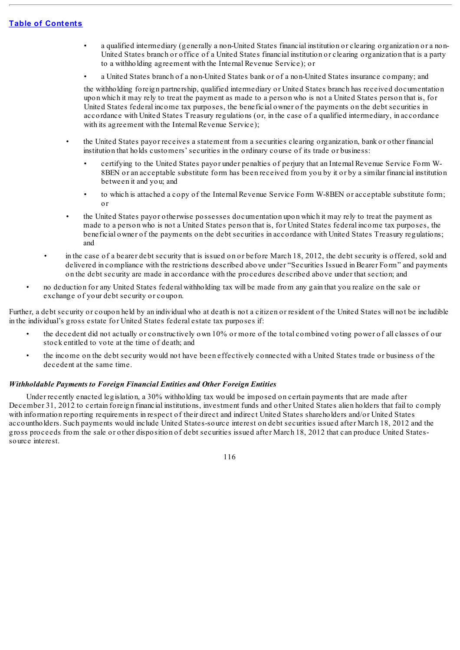- a qualified intermediary (generally a non-United States financial institution or clearing organization or a non-United States branch or office of a United States financial institution or clearing organization that is a party to a withholding agreement with the Internal Revenue Service); or
- a United States branch of a non-United States bank or of a non-United States insurance company; and

the withholding foreign partnership, qualified intermediary or United States branch has received documentation upon which it may rely to treat the payment as made to a person who is not a United States person that is, for United States federal income tax purposes, the beneficial owner of the payments on the debt securities in accordance with United States Treasury regulations (or, in the case of a qualified intermediary, in accordance with its agreement with the Internal Revenue Service);

- the United States payor receives a statement from a securities clearing organization, bank or other financial institution that holds customers' securities in the ordinary course of its trade or business:
	- certifying to the United States payor under penalties of perjury that an Internal Revenue Service Form W-8BEN or an acceptable substitute form has been received from you by it or by a similar financial institution between it and you; and
	- to which is attached a copy of the Internal Revenue Service Form W-8BEN or acceptable substitute form; or
- the United States payor otherwise possesses documentation upon which it may rely to treat the payment as made to a person who is not a United States person that is, for United States federal income tax purposes, the beneficial owner of the payments on the debt securities in accordance with United States Treasury regulations; and
- in the case of a bearer debt security that is issued on or before March 18, 2012, the debt security is offered, sold and delivered in compliance with the restrictions described above under "Securities Issued in Bearer Form" and payments on the debt security are made in accordance with the procedures described above under that section; and
- no deduction for any United States federal withholding tax will be made from any gain that you realize on the sale or exchange of your debt security or coupon.

Further, a debt security or coupon held by an individual who at death is not a citizen or resident of the United States will not be includible in the individual's gross estate for United States federal estate tax purposes if:

- the decedent did not actually or constructively own 10% or more of the total combined voting power of all classes of our stock entitled to vote at the time of death; and
- the income on the debt security would not have been effectively connected with a United States trade or business of the decedent at the same time.

## *Withholdable Payments to Foreign Financial Entities and Other Foreign Entities*

Under recently enacted legislation, a 30% withholding tax would be imposed on certain payments that are made after December 31, 2012 to certain foreign financial institutions, investment funds and other United States alien holders that fail to comply with information reporting requirements in respect of their direct and indirect United States shareholders and/or United States accountholders. Such payments would include United States-source interest on debt securities issued after March 18, 2012 and the gross proceeds from the sale or other disposition of debt securities issued after March 18, 2012 that can produce United Statessource interest.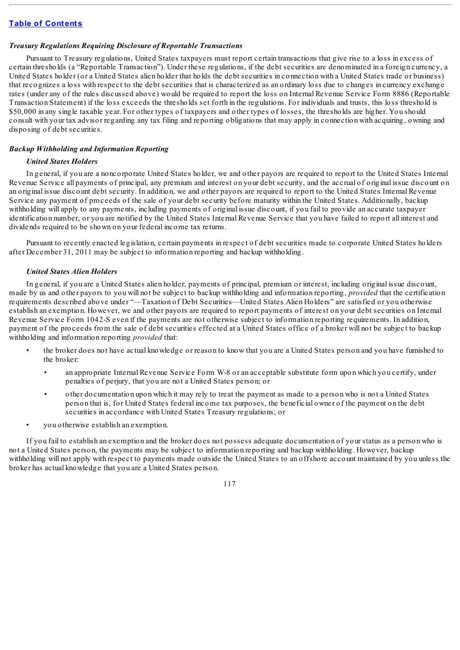## *Treasury Regulations Requiring Disclosure of Reportable Transactions*

Pursuant to Treasury regulations, United States taxpayers must report certain transactions that give rise to a loss in excess of certain thresholds (a "Reportable Transaction"). Under these regulations, if the debt securities are denominated in a foreign currency, a United States holder (or a United States alien holder that holds the debt securities in connection with a United States trade or business) that recognizes a loss with respect to the debt securities that is characterized as an ordinary loss due to changes in currency exchange rates (under any of the rules discussed above) would be required to report the loss on Internal Revenue Service Form 8886 (Reportable Transaction Statement) if the loss exceeds the thresholds set forth in the regulations. For individuals and trusts, this loss threshold is \$50,000 in any single taxable year. For other types of taxpayers and other types of losses, the thresholds are higher. You should consult with your tax advisor regarding any tax filing and reporting obligations that may apply in connection with acquiring, owning and disposing of debt securities.

## *Backup Withholding and Information Reporting*

# *United States Holders*

In general, if you are a noncorporate United States holder, we and other payors are required to report to the United States Internal Revenue Service all payments of principal, any premium and interest on your debt security, and the accrual of original issue discount on an original issue discount debt security. In addition, we and other payors are required to report to the United States Internal Revenue Service any payment of proceeds of the sale of your debt security before maturity within the United States. Additionally, backup withholding will apply to any payments, including payments of original issue discount, if you fail to provide an accurate taxpayer identification number, or you are notified by the United States Internal Revenue Service that you have failed to report all interest and dividends required to be shown on your federal income tax returns.

Pursuant to recently enacted legislation, certain payments in respect of debt securities made to corporate United States holders after December 31, 2011 may be subject to information reporting and backup withholding.

#### *United States Alien Holders*

In general, if you are a United States alien holder, payments of principal, premium or interest, including original issue discount, made by us and other payors to you will not be subject to backup withholding and information reporting, *provided* that the certification requirements described above under "—Taxation of Debt Securities—United States Alien Holders" are satisfied or you otherwise establish an exemption. However, we and other payors are required to report payments of interest on your debt securities on Internal Revenue Service Form 1042-S even if the payments are not otherwise subject to information reporting requirements. In addition, payment of the proceeds from the sale of debt securities effected at a United States office of a broker will not be subject to backup withholding and information reporting *provided* that:

- the broker does not have actual knowledge or reason to know that you are a United States person and you have furnished to the broker:
	- an appropriate Internal Revenue Service Form W-8 or an acceptable substitute form upon which you certify, under penalties of perjury, that you are not a United States person; or
	- other documentation upon which it may rely to treat the payment as made to a person who is not a United States person that is, for United States federal income tax purposes, the beneficial owner of the payment on the debt securities in accordance with United States Treasury regulations; or
- you otherwise establish an exemption.

If you fail to establish an exemption and the broker does not possess adequate documentation of your status as a person who is not a United States person, the payments may be subject to information reporting and backup withholding. However, backup withholding will not apply with respect to payments made outside the United States to an offshore account maintained by you unless the broker has actual knowledge that you are a United States person.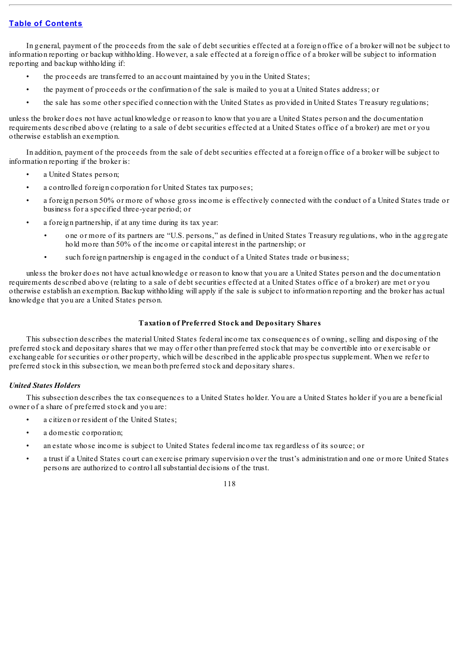In general, payment of the proceeds from the sale of debt securities effected at a foreign office of a broker will not be subject to information reporting or backup withholding. However, a sale effected at a foreign office of a broker will be subject to information reporting and backup withholding if:

- the proceeds are transferred to an account maintained by you in the United States;
- the payment of proceeds or the confirmation of the sale is mailed to you at a United States address; or
- the sale has some other specified connection with the United States as provided in United States Treasury regulations;

unless the broker does not have actual knowledge or reason to know that you are a United States person and the documentation requirements described above (relating to a sale of debt securities effected at a United States office of a broker) are met or you otherwise establish an exemption.

In addition, payment of the proceeds from the sale of debt securities effected at a foreign office of a broker will be subject to information reporting if the broker is:

- a United States person;
- a controlled foreign corporation for United States tax purposes;
- a foreign person 50% or more of whose gross income is effectively connected with the conduct of a United States trade or business for a specified three-year period; or
- a foreign partnership, if at any time during its tax year:
	- one or more of its partners are "U.S. persons," as defined in United States Treasury regulations, who in the aggregate hold more than 50% of the income or capital interest in the partnership; or
	- such foreign partnership is engaged in the conduct of a United States trade or business;

unless the broker does not have actual knowledge or reason to know that you are a United States person and the documentation requirements described above (relating to a sale of debt securities effected at a United States office of a broker) are met or you otherwise establish an exemption. Backup withholding will apply if the sale is subject to information reporting and the broker has actual knowledge that you are a United States person.

#### **Taxation of Preferred Stock and Depositary Shares**

This subsection describes the material United States federal income tax consequences of owning, selling and disposing of the preferred stock and depositary shares that we may offer other than preferred stock that may be convertible into or exercisable or exchangeable for securities or other property, which will be described in the applicable prospectus supplement. When we refer to preferred stock in this subsection, we mean both preferred stock and depositary shares.

## *United States Holders*

This subsection describes the tax consequences to a United States holder. You are a United States holder if you are a beneficial owner of a share of preferred stock and you are:

- a citizen or resident of the United States;
- a domestic corporation;
- an estate whose income is subject to United States federal income tax regardless of its source; or
- a trust if a United States court can exercise primary supervision over the trust's administration and one or more United States persons are authorized to control allsubstantial decisions of the trust.

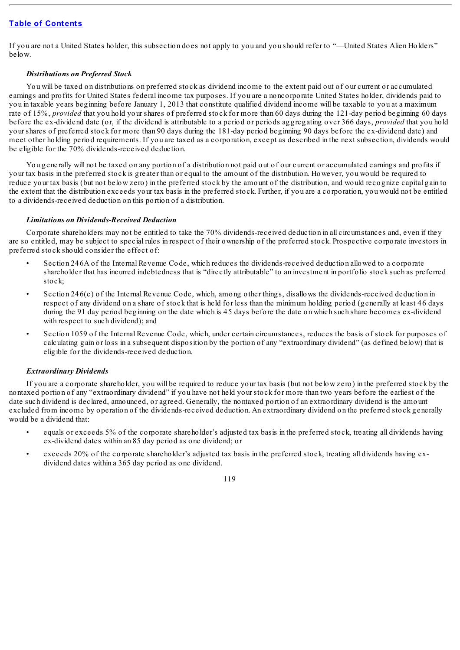If you are not a United States holder, this subsection does not apply to you and you should refer to "—United States Alien Holders" below.

## *Distributions on Preferred Stock*

You will be taxed on distributions on preferred stock as dividend income to the extent paid out of our current or accumulated earnings and profits for United States federal income tax purposes. If you are a noncorporate United States holder, dividends paid to you in taxable years beginning before January 1, 2013 that constitute qualified dividend income will be taxable to you at a maximum rate of 15%, *provided* that you hold your shares of preferred stock for more than 60 days during the 121-day period beginning 60 days before the ex-dividend date (or, if the dividend is attributable to a period or periods aggregating over 366 days, *provided* that you hold your shares of preferred stock for more than 90 days during the 181-day period beginning 90 days before the ex-dividend date) and meet other holding period requirements. If you are taxed as a corporation, except as described in the next subsection, dividends would be eligible for the 70% dividends-received deduction.

You generally will not be taxed on any portion of a distribution not paid out of our current or accumulated earnings and profits if your tax basis in the preferred stock is greater than or equal to the amount of the distribution. However, you would be required to reduce your tax basis (but not below zero) in the preferred stock by the amount of the distribution, and would recognize capital gain to the extent that the distribution exceeds your tax basis in the preferred stock. Further, if you are a corporation, you would not be entitled to a dividends-received deduction on this portion of a distribution.

# *Limitations on Dividends-Received Deduction*

Corporate shareholders may not be entitled to take the 70% dividends-received deduction in all circumstances and, even if they are so entitled, may be subject to special rules in respect of their ownership of the preferred stock. Prospective corporate investors in preferred stock should consider the effect of:

- Section 246A of the Internal Revenue Code, which reduces the dividends-received deduction allowed to a corporate shareholder that has incurred indebtedness that is "directly attributable" to an investment in portfolio stock such as preferred stock;
- Section  $246(c)$  of the Internal Revenue Code, which, among other things, disallows the dividends-received deduction in respect of any dividend on a share of stock that is held for less than the minimum holding period (generally at least 46 days during the 91 day period beginning on the date which is 45 days before the date on which such share becomes ex-dividend with respect to such dividend); and
- Section 1059 of the Internal Revenue Code, which, under certain circumstances, reduces the basis of stock for purposes of calculating gain or loss in a subsequent disposition by the portion of any "extraordinary dividend" (as defined below) that is eligible for the dividends-received deduction.

## *Extraordinary Dividends*

If you are a corporate shareholder, you will be required to reduce your tax basis (but not below zero) in the preferred stock by the nontaxed portion of any "extraordinary dividend" if you have not held your stock for more than two years before the earliest of the date such dividend is declared, announced, or agreed. Generally, the nontaxed portion of an extraordinary dividend is the amount excluded from income by operation of the dividends-received deduction. An extraordinary dividend on the preferred stock generally would be a dividend that:

- equals or exceeds 5% of the corporate shareholder's adjusted tax basis in the preferred stock, treating all dividends having ex-dividend dates within an 85 day period as one dividend; or
- exceeds 20% of the corporate shareholder's adjusted tax basis in the preferred stock, treating all dividends having exdividend dates within a 365 day period as one dividend.

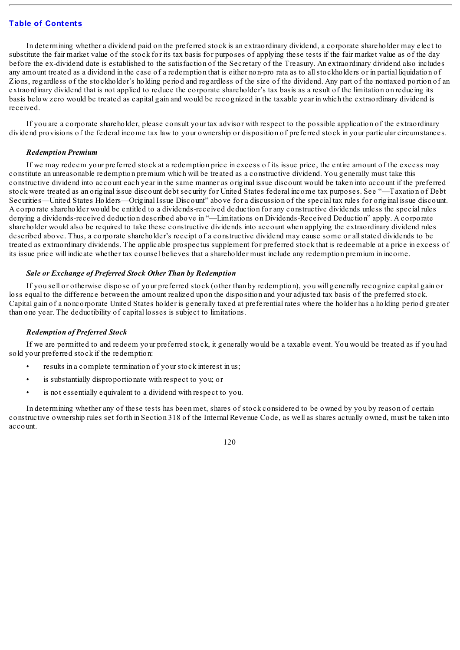In determining whether a dividend paid on the preferred stock is an extraordinary dividend, a corporate shareholder may elect to substitute the fair market value of the stock for its tax basis for purposes of applying these tests if the fair market value as of the day before the ex-dividend date is established to the satisfaction of the Secretary of the Treasury. An extraordinary dividend also includes any amount treated as a dividend in the case of a redemption that is either non-pro rata as to allstockholders or in partial liquidation of Zions, regardless of the stockholder's holding period and regardless of the size of the dividend. Any part of the nontaxed portion of an extraordinary dividend that is not applied to reduce the corporate shareholder's tax basis as a result of the limitation on reducing its basis below zero would be treated as capital gain and would be recognized in the taxable year in which the extraordinary dividend is received.

If you are a corporate shareholder, please consult your tax advisor with respect to the possible application of the extraordinary dividend provisions of the federal income tax law to your ownership or disposition of preferred stock in your particular circumstances.

## *Redemption Premium*

If we may redeem your preferred stock at a redemption price in excess of its issue price, the entire amount of the excess may constitute an unreasonable redemption premium which will be treated as a constructive dividend. You generally must take this constructive dividend into account each year in the same manner as original issue discount would be taken into account if the preferred stock were treated as an original issue discount debt security for United States federal income tax purposes. See "—Taxation of Debt Securities—United States Holders—Original Issue Discount" above for a discussion of the special tax rules for original issue discount. A corporate shareholder would be entitled to a dividends-received deduction for any constructive dividends unless the special rules denying a dividends-received deduction described above in "—Limitations on Dividends-Received Deduction" apply. A corporate shareholder would also be required to take these constructive dividends into account when applying the extraordinary dividend rules described above. Thus, a corporate shareholder's receipt of a constructive dividend may cause some or allstated dividends to be treated as extraordinary dividends. The applicable prospectus supplement for preferred stock that is redeemable at a price in excess of its issue price will indicate whether tax counsel believes that a shareholder must include any redemption premium in income.

## *Sale or Exchange of Preferred Stock Other Than by Redemption*

If you sell or otherwise dispose of your preferred stock (other than by redemption), you will generally recognize capital gain or loss equal to the difference between the amount realized upon the disposition and your adjusted tax basis of the preferred stock. Capital gain of a noncorporate United States holder is generally taxed at preferential rates where the holder has a holding period greater than one year. The deductibility of capital losses is subject to limitations.

## *Redemption of Preferred Stock*

If we are permitted to and redeem your preferred stock, it generally would be a taxable event. You would be treated as if you had sold your preferred stock if the redemption:

- results in a complete termination of your stock interest in us;
- is substantially disproportionate with respect to you; or
- is not essentially equivalent to a dividend with respect to you.

In determining whether any of these tests has been met, shares of stock considered to be owned by you by reason of certain constructive ownership rules set forth in Section 318 of the Internal Revenue Code, as well as shares actually owned, must be taken into account.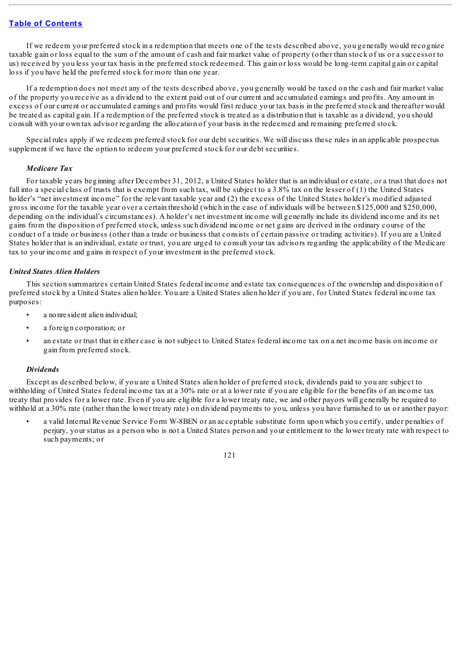If we redeem your preferred stock in a redemption that meets one of the tests described above, you generally would recognize taxable gain or loss equal to the sum of the amount of cash and fair market value of property (other than stock of us or a successor to us) received by you less your tax basis in the preferred stock redeemed. This gain or loss would be long-term capital gain or capital loss if you have held the preferred stock for more than one year.

If a redemption does not meet any of the tests described above, you generally would be taxed on the cash and fair market value of the property you receive as a dividend to the extent paid out of our current and accumulated earnings and profits. Any amount in excess of our current or accumulated earnings and profits would first reduce your tax basis in the preferred stock and thereafter would be treated as capital gain. If a redemption of the preferred stock is treated as a distribution that is taxable as a dividend, you should consult with your own tax advisor regarding the allocation of your basis in the redeemed and remaining preferred stock.

Special rules apply if we redeem preferred stock for our debt securities. We will discuss these rules in an applicable prospectus supplement if we have the option to redeem your preferred stock for our debt securities.

## *Medicare Tax*

For taxable years beginning after December 31, 2012, a United States holder that is an individual or estate, or a trust that does not fall into a special class of trusts that is exempt from such tax, will be subject to a 3.8% tax on the lesser of (1) the United States holder's "net investment income" for the relevant taxable year and (2) the excess of the United States holder's modified adjusted gross income for the taxable year over a certain threshold (which in the case of individuals will be between \$125,000 and \$250,000, depending on the individual's circumstances). A holder's net investment income will generally include its dividend income and its net gains from the disposition of preferred stock, unless such dividend income or net gains are derived in the ordinary course of the conduct of a trade or business (other than a trade or business that consists of certain passive or trading activities). If you are a United States holder that is an individual, estate or trust, you are urged to consult your tax advisors regarding the applicability of the Medicare tax to your income and gains in respect of your investment in the preferred stock.

## *United States Alien Holders*

This section summarizes certain United States federal income and estate tax consequences of the ownership and disposition of preferred stock by a United States alien holder. You are a United States alien holder if you are, for United States federal income tax purposes:

- a nonresident alien individual;
- a foreign corporation; or
- an estate or trust that in either case is not subject to United States federal income tax on a net income basis on income or gain from preferred stock.

## *Dividends*

Except as described below, if you are a United States alien holder of preferred stock, dividends paid to you are subject to withholding of United States federal income tax at a 30% rate or at a lower rate if you are eligible for the benefits of an income tax treaty that provides for a lower rate. Even if you are eligible for a lower treaty rate, we and other payors will generally be required to withhold at a 30% rate (rather than the lower treaty rate) on dividend payments to you, unless you have furnished to us or another payor:

• a valid Internal Revenue Service Form W-8BEN or an acceptable substitute form upon which you certify, under penalties of perjury, your status as a person who is not a United States person and your entitlement to the lower treaty rate with respect to such payments; or

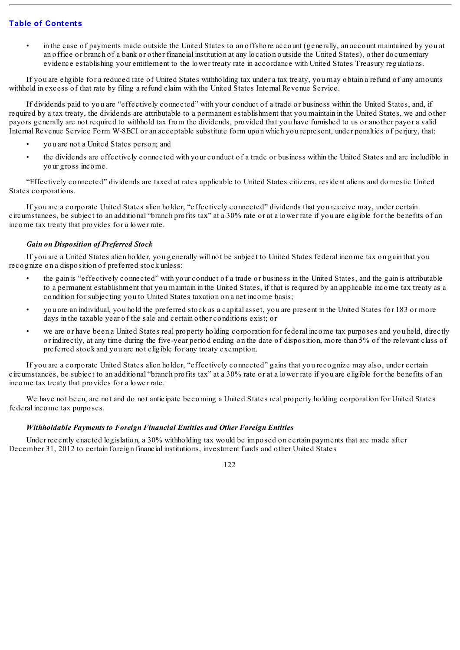• in the case of payments made outside the United States to an offshore account (generally, an account maintained by you at an office or branch of a bank or other financial institution at any location outside the United States), other documentary evidence establishing your entitlement to the lower treaty rate in accordance with United States Treasury regulations.

If you are eligible for a reduced rate of United States withholding tax under a tax treaty, you may obtain a refund of any amounts withheld in excess of that rate by filing a refund claim with the United States Internal Revenue Service.

If dividends paid to you are "effectively connected" with your conduct of a trade or business within the United States, and, if required by a tax treaty, the dividends are attributable to a permanent establishment that you maintain in the United States, we and other payors generally are not required to withhold tax from the dividends, provided that you have furnished to us or another payor a valid Internal Revenue Service Form W-8ECI or an acceptable substitute form upon which you represent, under penalties of perjury, that:

- you are not a United States person; and
- the dividends are effectively connected with your conduct of a trade or business within the United States and are includible in your gross income.

"Effectively connected" dividends are taxed at rates applicable to United States citizens, resident aliens and domestic United States corporations.

If you are a corporate United States alien holder, "effectively connected" dividends that you receive may, under certain circumstances, be subject to an additional "branch profits tax" at a 30% rate or at a lower rate if you are eligible for the benefits of an income tax treaty that provides for a lower rate.

## *Gain on Disposition of Preferred Stock*

If you are a United States alien holder, you generally will not be subject to United States federal income tax on gain that you recognize on a disposition of preferred stock unless:

- the gain is "effectively connected" with your conduct of a trade or business in the United States, and the gain is attributable to a permanent establishment that you maintain in the United States, if that is required by an applicable income tax treaty as a condition for subjecting you to United States taxation on a net income basis;
- you are an individual, you hold the preferred stock as a capital asset, you are present in the United States for 183 or more days in the taxable year of the sale and certain other conditions exist; or
- we are or have been a United States real property holding corporation for federal income tax purposes and you held, directly or indirectly, at any time during the five-year period ending on the date of disposition, more than 5% of the relevant class of preferred stock and you are not eligible for any treaty exemption.

If you are a corporate United States alien holder, "effectively connected" gains that you recognize may also, under certain circumstances, be subject to an additional "branch profits tax" at a 30% rate or at a lower rate if you are eligible for the benefits of an income tax treaty that provides for a lower rate.

We have not been, are not and do not anticipate becoming a United States real property holding corporation for United States federal income tax purposes.

## *Withholdable Payments to Foreign Financial Entities and Other Foreign Entities*

Under recently enacted legislation, a 30% withholding tax would be imposed on certain payments that are made after December 31, 2012 to certain foreign financial institutions, investment funds and other United States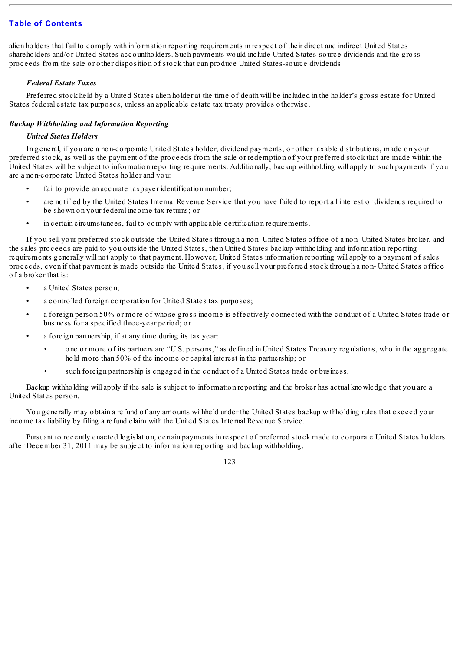alien holders that fail to comply with information reporting requirements in respect of their direct and indirect United States shareholders and/or United States accountholders. Such payments would include United States-source dividends and the gross proceeds from the sale or other disposition of stock that can produce United States-source dividends.

# *Federal Estate Taxes*

Preferred stock held by a United States alien holder at the time of death will be included in the holder's gross estate for United States federal estate tax purposes, unless an applicable estate tax treaty provides otherwise.

# *Backup Withholding and Information Reporting*

# *United States Holders*

In general, if you are a non-corporate United States holder, dividend payments, or other taxable distributions, made on your preferred stock, as well as the payment of the proceeds from the sale or redemption of your preferred stock that are made within the United States will be subject to information reporting requirements. Additionally, backup withholding will apply to such payments if you are a non-corporate United States holder and you:

- fail to provide an accurate taxpayer identification number;
- are notified by the United States Internal Revenue Service that you have failed to report all interest or dividends required to be shown on your federal income tax returns; or
- in certain circumstances, fail to comply with applicable certification requirements.

If you sell your preferred stock outside the United States through a non- United States office of a non- United States broker, and the sales proceeds are paid to you outside the United States, then United States backup withholding and information reporting requirements generally will not apply to that payment. However, United States information reporting will apply to a payment of sales proceeds, even if that payment is made outside the United States, if you sell your preferred stock through a non- United States office of a broker that is:

- a United States person:
- a controlled foreign corporation for United States tax purposes;
- a foreign person 50% or more of whose gross income is effectively connected with the conduct of a United States trade or business for a specified three-year period; or
- a foreign partnership, if at any time during its tax year:
	- one or more of its partners are "U.S. persons," as defined in United States Treasury regulations, who in the aggregate hold more than 50% of the income or capital interest in the partnership; or
	- such foreign partnership is engaged in the conduct of a United States trade or business.

Backup withholding will apply if the sale is subject to information reporting and the broker has actual knowledge that you are a United States person.

You generally may obtain a refund of any amounts withheld under the United States backup withholding rules that exceed your income tax liability by filing a refund claim with the United States Internal Revenue Service.

Pursuant to recently enacted legislation, certain payments in respect of preferred stock made to corporate United States holders after December 31, 2011 may be subject to information reporting and backup withholding.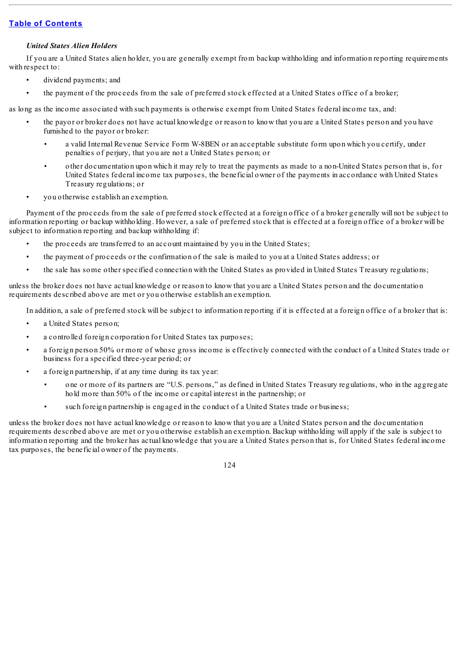# *United States Alien Holders*

If you are a United States alien holder, you are generally exempt from backup withholding and information reporting requirements with respect to:

- dividend payments; and
- the payment of the proceeds from the sale of preferred stock effected at a United States office of a broker;

as long as the income associated with such payments is otherwise exempt from United States federal income tax, and:

- the payor or broker does not have actual knowledge or reason to know that you are a United States person and you have furnished to the payor or broker:
	- a valid Internal Revenue Service Form W-8BEN or an acceptable substitute form upon which you certify, under penalties of perjury, that you are not a United States person; or
	- other documentation upon which it may rely to treat the payments as made to a non-United States person that is, for United States federal income tax purposes, the beneficial owner of the payments in accordance with United States Treasury regulations; or
- you otherwise establish an exemption.

Payment of the proceeds from the sale of preferred stock effected at a foreign office of a broker generally will not be subject to information reporting or backup withholding. However, a sale of preferred stock that is effected at a foreign office of a broker will be subject to information reporting and backup withholding if:

- the proceeds are transferred to an account maintained by you in the United States;
- the payment of proceeds or the confirmation of the sale is mailed to you at a United States address; or
- the sale has some other specified connection with the United States as provided in United States Treasury regulations;

unless the broker does not have actual knowledge or reason to know that you are a United States person and the documentation requirements described above are met or you otherwise establish an exemption.

In addition, a sale of preferred stock will be subject to information reporting if it is effected at a foreign office of a broker that is:

- a United States person;
- a controlled foreign corporation for United States tax purposes;
- a foreign person 50% or more of whose gross income is effectively connected with the conduct of a United States trade or business for a specified three-year period; or
- a foreign partnership, if at any time during its tax year:
	- one or more of its partners are "U.S. persons," as defined in United States Treasury regulations, who in the aggregate hold more than 50% of the income or capital interest in the partnership; or
	- such foreign partnership is engaged in the conduct of a United States trade or business;

unless the broker does not have actual knowledge or reason to know that you are a United States person and the documentation requirements described above are met or you otherwise establish an exemption. Backup withholding will apply if the sale is subject to information reporting and the broker has actual knowledge that you are a United States person that is, for United States federal income tax purposes, the beneficial owner of the payments.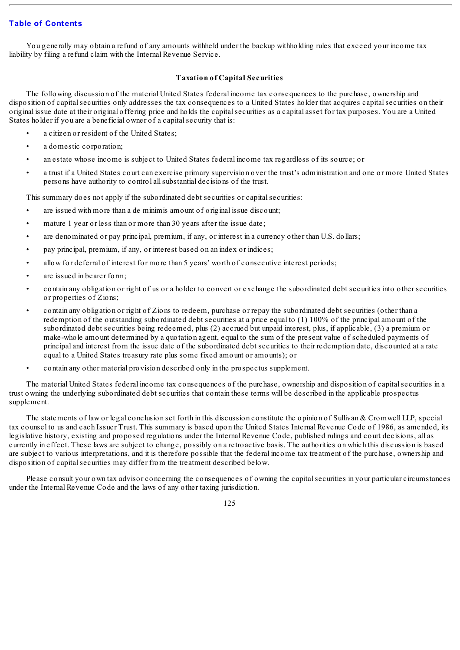You generally may obtain a refund of any amounts withheld under the backup withholding rules that exceed your income tax liability by filing a refund claim with the Internal Revenue Service.

## **Taxation of Capital Securities**

The following discussion of the material United States federal income tax consequences to the purchase, ownership and disposition of capital securities only addresses the tax consequences to a United States holder that acquires capital securities on their original issue date at their original offering price and holds the capitalsecurities as a capital asset for tax purposes. You are a United States holder if you are a beneficial owner of a capital security that is:

- a citizen or resident of the United States;
- a domestic corporation;
- an estate whose income is subject to United States federal income tax regardless of its source; or
- a trust if a United States court can exercise primary supervision over the trust's administration and one or more United States persons have authority to control allsubstantial decisions of the trust.

This summary does not apply if the subordinated debt securities or capital securities:

- are issued with more than a de minimis amount of original issue discount;
- mature 1 year or less than or more than 30 years after the issue date;
- are denominated or pay principal, premium, if any, or interest in a currency other than U.S. dollars;
- pay principal, premium, if any, or interest based on an index or indices;
- allow for deferral of interest for more than 5 years' worth of consecutive interest periods;
- are issued in bearer form;
- contain any obligation or right of us or a holder to convert or exchange the subordinated debt securities into other securities or properties of Zions;
- contain any obligation or right of Zions to redeem, purchase or repay the subordinated debt securities (other than a redemption of the outstanding subordinated debt securities at a price equal to (1) 100% of the principal amount of the subordinated debt securities being redeemed, plus (2) accrued but unpaid interest, plus, if applicable, (3) a premium or make-whole amount determined by a quotation agent, equal to the sum of the present value of scheduled payments of principal and interest from the issue date of the subordinated debt securities to their redemption date, discounted at a rate equal to a United States treasury rate plus some fixed amount or amounts); or
- contain any other material provision described only in the prospectus supplement.

The material United States federal income tax consequences of the purchase, ownership and disposition of capitalsecurities in a trust owning the underlying subordinated debt securities that contain these terms will be described in the applicable prospectus supplement.

The statements of law or legal conclusion set forth in this discussion constitute the opinion of Sullivan & Cromwell LLP, special tax counsel to us and each Issuer Trust. This summary is based upon the United States Internal Revenue Code of 1986, as amended, its legislative history, existing and proposed regulations under the Internal Revenue Code, published rulings and court decisions, all as currently in effect. These laws are subject to change, possibly on a retroactive basis. The authorities on which this discussion is based are subject to various interpretations, and it is therefore possible that the federal income tax treatment of the purchase, ownership and disposition of capital securities may differ from the treatment described below.

Please consult your own tax advisor concerning the consequences of owning the capitalsecurities in your particular circumstances under the Internal Revenue Code and the laws of any other taxing jurisdiction.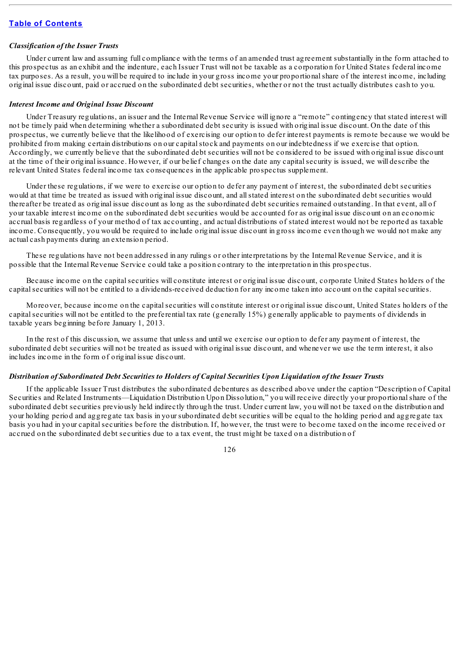## *Classification of the Issuer Trusts*

Under current law and assuming full compliance with the terms of an amended trust agreement substantially in the form attached to this prospectus as an exhibit and the indenture, each Issuer Trust will not be taxable as a corporation for United States federal income tax purposes. As a result, you will be required to include in your gross income your proportionalshare of the interest income, including original issue discount, paid or accrued on the subordinated debt securities, whether or not the trust actually distributes cash to you.

#### *Interest Income and Original Issue Discount*

Under Treasury regulations, an issuer and the Internal Revenue Service will ignore a "remote" contingency that stated interest will not be timely paid when determining whether a subordinated debt security is issued with original issue discount. On the date of this prospectus, we currently believe that the likelihood of exercising our option to defer interest payments is remote because we would be prohibited from making certain distributions on our capitalstock and payments on our indebtedness if we exercise that option. Accordingly, we currently believe that the subordinated debt securities will not be considered to be issued with original issue discount at the time of their original issuance. However, if our belief changes on the date any capitalsecurity is issued, we will describe the relevant United States federal income tax consequences in the applicable prospectus supplement.

Under these regulations, if we were to exercise our option to defer any payment of interest, the subordinated debt securities would at that time be treated as issued with original issue discount, and allstated interest on the subordinated debt securities would thereafter be treated as original issue discount as long as the subordinated debt securities remained outstanding. In that event, all of your taxable interest income on the subordinated debt securities would be accounted for as original issue discount on an economic accrual basis regardless of your method of tax accounting, and actual distributions of stated interest would not be reported as taxable income. Consequently, you would be required to include original issue discount in gross income even though we would not make any actual cash payments during an extension period.

These regulations have not been addressed in any rulings or other interpretations by the Internal Revenue Service, and it is possible that the Internal Revenue Service could take a position contrary to the interpretation in this prospectus.

Because income on the capital securities will constitute interest or original issue discount, corporate United States holders of the capitalsecurities will not be entitled to a dividends-received deduction for any income taken into account on the capitalsecurities.

Moreover, because income on the capitalsecurities will constitute interest or original issue discount, United States holders of the capitalsecurities will not be entitled to the preferential tax rate (generally 15%) generally applicable to payments of dividends in taxable years beginning before January 1, 2013.

In the rest of this discussion, we assume that unless and until we exercise our option to defer any payment of interest, the subordinated debt securities will not be treated as issued with original issue discount, and whenever we use the term interest, it also includes income in the form of original issue discount.

## Distribution of Subordinated Debt Securities to Holders of Capital Securities Upon Liquidation of the Issuer Trusts

If the applicable Issuer Trust distributes the subordinated debentures as described above under the caption "Description of Capital Securities and Related Instruments—Liquidation Distribution Upon Dissolution," you will receive directly your proportionalshare of the subordinated debt securities previously held indirectly through the trust. Under current law, you will not be taxed on the distribution and your holding period and aggregate tax basis in your subordinated debt securities will be equal to the holding period and aggregate tax basis you had in your capitalsecurities before the distribution. If, however, the trust were to become taxed on the income received or accrued on the subordinated debt securities due to a tax event, the trust might be taxed on a distribution of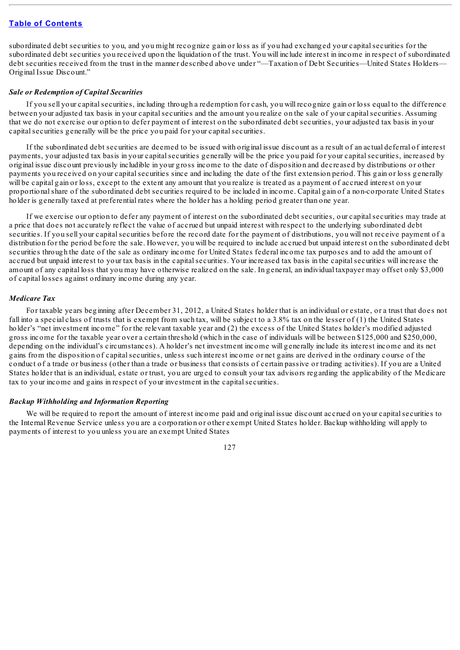subordinated debt securities to you, and you might recognize gain or loss as if you had exchanged your capital securities for the subordinated debt securities you received upon the liquidation of the trust. You will include interest in income in respect of subordinated debt securities received from the trust in the manner described above under "—Taxation of Debt Securities—United States Holders— Original Issue Discount."

## *Sale or Redemption of Capital Securities*

If you sell your capitalsecurities, including through a redemption for cash, you will recognize gain or loss equal to the difference between your adjusted tax basis in your capitalsecurities and the amount you realize on the sale of your capitalsecurities. Assuming that we do not exercise our option to defer payment of interest on the subordinated debt securities, your adjusted tax basis in your capital securities generally will be the price you paid for your capital securities.

If the subordinated debt securities are deemed to be issued with original issue discount as a result of an actual deferral of interest payments, your adjusted tax basis in your capitalsecurities generally will be the price you paid for your capitalsecurities, increased by original issue discount previously includible in your gross income to the date of disposition and decreased by distributions or other payments you received on your capitalsecurities since and including the date of the first extension period. This gain or loss generally will be capital gain or loss, except to the extent any amount that you realize is treated as a payment of accrued interest on your proportionalshare of the subordinated debt securities required to be included in income. Capital gain of a non-corporate United States holder is generally taxed at preferential rates where the holder has a holding period greater than one year.

If we exercise our option to defer any payment of interest on the subordinated debt securities, our capitalsecurities may trade at a price that does not accurately reflect the value of accrued but unpaid interest with respect to the underlying subordinated debt securities. If you sell your capitalsecurities before the record date for the payment of distributions, you will not receive payment of a distribution for the period before the sale. However, you will be required to include accrued but unpaid interest on the subordinated debt securities through the date of the sale as ordinary income for United States federal income tax purposes and to add the amount of accrued but unpaid interest to your tax basis in the capitalsecurities. Your increased tax basis in the capitalsecurities will increase the amount of any capital loss that you may have otherwise realized on the sale. In general, an individual taxpayer may offset only \$3,000 of capital losses against ordinary income during any year.

## *Medicare Tax*

For taxable years beginning after December 31, 2012, a United States holder that is an individual or estate, or a trust that does not fall into a special class of trusts that is exempt from such tax, will be subject to a 3.8% tax on the lesser of (1) the United States holder's "net investment income" for the relevant taxable year and (2) the excess of the United States holder's modified adjusted gross income for the taxable year over a certain threshold (which in the case of individuals will be between \$125,000 and \$250,000, depending on the individual's circumstances). A holder's net investment income will generally include its interest income and its net gains from the disposition of capitalsecurities, unless such interest income or net gains are derived in the ordinary course of the conduct of a trade or business (other than a trade or business that consists of certain passive or trading activities). If you are a United States holder that is an individual, estate or trust, you are urged to consult your tax advisors regarding the applicability of the Medicare tax to your income and gains in respect of your investment in the capital securities.

## *Backup Withholding and Information Reporting*

We will be required to report the amount of interest income paid and original issue discount accrued on your capital securities to the Internal Revenue Service unless you are a corporation or other exempt United States holder. Backup withholding will apply to payments of interest to you unless you are an exempt United States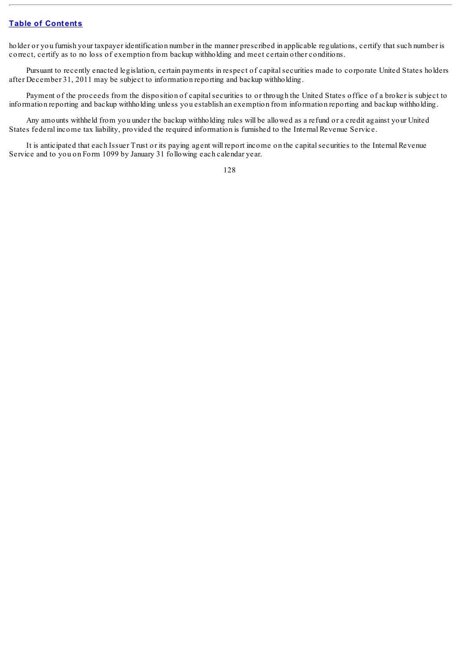holder or you furnish your taxpayer identification number in the manner prescribed in applicable regulations, certify that such number is correct, certify as to no loss of exemption from backup withholding and meet certain other conditions.

Pursuant to recently enacted legislation, certain payments in respect of capital securities made to corporate United States holders after December 31, 2011 may be subject to information reporting and backup withholding.

Payment of the proceeds from the disposition of capitalsecurities to or through the United States office of a broker is subject to information reporting and backup withholding unless you establish an exemption from information reporting and backup withholding.

Any amounts withheld from you under the backup withholding rules will be allowed as a refund or a credit against your United States federal income tax liability, provided the required information is furnished to the Internal Revenue Service.

It is anticipated that each Issuer Trust or its paying agent will report income on the capitalsecurities to the Internal Revenue Service and to you on Form 1099 by January 31 following each calendar year.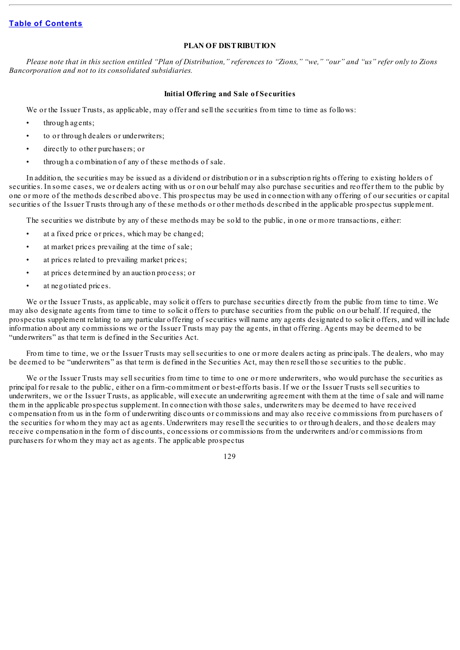## **PLAN OF DISTRIBUTION**

Please note that in this section entitled "Plan of Distribution," references to "Zions," "we," "our" and "us" refer only to Zions *Bancorporation and not to its consolidated subsidiaries.*

## **Initial Offering and Sale of Securities**

We or the Issuer Trusts, as applicable, may offer and sell the securities from time to time as follows:

- through agents;
- to or through dealers or underwriters;
- directly to other purchasers; or
- through a combination of any of these methods of sale.

In addition, the securities may be issued as a dividend or distribution or in a subscription rights offering to existing holders of securities. In some cases, we or dealers acting with us or on our behalf may also purchase securities and reoffer them to the public by one or more of the methods described above. This prospectus may be used in connection with any offering of our securities or capital securities of the Issuer Trusts through any of these methods or other methods described in the applicable prospectus supplement.

The securities we distribute by any of these methods may be sold to the public, in one or more transactions, either:

- at a fixed price or prices, which may be changed;
- at market prices prevailing at the time of sale;
- at prices related to prevailing market prices;
- at prices determined by an auction process; or
- at negotiated prices.

We or the Issuer Trusts, as applicable, may solicit offers to purchase securities directly from the public from time to time. We may also designate agents from time to time to solicit offers to purchase securities from the public on our behalf. If required, the prospectus supplement relating to any particular offering of securities will name any agents designated to solicit offers, and will include information about any commissions we or the Issuer Trusts may pay the agents, in that offering. Agents may be deemed to be "underwriters" as that term is defined in the Securities Act.

From time to time, we or the Issuer Trusts may sellsecurities to one or more dealers acting as principals. The dealers, who may be deemed to be "underwriters" as that term is defined in the Securities Act, may then resell those securities to the public.

We or the Issuer Trusts may sell securities from time to time to one or more underwriters, who would purchase the securities as principal for resale to the public, either on a firm-commitment or best-efforts basis. If we or the Issuer Trusts sellsecurities to underwriters, we or the Issuer Trusts, as applicable, will execute an underwriting agreement with them at the time of sale and will name them in the applicable prospectus supplement. In connection with those sales, underwriters may be deemed to have received compensation from us in the form of underwriting discounts or commissions and may also receive commissions from purchasers of the securities for whom they may act as agents. Underwriters may resell the securities to or through dealers, and those dealers may receive compensation in the form of discounts, concessions or commissions from the underwriters and/or commissions from purchasers for whom they may act as agents. The applicable prospectus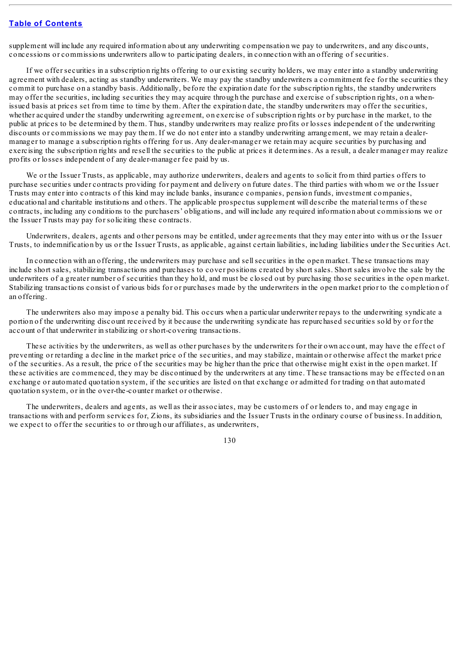supplement will include any required information about any underwriting compensation we pay to underwriters, and any discounts, concessions or commissions underwriters allow to participating dealers, in connection with an offering of securities.

If we offer securities in a subscription rights offering to our existing security holders, we may enter into a standby underwriting agreement with dealers, acting as standby underwriters. We may pay the standby underwriters a commitment fee for the securities they commit to purchase on a standby basis. Additionally, before the expiration date for the subscription rights, the standby underwriters may offer the securities, including securities they may acquire through the purchase and exercise of subscription rights, on a whenissued basis at prices set from time to time by them. After the expiration date, the standby underwriters may offer the securities, whether acquired under the standby underwriting agreement, on exercise of subscription rights or by purchase in the market, to the public at prices to be determined by them. Thus, standby underwriters may realize profits or losses independent of the underwriting discounts or commissions we may pay them. If we do not enter into a standby underwriting arrangement, we may retain a dealermanager to manage a subscription rights offering for us. Any dealer-manager we retain may acquire securities by purchasing and exercising the subscription rights and resell the securities to the public at prices it determines. As a result, a dealer manager may realize profits or losses independent of any dealer-manager fee paid by us.

We or the Issuer Trusts, as applicable, may authorize underwriters, dealers and agents to solicit from third parties offers to purchase securities under contracts providing for payment and delivery on future dates. The third parties with whom we or the Issuer Trusts may enter into contracts of this kind may include banks, insurance companies, pension funds, investment companies, educational and charitable institutions and others. The applicable prospectus supplement will describe the material terms of these contracts, including any conditions to the purchasers' obligations, and will include any required information about commissions we or the Issuer Trusts may pay for soliciting these contracts.

Underwriters, dealers, agents and other persons may be entitled, under agreements that they may enter into with us or the Issuer Trusts, to indemnification by us or the Issuer Trusts, as applicable, against certain liabilities, including liabilities under the Securities Act.

In connection with an offering, the underwriters may purchase and sellsecurities in the open market. These transactions may include short sales, stabilizing transactions and purchases to cover positions created by short sales. Short sales involve the sale by the underwriters of a greater number of securities than they hold, and must be closed out by purchasing those securities in the open market. Stabilizing transactions consist of various bids for or purchases made by the underwriters in the open market prior to the completion of an offering.

The underwriters also may impose a penalty bid. This occurs when a particular underwriter repays to the underwriting syndicate a portion of the underwriting discount received by it because the underwriting syndicate has repurchased securities sold by or for the account of that underwriter in stabilizing or short-covering transactions.

These activities by the underwriters, as well as other purchases by the underwriters for their own account, may have the effect of preventing or retarding a decline in the market price of the securities, and may stabilize, maintain or otherwise affect the market price of the securities. As a result, the price of the securities may be higher than the price that otherwise might exist in the open market. If these activities are commenced, they may be discontinued by the underwriters at any time. These transactions may be effected on an exchange or automated quotation system, if the securities are listed on that exchange or admitted for trading on that automated quotation system, or in the over-the-counter market or otherwise.

The underwriters, dealers and agents, as well as their associates, may be customers of or lenders to, and may engage in transactions with and perform services for, Zions, its subsidiaries and the Issuer Trusts in the ordinary course of business. In addition, we expect to offer the securities to or through our affiliates, as underwriters,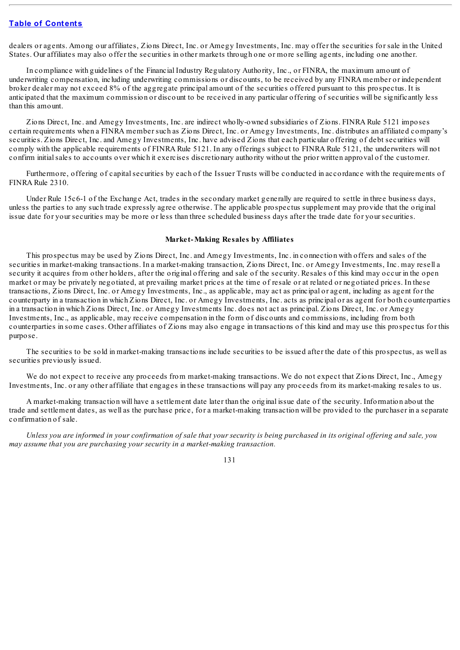dealers or agents. Among our affiliates, Zions Direct, Inc. or Amegy Investments, Inc. may offer the securities for sale in the United States. Our affiliates may also offer the securities in other markets through one or more selling agents, including one another.

In compliance with guidelines of the Financial Industry Regulatory Authority, Inc., or FINRA, the maximum amount of underwriting compensation, including underwriting commissions or discounts, to be received by any FINRA member or independent broker dealer may not exceed 8% of the aggregate principal amount of the securities offered pursuant to this prospectus. It is anticipated that the maximum commission or discount to be received in any particular offering of securities will be significantly less than this amount.

Zions Direct, Inc. and Amegy Investments, Inc. are indirect wholly-owned subsidiaries of Zions. FINRA Rule 5121 imposes certain requirements when a FINRA member such as Zions Direct, Inc. or Amegy Investments, Inc. distributes an affiliated company's securities. Zions Direct, Inc. and Amegy Investments, Inc. have advised Zions that each particular offering of debt securities will comply with the applicable requirements of FINRA Rule 5121. In any offerings subject to FINRA Rule 5121, the underwriters will not confirm initialsales to accounts over which it exercises discretionary authority without the prior written approval of the customer.

Furthermore, offering of capital securities by each of the Issuer Trusts will be conducted in accordance with the requirements of FINRA Rule 2310.

Under Rule 15c6-1 of the Exchange Act, trades in the secondary market generally are required to settle in three business days, unless the parties to any such trade expressly agree otherwise. The applicable prospectus supplement may provide that the original issue date for your securities may be more or less than three scheduled business days after the trade date for your securities.

#### **Market-Making Resales by Affiliates**

This prospectus may be used by Zions Direct, Inc. and Amegy Investments, Inc. in connection with offers and sales of the securities in market-making transactions. In a market-making transaction, Zions Direct, Inc. or Amegy Investments, Inc. may resell a security it acquires from other holders, after the original offering and sale of the security. Resales of this kind may occur in the open market or may be privately negotiated, at prevailing market prices at the time of resale or at related or negotiated prices. In these transactions, Zions Direct, Inc. or Amegy Investments, Inc., as applicable, may act as principal or agent, including as agent for the counterparty in a transaction in which Zions Direct, Inc. or Amegy Investments, Inc. acts as principal or as agent for both counterparties in a transaction in which Zions Direct, Inc. or Amegy Investments Inc. does not act as principal. Zions Direct, Inc. or Amegy Investments, Inc., as applicable, may receive compensation in the form of discounts and commissions, including from both counterparties in some cases. Other affiliates of Zions may also engage in transactions of this kind and may use this prospectus for this purpose.

The securities to be sold in market-making transactions include securities to be issued after the date of this prospectus, as well as securities previously issued.

We do not expect to receive any proceeds from market-making transactions. We do not expect that Zions Direct, Inc., Amegy Investments, Inc. or any other affiliate that engages in these transactions will pay any proceeds from its market-making resales to us.

A market-making transaction will have a settlement date later than the original issue date of the security. Information about the trade and settlement dates, as well as the purchase price, for a market-making transaction will be provided to the purchaser in a separate confirmation of sale.

Unless you are informed in your confirmation of sale that your security is being purchased in its original offering and sale, you *may assume that you are purchasing your security in a market-making transaction.*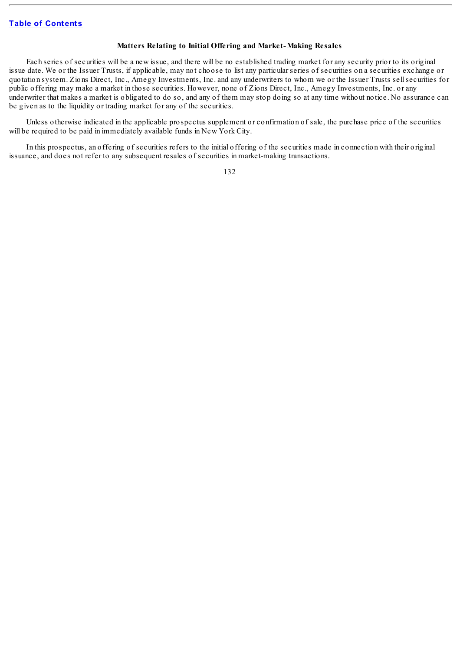## **Matters Relating to Initial Offering and Market-Making Resales**

Each series of securities will be a new issue, and there will be no established trading market for any security prior to its original issue date. We or the Issuer Trusts, if applicable, may not choose to list any particular series of securities on a securities exchange or quotation system. Zions Direct, Inc., Amegy Investments, Inc. and any underwriters to whom we or the Issuer Trusts sellsecurities for public offering may make a market in those securities. However, none of Zions Direct, Inc., Amegy Investments, Inc. or any underwriter that makes a market is obligated to do so, and any of them may stop doing so at any time without notice. No assurance can be given as to the liquidity or trading market for any of the securities.

Unless otherwise indicated in the applicable prospectus supplement or confirmation of sale, the purchase price of the securities will be required to be paid in immediately available funds in New York City.

In this prospectus, an offering of securities refers to the initial offering of the securities made in connection with their original issuance, and does not refer to any subsequent resales of securities in market-making transactions.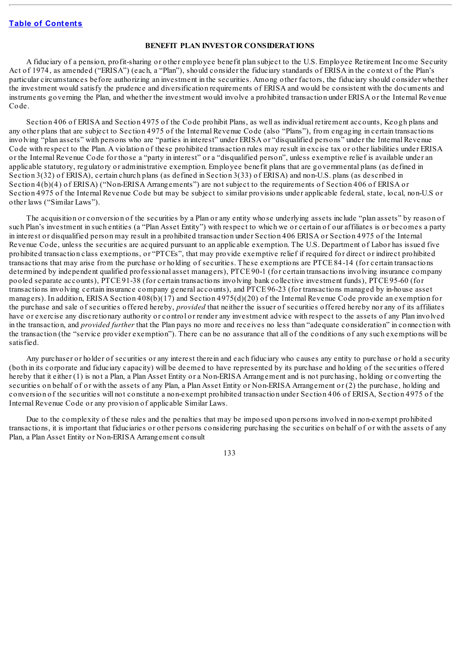## **BENEFIT PLAN INVESTOR CONSIDERATIONS**

A fiduciary of a pension, profit-sharing or other employee benefit plan subject to the U.S. Employee Retirement Income Security Act of 1974, as amended ("ERISA") (each, a "Plan"), should consider the fiduciary standards of ERISA in the context of the Plan's particular circumstances before authorizing an investment in the securities. Among other factors, the fiduciary should consider whether the investment would satisfy the prudence and diversification requirements of ERISA and would be consistent with the documents and instruments governing the Plan, and whether the investment would involve a prohibited transaction under ERISA or the Internal Revenue Code.

Section 406 of ERISA and Section 4975 of the Code prohibit Plans, as well as individual retirement accounts, Keogh plans and any other plans that are subject to Section 4975 of the Internal Revenue Code (also "Plans"), from engaging in certain transactions involving "plan assets" with persons who are "parties in interest" under ERISA or "disqualified persons" under the Internal Revenue Code with respect to the Plan. A violation of these prohibited transaction rules may result in excise tax or other liabilities under ERISA or the Internal Revenue Code for those a "party in interest" or a "disqualified person", unless exemptive relief is available under an applicable statutory, regulatory or administrative exemption. Employee benefit plans that are governmental plans (as defined in Section 3(32) of ERISA), certain church plans (as defined in Section 3(33) of ERISA) and non-U.S. plans (as described in Section 4(b)(4) of ERISA) ("Non-ERISA Arrangements") are not subject to the requirements of Section 406 of ERISA or Section 4975 of the Internal Revenue Code but may be subject to similar provisions under applicable federal, state, local, non-U.S or other laws ("Similar Laws").

The acquisition or conversion of the securities by a Plan or any entity whose underlying assets include "plan assets" by reason of such Plan's investment in such entities (a "Plan Asset Entity") with respect to which we or certain of our affiliates is or becomes a party in interest or disqualified person may result in a prohibited transaction under Section 406 ERISA or Section 4975 of the Internal Revenue Code, unless the securities are acquired pursuant to an applicable exemption. The U.S. Department of Labor has issued five prohibited transaction class exemptions, or "PTCEs", that may provide exemptive relief if required for direct or indirect prohibited transactions that may arise from the purchase or holding of securities. These exemptions are PTCE 84-14 (for certain transactions determined by independent qualified professional asset managers), PTCE 90-1 (for certain transactions involving insurance company pooled separate accounts), PTCE 91-38 (for certain transactions involving bank collective investment funds), PTCE 95-60 (for transactions involving certain insurance company general accounts), and PTCE 96-23 (for transactions managed by in-house asset managers). In addition, ERISA Section 408(b)(17) and Section 4975(d)(20) of the Internal Revenue Code provide an exemption for the purchase and sale of securities offered hereby, *provided* that neither the issuer of securities offered hereby nor any of its affiliates have or exercise any discretionary authority or control or render any investment advice with respect to the assets of any Plan involved in the transaction, and *provided further* that the Plan pays no more and receives no less than "adequate consideration" in connection with the transaction (the "service provider exemption"). There can be no assurance that all of the conditions of any such exemptions will be satisfied.

Any purchaser or holder of securities or any interest therein and each fiduciary who causes any entity to purchase or hold a security (both in its corporate and fiduciary capacity) will be deemed to have represented by its purchase and holding of the securities offered hereby that it either (1) is not a Plan, a Plan Asset Entity or a Non-ERISA Arrangement and is not purchasing, holding or converting the securities on behalf of or with the assets of any Plan, a Plan Asset Entity or Non-ERISA Arrangement or (2) the purchase, holding and conversion of the securities will not constitute a non-exempt prohibited transaction under Section 406 of ERISA, Section 4975 of the Internal Revenue Code or any provision of applicable Similar Laws.

Due to the complexity of these rules and the penalties that may be imposed upon persons involved in non-exempt prohibited transactions, it is important that fiduciaries or other persons considering purchasing the securities on behalf of or with the assets of any Plan, a Plan Asset Entity or Non-ERISA Arrangement consult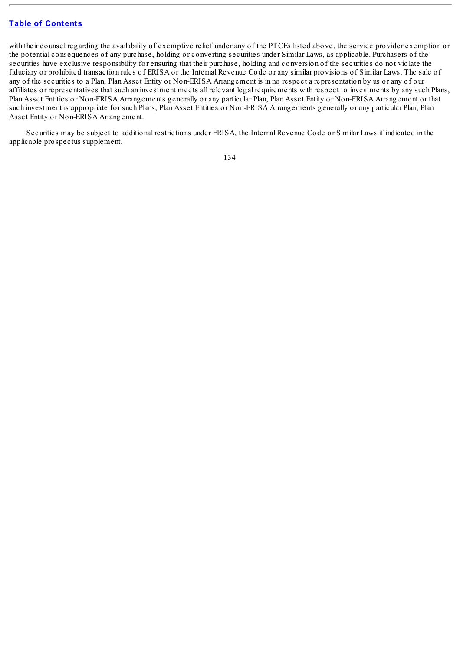with their counsel regarding the availability of exemptive relief under any of the PTCEs listed above, the service provider exemption or the potential consequences of any purchase, holding or converting securities under Similar Laws, as applicable. Purchasers of the securities have exclusive responsibility for ensuring that their purchase, holding and conversion of the securities do not violate the fiduciary or prohibited transaction rules of ERISA or the Internal Revenue Code or any similar provisions of Similar Laws. The sale of any of the securities to a Plan, Plan Asset Entity or Non-ERISA Arrangement is in no respect a representation by us or any of our affiliates or representatives that such an investment meets all relevant legal requirements with respect to investments by any such Plans, Plan Asset Entities or Non-ERISA Arrangements generally or any particular Plan, Plan Asset Entity or Non-ERISA Arrangement or that such investment is appropriate for such Plans, Plan Asset Entities or Non-ERISA Arrangements generally or any particular Plan, Plan Asset Entity or Non-ERISA Arrangement.

Securities may be subject to additional restrictions under ERISA, the Internal Revenue Code or Similar Laws if indicated in the applicable prospectus supplement.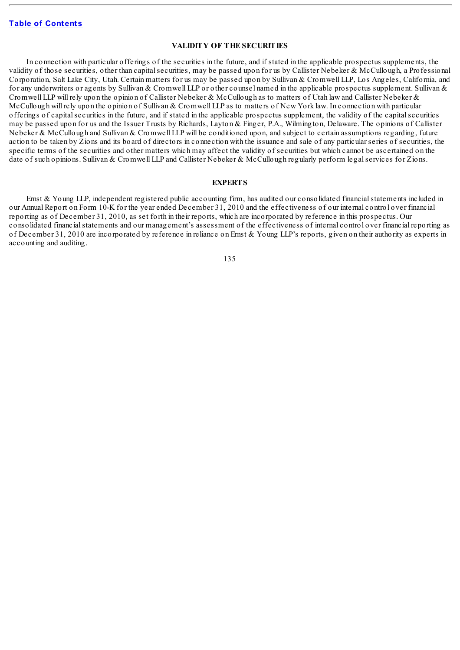## **VALIDITY OF THE SECURITIES**

In connection with particular offerings of the securities in the future, and if stated in the applicable prospectus supplements, the validity of those securities, other than capital securities, may be passed upon for us by Callister Nebeker & McCullough, a Professional Corporation, Salt Lake City, Utah. Certain matters for us may be passed upon by Sullivan & Cromwell LLP, Los Angeles, California, and for any underwriters or agents by Sullivan & Cromwell LLP or other counsel named in the applicable prospectus supplement. Sullivan & Cromwell LLP will rely upon the opinion of Callister Nebeker & McCullough as to matters of Utah law and Callister Nebeker & McCullough will rely upon the opinion of Sullivan & Cromwell LLP as to matters of New York law. In connection with particular offerings of capitalsecurities in the future, and if stated in the applicable prospectus supplement, the validity of the capitalsecurities may be passed upon for us and the Issuer Trusts by Richards, Layton & Finger, P.A., Wilmington, Delaware. The opinions of Callister Nebeker & McCullough and Sullivan & Cromwell LLP will be conditioned upon, and subject to certain assumptions regarding, future action to be taken by Zions and its board of directors in connection with the issuance and sale of any particular series of securities, the specific terms of the securities and other matters which may affect the validity of securities but which cannot be ascertained on the date of such opinions. Sullivan & Cromwell LLP and Callister Nebeker & McCullough regularly perform legal services for Zions.

## **EXPERTS**

Ernst & Young LLP, independent registered public accounting firm, has audited our consolidated financial statements included in our Annual Report on Form 10-K for the year ended December 31, 2010 and the effectiveness of our internal control over financial reporting as of December 31, 2010, as set forth in their reports, which are incorporated by reference in this prospectus. Our consolidated financialstatements and our management's assessment of the effectiveness of internal control over financial reporting as of December 31, 2010 are incorporated by reference in reliance on Ernst & Young LLP's reports, given on their authority as experts in accounting and auditing.